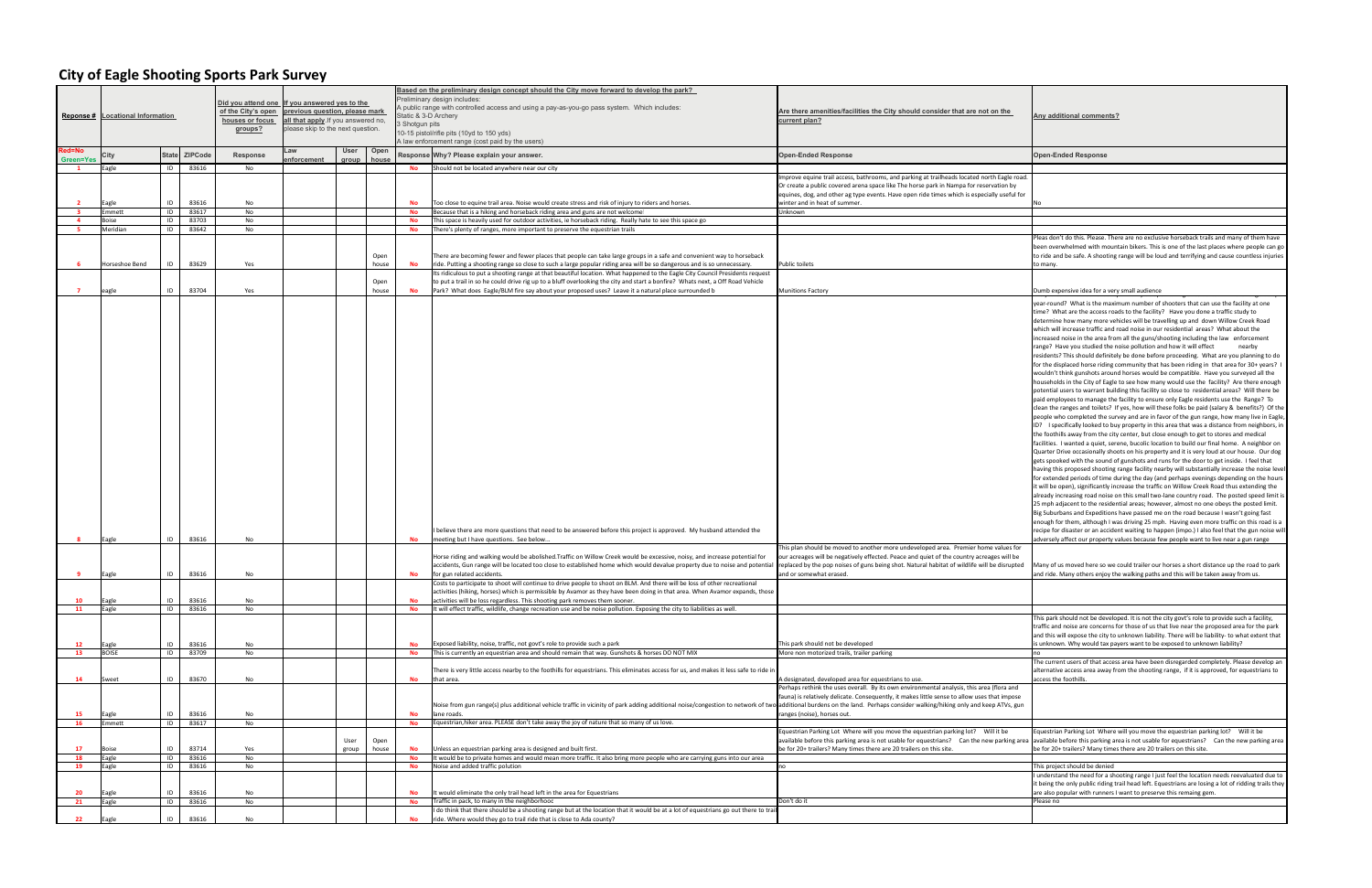## **City of Eagle Shooting Sports Park Survey**

| <u>the</u>                      | Any additional comments?                                                                                                                                                                                                                                                                                                                                                                                                                                                                                                                                                                                                                                                                                                                                                                                                                                                                                                                                                                                                                                                                                                                                                                                                                                                                                                                                                                                                                                                                                                                                                                                                                                                                                                                                                                                                                                                                                                                                                                                                                                                                                                                                                                                                                                                                                                                                                                                                                                                                                                                                                                                                             |
|---------------------------------|--------------------------------------------------------------------------------------------------------------------------------------------------------------------------------------------------------------------------------------------------------------------------------------------------------------------------------------------------------------------------------------------------------------------------------------------------------------------------------------------------------------------------------------------------------------------------------------------------------------------------------------------------------------------------------------------------------------------------------------------------------------------------------------------------------------------------------------------------------------------------------------------------------------------------------------------------------------------------------------------------------------------------------------------------------------------------------------------------------------------------------------------------------------------------------------------------------------------------------------------------------------------------------------------------------------------------------------------------------------------------------------------------------------------------------------------------------------------------------------------------------------------------------------------------------------------------------------------------------------------------------------------------------------------------------------------------------------------------------------------------------------------------------------------------------------------------------------------------------------------------------------------------------------------------------------------------------------------------------------------------------------------------------------------------------------------------------------------------------------------------------------------------------------------------------------------------------------------------------------------------------------------------------------------------------------------------------------------------------------------------------------------------------------------------------------------------------------------------------------------------------------------------------------------------------------------------------------------------------------------------------------|
|                                 | <b>Open-Ended Response</b>                                                                                                                                                                                                                                                                                                                                                                                                                                                                                                                                                                                                                                                                                                                                                                                                                                                                                                                                                                                                                                                                                                                                                                                                                                                                                                                                                                                                                                                                                                                                                                                                                                                                                                                                                                                                                                                                                                                                                                                                                                                                                                                                                                                                                                                                                                                                                                                                                                                                                                                                                                                                           |
| agle road.                      |                                                                                                                                                                                                                                                                                                                                                                                                                                                                                                                                                                                                                                                                                                                                                                                                                                                                                                                                                                                                                                                                                                                                                                                                                                                                                                                                                                                                                                                                                                                                                                                                                                                                                                                                                                                                                                                                                                                                                                                                                                                                                                                                                                                                                                                                                                                                                                                                                                                                                                                                                                                                                                      |
| on by<br>iseful for             | No                                                                                                                                                                                                                                                                                                                                                                                                                                                                                                                                                                                                                                                                                                                                                                                                                                                                                                                                                                                                                                                                                                                                                                                                                                                                                                                                                                                                                                                                                                                                                                                                                                                                                                                                                                                                                                                                                                                                                                                                                                                                                                                                                                                                                                                                                                                                                                                                                                                                                                                                                                                                                                   |
|                                 |                                                                                                                                                                                                                                                                                                                                                                                                                                                                                                                                                                                                                                                                                                                                                                                                                                                                                                                                                                                                                                                                                                                                                                                                                                                                                                                                                                                                                                                                                                                                                                                                                                                                                                                                                                                                                                                                                                                                                                                                                                                                                                                                                                                                                                                                                                                                                                                                                                                                                                                                                                                                                                      |
|                                 | Pleas don't do this. Please. There are no exclusive horseback trails and many of them have<br>been overwhelmed with mountain bikers. This is one of the last places where people can go<br>to ride and be safe. A shooting range will be loud and terrifying and cause countless injuries<br>to many.                                                                                                                                                                                                                                                                                                                                                                                                                                                                                                                                                                                                                                                                                                                                                                                                                                                                                                                                                                                                                                                                                                                                                                                                                                                                                                                                                                                                                                                                                                                                                                                                                                                                                                                                                                                                                                                                                                                                                                                                                                                                                                                                                                                                                                                                                                                                |
|                                 | Dumb expensive idea for a very small audience<br>year-round? What is the maximum number of shooters that can use the facility at one<br>time? What are the access roads to the facility? Have you done a traffic study to<br>determine how many more vehicles will be travelling up and down Willow Creek Road<br>which will increase traffic and road noise in our residential areas? What about the<br>increased noise in the area from all the guns/shooting including the law enforcement<br>range? Have you studied the noise pollution and how it will effect<br>nearby<br>residents? This should definitely be done before proceeding. What are you planning to do<br>for the displaced horse riding community that has been riding in that area for 30+ years? I<br>wouldn't think gunshots around horses would be compatible. Have you surveyed all the<br>households in the City of Eagle to see how many would use the facility? Are there enough<br>potential users to warrant building this facility so close to residential areas? Will there be<br>paid employees to manage the facility to ensure only Eagle residents use the Range? To<br>clean the ranges and toilets? If yes, how will these folks be paid (salary & benefits?) Of the<br>people who completed the survey and are in favor of the gun range, how many live in Eagle,<br>ID? I specifically looked to buy property in this area that was a distance from neighbors, in<br>the foothills away from the city center, but close enough to get to stores and medical<br>facilities. I wanted a quiet, serene, bucolic location to build our final home. A neighbor on<br>Quarter Drive occasionally shoots on his property and it is very loud at our house. Our dog<br>gets spooked with the sound of gunshots and runs for the door to get inside. I feel that<br>having this proposed shooting range facility nearby will substantially increase the noise level<br>for extended periods of time during the day (and perhaps evenings depending on the hours<br>it will be open), significantly increase the traffic on Willow Creek Road thus extending the<br>already increasing road noise on this small two-lane country road. The posted speed limit is<br>25 mph adjacent to the residential areas; however, almost no one obeys the posted limit.<br>Big Suburbans and Expeditions have passed me on the road because I wasn't going fast<br>enough for them, although I was driving 25 mph. Having even more traffic on this road is a<br>recipe for disaster or an accident waiting to happen (impo.) I also feel that the gun noise will |
| lues for<br>will be<br>isrupted | adversely affect our property values because few people want to live near a gun range<br>Many of us moved here so we could trailer our horses a short distance up the road to park<br>and ride. Many others enjoy the walking paths and this will be taken away from us.                                                                                                                                                                                                                                                                                                                                                                                                                                                                                                                                                                                                                                                                                                                                                                                                                                                                                                                                                                                                                                                                                                                                                                                                                                                                                                                                                                                                                                                                                                                                                                                                                                                                                                                                                                                                                                                                                                                                                                                                                                                                                                                                                                                                                                                                                                                                                             |
|                                 |                                                                                                                                                                                                                                                                                                                                                                                                                                                                                                                                                                                                                                                                                                                                                                                                                                                                                                                                                                                                                                                                                                                                                                                                                                                                                                                                                                                                                                                                                                                                                                                                                                                                                                                                                                                                                                                                                                                                                                                                                                                                                                                                                                                                                                                                                                                                                                                                                                                                                                                                                                                                                                      |
|                                 | This park should not be developed. It is not the city govt's role to provide such a facility,<br>traffic and noise are concerns for those of us that live near the proposed area for the park<br>and this will expose the city to unknown liability. There will be liability- to what extent that<br>is unknown. Why would tax payers want to be exposed to unknown liability?<br>no<br>The current users of that access area have been disregarded completely. Please develop an                                                                                                                                                                                                                                                                                                                                                                                                                                                                                                                                                                                                                                                                                                                                                                                                                                                                                                                                                                                                                                                                                                                                                                                                                                                                                                                                                                                                                                                                                                                                                                                                                                                                                                                                                                                                                                                                                                                                                                                                                                                                                                                                                    |
|                                 | alternative access area away from the shooting range, if it is approved, for equestrians to<br>access the foothills.                                                                                                                                                                                                                                                                                                                                                                                                                                                                                                                                                                                                                                                                                                                                                                                                                                                                                                                                                                                                                                                                                                                                                                                                                                                                                                                                                                                                                                                                                                                                                                                                                                                                                                                                                                                                                                                                                                                                                                                                                                                                                                                                                                                                                                                                                                                                                                                                                                                                                                                 |
| ra and<br>impose<br>TVs, gun    |                                                                                                                                                                                                                                                                                                                                                                                                                                                                                                                                                                                                                                                                                                                                                                                                                                                                                                                                                                                                                                                                                                                                                                                                                                                                                                                                                                                                                                                                                                                                                                                                                                                                                                                                                                                                                                                                                                                                                                                                                                                                                                                                                                                                                                                                                                                                                                                                                                                                                                                                                                                                                                      |
| be<br>rking area                | Equestrian Parking Lot Where will you move the equestrian parking lot?<br>Will it be<br>available before this parking area is not usable for equestrians?  Can the new parking area<br>be for 20+ trailers? Many times there are 20 trailers on this site.                                                                                                                                                                                                                                                                                                                                                                                                                                                                                                                                                                                                                                                                                                                                                                                                                                                                                                                                                                                                                                                                                                                                                                                                                                                                                                                                                                                                                                                                                                                                                                                                                                                                                                                                                                                                                                                                                                                                                                                                                                                                                                                                                                                                                                                                                                                                                                           |
|                                 | This project should be denied<br>I understand the need for a shooting range I just feel the location needs reevaluated due to<br>it being the only public riding trail head left. Equestrians are losing a lot of ridding trails they<br>are also popular with runners I want to preserve this remaing gem.<br>Please no                                                                                                                                                                                                                                                                                                                                                                                                                                                                                                                                                                                                                                                                                                                                                                                                                                                                                                                                                                                                                                                                                                                                                                                                                                                                                                                                                                                                                                                                                                                                                                                                                                                                                                                                                                                                                                                                                                                                                                                                                                                                                                                                                                                                                                                                                                             |
|                                 |                                                                                                                                                                                                                                                                                                                                                                                                                                                                                                                                                                                                                                                                                                                                                                                                                                                                                                                                                                                                                                                                                                                                                                                                                                                                                                                                                                                                                                                                                                                                                                                                                                                                                                                                                                                                                                                                                                                                                                                                                                                                                                                                                                                                                                                                                                                                                                                                                                                                                                                                                                                                                                      |

|                     | Reponse # Locational Information |              |                | Did you attend one If you answered yes to the<br>of the City's open<br>houses or focus<br>groups? | previous question, please mark<br>all that apply. If you answered no,<br>please skip to the next question. |               |               | Static & 3-D Archery<br>3 Shotgun pits | Based on the preliminary design concept should the City move forward to develop the park?<br>reliminary design includes:<br>. public range with controlled access and using a pay-as-you-go pass system. Which includes:<br>10-15 pistol/rifle pits (10yd to 150 yds)<br>A law enforcement range (cost paid by the users)                                                         | Are there amenities/facilities the City should consider that are not on the<br>current plan?                                                                                                                                                                                                                          | Any additional comments?                                                                                                                                                                                                                                                                                                                                                                                                                                                                                                                                                                                                                                                                                                                                                                                                                                                                                                                                                                                                                                                                                                                                                                                                                                                                                                                                                                                                                                                                                          |
|---------------------|----------------------------------|--------------|----------------|---------------------------------------------------------------------------------------------------|------------------------------------------------------------------------------------------------------------|---------------|---------------|----------------------------------------|-----------------------------------------------------------------------------------------------------------------------------------------------------------------------------------------------------------------------------------------------------------------------------------------------------------------------------------------------------------------------------------|-----------------------------------------------------------------------------------------------------------------------------------------------------------------------------------------------------------------------------------------------------------------------------------------------------------------------|-------------------------------------------------------------------------------------------------------------------------------------------------------------------------------------------------------------------------------------------------------------------------------------------------------------------------------------------------------------------------------------------------------------------------------------------------------------------------------------------------------------------------------------------------------------------------------------------------------------------------------------------------------------------------------------------------------------------------------------------------------------------------------------------------------------------------------------------------------------------------------------------------------------------------------------------------------------------------------------------------------------------------------------------------------------------------------------------------------------------------------------------------------------------------------------------------------------------------------------------------------------------------------------------------------------------------------------------------------------------------------------------------------------------------------------------------------------------------------------------------------------------|
| Red=No<br>Green=Yes | City                             | <b>State</b> | ZIPCode        | Response                                                                                          | .aw<br>nforcement                                                                                          | User<br>aroup | Open<br>house |                                        | Response Why? Please explain your answer.                                                                                                                                                                                                                                                                                                                                         | <b>Open-Ended Response</b>                                                                                                                                                                                                                                                                                            | <b>Open-Ended Response</b>                                                                                                                                                                                                                                                                                                                                                                                                                                                                                                                                                                                                                                                                                                                                                                                                                                                                                                                                                                                                                                                                                                                                                                                                                                                                                                                                                                                                                                                                                        |
| $\mathbf{1}$        | agle                             | ID           | 83616          | No                                                                                                |                                                                                                            |               |               | No                                     | Should not be located anywhere near our city                                                                                                                                                                                                                                                                                                                                      |                                                                                                                                                                                                                                                                                                                       |                                                                                                                                                                                                                                                                                                                                                                                                                                                                                                                                                                                                                                                                                                                                                                                                                                                                                                                                                                                                                                                                                                                                                                                                                                                                                                                                                                                                                                                                                                                   |
|                     | Eagle                            | ID           | 83616          | No                                                                                                |                                                                                                            |               |               | <b>No</b>                              | Too close to equine trail area. Noise would create stress and risk of iniury to riders and horses.                                                                                                                                                                                                                                                                                | Improve equine trail access, bathrooms, and parking at trailheads located north Eagle road.<br>Or create a public covered arena space like The horse park in Nampa for reservation by<br>equines, dog, and other ag type events. Have open ride times which is especially useful for<br>winter and in heat of summer. |                                                                                                                                                                                                                                                                                                                                                                                                                                                                                                                                                                                                                                                                                                                                                                                                                                                                                                                                                                                                                                                                                                                                                                                                                                                                                                                                                                                                                                                                                                                   |
|                     | mmett                            | ID           | 83617          | No                                                                                                |                                                                                                            |               |               | <b>No</b>                              | Because that is a hiking and horseback riding area and guns are not welcome!                                                                                                                                                                                                                                                                                                      | Unknown                                                                                                                                                                                                                                                                                                               |                                                                                                                                                                                                                                                                                                                                                                                                                                                                                                                                                                                                                                                                                                                                                                                                                                                                                                                                                                                                                                                                                                                                                                                                                                                                                                                                                                                                                                                                                                                   |
| -4                  | Boise                            | ID           | 83703          | No                                                                                                |                                                                                                            |               |               | No                                     | This space is heavily used for outdoor activities, ie horseback riding. Really hate to see this space go                                                                                                                                                                                                                                                                          |                                                                                                                                                                                                                                                                                                                       |                                                                                                                                                                                                                                                                                                                                                                                                                                                                                                                                                                                                                                                                                                                                                                                                                                                                                                                                                                                                                                                                                                                                                                                                                                                                                                                                                                                                                                                                                                                   |
| -5                  | Meridian                         | ID           | 83642          | No                                                                                                |                                                                                                            |               |               | No                                     | There's plenty of ranges, more important to preserve the equestrian trails                                                                                                                                                                                                                                                                                                        |                                                                                                                                                                                                                                                                                                                       |                                                                                                                                                                                                                                                                                                                                                                                                                                                                                                                                                                                                                                                                                                                                                                                                                                                                                                                                                                                                                                                                                                                                                                                                                                                                                                                                                                                                                                                                                                                   |
|                     | Horseshoe Bend                   | ID           | 83629          | Yes                                                                                               |                                                                                                            |               | Open<br>house | No                                     | There are becoming fewer and fewer places that people can take large groups in a safe and convenient way to horseback<br>ride. Putting a shooting range so close to such a large popular riding area will be so dangerous and is so unnecessary.<br>Its ridiculous to put a shooting range at that beautiful location. What happened to the Eagle City Council Presidents request | <b>Public toilets</b>                                                                                                                                                                                                                                                                                                 | Pleas don't do this. Please. There are no exclus<br>been overwhelmed with mountain bikers. This<br>to ride and be safe. A shooting range will be lo<br>to many.                                                                                                                                                                                                                                                                                                                                                                                                                                                                                                                                                                                                                                                                                                                                                                                                                                                                                                                                                                                                                                                                                                                                                                                                                                                                                                                                                   |
|                     |                                  |              |                |                                                                                                   |                                                                                                            |               | Open          |                                        | to put a trail in so he could drive rig up to a bluff overlooking the city and start a bonfire? Whats next, a Off Road Vehicle                                                                                                                                                                                                                                                    |                                                                                                                                                                                                                                                                                                                       |                                                                                                                                                                                                                                                                                                                                                                                                                                                                                                                                                                                                                                                                                                                                                                                                                                                                                                                                                                                                                                                                                                                                                                                                                                                                                                                                                                                                                                                                                                                   |
| -7                  | eagle<br>Eagle                   | ID<br>ID     | 83704<br>83616 | Yes<br>No                                                                                         |                                                                                                            |               | house         | No<br>No                               | Park? What does Eagle/BLM fire say about your proposed uses? Leave it a natural place surrounded b<br>I believe there are more questions that need to be answered before this project is approved. My husband attended the<br>meeting but I have questions. See below                                                                                                             | <b>Munitions Factory</b>                                                                                                                                                                                                                                                                                              | Dumb expensive idea for a very small audience<br>year-round? What is the maximum number of<br>time? What are the access roads to the facility<br>determine how many more vehicles will be tra<br>which will increase traffic and road noise in ou<br>increased noise in the area from all the guns/sl<br>range? Have you studied the noise pollution a<br>residents? This should definitely be done befor<br>for the displaced horse riding community that<br>wouldn't think gunshots around horses would<br>households in the City of Eagle to see how mar<br>potential users to warrant building this facility<br>paid employees to manage the facility to ensur<br>clean the ranges and toilets? If yes, how will tl<br>people who completed the survey and are in fa<br>ID? I specifically looked to buy property in thi<br>the foothills away from the city center, but clo<br>facilities. I wanted a quiet, serene, bucolic loca<br>Quarter Drive occasionally shoots on his prope<br>gets spooked with the sound of gunshots and r<br>having this proposed shooting range facility ne<br>for extended periods of time during the day (a<br>it will be open), significantly increase the traffi-<br>already increasing road noise on this small two<br>25 mph adjacent to the residential areas; how<br>Big Suburbans and Expeditions have passed me<br>enough for them, although I was driving 25 mp<br>recipe for disaster or an accident waiting to ha<br>adversely affect our property values because f |
|                     |                                  |              |                |                                                                                                   |                                                                                                            |               |               |                                        | Horse riding and walking would be abolished. Traffic on Willow Creek would be excessive, noisy, and increase potential for                                                                                                                                                                                                                                                        | This plan should be moved to another more undeveloped area. Premier home values for<br>our acreages will be negatively effected. Peace and quiet of the country acreages will be                                                                                                                                      |                                                                                                                                                                                                                                                                                                                                                                                                                                                                                                                                                                                                                                                                                                                                                                                                                                                                                                                                                                                                                                                                                                                                                                                                                                                                                                                                                                                                                                                                                                                   |
|                     | Eagle                            | ID           | 83616          | No                                                                                                |                                                                                                            |               |               | <b>No</b>                              | accidents, Gun range will be located too close to established home which would devalue property due to noise and potentia<br>for gun related accidents.                                                                                                                                                                                                                           | replaced by the pop noises of guns being shot. Natural habitat of wildlife will be disrupted<br>and or somewhat erased.                                                                                                                                                                                               | Many of us moved here so we could trailer our<br>and ride. Many others enjoy the walking paths                                                                                                                                                                                                                                                                                                                                                                                                                                                                                                                                                                                                                                                                                                                                                                                                                                                                                                                                                                                                                                                                                                                                                                                                                                                                                                                                                                                                                    |
| 10                  | Eagle                            | ID           | 83616          | No                                                                                                |                                                                                                            |               |               | No                                     | Costs to participate to shoot will continue to drive people to shoot on BLM. And there will be loss of other recreational<br>activities (hiking, horses) which is permissible by Avamor as they have been doing in that area. When Avamor expands, those<br>activities will be loss regardless. This shooting park removes them sooner.                                           |                                                                                                                                                                                                                                                                                                                       |                                                                                                                                                                                                                                                                                                                                                                                                                                                                                                                                                                                                                                                                                                                                                                                                                                                                                                                                                                                                                                                                                                                                                                                                                                                                                                                                                                                                                                                                                                                   |
| 11                  | Eagle                            | ID           | 83616          | No                                                                                                |                                                                                                            |               |               | No                                     | It will effect traffic, wildlife, change recreation use and be noise pollution. Exposing the city to liabilities as well.                                                                                                                                                                                                                                                         |                                                                                                                                                                                                                                                                                                                       | This park should not be developed. It is not the                                                                                                                                                                                                                                                                                                                                                                                                                                                                                                                                                                                                                                                                                                                                                                                                                                                                                                                                                                                                                                                                                                                                                                                                                                                                                                                                                                                                                                                                  |
| 12<br>13            | Eagle<br><b>BOISE</b>            | ID<br>ID     | 83616<br>83709 | No<br>No                                                                                          |                                                                                                            |               |               | No<br>No                               | Exposed liability, noise, traffic, not govt's role to provide such a park<br>This is currently an equestrian area and should remain that way. Gunshots & horses DO NOT MIX                                                                                                                                                                                                        | This park should not be developed<br>More non motorized trails, trailer parking                                                                                                                                                                                                                                       | traffic and noise are concerns for those of us tl<br>and this will expose the city to unknown liabilit<br>s unknown. Why would tax payers want to be                                                                                                                                                                                                                                                                                                                                                                                                                                                                                                                                                                                                                                                                                                                                                                                                                                                                                                                                                                                                                                                                                                                                                                                                                                                                                                                                                              |
|                     |                                  |              |                |                                                                                                   |                                                                                                            |               |               |                                        |                                                                                                                                                                                                                                                                                                                                                                                   |                                                                                                                                                                                                                                                                                                                       | The current users of that access area have bee                                                                                                                                                                                                                                                                                                                                                                                                                                                                                                                                                                                                                                                                                                                                                                                                                                                                                                                                                                                                                                                                                                                                                                                                                                                                                                                                                                                                                                                                    |
|                     |                                  |              |                |                                                                                                   |                                                                                                            |               |               |                                        | There is very little access nearby to the foothills for equestrians. This eliminates access for us, and makes it less safe to ride ir                                                                                                                                                                                                                                             |                                                                                                                                                                                                                                                                                                                       | alternative access area away from the shooting                                                                                                                                                                                                                                                                                                                                                                                                                                                                                                                                                                                                                                                                                                                                                                                                                                                                                                                                                                                                                                                                                                                                                                                                                                                                                                                                                                                                                                                                    |
| 14                  | Sweet                            | ID           | 83670          | No                                                                                                |                                                                                                            |               |               | <b>No</b>                              | that area.<br>Noise from gun range(s) plus additional vehicle traffic in vicinity of park adding additional noise/congestion to network of two additional burdens on the land. Perhaps consider walking/hiking only and keep ATVs, gun                                                                                                                                            | A designated, developed area for equestrians to use.<br>Perhaps rethink the uses overall. By its own environmental analysis, this area (flora and<br>fauna) is relatively delicate. Consequently, it makes little sense to allow uses that impose                                                                     | access the foothills.                                                                                                                                                                                                                                                                                                                                                                                                                                                                                                                                                                                                                                                                                                                                                                                                                                                                                                                                                                                                                                                                                                                                                                                                                                                                                                                                                                                                                                                                                             |
| 15                  | Eagle                            | ID           | 83616          | No                                                                                                |                                                                                                            |               |               | <b>No</b>                              | lane roads.                                                                                                                                                                                                                                                                                                                                                                       | ranges (noise), horses out.                                                                                                                                                                                                                                                                                           |                                                                                                                                                                                                                                                                                                                                                                                                                                                                                                                                                                                                                                                                                                                                                                                                                                                                                                                                                                                                                                                                                                                                                                                                                                                                                                                                                                                                                                                                                                                   |
| 16                  | Emmett                           | ID           | 83617          | No                                                                                                |                                                                                                            |               |               | <b>No</b>                              | Equestrian, hiker area. PLEASE don't take away the joy of nature that so many of us love.                                                                                                                                                                                                                                                                                         |                                                                                                                                                                                                                                                                                                                       |                                                                                                                                                                                                                                                                                                                                                                                                                                                                                                                                                                                                                                                                                                                                                                                                                                                                                                                                                                                                                                                                                                                                                                                                                                                                                                                                                                                                                                                                                                                   |
| 17                  | Boise                            | ID           | 83714          | Yes                                                                                               |                                                                                                            | User<br>group | Open<br>house | No                                     | Unless an equestrian parking area is designed and built first.                                                                                                                                                                                                                                                                                                                    | Equestrian Parking Lot Where will you move the equestrian parking lot? Will it be<br>available before this parking area is not usable for equestrians? Can the new parking area available before this parking area is not usable<br>be for 20+ trailers? Many times there are 20 trailers on this site.               | Equestrian Parking Lot Where will you move t<br>be for 20+ trailers? Many times there are 20 tr                                                                                                                                                                                                                                                                                                                                                                                                                                                                                                                                                                                                                                                                                                                                                                                                                                                                                                                                                                                                                                                                                                                                                                                                                                                                                                                                                                                                                   |
| 18                  | Eagle                            | ID           | 83616          | No                                                                                                |                                                                                                            |               |               | No                                     | It would be to private homes and would mean more traffic. It also bring more people who are carrying guns into our area                                                                                                                                                                                                                                                           |                                                                                                                                                                                                                                                                                                                       |                                                                                                                                                                                                                                                                                                                                                                                                                                                                                                                                                                                                                                                                                                                                                                                                                                                                                                                                                                                                                                                                                                                                                                                                                                                                                                                                                                                                                                                                                                                   |
| 19<br>-20           | Eagle<br>Eagle                   | ID<br>ID     | 83616<br>83616 | No<br>No                                                                                          |                                                                                                            |               |               | No<br><b>No</b>                        | Noise and added traffic polution<br>It would eliminate the only trail head left in the area for Equestrians                                                                                                                                                                                                                                                                       | no                                                                                                                                                                                                                                                                                                                    | This project should be denied<br>understand the need for a shooting range I ju<br>it being the only public riding trail head left. Eq<br>are also popular with runners I want to preserv                                                                                                                                                                                                                                                                                                                                                                                                                                                                                                                                                                                                                                                                                                                                                                                                                                                                                                                                                                                                                                                                                                                                                                                                                                                                                                                          |
| 21                  | Eagle                            | ID           | 83616          | No                                                                                                |                                                                                                            |               |               | No                                     | Traffic in pack, to many in the neighborhood<br>I do think that there should be a shooting range but at the location that it would be at a lot of equestrians go out there to trail                                                                                                                                                                                               | Don't do it                                                                                                                                                                                                                                                                                                           | Please no                                                                                                                                                                                                                                                                                                                                                                                                                                                                                                                                                                                                                                                                                                                                                                                                                                                                                                                                                                                                                                                                                                                                                                                                                                                                                                                                                                                                                                                                                                         |
| 22                  | Eagle                            | ID           | 83616          | No                                                                                                |                                                                                                            |               |               | No                                     | ride. Where would they go to trail ride that is close to Ada county?                                                                                                                                                                                                                                                                                                              |                                                                                                                                                                                                                                                                                                                       |                                                                                                                                                                                                                                                                                                                                                                                                                                                                                                                                                                                                                                                                                                                                                                                                                                                                                                                                                                                                                                                                                                                                                                                                                                                                                                                                                                                                                                                                                                                   |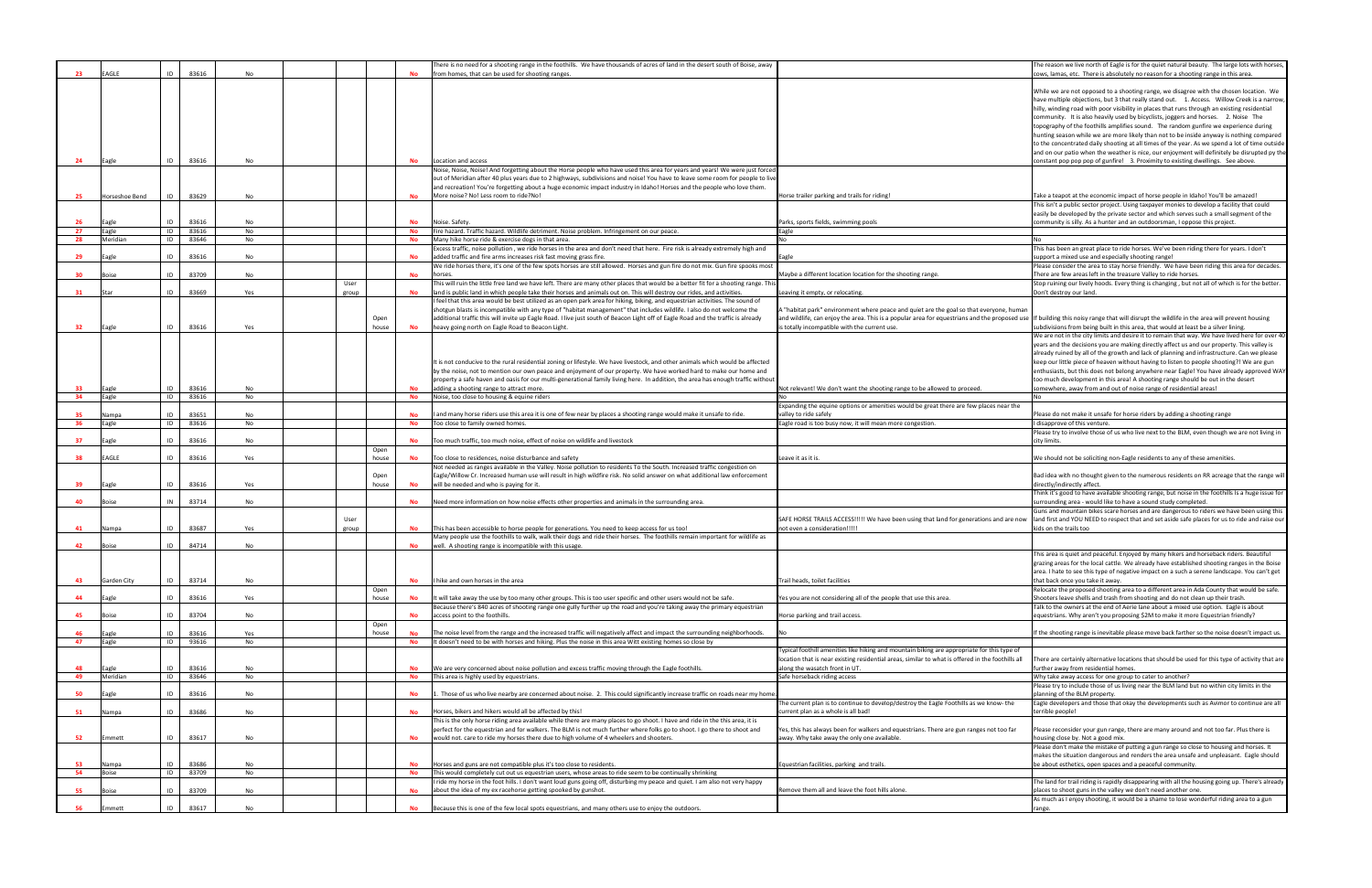| -23             | EAGLE          | ID | 83616 | No        |       |           | There is no need for a shooting range in the foothills. We have thousands of acres of land in the desert south of Boise, away<br>from homes, that can be used for shooting ranges. |                                                                                                   | The reason we live north of Eagle is for the quiet natural beauty. The large lots with horse<br>cows, lamas, etc. There is absolutely no reason for a shooting range in this area.                                                                                                                                                                                                                                                                                                                                                                                                                                                                                                                                                                                                                                                                   |
|-----------------|----------------|----|-------|-----------|-------|-----------|------------------------------------------------------------------------------------------------------------------------------------------------------------------------------------|---------------------------------------------------------------------------------------------------|------------------------------------------------------------------------------------------------------------------------------------------------------------------------------------------------------------------------------------------------------------------------------------------------------------------------------------------------------------------------------------------------------------------------------------------------------------------------------------------------------------------------------------------------------------------------------------------------------------------------------------------------------------------------------------------------------------------------------------------------------------------------------------------------------------------------------------------------------|
|                 |                |    |       |           |       |           |                                                                                                                                                                                    |                                                                                                   |                                                                                                                                                                                                                                                                                                                                                                                                                                                                                                                                                                                                                                                                                                                                                                                                                                                      |
|                 |                |    |       |           |       |           |                                                                                                                                                                                    |                                                                                                   | While we are not opposed to a shooting range, we disagree with the chosen location. We                                                                                                                                                                                                                                                                                                                                                                                                                                                                                                                                                                                                                                                                                                                                                               |
|                 |                |    |       |           |       |           |                                                                                                                                                                                    |                                                                                                   | have multiple objections, but 3 that really stand out. 1. Access. Willow Creek is a narrow                                                                                                                                                                                                                                                                                                                                                                                                                                                                                                                                                                                                                                                                                                                                                           |
|                 |                |    |       |           |       |           |                                                                                                                                                                                    |                                                                                                   | hilly, winding road with poor visibility in places that runs through an existing residential                                                                                                                                                                                                                                                                                                                                                                                                                                                                                                                                                                                                                                                                                                                                                         |
|                 |                |    |       |           |       |           |                                                                                                                                                                                    |                                                                                                   | community. It is also heavily used by bicyclists, joggers and horses. 2. Noise The                                                                                                                                                                                                                                                                                                                                                                                                                                                                                                                                                                                                                                                                                                                                                                   |
|                 |                |    |       |           |       |           |                                                                                                                                                                                    |                                                                                                   | topography of the foothills amplifies sound. The random gunfire we experience during                                                                                                                                                                                                                                                                                                                                                                                                                                                                                                                                                                                                                                                                                                                                                                 |
|                 |                |    |       |           |       |           |                                                                                                                                                                                    |                                                                                                   | hunting season while we are more likely than not to be inside anyway is nothing comparec                                                                                                                                                                                                                                                                                                                                                                                                                                                                                                                                                                                                                                                                                                                                                             |
|                 |                |    |       |           |       |           |                                                                                                                                                                                    |                                                                                                   | to the concentrated daily shooting at all times of the year. As we spend a lot of time outsid                                                                                                                                                                                                                                                                                                                                                                                                                                                                                                                                                                                                                                                                                                                                                        |
|                 |                |    |       |           |       |           |                                                                                                                                                                                    |                                                                                                   | and on our patio when the weather is nice, our enjoyment will definitely be disrupted py t                                                                                                                                                                                                                                                                                                                                                                                                                                                                                                                                                                                                                                                                                                                                                           |
| 24              | Eagle          | ID | 83616 | No        |       | No        | Location and access                                                                                                                                                                |                                                                                                   | constant pop pop pop of gunfire! 3. Proximity to existing dwellings. See above.                                                                                                                                                                                                                                                                                                                                                                                                                                                                                                                                                                                                                                                                                                                                                                      |
|                 |                |    |       |           |       |           | Noise, Noise, Noise! And forgetting about the Horse people who have used this area for years and years! We were just forced                                                        |                                                                                                   |                                                                                                                                                                                                                                                                                                                                                                                                                                                                                                                                                                                                                                                                                                                                                                                                                                                      |
|                 |                |    |       |           |       |           | out of Meridian after 40 plus years due to 2 highways, subdivisions and noise! You have to leave some room for people to live                                                      |                                                                                                   |                                                                                                                                                                                                                                                                                                                                                                                                                                                                                                                                                                                                                                                                                                                                                                                                                                                      |
|                 |                |    |       |           |       |           | and recreation! You're forgetting about a huge economic impact industry in Idaho! Horses and the people who love them.                                                             |                                                                                                   |                                                                                                                                                                                                                                                                                                                                                                                                                                                                                                                                                                                                                                                                                                                                                                                                                                                      |
| 25              | Horseshoe Bend | ID | 83629 | No        |       |           | More noise? No! Less room to ride?No!                                                                                                                                              | Horse trailer parking and trails for riding!                                                      | Take a teapot at the economic impact of horse people in Idaho! You'll be amazed!                                                                                                                                                                                                                                                                                                                                                                                                                                                                                                                                                                                                                                                                                                                                                                     |
|                 |                |    |       |           |       |           |                                                                                                                                                                                    |                                                                                                   | This isn't a public sector project. Using taxpayer monies to develop a facility that could                                                                                                                                                                                                                                                                                                                                                                                                                                                                                                                                                                                                                                                                                                                                                           |
|                 |                |    |       |           |       |           |                                                                                                                                                                                    |                                                                                                   | easily be developed by the private sector and which serves such a small segment of the                                                                                                                                                                                                                                                                                                                                                                                                                                                                                                                                                                                                                                                                                                                                                               |
| 26              | Eagle          |    | 83616 | No        |       | <b>No</b> | Noise. Safety.                                                                                                                                                                     | Parks, sports fields, swimming pools                                                              | community is silly. As a hunter and an outdoorsman, I oppose this project.                                                                                                                                                                                                                                                                                                                                                                                                                                                                                                                                                                                                                                                                                                                                                                           |
| 27              | Eagle          | ID | 83616 | No        |       | <b>No</b> | Fire hazard. Traffic hazard. Wildlife detriment. Noise problem. Infringement on our peace.                                                                                         | Eagle                                                                                             |                                                                                                                                                                                                                                                                                                                                                                                                                                                                                                                                                                                                                                                                                                                                                                                                                                                      |
| 28              | Meridian       | ID | 83646 | No        |       | No        | Many hike horse ride & exercise dogs in that area.                                                                                                                                 |                                                                                                   |                                                                                                                                                                                                                                                                                                                                                                                                                                                                                                                                                                                                                                                                                                                                                                                                                                                      |
|                 |                |    |       |           |       |           | Excess traffic, noise pollution , we ride horses in the area and don't need that here. Fire risk is already extremely high and                                                     |                                                                                                   | This has been an great place to ride horses. We've been riding there for years. I don't                                                                                                                                                                                                                                                                                                                                                                                                                                                                                                                                                                                                                                                                                                                                                              |
| 29              | Eagle          | ID | 83616 | No        |       |           | added traffic and fire arms increases risk fast moving grass fire.                                                                                                                 |                                                                                                   | support a mixed use and especially shooting range!                                                                                                                                                                                                                                                                                                                                                                                                                                                                                                                                                                                                                                                                                                                                                                                                   |
|                 |                |    |       |           |       |           | We ride horses there, it's one of the few spots horses are still allowed. Horses and gun fire do not mix. Gun fire spooks most                                                     |                                                                                                   | Please consider the area to stay horse friendly. We have been riding this area for decades                                                                                                                                                                                                                                                                                                                                                                                                                                                                                                                                                                                                                                                                                                                                                           |
| 30 <sub>2</sub> | Boise          | ID | 83709 | No        |       | <b>No</b> | horses.                                                                                                                                                                            | Maybe a different location location for the shooting range                                        | There are few areas left in the treasure Valley to ride horses.                                                                                                                                                                                                                                                                                                                                                                                                                                                                                                                                                                                                                                                                                                                                                                                      |
|                 |                |    |       |           | User  |           | This will ruin the little free land we have left. There are many other places that would be a better fit for a shooting range. Thi:                                                |                                                                                                   | Stop ruining our lively hoods. Every thing is changing, but not all of which is for the better.                                                                                                                                                                                                                                                                                                                                                                                                                                                                                                                                                                                                                                                                                                                                                      |
| 31              |                | ID | 83669 | Yes       | group |           | land is public land in which people take their horses and animals out on. This will destroy our rides, and activities.                                                             | Leaving it empty, or relocating                                                                   | Don't destroy our land.                                                                                                                                                                                                                                                                                                                                                                                                                                                                                                                                                                                                                                                                                                                                                                                                                              |
|                 |                |    |       |           |       |           | I feel that this area would be best utilized as an open park area for hiking, biking, and equestrian activities. The sound of                                                      |                                                                                                   |                                                                                                                                                                                                                                                                                                                                                                                                                                                                                                                                                                                                                                                                                                                                                                                                                                                      |
|                 |                |    |       |           |       |           | shotgun blasts is incompatible with any type of "habitat management" that includes wildlife. I also do not welcome the                                                             | habitat park" environment where peace and quiet are the goal so that everyone, human".            |                                                                                                                                                                                                                                                                                                                                                                                                                                                                                                                                                                                                                                                                                                                                                                                                                                                      |
|                 |                |    |       |           | Open  |           | additional traffic this will invite up Eagle Road. I live just south of Beacon Light off of Eagle Road and the traffic is already                                                  | and wildlife, can enjoy the area. This is a popular area for equestrians and the proposed use     | If building this noisy range that will disrupt the wildlife in the area will prevent housing                                                                                                                                                                                                                                                                                                                                                                                                                                                                                                                                                                                                                                                                                                                                                         |
| 32              | Eagle          | ID | 83616 | Yes       | house | <b>No</b> | heavy going north on Eagle Road to Beacon Light.                                                                                                                                   | totally incompatible with the current use.                                                        | subdivisions from being built in this area, that would at least be a silver lining.                                                                                                                                                                                                                                                                                                                                                                                                                                                                                                                                                                                                                                                                                                                                                                  |
|                 |                |    |       |           |       |           |                                                                                                                                                                                    |                                                                                                   | We are not in the city limits and desire it to remain that way. We have lived here for over $\alpha$                                                                                                                                                                                                                                                                                                                                                                                                                                                                                                                                                                                                                                                                                                                                                 |
|                 |                |    |       |           |       |           |                                                                                                                                                                                    |                                                                                                   | years and the decisions you are making directly affect us and our property. This valley is                                                                                                                                                                                                                                                                                                                                                                                                                                                                                                                                                                                                                                                                                                                                                           |
|                 |                |    |       |           |       |           |                                                                                                                                                                                    |                                                                                                   | already ruined by all of the growth and lack of planning and infrastructure. Can we please                                                                                                                                                                                                                                                                                                                                                                                                                                                                                                                                                                                                                                                                                                                                                           |
|                 |                |    |       |           |       |           | It is not conducive to the rural residential zoning or lifestyle. We have livestock, and other animals which would be affected                                                     |                                                                                                   | keep our little piece of heaven without having to listen to people shooting?! We are gun                                                                                                                                                                                                                                                                                                                                                                                                                                                                                                                                                                                                                                                                                                                                                             |
|                 |                |    |       |           |       |           | by the noise, not to mention our own peace and enjoyment of our property. We have worked hard to make our home and                                                                 |                                                                                                   | enthusiasts, but this does not belong anywhere near Eagle! You have already approved W،                                                                                                                                                                                                                                                                                                                                                                                                                                                                                                                                                                                                                                                                                                                                                              |
| -33             |                | ID | 83616 |           |       |           | property a safe haven and oasis for our multi-generational family living here. In addition, the area has enough traffic without                                                    |                                                                                                   | too much development in this area! A shooting range should be out in the desert                                                                                                                                                                                                                                                                                                                                                                                                                                                                                                                                                                                                                                                                                                                                                                      |
| 34              | Eagle<br>Eagle | ID | 83616 | No<br>No  |       | No        | adding a shooting range to attract more.<br>Noise, too close to housing & equine riders                                                                                            | Not relevant! We don't want the shooting range to be allowed to proceed.                          | somewhere, away from and out of noise range of residential areas!                                                                                                                                                                                                                                                                                                                                                                                                                                                                                                                                                                                                                                                                                                                                                                                    |
|                 |                |    |       |           |       |           |                                                                                                                                                                                    | Expanding the equine options or amenities would be great there are few places near the            |                                                                                                                                                                                                                                                                                                                                                                                                                                                                                                                                                                                                                                                                                                                                                                                                                                                      |
| 35              | Nampa          | ID | 83651 | No        |       |           | I and many horse riders use this area it is one of few near by places a shooting range would make it unsafe to ride.                                                               | alley to ride safely                                                                              | Please do not make it unsafe for horse riders by adding a shooting range                                                                                                                                                                                                                                                                                                                                                                                                                                                                                                                                                                                                                                                                                                                                                                             |
| 36              | Eagle          | ID | 83616 | No        |       | No        | Too close to family owned homes.                                                                                                                                                   | Eagle road is too busy now, it will mean more congestion.                                         | disapprove of this venture.                                                                                                                                                                                                                                                                                                                                                                                                                                                                                                                                                                                                                                                                                                                                                                                                                          |
|                 |                |    |       |           |       |           |                                                                                                                                                                                    |                                                                                                   | Please try to involve those of us who live next to the BLM, even though we are not living ir                                                                                                                                                                                                                                                                                                                                                                                                                                                                                                                                                                                                                                                                                                                                                         |
| 37              | Eagle          | ID | 83616 | No        |       | <b>No</b> | Too much traffic, too much noise, effect of noise on wildlife and livestock                                                                                                        |                                                                                                   | city limits.                                                                                                                                                                                                                                                                                                                                                                                                                                                                                                                                                                                                                                                                                                                                                                                                                                         |
|                 |                |    |       |           | Open  |           |                                                                                                                                                                                    |                                                                                                   |                                                                                                                                                                                                                                                                                                                                                                                                                                                                                                                                                                                                                                                                                                                                                                                                                                                      |
| 38              | EAGLE          | ID | 83616 | Yes       | house | No        | Too close to residences, noise disturbance and safety                                                                                                                              | Leave it as it is.                                                                                | We should not be soliciting non-Eagle residents to any of these amenities.                                                                                                                                                                                                                                                                                                                                                                                                                                                                                                                                                                                                                                                                                                                                                                           |
|                 |                |    |       |           |       |           | Not needed as ranges available in the Valley. Noise pollution to residents To the South. Increased traffic congestion on                                                           |                                                                                                   |                                                                                                                                                                                                                                                                                                                                                                                                                                                                                                                                                                                                                                                                                                                                                                                                                                                      |
|                 |                |    |       |           | Open  |           | Eagle/Willow Cr. Increased human use will result in high wildfire risk. No solid answer on what additional law enforcement                                                         |                                                                                                   | Bad idea with no thought given to the numerous residents on RR acreage that the range w                                                                                                                                                                                                                                                                                                                                                                                                                                                                                                                                                                                                                                                                                                                                                              |
| 39              | Eagle          | ID | 83616 | Yes       | house | <b>No</b> | will be needed and who is paying for it.                                                                                                                                           |                                                                                                   | directly/indirectly affect.                                                                                                                                                                                                                                                                                                                                                                                                                                                                                                                                                                                                                                                                                                                                                                                                                          |
|                 |                |    |       |           |       |           |                                                                                                                                                                                    |                                                                                                   | Think it's good to have available shooting range, but noise in the foothills Is a huge issue fo                                                                                                                                                                                                                                                                                                                                                                                                                                                                                                                                                                                                                                                                                                                                                      |
| 40              | Boise          | IN | 83714 | No        |       |           | No Need more information on how noise effects other properties and animals in the surrounding area.                                                                                |                                                                                                   | surrounding area - would like to have a sound study completed.                                                                                                                                                                                                                                                                                                                                                                                                                                                                                                                                                                                                                                                                                                                                                                                       |
|                 |                |    |       |           |       |           |                                                                                                                                                                                    |                                                                                                   | Guns and mountain bikes scare horses and are dangerous to riders we have been using thi                                                                                                                                                                                                                                                                                                                                                                                                                                                                                                                                                                                                                                                                                                                                                              |
|                 |                |    |       |           | User  |           |                                                                                                                                                                                    | SAFE HORSE TRAILS ACCESS!!!!! We have been using that land for generations and are now            | land first and YOU NEED to respect that and set aside safe places for us to ride and raise or                                                                                                                                                                                                                                                                                                                                                                                                                                                                                                                                                                                                                                                                                                                                                        |
| 41              | Nampa          |    | 83687 | Yes       | group |           | This has been accessible to horse people for generations. You need to keep access for us too!                                                                                      | not even a consideration!!!!!                                                                     | kids on the trails too                                                                                                                                                                                                                                                                                                                                                                                                                                                                                                                                                                                                                                                                                                                                                                                                                               |
|                 |                |    |       |           |       |           | Many people use the foothills to walk, walk their dogs and ride their horses. The foothills remain important for wildlife as                                                       |                                                                                                   |                                                                                                                                                                                                                                                                                                                                                                                                                                                                                                                                                                                                                                                                                                                                                                                                                                                      |
| 42              | Boise          | ID | 84714 |           |       |           |                                                                                                                                                                                    |                                                                                                   |                                                                                                                                                                                                                                                                                                                                                                                                                                                                                                                                                                                                                                                                                                                                                                                                                                                      |
|                 |                |    |       | No        |       |           | well. A shooting range is incompatible with this usage.                                                                                                                            |                                                                                                   |                                                                                                                                                                                                                                                                                                                                                                                                                                                                                                                                                                                                                                                                                                                                                                                                                                                      |
|                 |                |    |       |           |       |           |                                                                                                                                                                                    |                                                                                                   | This area is quiet and peaceful. Enjoyed by many hikers and horseback riders. Beautiful                                                                                                                                                                                                                                                                                                                                                                                                                                                                                                                                                                                                                                                                                                                                                              |
|                 |                |    |       |           |       |           |                                                                                                                                                                                    |                                                                                                   |                                                                                                                                                                                                                                                                                                                                                                                                                                                                                                                                                                                                                                                                                                                                                                                                                                                      |
|                 |                |    |       |           |       |           |                                                                                                                                                                                    |                                                                                                   |                                                                                                                                                                                                                                                                                                                                                                                                                                                                                                                                                                                                                                                                                                                                                                                                                                                      |
| 43              | Garden City    | ID | 83714 | No        |       | <b>No</b> | hike and own horses in the area                                                                                                                                                    | Trail heads, toilet facilities                                                                    | that back once vou take it awav.                                                                                                                                                                                                                                                                                                                                                                                                                                                                                                                                                                                                                                                                                                                                                                                                                     |
|                 |                |    |       |           | Open  |           |                                                                                                                                                                                    |                                                                                                   |                                                                                                                                                                                                                                                                                                                                                                                                                                                                                                                                                                                                                                                                                                                                                                                                                                                      |
| 44              | Eagle          | ID | 83616 | Yes       | house | <b>No</b> | It will take away the use by too many other groups. This is too user specific and other users would not be safe.                                                                   | Yes you are not considering all of the people that use this area.                                 | Shooters leave shells and trash from shooting and do not clean up their trash.                                                                                                                                                                                                                                                                                                                                                                                                                                                                                                                                                                                                                                                                                                                                                                       |
|                 |                |    |       |           |       |           | Because there's 840 acres of shooting range one gully further up the road and you're taking away the primary equestrian                                                            |                                                                                                   | Talk to the owners at the end of Aerie lane about a mixed use option. Eagle is about                                                                                                                                                                                                                                                                                                                                                                                                                                                                                                                                                                                                                                                                                                                                                                 |
| 45              | Boise          | ID | 83704 | <b>No</b> |       | No        | access point to the foothills.                                                                                                                                                     | Horse parking and trail access.                                                                   | equestrians. Why aren't you proposing \$2M to make it more Equestrian friendly?                                                                                                                                                                                                                                                                                                                                                                                                                                                                                                                                                                                                                                                                                                                                                                      |
|                 |                |    |       |           | Open  |           |                                                                                                                                                                                    |                                                                                                   |                                                                                                                                                                                                                                                                                                                                                                                                                                                                                                                                                                                                                                                                                                                                                                                                                                                      |
| 46              | Eagle          | ID | 83616 | Yes       | house | <b>No</b> | The noise level from the range and the increased traffic will negatively affect and impact the surrounding neighborhoods.                                                          |                                                                                                   |                                                                                                                                                                                                                                                                                                                                                                                                                                                                                                                                                                                                                                                                                                                                                                                                                                                      |
| 47              | Eagle          | ID | 93616 | No        |       | No        | It doesn't need to be with horses and hiking. Plus the noise in this area Witt existing homes so close by                                                                          |                                                                                                   |                                                                                                                                                                                                                                                                                                                                                                                                                                                                                                                                                                                                                                                                                                                                                                                                                                                      |
|                 |                |    |       |           |       |           |                                                                                                                                                                                    | Typical foothill amenities like hiking and mountain biking are appropriate for this type of       |                                                                                                                                                                                                                                                                                                                                                                                                                                                                                                                                                                                                                                                                                                                                                                                                                                                      |
|                 |                |    |       |           |       |           |                                                                                                                                                                                    | location that is near existing residential areas, similar to what is offered in the foothills all |                                                                                                                                                                                                                                                                                                                                                                                                                                                                                                                                                                                                                                                                                                                                                                                                                                                      |
| 48              | Eagle          | ID | 83616 | No        |       |           | We are very concerned about noise pollution and excess traffic moving through the Eagle foothills.                                                                                 | along the wasatch front in UT                                                                     | further away from residential homes.                                                                                                                                                                                                                                                                                                                                                                                                                                                                                                                                                                                                                                                                                                                                                                                                                 |
| 49              | Meridian       | ID | 83646 | No        |       | <b>No</b> | This area is highly used by equestrians.                                                                                                                                           | Safe horseback riding access                                                                      | Why take away access for one group to cater to another?                                                                                                                                                                                                                                                                                                                                                                                                                                                                                                                                                                                                                                                                                                                                                                                              |
|                 |                |    |       |           |       |           |                                                                                                                                                                                    |                                                                                                   | Please try to include those of us living near the BLM land but no within city limits in the                                                                                                                                                                                                                                                                                                                                                                                                                                                                                                                                                                                                                                                                                                                                                          |
| 50              | Eagle          | ID | 83616 | No        |       | <b>No</b> | Those of us who live nearby are concerned about noise. 2. This could significantly increase traffic on roads near my home.                                                         |                                                                                                   | planning of the BLM property.                                                                                                                                                                                                                                                                                                                                                                                                                                                                                                                                                                                                                                                                                                                                                                                                                        |
|                 |                |    |       |           |       |           |                                                                                                                                                                                    | The current plan is to continue to develop/destroy the Eagle Foothills as we know- the            |                                                                                                                                                                                                                                                                                                                                                                                                                                                                                                                                                                                                                                                                                                                                                                                                                                                      |
| 51              | Nampa          | ID | 83686 | <b>No</b> |       | <b>No</b> | Horses, bikers and hikers would all be affected by this!                                                                                                                           | current plan as a whole is all bad!                                                               | terrible people!                                                                                                                                                                                                                                                                                                                                                                                                                                                                                                                                                                                                                                                                                                                                                                                                                                     |
|                 |                |    |       |           |       |           | This is the only horse riding area available while there are many places to go shoot. I have and ride in the this area, it is                                                      |                                                                                                   |                                                                                                                                                                                                                                                                                                                                                                                                                                                                                                                                                                                                                                                                                                                                                                                                                                                      |
|                 |                |    |       |           |       |           | perfect for the equestrian and for walkers. The BLM is not much further where folks go to shoot. I go there to shoot and                                                           | 'es, this has always been for walkers and equestrians. There are gun ranges not too far           | Please reconsider your gun range, there are many around and not too far. Plus there is                                                                                                                                                                                                                                                                                                                                                                                                                                                                                                                                                                                                                                                                                                                                                               |
| 52              | Emmett         | ID | 83617 | No        |       | No        | would not. care to ride my horses there due to high volume of 4 wheelers and shooters.                                                                                             | away. Why take away the only one available.                                                       | housing close by. Not a good mix.                                                                                                                                                                                                                                                                                                                                                                                                                                                                                                                                                                                                                                                                                                                                                                                                                    |
|                 |                |    |       |           |       |           |                                                                                                                                                                                    |                                                                                                   | Please don't make the mistake of putting a gun range so close to housing and horses. It                                                                                                                                                                                                                                                                                                                                                                                                                                                                                                                                                                                                                                                                                                                                                              |
|                 |                |    |       |           |       |           |                                                                                                                                                                                    |                                                                                                   |                                                                                                                                                                                                                                                                                                                                                                                                                                                                                                                                                                                                                                                                                                                                                                                                                                                      |
| 53              | Nampa          | ID | 83686 | No        |       | No        | Horses and guns are not compatible plus it's too close to residents.                                                                                                               | Equestrian facilities, parking and trails.                                                        | be about esthetics, open spaces and a peaceful community.                                                                                                                                                                                                                                                                                                                                                                                                                                                                                                                                                                                                                                                                                                                                                                                            |
| 54              | Boise          | ID | 83709 | No        |       | <b>No</b> | This would completely cut out us equestrian users, whose areas to ride seem to be continually shrinking                                                                            |                                                                                                   |                                                                                                                                                                                                                                                                                                                                                                                                                                                                                                                                                                                                                                                                                                                                                                                                                                                      |
| 55              | Boise          | ID | 83709 | <b>No</b> |       | <b>No</b> | I ride my horse in the foot hills. I don't want loud guns going off, disturbing my peace and quiet. I am also not very happy                                                       | Remove them all and leave the foot hills alone.                                                   |                                                                                                                                                                                                                                                                                                                                                                                                                                                                                                                                                                                                                                                                                                                                                                                                                                                      |
|                 |                |    |       |           |       |           | about the idea of my ex racehorse getting spooked by gunshot.                                                                                                                      |                                                                                                   | grazing areas for the local cattle. We already have established shooting ranges in the Boise<br>area. I hate to see this type of negative impact on a such a serene landscape. You can't get<br>Relocate the proposed shooting area to a different area in Ada County that would be safe.<br>If the shooting range is inevitable please move back farther so the noise doesn't impact us<br>There are certainly alternative locations that should be used for this type of activity that ar<br>Eagle developers and those that okay the developments such as Avimor to continue are al<br>makes the situation dangerous and renders the area unsafe and unpleasant. Eagle should<br>The land for trail riding is rapidly disappearing with all the housing going up. There's alread<br>places to shoot guns in the valley we don't need another one. |
| 56              | Emmett         | ID | 83617 | No        |       |           | Because this is one of the few local spots equestrians, and many others use to enjoy the outdoors.                                                                                 |                                                                                                   | As much as I enjoy shooting, it would be a shame to lose wonderful riding area to a gun<br>range.                                                                                                                                                                                                                                                                                                                                                                                                                                                                                                                                                                                                                                                                                                                                                    |

|                                   | The reason we live north of Eagle is for the quiet natural beauty. The large lots with horses,<br>cows, lamas, etc. There is absolutely no reason for a shooting range in this area.                                                                                                                                                                                                                                                                                                                                                                                                                                                                                                                                                                                                                                                                    |
|-----------------------------------|---------------------------------------------------------------------------------------------------------------------------------------------------------------------------------------------------------------------------------------------------------------------------------------------------------------------------------------------------------------------------------------------------------------------------------------------------------------------------------------------------------------------------------------------------------------------------------------------------------------------------------------------------------------------------------------------------------------------------------------------------------------------------------------------------------------------------------------------------------|
|                                   | While we are not opposed to a shooting range, we disagree with the chosen location. We<br>have multiple objections, but 3 that really stand out. 1. Access. Willow Creek is a narrow,<br>hilly, winding road with poor visibility in places that runs through an existing residential<br>community. It is also heavily used by bicyclists, joggers and horses.<br>2. Noise The<br>topography of the foothills amplifies sound. The random gunfire we experience during<br>hunting season while we are more likely than not to be inside anyway is nothing compared<br>to the concentrated daily shooting at all times of the year. As we spend a lot of time outside<br>and on our patio when the weather is nice, our enjoyment will definitely be disrupted py the<br>constant pop pop pop of gunfire! 3. Proximity to existing dwellings. See above. |
|                                   | Take a teapot at the economic impact of horse people in Idaho! You'll be amazed!                                                                                                                                                                                                                                                                                                                                                                                                                                                                                                                                                                                                                                                                                                                                                                        |
|                                   | This isn't a public sector project. Using taxpayer monies to develop a facility that could<br>easily be developed by the private sector and which serves such a small segment of the<br>community is silly. As a hunter and an outdoorsman, I oppose this project.                                                                                                                                                                                                                                                                                                                                                                                                                                                                                                                                                                                      |
|                                   |                                                                                                                                                                                                                                                                                                                                                                                                                                                                                                                                                                                                                                                                                                                                                                                                                                                         |
|                                   | No<br>This has been an great place to ride horses. We've been riding there for years. I don't<br>support a mixed use and especially shooting range!                                                                                                                                                                                                                                                                                                                                                                                                                                                                                                                                                                                                                                                                                                     |
|                                   | Please consider the area to stay horse friendly. We have been riding this area for decades.<br>There are few areas left in the treasure Valley to ride horses.                                                                                                                                                                                                                                                                                                                                                                                                                                                                                                                                                                                                                                                                                          |
|                                   | Stop ruining our lively hoods. Every thing is changing, but not all of which is for the better.<br>Don't destroy our land.                                                                                                                                                                                                                                                                                                                                                                                                                                                                                                                                                                                                                                                                                                                              |
| reryone, human<br>e proposed use  | If building this noisy range that will disrupt the wildlife in the area will prevent housing<br>subdivisions from being built in this area, that would at least be a silver lining.                                                                                                                                                                                                                                                                                                                                                                                                                                                                                                                                                                                                                                                                     |
|                                   | We are not in the city limits and desire it to remain that way. We have lived here for over 40<br>years and the decisions you are making directly affect us and our property. This valley is<br>already ruined by all of the growth and lack of planning and infrastructure. Can we please<br>keep our little piece of heaven without having to listen to people shooting?! We are gun<br>enthusiasts, but this does not belong anywhere near Eagle! You have already approved WAY<br>too much development in this area! A shooting range should be out in the desert<br>somewhere, away from and out of noise range of residential areas!                                                                                                                                                                                                              |
|                                   | No                                                                                                                                                                                                                                                                                                                                                                                                                                                                                                                                                                                                                                                                                                                                                                                                                                                      |
| aces near the                     | Please do not make it unsafe for horse riders by adding a shooting range                                                                                                                                                                                                                                                                                                                                                                                                                                                                                                                                                                                                                                                                                                                                                                                |
|                                   | I disapprove of this venture.<br>Please try to involve those of us who live next to the BLM, even though we are not living in                                                                                                                                                                                                                                                                                                                                                                                                                                                                                                                                                                                                                                                                                                                           |
|                                   | city limits.                                                                                                                                                                                                                                                                                                                                                                                                                                                                                                                                                                                                                                                                                                                                                                                                                                            |
|                                   | We should not be soliciting non-Eagle residents to any of these amenities.                                                                                                                                                                                                                                                                                                                                                                                                                                                                                                                                                                                                                                                                                                                                                                              |
|                                   | Bad idea with no thought given to the numerous residents on RR acreage that the range will<br>directly/indirectly affect.                                                                                                                                                                                                                                                                                                                                                                                                                                                                                                                                                                                                                                                                                                                               |
|                                   | Think it's good to have available shooting range, but noise in the foothills Is a huge issue for<br>surrounding area - would like to have a sound study completed.                                                                                                                                                                                                                                                                                                                                                                                                                                                                                                                                                                                                                                                                                      |
| ns and are now                    | Guns and mountain bikes scare horses and are dangerous to riders we have been using this<br>land first and YOU NEED to respect that and set aside safe places for us to ride and raise our<br>kids on the trails too                                                                                                                                                                                                                                                                                                                                                                                                                                                                                                                                                                                                                                    |
|                                   |                                                                                                                                                                                                                                                                                                                                                                                                                                                                                                                                                                                                                                                                                                                                                                                                                                                         |
|                                   | This area is quiet and peaceful. Enjoyed by many hikers and horseback riders. Beautiful<br>grazing areas for the local cattle. We already have established shooting ranges in the Boise<br>area. I hate to see this type of negative impact on a such a serene landscape. You can't get<br>that back once you take it away.                                                                                                                                                                                                                                                                                                                                                                                                                                                                                                                             |
|                                   | Relocate the proposed shooting area to a different area in Ada County that would be safe.<br>Shooters leave shells and trash from shooting and do not clean up their trash.                                                                                                                                                                                                                                                                                                                                                                                                                                                                                                                                                                                                                                                                             |
|                                   | Talk to the owners at the end of Aerie lane about a mixed use option. Eagle is about<br>equestrians. Why aren't you proposing \$2M to make it more Equestrian friendly?                                                                                                                                                                                                                                                                                                                                                                                                                                                                                                                                                                                                                                                                                 |
|                                   | If the shooting range is inevitable please move back farther so the noise doesn't impact us.                                                                                                                                                                                                                                                                                                                                                                                                                                                                                                                                                                                                                                                                                                                                                            |
| r this type of<br>e foothills all | There are certainly alternative locations that should be used for this type of activity that are<br>further away from residential homes.<br>Why take away access for one group to cater to another?                                                                                                                                                                                                                                                                                                                                                                                                                                                                                                                                                                                                                                                     |
|                                   | Please try to include those of us living near the BLM land but no within city limits in the                                                                                                                                                                                                                                                                                                                                                                                                                                                                                                                                                                                                                                                                                                                                                             |
| know-the                          | planning of the BLM property.<br>Eagle developers and those that okay the developments such as Avimor to continue are all                                                                                                                                                                                                                                                                                                                                                                                                                                                                                                                                                                                                                                                                                                                               |
|                                   | terrible people!                                                                                                                                                                                                                                                                                                                                                                                                                                                                                                                                                                                                                                                                                                                                                                                                                                        |
| not too far                       | Please reconsider your gun range, there are many around and not too far. Plus there is<br>housing close by. Not a good mix.<br>Please don't make the mistake of putting a gun range so close to housing and horses. It                                                                                                                                                                                                                                                                                                                                                                                                                                                                                                                                                                                                                                  |
|                                   | makes the situation dangerous and renders the area unsafe and unpleasant. Eagle should<br>be about esthetics, open spaces and a peaceful community.                                                                                                                                                                                                                                                                                                                                                                                                                                                                                                                                                                                                                                                                                                     |
|                                   | The land for trail riding is rapidly disappearing with all the housing going up. There's already                                                                                                                                                                                                                                                                                                                                                                                                                                                                                                                                                                                                                                                                                                                                                        |
|                                   | places to shoot guns in the valley we don't need another one.<br>As much as I enjoy shooting, it would be a shame to lose wonderful riding area to a gun                                                                                                                                                                                                                                                                                                                                                                                                                                                                                                                                                                                                                                                                                                |
|                                   | range.                                                                                                                                                                                                                                                                                                                                                                                                                                                                                                                                                                                                                                                                                                                                                                                                                                                  |
|                                   |                                                                                                                                                                                                                                                                                                                                                                                                                                                                                                                                                                                                                                                                                                                                                                                                                                                         |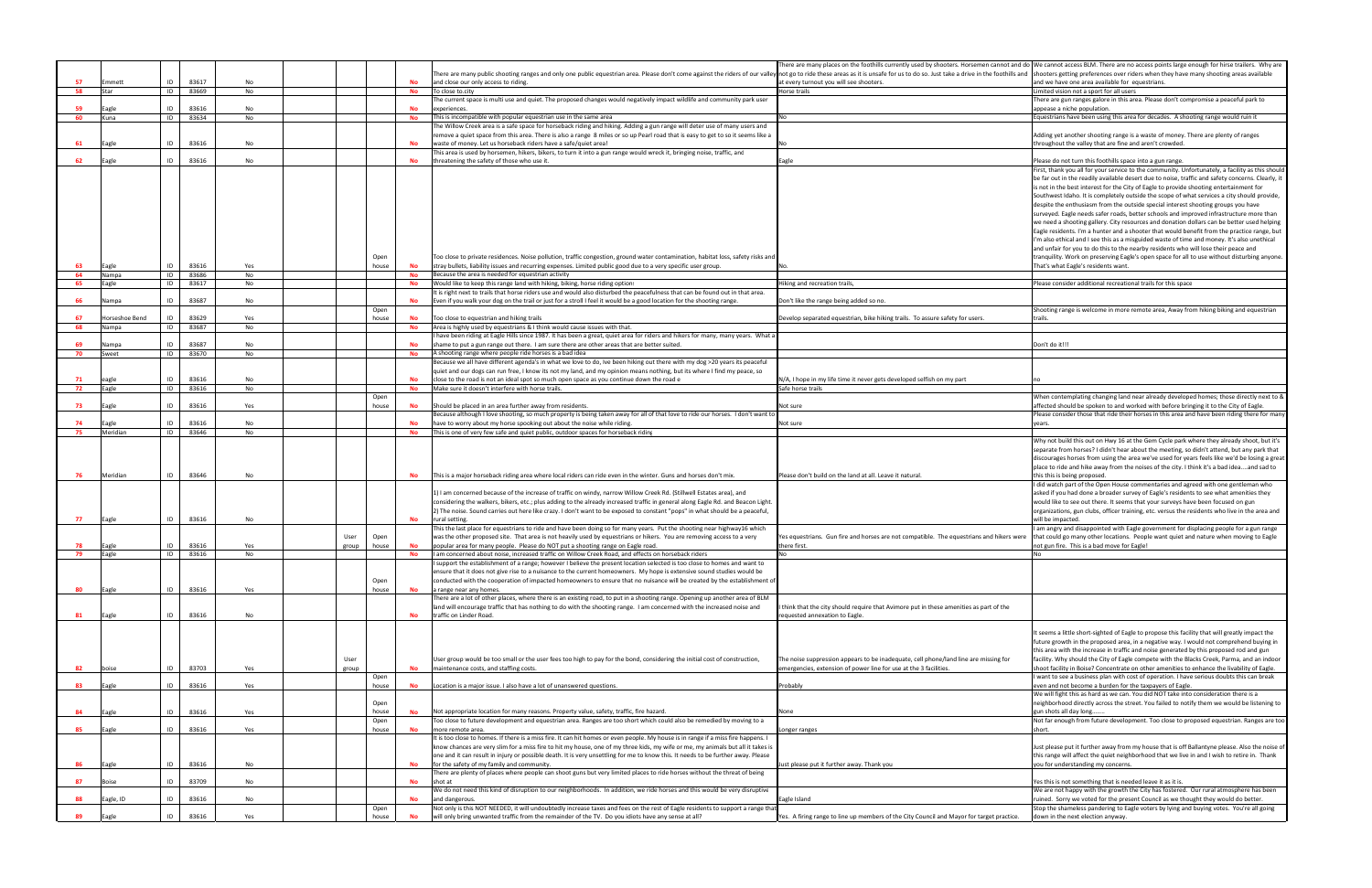| t go to ride these areas as it is unsafe for us to do so. Just take a drive in the foothills and                                                       | ere are many places on the foothills currently used by shooters. Horsemen cannot and do We cannot access BLM. There are no access points large enough for hirse trailers. Why are<br>shooters getting preferences over riders when they have many shooting areas available                                                                                                                                                                                                                                                                                                                                                                                                                                                                                                                                                                                                                                                                                                                            |
|--------------------------------------------------------------------------------------------------------------------------------------------------------|-------------------------------------------------------------------------------------------------------------------------------------------------------------------------------------------------------------------------------------------------------------------------------------------------------------------------------------------------------------------------------------------------------------------------------------------------------------------------------------------------------------------------------------------------------------------------------------------------------------------------------------------------------------------------------------------------------------------------------------------------------------------------------------------------------------------------------------------------------------------------------------------------------------------------------------------------------------------------------------------------------|
| every turnout you will see shooters.<br>orse trails                                                                                                    | and we have one area available for equestrians.<br>Limited vision not a sport for all users                                                                                                                                                                                                                                                                                                                                                                                                                                                                                                                                                                                                                                                                                                                                                                                                                                                                                                           |
|                                                                                                                                                        | There are gun ranges galore in this area. Please don't compromise a peaceful park to                                                                                                                                                                                                                                                                                                                                                                                                                                                                                                                                                                                                                                                                                                                                                                                                                                                                                                                  |
|                                                                                                                                                        | appease a niche population.<br>Equestrians have been using this area for decades. A shooting range would ruin it                                                                                                                                                                                                                                                                                                                                                                                                                                                                                                                                                                                                                                                                                                                                                                                                                                                                                      |
|                                                                                                                                                        |                                                                                                                                                                                                                                                                                                                                                                                                                                                                                                                                                                                                                                                                                                                                                                                                                                                                                                                                                                                                       |
|                                                                                                                                                        | Adding yet another shooting range is a waste of money. There are plenty of ranges<br>throughout the valley that are fine and aren't crowded.                                                                                                                                                                                                                                                                                                                                                                                                                                                                                                                                                                                                                                                                                                                                                                                                                                                          |
| gle                                                                                                                                                    | Please do not turn this foothills space into a gun range.                                                                                                                                                                                                                                                                                                                                                                                                                                                                                                                                                                                                                                                                                                                                                                                                                                                                                                                                             |
|                                                                                                                                                        | First, thank you all for your service to the community. Unfortunately, a facility as this should                                                                                                                                                                                                                                                                                                                                                                                                                                                                                                                                                                                                                                                                                                                                                                                                                                                                                                      |
|                                                                                                                                                        | be far out in the readily available desert due to noise, traffic and safety concerns. Clearly, it<br>is not in the best interest for the City of Eagle to provide shooting entertainment for<br>Southwest Idaho. It is completely outside the scope of what services a city should provide,<br>despite the enthusiasm from the outside special interest shooting groups you have<br>surveyed. Eagle needs safer roads, better schools and improved infrastructure more than<br>we need a shooting gallery. City resources and donation dollars can be better used helping<br>Eagle residents. I'm a hunter and a shooter that would benefit from the practice range, but<br>I'm also ethical and I see this as a misguided waste of time and money. It's also unethical<br>and unfair for you to do this to the nearby residents who will lose their peace and<br>tranquility. Work on preserving Eagle's open space for all to use without disturbing anyone.<br>That's what Eagle's residents want. |
| king and recreation trails,                                                                                                                            | Please consider additional recreational trails for this space                                                                                                                                                                                                                                                                                                                                                                                                                                                                                                                                                                                                                                                                                                                                                                                                                                                                                                                                         |
|                                                                                                                                                        |                                                                                                                                                                                                                                                                                                                                                                                                                                                                                                                                                                                                                                                                                                                                                                                                                                                                                                                                                                                                       |
| n't like the range being added so no.                                                                                                                  | Shooting range is welcome in more remote area, Away from hiking biking and equestrian                                                                                                                                                                                                                                                                                                                                                                                                                                                                                                                                                                                                                                                                                                                                                                                                                                                                                                                 |
| velop separated equestrian, bike hiking trails. To assure safety for users.                                                                            | trails.                                                                                                                                                                                                                                                                                                                                                                                                                                                                                                                                                                                                                                                                                                                                                                                                                                                                                                                                                                                               |
|                                                                                                                                                        |                                                                                                                                                                                                                                                                                                                                                                                                                                                                                                                                                                                                                                                                                                                                                                                                                                                                                                                                                                                                       |
|                                                                                                                                                        | Don't do it!!!                                                                                                                                                                                                                                                                                                                                                                                                                                                                                                                                                                                                                                                                                                                                                                                                                                                                                                                                                                                        |
|                                                                                                                                                        |                                                                                                                                                                                                                                                                                                                                                                                                                                                                                                                                                                                                                                                                                                                                                                                                                                                                                                                                                                                                       |
|                                                                                                                                                        |                                                                                                                                                                                                                                                                                                                                                                                                                                                                                                                                                                                                                                                                                                                                                                                                                                                                                                                                                                                                       |
| A, I hope in my life time it never gets developed selfish on my part                                                                                   | no                                                                                                                                                                                                                                                                                                                                                                                                                                                                                                                                                                                                                                                                                                                                                                                                                                                                                                                                                                                                    |
| fe horse trails                                                                                                                                        | When contemplating changing land near already developed homes; those directly next to &                                                                                                                                                                                                                                                                                                                                                                                                                                                                                                                                                                                                                                                                                                                                                                                                                                                                                                               |
| ot sure                                                                                                                                                | affected should be spoken to and worked with before bringing it to the City of Eagle.                                                                                                                                                                                                                                                                                                                                                                                                                                                                                                                                                                                                                                                                                                                                                                                                                                                                                                                 |
| ot sure                                                                                                                                                | Please consider those that ride their horses in this area and have been riding there for many<br>years.                                                                                                                                                                                                                                                                                                                                                                                                                                                                                                                                                                                                                                                                                                                                                                                                                                                                                               |
| ease don't build on the land at all. Leave it natural.                                                                                                 | Why not build this out on Hwy 16 at the Gem Cycle park where they already shoot, but it's<br>separate from horses? I didn't hear about the meeting, so didn't attend, but any park that<br>discourages horses from using the area we've used for years feels like we'd be losing a great<br>place to ride and hike away from the noises of the city. I think it's a bad ideaand sad to<br>this this is being proposed.<br>I did watch part of the Open House commentaries and agreed with one gentleman who<br>asked if you had done a broader survey of Eagle's residents to see what amenities they<br>would like to see out there. It seems that your surveys have been focused on gun<br>organizations, gun clubs, officer training, etc. versus the residents who live in the area and<br>will be impacted.                                                                                                                                                                                      |
| s equestrians. Gun fire and horses are not compatible. The equestrians and hikers were<br>ere first.                                                   | I am angry and disappointed with Eagle government for displacing people for a gun range<br>that could go many other locations. People want quiet and nature when moving to Eagle<br>not gun fire. This is a bad move for Eagle!                                                                                                                                                                                                                                                                                                                                                                                                                                                                                                                                                                                                                                                                                                                                                                       |
|                                                                                                                                                        | No                                                                                                                                                                                                                                                                                                                                                                                                                                                                                                                                                                                                                                                                                                                                                                                                                                                                                                                                                                                                    |
|                                                                                                                                                        |                                                                                                                                                                                                                                                                                                                                                                                                                                                                                                                                                                                                                                                                                                                                                                                                                                                                                                                                                                                                       |
| hink that the city should require that Avimore put in these amenities as part of the<br>quested annexation to Eagle.                                   |                                                                                                                                                                                                                                                                                                                                                                                                                                                                                                                                                                                                                                                                                                                                                                                                                                                                                                                                                                                                       |
| e noise suppression appears to be inadequate, cell phone/land line are missing for<br>nergencies, extension of power line for use at the 3 facilities. | It seems a little short-sighted of Eagle to propose this facility that will greatly impact the<br>future growth in the proposed area, in a negative way. I would not comprehend buying in<br>this area with the increase in traffic and noise generated by this proposed rod and gun<br>facility. Why should the City of Eagle compete with the Blacks Creek, Parma, and an indoor<br>shoot facility in Boise? Concentrate on other amenities to enhance the livability of Eagle.                                                                                                                                                                                                                                                                                                                                                                                                                                                                                                                     |
|                                                                                                                                                        | I want to see a business plan with cost of operation. I have serious doubts this can break                                                                                                                                                                                                                                                                                                                                                                                                                                                                                                                                                                                                                                                                                                                                                                                                                                                                                                            |
| obably                                                                                                                                                 | even and not become a burden for the taxpayers of Eagle.<br>We will fight this as hard as we can. You did NOT take into consideration there is a                                                                                                                                                                                                                                                                                                                                                                                                                                                                                                                                                                                                                                                                                                                                                                                                                                                      |
|                                                                                                                                                        | neighborhood directly across the street. You failed to notify them we would be listening to                                                                                                                                                                                                                                                                                                                                                                                                                                                                                                                                                                                                                                                                                                                                                                                                                                                                                                           |
| me                                                                                                                                                     | gun shots all day long<br>Not far enough from future development. Too close to proposed equestrian. Ranges are too                                                                                                                                                                                                                                                                                                                                                                                                                                                                                                                                                                                                                                                                                                                                                                                                                                                                                    |
| nger ranges                                                                                                                                            | short.                                                                                                                                                                                                                                                                                                                                                                                                                                                                                                                                                                                                                                                                                                                                                                                                                                                                                                                                                                                                |
| st please put it further away. Thank you                                                                                                               | Just please put it further away from my house that is off Ballantyne please. Also the noise of<br>this range will affect the quiet neighborhood that we live in and I wish to retire in. Thank<br>you for understanding my concerns.                                                                                                                                                                                                                                                                                                                                                                                                                                                                                                                                                                                                                                                                                                                                                                  |
|                                                                                                                                                        | Yes this is not something that is needed leave it as it is.                                                                                                                                                                                                                                                                                                                                                                                                                                                                                                                                                                                                                                                                                                                                                                                                                                                                                                                                           |
| gle Island                                                                                                                                             | We are not happy with the growth the City has fostered. Our rural atmosphere has been<br>ruined. Sorry we voted for the present Council as we thought they would do better.                                                                                                                                                                                                                                                                                                                                                                                                                                                                                                                                                                                                                                                                                                                                                                                                                           |
| s. A firing range to line up members of the City Council and Mayor for target practice.                                                                | Stop the shameless pandering to Eagle voters by lying and buying votes. You're all going<br>down in the next election anyway.                                                                                                                                                                                                                                                                                                                                                                                                                                                                                                                                                                                                                                                                                                                                                                                                                                                                         |
|                                                                                                                                                        |                                                                                                                                                                                                                                                                                                                                                                                                                                                                                                                                                                                                                                                                                                                                                                                                                                                                                                                                                                                                       |

|     |                |    |       |     |       |       |           |                                                                                                                                                                                                                                | There are many places on the foothills currently used by shooters. Horsemen cannot and do We cannot access BLM. There are no access points large enough for hirse trailers. |                                                                                          |
|-----|----------------|----|-------|-----|-------|-------|-----------|--------------------------------------------------------------------------------------------------------------------------------------------------------------------------------------------------------------------------------|-----------------------------------------------------------------------------------------------------------------------------------------------------------------------------|------------------------------------------------------------------------------------------|
|     |                |    |       |     |       |       |           | There are many public shooting ranges and only one public equestrian area. Please don't come against the riders of our valley not go to ride these areas as it is unsafe for us to do so. Just take a drive in the foothills a |                                                                                                                                                                             |                                                                                          |
| 57  | mmett          | ID | 83617 | No  |       |       | <b>No</b> | and close our only access to riding.                                                                                                                                                                                           | at every turnout you will see shooters.                                                                                                                                     | and we have one area available for equestrians.                                          |
| 58  | Star           | ID | 83669 | No  |       |       | No        | To close to city                                                                                                                                                                                                               | Horse trails                                                                                                                                                                | imited vision not a sport for all users                                                  |
|     |                |    |       |     |       |       |           | The current space is multi use and quiet. The proposed changes would negatively impact wildlife and community park user                                                                                                        |                                                                                                                                                                             | here are gun ranges galore in this area. Please don't compromise a peaceful parl         |
| 59  | Eagle          | ID | 83616 | No  |       |       | <b>No</b> | experiences.                                                                                                                                                                                                                   |                                                                                                                                                                             | ppease a niche population                                                                |
| 60  | una)           | ID | 83634 | No  |       |       | No        | This is incompatible with popular equestrian use in the same area                                                                                                                                                              |                                                                                                                                                                             | questrians have been using this area for decades. A shooting range would ruin it         |
|     |                |    |       |     |       |       |           | The Willow Creek area is a safe space for horseback riding and hiking. Adding a gun range will deter use of many users and                                                                                                     |                                                                                                                                                                             |                                                                                          |
|     |                |    |       |     |       |       |           | remove a quiet space from this area. There is also a range 8 miles or so up Pearl road that is easy to get to so it seems like a                                                                                               |                                                                                                                                                                             | Adding yet another shooting range is a waste of money. There are plenty of range         |
| 61  | agle           | ID | 83616 | No  |       |       | <b>No</b> | waste of money. Let us horseback riders have a safe/quiet area!                                                                                                                                                                |                                                                                                                                                                             | throughout the valley that are fine and aren't crowded.                                  |
|     |                |    |       |     |       |       |           | This area is used by horsemen, hikers, bikers, to turn it into a gun range would wreck it, bringing noise, traffic, and                                                                                                        |                                                                                                                                                                             |                                                                                          |
| 62  | agle           | ID | 83616 | No  |       |       | No        | threatening the safety of those who use it.                                                                                                                                                                                    | Eagle                                                                                                                                                                       | Please do not turn this foothills space into a gun range.                                |
|     |                |    |       |     |       |       |           |                                                                                                                                                                                                                                |                                                                                                                                                                             | First, thank you all for your service to the community. Unfortunately, a facility as t   |
|     |                |    |       |     |       |       |           |                                                                                                                                                                                                                                |                                                                                                                                                                             | be far out in the readily available desert due to noise, traffic and safety concerns.    |
|     |                |    |       |     |       |       |           |                                                                                                                                                                                                                                |                                                                                                                                                                             | is not in the best interest for the City of Eagle to provide shooting entertainment      |
|     |                |    |       |     |       |       |           |                                                                                                                                                                                                                                |                                                                                                                                                                             | Southwest Idaho. It is completely outside the scope of what services a city should       |
|     |                |    |       |     |       |       |           |                                                                                                                                                                                                                                |                                                                                                                                                                             | despite the enthusiasm from the outside special interest shooting groups you have        |
|     |                |    |       |     |       |       |           |                                                                                                                                                                                                                                |                                                                                                                                                                             | surveyed. Eagle needs safer roads, better schools and improved infrastructure mo         |
|     |                |    |       |     |       |       |           |                                                                                                                                                                                                                                |                                                                                                                                                                             | we need a shooting gallery. City resources and donation dollars can be better use        |
|     |                |    |       |     |       |       |           |                                                                                                                                                                                                                                |                                                                                                                                                                             |                                                                                          |
|     |                |    |       |     |       |       |           |                                                                                                                                                                                                                                |                                                                                                                                                                             | Eagle residents. I'm a hunter and a shooter that would benefit from the practice r       |
|     |                |    |       |     |       |       |           |                                                                                                                                                                                                                                |                                                                                                                                                                             | I'm also ethical and I see this as a misguided waste of time and money. It's also ur     |
|     |                |    |       |     |       |       |           |                                                                                                                                                                                                                                |                                                                                                                                                                             | and unfair for you to do this to the nearby residents who will lose their peace and      |
|     |                |    |       |     |       | Open  |           | Too close to private residences. Noise pollution, traffic congestion, ground water contamination, habitat loss, safety risks and                                                                                               |                                                                                                                                                                             | tranquility. Work on preserving Eagle's open space for all to use without disturbin      |
| 63  | Eagle          | ID | 83616 | Yes |       | house | <b>No</b> | stray bullets, liability issues and recurring expenses. Limited public good due to a very specific user group.                                                                                                                 |                                                                                                                                                                             | hat's what Eagle's residents want.                                                       |
| 64  | Nampa          | ID | 83686 | No  |       |       | No        | Because the area is needed for equestrian activity                                                                                                                                                                             |                                                                                                                                                                             |                                                                                          |
| 65  | Eagle          | ID | 83617 | No  |       |       | No        | Would like to keep this range land with hiking, biking, horse riding options                                                                                                                                                   | Hiking and recreation trails,                                                                                                                                               | Please consider additional recreational trails for this space                            |
|     |                |    |       |     |       |       |           | It is right next to trails that horse riders use and would also disturbed the peacefulness that can be found out in that area.                                                                                                 |                                                                                                                                                                             |                                                                                          |
| 66  | Vampa          | ID | 83687 | No  |       |       | <b>No</b> | Even if you walk your dog on the trail or just for a stroll I feel it would be a good location for the shooting range.                                                                                                         | Don't like the range being added so no.                                                                                                                                     |                                                                                          |
|     |                |    |       |     |       | Open  |           |                                                                                                                                                                                                                                |                                                                                                                                                                             | Shooting range is welcome in more remote area, Away from hiking biking and equ           |
| 67  | Horseshoe Bend | ID | 83629 | Yes |       | house | No        | Too close to equestrian and hiking trails                                                                                                                                                                                      | Develop separated equestrian, bike hiking trails. To assure safety for users.                                                                                               | trails.                                                                                  |
|     |                |    | 83687 |     |       |       |           |                                                                                                                                                                                                                                |                                                                                                                                                                             |                                                                                          |
| 68  | Nampa          | ID |       | No  |       |       | No        | Area is highly used by equestrians & I think would cause issues with that.                                                                                                                                                     |                                                                                                                                                                             |                                                                                          |
|     |                |    |       |     |       |       |           | I have been riding at Eagle Hills since 1987. It has been a great, quiet area for riders and hikers for many, many years. What a                                                                                               |                                                                                                                                                                             |                                                                                          |
| 69  | Nampa          | ID | 83687 | No  |       |       | <b>No</b> | shame to put a gun range out there. I am sure there are other areas that are better suited.                                                                                                                                    |                                                                                                                                                                             | Don't do it!!!                                                                           |
| 70  | Sweet          | ID | 83670 | No  |       |       | <b>No</b> | A shooting range where people ride horses is a bad idea                                                                                                                                                                        |                                                                                                                                                                             |                                                                                          |
|     |                |    |       |     |       |       |           | Because we all have different agenda's in what we love to do, Ive been hiking out there with my dog >20 years its peaceful                                                                                                     |                                                                                                                                                                             |                                                                                          |
|     |                |    |       |     |       |       |           | quiet and our dogs can run free, I know its not my land, and my opinion means nothing, but its where I find my peace, so                                                                                                       |                                                                                                                                                                             |                                                                                          |
| 71  | agle           | ID | 83616 | No  |       |       |           | close to the road is not an ideal spot so much open space as you continue down the road e                                                                                                                                      | N/A, I hope in my life time it never gets developed selfish on my part                                                                                                      |                                                                                          |
| 72  | agle           | ID | 83616 | No  |       |       | No        | Make sure it doesn't interfere with horse trails.                                                                                                                                                                              | Safe horse trails                                                                                                                                                           |                                                                                          |
|     |                |    |       |     |       | Open  |           |                                                                                                                                                                                                                                |                                                                                                                                                                             | When contemplating changing land near already developed homes; those directly            |
| 73  | agle           | ID | 83616 | Yes |       | house | No        | Should be placed in an area further away from residents.                                                                                                                                                                       | Not sure                                                                                                                                                                    | affected should be spoken to and worked with before bringing it to the City of Eag       |
|     |                |    |       |     |       |       |           | Because although I love shooting, so much property is being taken away for all of that love to ride our horses. I don't want to                                                                                                |                                                                                                                                                                             | Please consider those that ride their horses in this area and have been riding ther      |
| 74  | agle           | ID | 83616 | No  |       |       |           | have to worry about my horse spooking out about the noise while riding                                                                                                                                                         | Not sure                                                                                                                                                                    | ears.                                                                                    |
| 75  | Meridian       | ID | 83646 | No  |       |       | No        | This is one of very few safe and quiet public, outdoor spaces for horseback riding                                                                                                                                             |                                                                                                                                                                             |                                                                                          |
|     |                |    |       |     |       |       |           |                                                                                                                                                                                                                                |                                                                                                                                                                             |                                                                                          |
|     |                |    |       |     |       |       |           |                                                                                                                                                                                                                                |                                                                                                                                                                             | Why not build this out on Hwy 16 at the Gem Cycle park where they already shoo           |
|     |                |    |       |     |       |       |           |                                                                                                                                                                                                                                |                                                                                                                                                                             | separate from horses? I didn't hear about the meeting, so didn't attend, but any p       |
|     |                |    |       |     |       |       |           |                                                                                                                                                                                                                                |                                                                                                                                                                             | discourages horses from using the area we've used for years feels like we'd be los       |
|     |                |    |       |     |       |       |           |                                                                                                                                                                                                                                |                                                                                                                                                                             | place to ride and hike away from the noises of the city. I think it's a bad ideaand      |
| 76  | Meridian       | ID | 83646 | No  |       |       | No        | This is a major horseback riding area where local riders can ride even in the winter. Guns and horses don't mix.                                                                                                               | Please don't build on the land at all. Leave it natural                                                                                                                     | this this is being proposed                                                              |
|     |                |    |       |     |       |       |           |                                                                                                                                                                                                                                |                                                                                                                                                                             | did watch part of the Open House commentaries and agreed with one gentlema               |
|     |                |    |       |     |       |       |           | 1) I am concerned because of the increase of traffic on windy, narrow Willow Creek Rd. (Stillwell Estates area), and                                                                                                           |                                                                                                                                                                             | asked if you had done a broader survey of Eagle's residents to see what amenities        |
|     |                |    |       |     |       |       |           | considering the walkers, bikers, etc.; plus adding to the already increased traffic in general along Eagle Rd. and Beacon Light.                                                                                               |                                                                                                                                                                             | would like to see out there. It seems that your surveys have been focused on gun         |
|     |                |    |       |     |       |       |           | 2) The noise. Sound carries out here like crazy. I don't want to be exposed to constant "pops" in what should be a peaceful,                                                                                                   |                                                                                                                                                                             | organizations, gun clubs, officer training, etc. versus the residents who live in the    |
| -77 | Eagle          | ID | 83616 | No  |       |       | <b>No</b> | rural setting.                                                                                                                                                                                                                 |                                                                                                                                                                             | will be impacted.                                                                        |
|     |                |    |       |     |       |       |           | This the last place for equestrians to ride and have been doing so for many years. Put the shooting near highway16 which                                                                                                       |                                                                                                                                                                             | am angry and disappointed with Eagle government for displacing people for a gu           |
|     |                |    |       |     | User  | Open  |           | was the other proposed site. That area is not heavily used by equestrians or hikers. You are removing access to a very                                                                                                         | Yes equestrians. Gun fire and horses are not compatible. The equestrians and hikers were                                                                                    | that could go many other locations. People want quiet and nature when moving             |
| 78  | Eagle          | ID | 83616 | Yes | group | house | No        | popular area for many people. Please do NOT put a shooting range on Eagle road.                                                                                                                                                | there first.                                                                                                                                                                | not gun fire. This is a bad move for Eagle!                                              |
| 79  |                |    | 83616 |     |       |       |           | I am concerned about noise, increased traffic on Willow Creek Road, and effects on horseback riders                                                                                                                            | No                                                                                                                                                                          |                                                                                          |
|     | Eagle          | ID |       | No  |       |       | <b>No</b> |                                                                                                                                                                                                                                |                                                                                                                                                                             |                                                                                          |
|     |                |    |       |     |       |       |           | I support the establishment of a range; however I believe the present location selected is too close to homes and want to                                                                                                      |                                                                                                                                                                             |                                                                                          |
|     |                |    |       |     |       |       |           | ensure that it does not give rise to a nuisance to the current homeowners. My hope is extensive sound studies would be                                                                                                         |                                                                                                                                                                             |                                                                                          |
|     |                |    |       |     |       | Open  |           | conducted with the cooperation of impacted homeowners to ensure that no nuisance will be created by the establishment of                                                                                                       |                                                                                                                                                                             |                                                                                          |
| 80  | Eagle          | ID | 83616 | Yes |       | house | No        | a range near any homes.                                                                                                                                                                                                        |                                                                                                                                                                             |                                                                                          |
|     |                |    |       |     |       |       |           | There are a lot of other places, where there is an existing road, to put in a shooting range. Opening up another area of BLM                                                                                                   |                                                                                                                                                                             |                                                                                          |
|     |                |    |       |     |       |       |           | land will encourage traffic that has nothing to do with the shooting range. I am concerned with the increased noise and                                                                                                        | I think that the city should require that Avimore put in these amenities as part of the                                                                                     |                                                                                          |
| 81  | Eagle          | ID | 83616 | No  |       |       | <b>No</b> | traffic on Linder Road.                                                                                                                                                                                                        | requested annexation to Eagle.                                                                                                                                              |                                                                                          |
|     |                |    |       |     |       |       |           |                                                                                                                                                                                                                                |                                                                                                                                                                             |                                                                                          |
|     |                |    |       |     |       |       |           |                                                                                                                                                                                                                                |                                                                                                                                                                             | It seems a little short-sighted of Eagle to propose this facility that will greatly impa |
|     |                |    |       |     |       |       |           |                                                                                                                                                                                                                                |                                                                                                                                                                             | future growth in the proposed area, in a negative way. I would not comprehend b          |
|     |                |    |       |     |       |       |           |                                                                                                                                                                                                                                |                                                                                                                                                                             | this area with the increase in traffic and noise generated by this proposed rod and      |
|     |                |    |       |     | User  |       |           | User group would be too small or the user fees too high to pay for the bond, considering the initial cost of construction,                                                                                                     | The noise suppression appears to be inadequate, cell phone/land line are missing for                                                                                        | facility. Why should the City of Eagle compete with the Blacks Creek, Parma, and a       |
| 82  | boise          | ID | 83703 | Yes | group |       | <b>No</b> | maintenance costs, and staffing costs.                                                                                                                                                                                         | emergencies, extension of power line for use at the 3 facilities.                                                                                                           | shoot facility in Boise? Concentrate on other amenities to enhance the livability o      |
|     |                |    |       |     |       |       |           |                                                                                                                                                                                                                                |                                                                                                                                                                             | want to see a business plan with cost of operation. I have serious doubts this car       |
|     |                |    | 83616 |     |       | Open  |           | Location is a maior issue. I also have a lot of unanswered questions.                                                                                                                                                          |                                                                                                                                                                             |                                                                                          |
| 83  | agle           | ID |       | Yes |       | house | No        |                                                                                                                                                                                                                                | Probably                                                                                                                                                                    | ven and not become a burden for the taxpayers of Eagle.                                  |
|     |                |    |       |     |       |       |           |                                                                                                                                                                                                                                |                                                                                                                                                                             | We will fight this as hard as we can. You did NOT take into consideration there is a     |
|     |                |    |       |     |       | Open  |           |                                                                                                                                                                                                                                |                                                                                                                                                                             | neighborhood directly across the street. You failed to notify them we would be lis       |
| 84  | agle           | ID | 83616 | Yes |       | house | No        | Not appropriate location for many reasons. Property value, safety, traffic, fire hazard.                                                                                                                                       | None                                                                                                                                                                        | gun shots all day long                                                                   |
|     |                |    |       |     |       | Open  |           | Too close to future development and equestrian area. Ranges are too short which could also be remedied by moving to a                                                                                                          |                                                                                                                                                                             | Not far enough from future development. Too close to proposed equestrian. Rang           |
| 85  | Eagle          | ID | 83616 | Yes |       | house | No        | more remote area.                                                                                                                                                                                                              | onger ranges                                                                                                                                                                |                                                                                          |
|     |                |    |       |     |       |       |           | It is too close to homes. If there is a miss fire. It can hit homes or even people. My house is in range if a miss fire happens. I                                                                                             |                                                                                                                                                                             |                                                                                          |
|     |                |    |       |     |       |       |           | know chances are very slim for a miss fire to hit my house, one of my three kids, my wife or me, my animals but all it takes is                                                                                                |                                                                                                                                                                             | Just please put it further away from my house that is off Ballantyne please. Also tl     |
|     |                |    |       |     |       |       |           | one and it can result in injury or possible death. It is very unsettling for me to know this. It needs to be further away. Please                                                                                              |                                                                                                                                                                             | this range will affect the quiet neighborhood that we live in and I wish to retire in    |
| 86  | Eagle          | ID | 83616 | No  |       |       | <b>No</b> | for the safety of my family and community.                                                                                                                                                                                     | Just please put it further away. Thank you                                                                                                                                  | you for understanding my concerns.                                                       |
|     |                |    |       |     |       |       |           | There are plenty of places where people can shoot guns but very limited places to ride horses without the threat of being                                                                                                      |                                                                                                                                                                             |                                                                                          |
| 87  |                | ID | 83709 | No  |       |       | <b>No</b> | shot at                                                                                                                                                                                                                        |                                                                                                                                                                             |                                                                                          |
|     | <b>Boise</b>   |    |       |     |       |       |           |                                                                                                                                                                                                                                |                                                                                                                                                                             | Yes this is not something that is needed leave it as it is.                              |
|     |                |    |       |     |       |       |           | We do not need this kind of disruption to our neighborhoods. In addition, we ride horses and this would be very disruptive                                                                                                     |                                                                                                                                                                             | We are not happy with the growth the City has fostered. Our rural atmosphere h           |
| 88  | agle, ID       | ID | 83616 | No  |       |       | <b>No</b> | and dangerous                                                                                                                                                                                                                  | Eagle Island                                                                                                                                                                | uined. Sorry we voted for the present Council as we thought they would do bett           |
|     |                |    |       |     |       | Open  |           | Not only is this NOT NEEDED, it will undoubtedly increase taxes and fees on the rest of Eagle residents to support a range that                                                                                                |                                                                                                                                                                             | Stop the shameless pandering to Eagle voters by lying and buying votes. You're a         |
| 89  | Eagle          | ID | 83616 | Yes |       | house | No        | will only bring unwanted traffic from the remainder of the TV. Do you idiots have any sense at all?                                                                                                                            | Yes. A firing range to line up members of the City Council and Mayor for target practice.                                                                                   | down in the next election anyway.                                                        |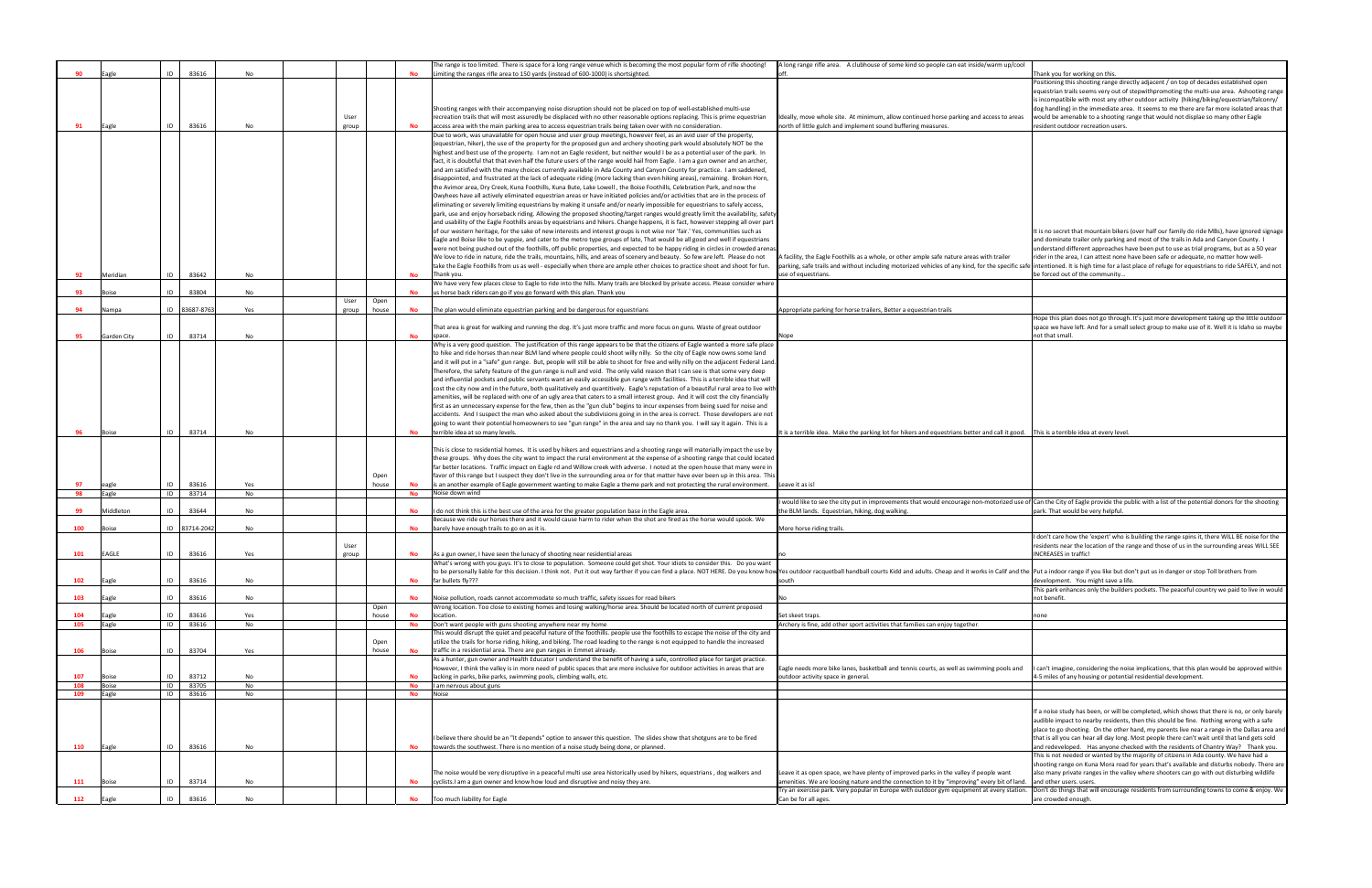|     | Eagle        | 83616<br>ID      | No        |                |           | The range is too limited. There is space for a long range venue which is becoming the most popular form of rifle shooting!                                                                                                                            | A long range rifle area. A clubhouse of some kind so people can eat inside/warm up/cool                                                                  |                                                                                                                                                                                                  |
|-----|--------------|------------------|-----------|----------------|-----------|-------------------------------------------------------------------------------------------------------------------------------------------------------------------------------------------------------------------------------------------------------|----------------------------------------------------------------------------------------------------------------------------------------------------------|--------------------------------------------------------------------------------------------------------------------------------------------------------------------------------------------------|
|     |              |                  |           |                |           | Limiting the ranges rifle area to 150 yards (instead of 600-1000) is shortsighted.                                                                                                                                                                    |                                                                                                                                                          | Thank you for working on this                                                                                                                                                                    |
|     |              |                  |           |                |           |                                                                                                                                                                                                                                                       |                                                                                                                                                          | Positioning this shooting range directly adjacent / on top of decades established open                                                                                                           |
|     |              |                  |           |                |           |                                                                                                                                                                                                                                                       |                                                                                                                                                          | equestrian trails seems very out of stepwithpromoting the multi-use area. Ashooting range                                                                                                        |
|     |              |                  |           |                |           | Shooting ranges with their accompanying noise disruption should not be placed on top of well-established multi-use                                                                                                                                    |                                                                                                                                                          | is incompatibile with most any other outdoor activity (hiking/biking/equestrian/falconry/<br>dog handling) in the immediate area. It seems to me there are far more isolated areas that          |
|     |              |                  |           |                |           | recreation trails that will most assuredly be displaced with no other reasonable options replacing. This is prime equestrian                                                                                                                          |                                                                                                                                                          |                                                                                                                                                                                                  |
| 91  | Eagle        | 83616<br>ID      | No        | User<br>group  |           | access area with the main parking area to access equestrian trails being taken over with no consideration.                                                                                                                                            | Ideally, move whole site. At minimum, allow continued horse parking and access to areas<br>north of little gulch and implement sound buffering measures. | would be amenable to a shooting range that would not displae so many other Eagle<br>resident outdoor recreation users.                                                                           |
|     |              |                  |           |                |           | Due to work, was unavailable for open house and user group meetings, however feel, as an avid user of the property,                                                                                                                                   |                                                                                                                                                          |                                                                                                                                                                                                  |
|     |              |                  |           |                |           | (equestrian, hiker), the use of the property for the proposed gun and archery shooting park would absolutely NOT be the                                                                                                                               |                                                                                                                                                          |                                                                                                                                                                                                  |
|     |              |                  |           |                |           | highest and best use of the property. I am not an Eagle resident, but neither would I be as a potential user of the park. In                                                                                                                          |                                                                                                                                                          |                                                                                                                                                                                                  |
|     |              |                  |           |                |           | fact, it is doubtful that that even half the future users of the range would hail from Eagle. I am a gun owner and an archer,                                                                                                                         |                                                                                                                                                          |                                                                                                                                                                                                  |
|     |              |                  |           |                |           |                                                                                                                                                                                                                                                       |                                                                                                                                                          |                                                                                                                                                                                                  |
|     |              |                  |           |                |           | and am satisfied with the many choices currently available in Ada County and Canyon County for practice. I am saddened,                                                                                                                               |                                                                                                                                                          |                                                                                                                                                                                                  |
|     |              |                  |           |                |           | disappointed, and frustrated at the lack of adequate riding (more lacking than even hiking areas), remaining.  Broken Horn,<br>the Avimor area, Dry Creek, Kuna Foothills, Kuna Bute, Lake Lowell, the Boise Foothills, Celebration Park, and now the |                                                                                                                                                          |                                                                                                                                                                                                  |
|     |              |                  |           |                |           |                                                                                                                                                                                                                                                       |                                                                                                                                                          |                                                                                                                                                                                                  |
|     |              |                  |           |                |           | Owyhees have all actively eliminated equestrian areas or have initiated policies and/or activities that are in the process of                                                                                                                         |                                                                                                                                                          |                                                                                                                                                                                                  |
|     |              |                  |           |                |           | eliminating or severely limiting equestrians by making it unsafe and/or nearly impossible for equestrians to safely access,                                                                                                                           |                                                                                                                                                          |                                                                                                                                                                                                  |
|     |              |                  |           |                |           | park, use and enjoy horseback riding. Allowing the proposed shooting/target ranges would greatly limit the availability, safety                                                                                                                       |                                                                                                                                                          |                                                                                                                                                                                                  |
|     |              |                  |           |                |           | and usability of the Eagle Foothills areas by equestrians and hikers. Change happens, it is fact, however stepping all over part                                                                                                                      |                                                                                                                                                          |                                                                                                                                                                                                  |
|     |              |                  |           |                |           | of our western heritage, for the sake of new interests and interest groups is not wise nor 'fair.' Yes, communities such as                                                                                                                           |                                                                                                                                                          | It is no secret that mountain bikers (over half our family do ride MBs), have ignored signage                                                                                                    |
|     |              |                  |           |                |           | Eagle and Boise like to be yuppie, and cater to the metro type groups of late, That would be all good and well if equestrians                                                                                                                         |                                                                                                                                                          | and dominate trailer only parking and most of the trails in Ada and Canyon County. I                                                                                                             |
|     |              |                  |           |                |           | were not being pushed out of the foothills, off public properties, and expected to be happy riding in circles in crowded arena                                                                                                                        |                                                                                                                                                          | understand different approaches have been put to use as trial programs, but as a 50 year                                                                                                         |
|     |              |                  |           |                |           | We love to ride in nature, ride the trails, mountains, hills, and areas of scenery and beauty. So few are left. Please do not                                                                                                                         | k facility, the Eagle Foothills as a whole, or other ample safe nature areas with trailer                                                                | rider in the area, I can attest none have been safe or adequate, no matter how well-                                                                                                             |
|     |              |                  |           |                |           | take the Eagle Foothills from us as well - especially when there are ample other choices to practice shoot and shoot for fun.                                                                                                                         |                                                                                                                                                          | parking, safe trails and without including motorized vehicles of any kind, for the specific safe intentioned. It is high time for a last place of refuge for equestrians to ride SAFELY, and not |
| -92 | Meridian     | 83642<br>ID      | No        |                | No        | Thank you.                                                                                                                                                                                                                                            | use of equestrians.                                                                                                                                      | be forced out of the community                                                                                                                                                                   |
| 93  | <b>Boise</b> | ID<br>83804      | No        |                | No        | We have very few places close to Eagle to ride into the hills. Many trails are blocked by private access. Please consider where<br>us horse back riders can go if you go forward with this plan. Thank you                                            |                                                                                                                                                          |                                                                                                                                                                                                  |
|     |              |                  |           | User<br>Open   |           |                                                                                                                                                                                                                                                       |                                                                                                                                                          |                                                                                                                                                                                                  |
| 94  | Nampa        | 83687-8763<br>ID | Yes       | group<br>house | No        | The plan would eliminate equestrian parking and be dangerous for equestrians                                                                                                                                                                          | Appropriate parking for horse trailers, Better a equestrian trails                                                                                       |                                                                                                                                                                                                  |
|     |              |                  |           |                |           |                                                                                                                                                                                                                                                       |                                                                                                                                                          | Hope this plan does not go through. It's just more development taking up the little outdoor                                                                                                      |
|     |              |                  |           |                |           | That area is great for walking and running the dog. It's just more traffic and more focus on guns. Waste of great outdoor                                                                                                                             |                                                                                                                                                          | space we have left. And for a small select group to make use of it. Well it is Idaho so maybe                                                                                                    |
| 95  | Garden City  | 83714<br>ID      | No        |                | <b>No</b> |                                                                                                                                                                                                                                                       | vope                                                                                                                                                     | not that small                                                                                                                                                                                   |
|     |              |                  |           |                |           | Why is a very good question. The justification of this range appears to be that the citizens of Eagle wanted a more safe place                                                                                                                        |                                                                                                                                                          |                                                                                                                                                                                                  |
|     |              |                  |           |                |           | to hike and ride horses than near BLM land where people could shoot willy nilly. So the city of Eagle now owns some land                                                                                                                              |                                                                                                                                                          |                                                                                                                                                                                                  |
|     |              |                  |           |                |           | and it will put in a "safe" gun range. But, people will still be able to shoot for free and willy nilly on the adjacent Federal Land                                                                                                                  |                                                                                                                                                          |                                                                                                                                                                                                  |
|     |              |                  |           |                |           | Therefore, the safety feature of the gun range is null and void. The only valid reason that I can see is that some very deep                                                                                                                          |                                                                                                                                                          |                                                                                                                                                                                                  |
|     |              |                  |           |                |           | and influential pockets and public servants want an easily accessible gun range with facilities. This is a terrible idea that will                                                                                                                    |                                                                                                                                                          |                                                                                                                                                                                                  |
|     |              |                  |           |                |           | cost the city now and in the future, both qualitatively and quantitively. Eagle's reputation of a beautiful rural area to live wit                                                                                                                    |                                                                                                                                                          |                                                                                                                                                                                                  |
|     |              |                  |           |                |           | amenities, will be replaced with one of an ugly area that caters to a small interest group. And it will cost the city financially                                                                                                                     |                                                                                                                                                          |                                                                                                                                                                                                  |
|     |              |                  |           |                |           | first as an unnecessary expense for the few, then as the "gun club" begins to incur expenses from being sued for noise and                                                                                                                            |                                                                                                                                                          |                                                                                                                                                                                                  |
|     |              |                  |           |                |           | accidents. And I suspect the man who asked about the subdivisions going in in the area is correct. Those developers are not                                                                                                                           |                                                                                                                                                          |                                                                                                                                                                                                  |
|     |              |                  |           |                |           | going to want their potential homeowners to see "gun range" in the area and say no thank you. I will say it again. This is a                                                                                                                          |                                                                                                                                                          |                                                                                                                                                                                                  |
|     | Boise        | 83714<br>ID      | No        |                | <b>No</b> | terrible idea at so many levels.                                                                                                                                                                                                                      | t is a terrible idea. Make the parking lot for hikers and equestrians better and call it good. This is a terrible idea at every level.                   |                                                                                                                                                                                                  |
|     |              |                  |           |                |           |                                                                                                                                                                                                                                                       |                                                                                                                                                          |                                                                                                                                                                                                  |
|     |              |                  |           |                |           | This is close to residential homes. It is used by hikers and equestrians and a shooting range will materially impact the use by                                                                                                                       |                                                                                                                                                          |                                                                                                                                                                                                  |
|     |              |                  |           |                |           | these groups. Why does the city want to impact the rural environment at the expense of a shooting range that could located                                                                                                                            |                                                                                                                                                          |                                                                                                                                                                                                  |
|     |              |                  |           |                |           | far better locations. Traffic impact on Eagle rd and Willow creek with adverse. I noted at the open house that many were in                                                                                                                           |                                                                                                                                                          |                                                                                                                                                                                                  |
|     |              |                  |           | Open           |           | favor of this range but I suspect they don't live in the surrounding area or for that matter have ever been up in this area. This                                                                                                                     |                                                                                                                                                          |                                                                                                                                                                                                  |
| 97  | eagle        | 83616            | Yes       | house          | No        | is an another example of Eagle government wanting to make Eagle a theme park and not protecting the rural environment.                                                                                                                                | Leave it as is!                                                                                                                                          |                                                                                                                                                                                                  |
| 98  | Eagle        | ID<br>83714      | No        |                | <b>No</b> | Noise down wind                                                                                                                                                                                                                                       |                                                                                                                                                          |                                                                                                                                                                                                  |
|     |              |                  |           |                |           |                                                                                                                                                                                                                                                       |                                                                                                                                                          | would like to see the city put in improvements that would encourage non-motorized use of Can the City of Eagle provide the public with a list of the potential donors for the shooting           |
| 99  | Middleton    | ID<br>83644      | No        |                | No        | I do not think this is the best use of the area for the greater population base in the Eagle area.                                                                                                                                                    | the BLM lands. Equestrian, hiking, dog walking                                                                                                           | park. That would be very helpful.                                                                                                                                                                |
|     |              |                  |           |                |           | Because we ride our horses there and it would cause harm to rider when the shot are fired as the horse would spook. We                                                                                                                                |                                                                                                                                                          |                                                                                                                                                                                                  |
| 100 | Boise        | 83714-2042<br>ID | No        |                | No        | barely have enough trails to go on as it is.                                                                                                                                                                                                          | More horse riding trails.                                                                                                                                |                                                                                                                                                                                                  |
|     |              |                  |           |                |           |                                                                                                                                                                                                                                                       |                                                                                                                                                          | I don't care how the 'expert' who is building the range spins it, there WILL BE noise for the                                                                                                    |
|     |              |                  |           |                |           |                                                                                                                                                                                                                                                       |                                                                                                                                                          |                                                                                                                                                                                                  |
| 101 | <b>EAGLE</b> | 83616            |           | User           |           |                                                                                                                                                                                                                                                       |                                                                                                                                                          | residents near the location of the range and those of us in the surrounding areas WILL SEE                                                                                                       |
|     |              |                  | Yes       | group          |           | As a gun owner, I have seen the lunacy of shooting near residential areas                                                                                                                                                                             |                                                                                                                                                          | <b>INCREASES</b> in traffic!                                                                                                                                                                     |
|     |              |                  |           |                |           | What's wrong with you guys. It's to close to population. Someone could get shot. Your idiots to consider this. Do you want                                                                                                                            |                                                                                                                                                          |                                                                                                                                                                                                  |
| 102 |              |                  |           |                |           | to be personally liable for this decision. I think not. Put it out way farther if you can find a place. NOT HERE. Do you know how Yes outdoor racquetball handball courts Kidd and adults. Cheap and it works in Calif and the                        |                                                                                                                                                          |                                                                                                                                                                                                  |
|     | Eagle        | ID<br>83616      | No        |                | <b>No</b> | far bullets fly???                                                                                                                                                                                                                                    | outh                                                                                                                                                     | development. You might save a life.                                                                                                                                                              |
|     |              |                  |           |                |           |                                                                                                                                                                                                                                                       |                                                                                                                                                          | This park enhances only the builders pockets. The peaceful country we paid to live in would                                                                                                      |
| 103 | Eagle        | ID<br>83616      | <b>No</b> |                | <b>No</b> | Noise pollution, roads cannot accommodate so much traffic, safety issues for road bikers                                                                                                                                                              |                                                                                                                                                          | not benefit.                                                                                                                                                                                     |
|     |              |                  |           | Open           |           | Wrong location. Too close to existing homes and losing walking/horse area. Should be located north of current proposed                                                                                                                                |                                                                                                                                                          |                                                                                                                                                                                                  |
| 104 | Eagle        | 83616<br>ID      | Yes       | house          | <b>No</b> | location.                                                                                                                                                                                                                                             | Set skeet traps.                                                                                                                                         | oone                                                                                                                                                                                             |
| 105 | Eagle        | ID<br>83616      | No        |                | No        | Don't want people with guns shooting anywhere near my home                                                                                                                                                                                            | Archery is fine, add other sport activities that families can enjoy together.                                                                            |                                                                                                                                                                                                  |
|     |              |                  |           |                |           | This would disrupt the quiet and peaceful nature of the foothills. people use the foothills to escape the noise of the city and                                                                                                                       |                                                                                                                                                          |                                                                                                                                                                                                  |
|     |              | ID               |           | Open           |           | utilize the trails for horse riding, hiking, and biking. The road leading to the range is not equipped to handle the increased                                                                                                                        |                                                                                                                                                          |                                                                                                                                                                                                  |
| 106 | Boise        | 83704            | Yes       | house          | No        | traffic in a residential area. There are gun ranges in Emmet already.<br>As a hunter, gun owner and Health Educator I understand the benefit of having a safe, controlled place for target practice.                                                  |                                                                                                                                                          |                                                                                                                                                                                                  |
|     |              |                  |           |                |           |                                                                                                                                                                                                                                                       | Eagle needs more bike lanes, basketball and tennis courts, as well as swimming pools and                                                                 |                                                                                                                                                                                                  |
| 107 | ioise        | 83712<br>ID      | <b>No</b> |                |           | However, I think the valley is in more need of public spaces that are more inclusive for outdoor activities in areas that are<br>lacking in parks, bike parks, swimming pools, climbing walls, etc.                                                   | outdoor activity space in general.                                                                                                                       | 4-5 miles of any housing or potential residential development.                                                                                                                                   |
| 108 | <b>Boise</b> | ID<br>83705      | No        |                | No        | I am nervous about guns                                                                                                                                                                                                                               |                                                                                                                                                          |                                                                                                                                                                                                  |
| 109 | Eagle        | ID<br>83616      | No        |                | <b>No</b> | Noise                                                                                                                                                                                                                                                 |                                                                                                                                                          | I can't imagine, considering the noise implications, that this plan would be approved within                                                                                                     |
|     |              |                  |           |                |           |                                                                                                                                                                                                                                                       |                                                                                                                                                          |                                                                                                                                                                                                  |
|     |              |                  |           |                |           |                                                                                                                                                                                                                                                       |                                                                                                                                                          | If a noise study has been, or will be completed, which shows that there is no, or only barely                                                                                                    |
|     |              |                  |           |                |           |                                                                                                                                                                                                                                                       |                                                                                                                                                          | audible impact to nearby residents, then this should be fine. Nothing wrong with a safe                                                                                                          |
|     |              |                  |           |                |           |                                                                                                                                                                                                                                                       |                                                                                                                                                          | place to go shooting. On the other hand, my parents live near a range in the Dallas area an                                                                                                      |
|     |              |                  |           |                |           | I believe there should be an "It depends" option to answer this question. The slides show that shotguns are to be fired                                                                                                                               |                                                                                                                                                          | that is all you can hear all day long. Most people there can't wait until that land gets sold                                                                                                    |
| 110 | Eagle        | 83616<br>ID      | No        |                | No        | towards the southwest. There is no mention of a noise study being done, or planned.                                                                                                                                                                   |                                                                                                                                                          | and redeveloped. Has anyone checked with the residents of Chantry Way? Thank you.                                                                                                                |
|     |              |                  |           |                |           |                                                                                                                                                                                                                                                       |                                                                                                                                                          | This is not needed or wanted by the majority of citizens in Ada county. We have had a                                                                                                            |
|     |              |                  |           |                |           |                                                                                                                                                                                                                                                       |                                                                                                                                                          | shooting range on Kuna Mora road for years that's available and disturbs nobody. There ar                                                                                                        |
|     |              |                  |           |                |           | The noise would be very disruptive in a peaceful multi use area historically used by hikers, equestrians, dog walkers and                                                                                                                             | Leave it as open space, we have plenty of improved parks in the valley if people want                                                                    | also many private ranges in the valley where shooters can go with out disturbing wildlife                                                                                                        |
| 111 | Boise        | 83714<br>ID      | No        |                |           | cyclists.I am a gun owner and know how loud and disruptive and noisy they are.                                                                                                                                                                        | amenities. We are loosing nature and the connection to it by "improving" every bit of land.                                                              | and other users. users.                                                                                                                                                                          |
| 112 | Eagle        | 83616<br>ID      | No        |                | <b>No</b> | Too much liability for Eagle                                                                                                                                                                                                                          | Try an exercise park. Very popular in Europe with outdoor gym equipment at every station.<br>Can be for all ages.                                        | Don't do things that will encourage residents from surrounding towns to come & enjoy. We<br>are crowded enough                                                                                   |

| A long range rifle area. A clubhouse of some kind so people can eat inside/warm up/cool                                                                                                          | Thank you for working on this.                                                                                                                                                               |
|--------------------------------------------------------------------------------------------------------------------------------------------------------------------------------------------------|----------------------------------------------------------------------------------------------------------------------------------------------------------------------------------------------|
|                                                                                                                                                                                                  | Positioning this shooting range directly adjacent / on top of decades established open                                                                                                       |
|                                                                                                                                                                                                  | equestrian trails seems very out of stepwithpromoting the multi-use area. Ashooting range                                                                                                    |
|                                                                                                                                                                                                  | is incompatibile with most any other outdoor activity (hiking/biking/equestrian/falconry/                                                                                                    |
| Ideally, move whole site. At minimum, allow continued horse parking and access to areas                                                                                                          | dog handling) in the immediate area. It seems to me there are far more isolated areas that<br>would be amenable to a shooting range that would not displae so many other Eagle               |
| north of little gulch and implement sound buffering measures.                                                                                                                                    | resident outdoor recreation users.                                                                                                                                                           |
|                                                                                                                                                                                                  |                                                                                                                                                                                              |
|                                                                                                                                                                                                  |                                                                                                                                                                                              |
|                                                                                                                                                                                                  |                                                                                                                                                                                              |
|                                                                                                                                                                                                  |                                                                                                                                                                                              |
|                                                                                                                                                                                                  |                                                                                                                                                                                              |
|                                                                                                                                                                                                  |                                                                                                                                                                                              |
|                                                                                                                                                                                                  |                                                                                                                                                                                              |
|                                                                                                                                                                                                  |                                                                                                                                                                                              |
|                                                                                                                                                                                                  |                                                                                                                                                                                              |
|                                                                                                                                                                                                  | It is no secret that mountain bikers (over half our family do ride MBs), have ignored signage                                                                                                |
|                                                                                                                                                                                                  | and dominate trailer only parking and most of the trails in Ada and Canyon County. I<br>understand different approaches have been put to use as trial programs, but as a 50 year             |
| A facility, the Eagle Foothills as a whole, or other ample safe nature areas with trailer                                                                                                        | rider in the area, I can attest none have been safe or adequate, no matter how well-                                                                                                         |
| parking, safe trails and without including motorized vehicles of any kind, for the specific safe intentioned. It is high time for a last place of refuge for equestrians to ride SAFELY, and not |                                                                                                                                                                                              |
| use of equestrians.                                                                                                                                                                              | be forced out of the community                                                                                                                                                               |
|                                                                                                                                                                                                  |                                                                                                                                                                                              |
|                                                                                                                                                                                                  |                                                                                                                                                                                              |
| Appropriate parking for horse trailers, Better a equestrian trails                                                                                                                               |                                                                                                                                                                                              |
|                                                                                                                                                                                                  | Hope this plan does not go through. It's just more development taking up the little outdoor<br>space we have left. And for a small select group to make use of it. Well it is Idaho so maybe |
| Nope                                                                                                                                                                                             | not that small.                                                                                                                                                                              |
|                                                                                                                                                                                                  |                                                                                                                                                                                              |
|                                                                                                                                                                                                  |                                                                                                                                                                                              |
|                                                                                                                                                                                                  |                                                                                                                                                                                              |
|                                                                                                                                                                                                  |                                                                                                                                                                                              |
|                                                                                                                                                                                                  |                                                                                                                                                                                              |
|                                                                                                                                                                                                  |                                                                                                                                                                                              |
|                                                                                                                                                                                                  |                                                                                                                                                                                              |
|                                                                                                                                                                                                  |                                                                                                                                                                                              |
| It is a terrible idea. Make the parking lot for hikers and equestrians better and call it good.                                                                                                  | This is a terrible idea at every level.                                                                                                                                                      |
|                                                                                                                                                                                                  |                                                                                                                                                                                              |
|                                                                                                                                                                                                  |                                                                                                                                                                                              |
|                                                                                                                                                                                                  |                                                                                                                                                                                              |
| Leave it as is!                                                                                                                                                                                  |                                                                                                                                                                                              |
|                                                                                                                                                                                                  |                                                                                                                                                                                              |
| I would like to see the city put in improvements that would encourage non-motorized use of<br>the BLM lands. Equestrian, hiking, dog walking.                                                    | Can the City of Eagle provide the public with a list of the potential donors for the shooting<br>park. That would be very helpful.                                                           |
|                                                                                                                                                                                                  |                                                                                                                                                                                              |
| More horse riding trails.                                                                                                                                                                        |                                                                                                                                                                                              |
|                                                                                                                                                                                                  | don't care how the 'expert' who is building the range spins it, there WILL BE noise for the<br>residents near the location of the range and those of us in the surrounding areas WILL SEE    |
| no                                                                                                                                                                                               | <b>INCREASES</b> in traffic!                                                                                                                                                                 |
|                                                                                                                                                                                                  |                                                                                                                                                                                              |
| Yes outdoor racquetball handball courts Kidd and adults. Cheap and it works in Calif and the Put a indoor range if you like but don't put us in danger or stop Toll brothers from                |                                                                                                                                                                                              |
| south                                                                                                                                                                                            | development. You might save a life.<br>This park enhances only the builders pockets. The peaceful country we paid to live in would                                                           |
| No                                                                                                                                                                                               | not benefit.                                                                                                                                                                                 |
|                                                                                                                                                                                                  |                                                                                                                                                                                              |
| Set skeet traps.<br>Archery is fine, add other sport activities that families can enjoy together.                                                                                                | none                                                                                                                                                                                         |
|                                                                                                                                                                                                  |                                                                                                                                                                                              |
|                                                                                                                                                                                                  |                                                                                                                                                                                              |
|                                                                                                                                                                                                  |                                                                                                                                                                                              |
| Eagle needs more bike lanes, basketball and tennis courts, as well as swimming pools and                                                                                                         | can't imagine, considering the noise implications, that this plan would be approved within                                                                                                   |
| outdoor activity space in general.                                                                                                                                                               | 4-5 miles of any housing or potential residential development.                                                                                                                               |
|                                                                                                                                                                                                  |                                                                                                                                                                                              |
|                                                                                                                                                                                                  |                                                                                                                                                                                              |
|                                                                                                                                                                                                  | If a noise study has been, or will be completed, which shows that there is no, or only barely                                                                                                |
|                                                                                                                                                                                                  | audible impact to nearby residents, then this should be fine. Nothing wrong with a safe                                                                                                      |
|                                                                                                                                                                                                  | place to go shooting. On the other hand, my parents live near a range in the Dallas area and                                                                                                 |
|                                                                                                                                                                                                  | that is all you can hear all day long. Most people there can't wait until that land gets sold<br>and redeveloped. Has anyone checked with the residents of Chantry Way? Thank you.           |
|                                                                                                                                                                                                  | This is not needed or wanted by the majority of citizens in Ada county. We have had a                                                                                                        |
|                                                                                                                                                                                                  | shooting range on Kuna Mora road for years that's available and disturbs nobody. There are                                                                                                   |
| Leave it as open space, we have plenty of improved parks in the valley if people want                                                                                                            | also many private ranges in the valley where shooters can go with out disturbing wildlife<br>and other users. users.                                                                         |
| amenities. We are loosing nature and the connection to it by "improving" every bit of land<br>Try an exercise park. Very popular in Europe with outdoor gym equipment at every station.          | Don't do things that will encourage residents from surrounding towns to come & enjoy. We                                                                                                     |
| Can be for all ages.                                                                                                                                                                             | are crowded enough.                                                                                                                                                                          |
|                                                                                                                                                                                                  |                                                                                                                                                                                              |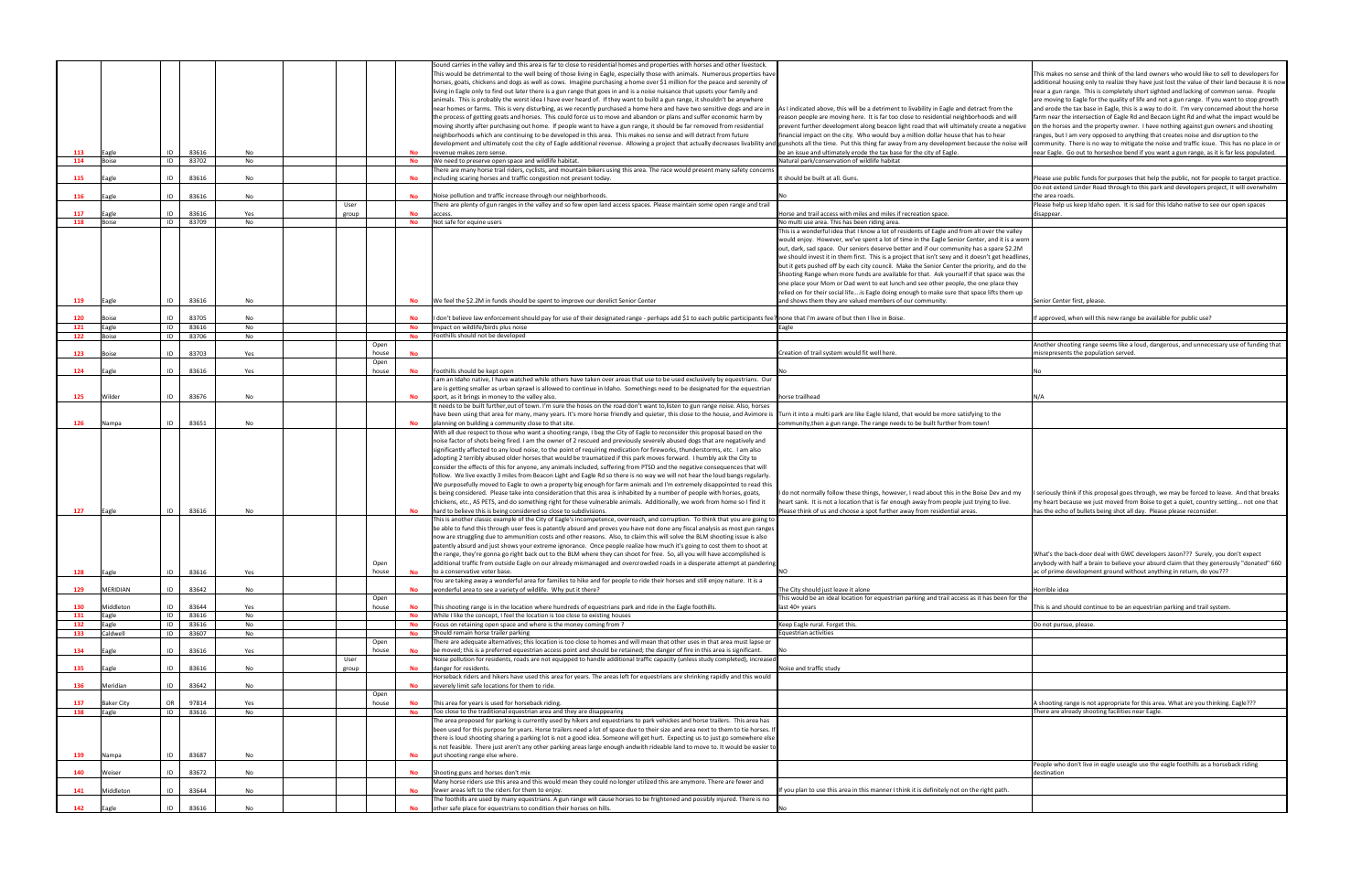|     |                   |      |       |           |       |       |           | Sound carries in the valley and this area is far to close to residential homes and properties with horses and other livestock.                                                                                                 |                                                                                                   |                                                                                                                                                                                                                                                                                   |
|-----|-------------------|------|-------|-----------|-------|-------|-----------|--------------------------------------------------------------------------------------------------------------------------------------------------------------------------------------------------------------------------------|---------------------------------------------------------------------------------------------------|-----------------------------------------------------------------------------------------------------------------------------------------------------------------------------------------------------------------------------------------------------------------------------------|
|     |                   |      |       |           |       |       |           | This would be detrimental to the well being of those living in Eagle, especially those with animals. Numerous properties have                                                                                                  |                                                                                                   | This makes no sense and think of the land owners who would like to sell to developers for                                                                                                                                                                                         |
|     |                   |      |       |           |       |       |           | horses, goats, chickens and dogs as well as cows. Imagine purchasing a home over \$1 million for the peace and serenity of                                                                                                     |                                                                                                   | additional housing only to realize they have just lost the value of their land because it is no                                                                                                                                                                                   |
|     |                   |      |       |           |       |       |           | living in Eagle only to find out later there is a gun range that goes in and is a noise nuisance that upsets your family and                                                                                                   |                                                                                                   | near a gun range. This is completely short sighted and lacking of common sense. People                                                                                                                                                                                            |
|     |                   |      |       |           |       |       |           | animals. This is probably the worst idea I have ever heard of. If they want to build a gun range, it shouldn't be anywhere                                                                                                     |                                                                                                   | are moving to Eagle for the quality of life and not a gun range. If you want to stop growth                                                                                                                                                                                       |
|     |                   |      |       |           |       |       |           | near homes or farms. This is very disturbing, as we recently purchased a home here and have two sensitive dogs and are in                                                                                                      | As I indicated above, this will be a detriment to livability in Eagle and detract from the        | and erode the tax base in Eagle, this is a way to do it. I'm very concerned about the horse                                                                                                                                                                                       |
|     |                   |      |       |           |       |       |           |                                                                                                                                                                                                                                |                                                                                                   |                                                                                                                                                                                                                                                                                   |
|     |                   |      |       |           |       |       |           | the process of getting goats and horses. This could force us to move and abandon or plans and suffer economic harm by                                                                                                          | reason people are moving here. It is far too close to residential neighborhoods and will          | farm near the intersection of Eagle Rd and Becaon Light Rd and what the impact would be                                                                                                                                                                                           |
|     |                   |      |       |           |       |       |           | moving shortly after purchasing out home. If people want to have a gun range, it should be far removed from residential                                                                                                        | prevent further development along beacon light road that will ultimately create a negative        | on the horses and the property owner. I have nothing against gun owners and shooting                                                                                                                                                                                              |
|     |                   |      |       |           |       |       |           | neighborhoods which are continuing to be developed in this area. This makes no sense and will detract from future                                                                                                              | inancial impact on the city. Who would buy a million dollar house that has to hear                | ranges, but I am very opposed to anything that creates noise and disruption to the                                                                                                                                                                                                |
|     |                   |      |       |           |       |       |           | development and ultimately cost the city of Eagle additional revenue. Allowing a project that actually decreases livability and gunshots all the time. Put this thing far away from any development because the noise will com |                                                                                                   |                                                                                                                                                                                                                                                                                   |
| 113 | Eagle             | ID   | 83616 | No        |       |       |           | revenue makes zero sense.                                                                                                                                                                                                      | be an issue and ultimately erode the tax base for the city of Eagle.                              | near Eagle. Go out to horseshoe bend if you want a gun range, as it is far less populated.                                                                                                                                                                                        |
| 114 | Boise             | ID   | 83702 | <b>No</b> |       |       | No        | We need to preserve open space and wildlife habitat.                                                                                                                                                                           | Natural park/conservation of wildlife habitat                                                     |                                                                                                                                                                                                                                                                                   |
|     |                   |      |       |           |       |       |           | There are many horse trail riders, cyclists, and mountain bikers using this area. The race would present many safety concerns                                                                                                  |                                                                                                   |                                                                                                                                                                                                                                                                                   |
| 115 | agle              | ID   | 83616 | No        |       |       | <b>No</b> | ncluding scaring horses and traffic congestion not present today.                                                                                                                                                              | should be built at all. Guns.                                                                     | Please use public funds for purposes that help the public, not for people to target practice                                                                                                                                                                                      |
|     |                   |      |       |           |       |       |           |                                                                                                                                                                                                                                |                                                                                                   | Do not extend Linder Road through to this park and developers project, it will overwhelm                                                                                                                                                                                          |
|     |                   |      |       |           |       |       |           |                                                                                                                                                                                                                                |                                                                                                   |                                                                                                                                                                                                                                                                                   |
| 116 | Eagle             | ID   | 83616 | No        |       |       | <b>No</b> | Noise pollution and traffic increase through our neighborhoods.                                                                                                                                                                |                                                                                                   | the area roads.                                                                                                                                                                                                                                                                   |
|     |                   |      |       |           | User  |       |           | There are plenty of gun ranges in the valley and so few open land access spaces. Please maintain some open range and trail                                                                                                     |                                                                                                   | Please help us keep Idaho open. It is sad for this Idaho native to see our open spaces                                                                                                                                                                                            |
| 117 | Eagle             | ID   | 83616 | Yes       | group |       | <b>No</b> | access.                                                                                                                                                                                                                        | lorse and trail access with miles and miles if recreation space.                                  | disappear.                                                                                                                                                                                                                                                                        |
| 118 | <b>Boise</b>      | ID   | 83709 | No        |       |       | <b>No</b> | Not safe for equine users                                                                                                                                                                                                      | No multi use area. This has been riding area.                                                     |                                                                                                                                                                                                                                                                                   |
|     |                   |      |       |           |       |       |           |                                                                                                                                                                                                                                | This is a wonderful idea that I know a lot of residents of Eagle and from all over the valley     |                                                                                                                                                                                                                                                                                   |
|     |                   |      |       |           |       |       |           |                                                                                                                                                                                                                                | would enjoy. However, we've spent a lot of time in the Eagle Senior Center, and it is a worn      |                                                                                                                                                                                                                                                                                   |
|     |                   |      |       |           |       |       |           |                                                                                                                                                                                                                                |                                                                                                   |                                                                                                                                                                                                                                                                                   |
|     |                   |      |       |           |       |       |           |                                                                                                                                                                                                                                | out, dark, sad space. Our seniors deserve better and if our community has a spare \$2.2M          |                                                                                                                                                                                                                                                                                   |
|     |                   |      |       |           |       |       |           |                                                                                                                                                                                                                                | we should invest it in them first. This is a project that isn't sexy and it doesn't get headlines |                                                                                                                                                                                                                                                                                   |
|     |                   |      |       |           |       |       |           |                                                                                                                                                                                                                                | but it gets pushed off by each city council. Make the Senior Center the priority, and do the      |                                                                                                                                                                                                                                                                                   |
|     |                   |      |       |           |       |       |           |                                                                                                                                                                                                                                | Shooting Range when more funds are available for that. Ask yourself if that space was the         |                                                                                                                                                                                                                                                                                   |
|     |                   |      |       |           |       |       |           |                                                                                                                                                                                                                                | one place your Mom or Dad went to eat lunch and see other people, the one place they              |                                                                                                                                                                                                                                                                                   |
|     |                   |      |       |           |       |       |           |                                                                                                                                                                                                                                | relied on for their social lifeis Eagle doing enough to make sure that space lifts them up        |                                                                                                                                                                                                                                                                                   |
|     |                   | ID   | 83616 | No        |       |       |           | We feel the \$2.2M in funds should be spent to improve our derelict Senior Center                                                                                                                                              |                                                                                                   | Senior Center first, please.                                                                                                                                                                                                                                                      |
| 119 | Eagle             |      |       |           |       |       | No        |                                                                                                                                                                                                                                | and shows them they are valued members of our community.                                          |                                                                                                                                                                                                                                                                                   |
|     |                   |      |       |           |       |       |           |                                                                                                                                                                                                                                |                                                                                                   |                                                                                                                                                                                                                                                                                   |
| 120 | Boise             | ID   | 83705 | No        |       |       | <b>No</b> | I don't believe law enforcement should pay for use of their designated range - perhaps add \$1 to each public participants fee? none that I'm aware of but then I live in Boise.                                               |                                                                                                   | If approved, when will this new range be available for public use?                                                                                                                                                                                                                |
| 121 | Eagle             | ID   | 83616 | No        |       |       | <b>No</b> | Impact on wildlife/birds plus noise                                                                                                                                                                                            | agle                                                                                              |                                                                                                                                                                                                                                                                                   |
| 122 | Boise             | ID I | 83706 | No        |       |       | No        | Foothills should not be developed                                                                                                                                                                                              |                                                                                                   |                                                                                                                                                                                                                                                                                   |
|     |                   |      |       |           |       | Open  |           |                                                                                                                                                                                                                                |                                                                                                   | Another shooting range seems like a loud, dangerous, and unnecessary use of funding tha                                                                                                                                                                                           |
|     |                   |      | 83703 |           |       |       |           |                                                                                                                                                                                                                                | reation of trail system would fit well here.                                                      | misrepresents the population served.                                                                                                                                                                                                                                              |
| 123 | Boise             | ID   |       | Yes       |       | house | No        |                                                                                                                                                                                                                                |                                                                                                   |                                                                                                                                                                                                                                                                                   |
|     |                   |      |       |           |       | Open  |           |                                                                                                                                                                                                                                |                                                                                                   |                                                                                                                                                                                                                                                                                   |
| 124 | Eagle             | ID   | 83616 | Yes       |       | house | <b>No</b> | Foothills should be kept open                                                                                                                                                                                                  |                                                                                                   |                                                                                                                                                                                                                                                                                   |
|     |                   |      |       |           |       |       |           | I am an Idaho native, I have watched while others have taken over areas that use to be used exclusively by equestrians. Our                                                                                                    |                                                                                                   |                                                                                                                                                                                                                                                                                   |
|     |                   |      |       |           |       |       |           | are is getting smaller as urban sprawl is allowed to continue in Idaho. Somethings need to be designated for the equestrian                                                                                                    |                                                                                                   |                                                                                                                                                                                                                                                                                   |
| 125 | Wilder            | ID   | 83676 | No        |       |       | <b>No</b> | sport, as it brings in money to the valley also.                                                                                                                                                                               | orse trailhead                                                                                    | N/A                                                                                                                                                                                                                                                                               |
|     |                   |      |       |           |       |       |           |                                                                                                                                                                                                                                |                                                                                                   |                                                                                                                                                                                                                                                                                   |
|     |                   |      |       |           |       |       |           | t needs to be built further,out of town. I'm sure the hoses on the road don't want to, listen to gun range noise. Also, horses                                                                                                 |                                                                                                   |                                                                                                                                                                                                                                                                                   |
|     |                   |      |       |           |       |       |           | have been using that area for many, many years. It's more horse friendly and quieter, this close to the house, and Avimore is                                                                                                  | Furn it into a multi park are like Eagle Island, that would be more satisfying to the             |                                                                                                                                                                                                                                                                                   |
| 126 | Nampa             | ID   | 83651 | No        |       |       | <b>No</b> | planning on building a community close to that site.                                                                                                                                                                           | ommunity, then a gun range. The range needs to be built further from town!                        |                                                                                                                                                                                                                                                                                   |
|     |                   |      |       |           |       |       |           | With all due respect to those who want a shooting range, I beg the City of Eagle to reconsider this proposal based on the                                                                                                      |                                                                                                   |                                                                                                                                                                                                                                                                                   |
|     |                   |      |       |           |       |       |           | noise factor of shots being fired. I am the owner of 2 rescued and previously severely abused dogs that are negatively and                                                                                                     |                                                                                                   |                                                                                                                                                                                                                                                                                   |
|     |                   |      |       |           |       |       |           | significantly affected to any loud noise, to the point of requiring medication for fireworks, thunderstorms, etc. I am also                                                                                                    |                                                                                                   |                                                                                                                                                                                                                                                                                   |
|     |                   |      |       |           |       |       |           | adopting 2 terribly abused older horses that would be traumatized if this park moves forward. I humbly ask the City to                                                                                                         |                                                                                                   |                                                                                                                                                                                                                                                                                   |
|     |                   |      |       |           |       |       |           |                                                                                                                                                                                                                                |                                                                                                   |                                                                                                                                                                                                                                                                                   |
|     |                   |      |       |           |       |       |           | consider the effects of this for anyone, any animals included, suffering from PTSD and the negative consequences that will                                                                                                     |                                                                                                   |                                                                                                                                                                                                                                                                                   |
|     |                   |      |       |           |       |       |           | follow. We live exactly 3 miles from Beacon Light and Eagle Rd so there is no way we will not hear the loud bangs regularly.                                                                                                   |                                                                                                   |                                                                                                                                                                                                                                                                                   |
|     |                   |      |       |           |       |       |           |                                                                                                                                                                                                                                |                                                                                                   |                                                                                                                                                                                                                                                                                   |
|     |                   |      |       |           |       |       |           | We purposefully moved to Eagle to own a property big enough for farm animals and I'm extremely disappointed to read this                                                                                                       |                                                                                                   |                                                                                                                                                                                                                                                                                   |
|     |                   |      |       |           |       |       |           |                                                                                                                                                                                                                                |                                                                                                   |                                                                                                                                                                                                                                                                                   |
|     |                   |      |       |           |       |       |           | is being considered. Please take into consideration that this area is inhabited by a number of people with horses, goats,                                                                                                      | do not normally follow these things, however, I read about this in the Boise Dev and my           |                                                                                                                                                                                                                                                                                   |
|     |                   |      |       |           |       |       |           | chickens, etc., AS PETS, and do something right for these vulnerable animals. Additionally, we work from home so I find it                                                                                                     | heart sank. It is not a location that is far enough away from people just trying to live.         |                                                                                                                                                                                                                                                                                   |
| 127 | Eagle             | ID   | 83616 | No        |       |       | No        | hard to believe this is being considered so close to subdivisions.                                                                                                                                                             | Please think of us and choose a spot further away from residential areas.                         | has the echo of bullets being shot all day. Please please reconsider.                                                                                                                                                                                                             |
|     |                   |      |       |           |       |       |           | This is another classic example of the City of Eagle's incompetence, overreach, and corruption. To think that you are going to                                                                                                 |                                                                                                   |                                                                                                                                                                                                                                                                                   |
|     |                   |      |       |           |       |       |           | be able to fund this through user fees is patently absurd and proves you have not done any fiscal analysis as most gun ranges                                                                                                  |                                                                                                   |                                                                                                                                                                                                                                                                                   |
|     |                   |      |       |           |       |       |           | now are struggling due to ammunition costs and other reasons. Also, to claim this will solve the BLM shooting issue is also                                                                                                    |                                                                                                   |                                                                                                                                                                                                                                                                                   |
|     |                   |      |       |           |       |       |           | patently absurd and just shows your extreme ignorance. Once people realize how much it's going to cost them to shoot at                                                                                                        |                                                                                                   |                                                                                                                                                                                                                                                                                   |
|     |                   |      |       |           |       |       |           |                                                                                                                                                                                                                                |                                                                                                   |                                                                                                                                                                                                                                                                                   |
|     |                   |      |       |           |       |       |           | the range, they're gonna go right back out to the BLM where they can shoot for free. So, all you will have accomplished is                                                                                                     |                                                                                                   | What's the back-door deal with GWC developers Jason??? Surely, you don't expect                                                                                                                                                                                                   |
|     |                   |      |       |           |       | Open  |           | additional traffic from outside Eagle on our already mismanaged and overcrowded roads in a desperate attempt at pandering                                                                                                      |                                                                                                   |                                                                                                                                                                                                                                                                                   |
| 128 | Eagle             | ID   | 83616 | Yes       |       | house | <b>No</b> | to a conservative voter base.                                                                                                                                                                                                  | NO                                                                                                | ac of prime development ground without anything in return, do you???                                                                                                                                                                                                              |
|     |                   |      |       |           |       |       |           | ou are taking away a wonderful area for families to hike and for people to ride their horses and still enjoy nature. It is a                                                                                                   |                                                                                                   |                                                                                                                                                                                                                                                                                   |
| 129 | <b>MERIDIAN</b>   | ID   | 83642 | No        |       |       | <b>No</b> | wonderful area to see a variety of wildlife. Why put it there?                                                                                                                                                                 | The City should just leave it alone                                                               | Horrible idea                                                                                                                                                                                                                                                                     |
|     |                   |      |       |           |       | Open  |           |                                                                                                                                                                                                                                | This would be an ideal location for equestrian parking and trail access as it has been for the    |                                                                                                                                                                                                                                                                                   |
| 130 | Middleton         | ID   | 83644 | Yes       |       | house | <b>No</b> | This shooting range is in the location where hundreds of equestrians park and ride in the Eagle foothills.                                                                                                                     | ast 40+ years                                                                                     | This is and should continue to be an equestrian parking and trail system.                                                                                                                                                                                                         |
| 131 | Eagle             | ID   | 83616 | No        |       |       | No        | While I like the concept, I feel the location is too close to existing houses                                                                                                                                                  |                                                                                                   |                                                                                                                                                                                                                                                                                   |
|     |                   |      |       |           |       |       |           |                                                                                                                                                                                                                                |                                                                                                   |                                                                                                                                                                                                                                                                                   |
| 132 | Eagle             | ID   | 83616 | No        |       |       | <b>No</b> | Focus on retaining open space and where is the money coming from?                                                                                                                                                              | Geep Eagle rural. Forget this.                                                                    | Do not pursue, please.                                                                                                                                                                                                                                                            |
| 133 | Caldwell          | ID   | 83607 | No        |       |       | No        | Should remain horse trailer parking                                                                                                                                                                                            | Iquestrian activities                                                                             |                                                                                                                                                                                                                                                                                   |
|     |                   |      |       |           |       | Open  |           | There are adequate alternatives; this location is too close to homes and will mean that other uses in that area must lapse or                                                                                                  |                                                                                                   |                                                                                                                                                                                                                                                                                   |
| 134 | Eagle             | ID   | 83616 | Yes       |       | house | No        | be moved; this is a preferred equestrian access point and should be retained; the danger of fire in this area is significant.                                                                                                  |                                                                                                   |                                                                                                                                                                                                                                                                                   |
|     |                   |      |       |           | User  |       |           | Noise pollution for residents, roads are not equipped to handle additional traffic capacity (unless study completed), increased                                                                                                |                                                                                                   |                                                                                                                                                                                                                                                                                   |
| 135 | agle              | ID   | 83616 | No        | group |       | <b>No</b> | danger for residents.                                                                                                                                                                                                          | Voise and traffic study                                                                           |                                                                                                                                                                                                                                                                                   |
|     |                   |      |       |           |       |       |           | lorseback riders and hikers have used this area for years. The areas left for equestrians are shrinking rapidly and this would                                                                                                 |                                                                                                   |                                                                                                                                                                                                                                                                                   |
| 136 | Meridian          | ID   | 83642 | No        |       |       | <b>No</b> | severely limit safe locations for them to ride.                                                                                                                                                                                |                                                                                                   |                                                                                                                                                                                                                                                                                   |
|     |                   |      |       |           |       |       |           |                                                                                                                                                                                                                                |                                                                                                   |                                                                                                                                                                                                                                                                                   |
|     |                   |      |       |           |       | Open  |           |                                                                                                                                                                                                                                |                                                                                                   |                                                                                                                                                                                                                                                                                   |
| 137 | <b>Baker City</b> | OR   | 97814 | Yes       |       | house | No        | This area for years is used for horseback riding.                                                                                                                                                                              |                                                                                                   | A shooting range is not appropriate for this area. What are you thinking. Eagle???                                                                                                                                                                                                |
| 138 | Eagle             | ID   | 83616 | No        |       |       | <b>No</b> | Too close to the traditional equestrian area and they are disappearing                                                                                                                                                         |                                                                                                   | There are already shooting facilities near Eagle.                                                                                                                                                                                                                                 |
|     |                   |      |       |           |       |       |           | The area proposed for parking is currently used by hikers and equestrians to park vehickes and horse trailers. This area has                                                                                                   |                                                                                                   |                                                                                                                                                                                                                                                                                   |
|     |                   |      |       |           |       |       |           | been used for this purpose for years. Horse trailers need a lot of space due to their size and area next to them to tie horses. I                                                                                              |                                                                                                   |                                                                                                                                                                                                                                                                                   |
|     |                   |      |       |           |       |       |           |                                                                                                                                                                                                                                |                                                                                                   |                                                                                                                                                                                                                                                                                   |
|     |                   |      |       |           |       |       |           | there is loud shooting sharing a parking lot is not a good idea. Someone will get hurt. Expecting us to just go somewhere else                                                                                                 |                                                                                                   |                                                                                                                                                                                                                                                                                   |
|     |                   |      |       |           |       |       |           | s not feasible. There just aren't any other parking areas large enough andwith rideable land to move to. It would be easier to                                                                                                 |                                                                                                   |                                                                                                                                                                                                                                                                                   |
| 139 | Nampa             | ID   | 83687 | No        |       |       | <b>No</b> | put shooting range else where.                                                                                                                                                                                                 |                                                                                                   |                                                                                                                                                                                                                                                                                   |
|     |                   |      |       |           |       |       |           |                                                                                                                                                                                                                                |                                                                                                   | People who don't live in eagle useagle use the eagle foothills as a horseback riding                                                                                                                                                                                              |
| 140 | Weiser            | ID   | 83672 | No        |       |       | No        | Shooting guns and horses don't mix                                                                                                                                                                                             |                                                                                                   | destination                                                                                                                                                                                                                                                                       |
|     |                   |      |       |           |       |       |           | Many horse riders use this area and this would mean they could no longer utilized this are anymore. There are fewer and                                                                                                        |                                                                                                   |                                                                                                                                                                                                                                                                                   |
|     |                   | ID   |       |           |       |       | No        |                                                                                                                                                                                                                                |                                                                                                   |                                                                                                                                                                                                                                                                                   |
| 141 | Middleton         |      | 83644 | No        |       |       |           | ewer areas left to the riders for them to enjoy.                                                                                                                                                                               | you plan to use this area in this manner I think it is definitely not on the right path.          | I seriously think if this proposal goes through, we may be forced to leave. And that breaks<br>my heart because we just moved from Boise to get a quiet, country setting not one that<br>anybody with half a brain to believe your absurd claim that they generously "donated" 66 |
| 142 | Eagle             | ID   | 83616 | No        |       |       | <b>No</b> | The foothills are used by many equestrians. A gun range will cause horses to be frightened and possibly injured. There is no<br>other safe place for equestrians to condition their horses on hills.                           |                                                                                                   |                                                                                                                                                                                                                                                                                   |

| This makes no sense and think of the land owners who would like to sell to developers for<br>additional housing only to realize they have just lost the value of their land because it is now<br>near a gun range. This is completely short sighted and lacking of common sense. People<br>are moving to Eagle for the quality of life and not a gun range. If you want to stop growth<br>and erode the tax base in Eagle, this is a way to do it. I'm very concerned about the horse<br>farm near the intersection of Eagle Rd and Becaon Light Rd and what the impact would be<br>on the horses and the property owner. I have nothing against gun owners and shooting<br>ranges, but I am very opposed to anything that creates noise and disruption to the<br>community. There is no way to mitigate the noise and traffic issue. This has no place in or<br>near Eagle. Go out to horseshoe bend if you want a gun range, as it is far less populated. |
|-------------------------------------------------------------------------------------------------------------------------------------------------------------------------------------------------------------------------------------------------------------------------------------------------------------------------------------------------------------------------------------------------------------------------------------------------------------------------------------------------------------------------------------------------------------------------------------------------------------------------------------------------------------------------------------------------------------------------------------------------------------------------------------------------------------------------------------------------------------------------------------------------------------------------------------------------------------|
| Please use public funds for purposes that help the public, not for people to target practice.                                                                                                                                                                                                                                                                                                                                                                                                                                                                                                                                                                                                                                                                                                                                                                                                                                                               |
| Do not extend Linder Road through to this park and developers project, it will overwhelm                                                                                                                                                                                                                                                                                                                                                                                                                                                                                                                                                                                                                                                                                                                                                                                                                                                                    |
| the area roads.<br>Please help us keep Idaho open. It is sad for this Idaho native to see our open spaces                                                                                                                                                                                                                                                                                                                                                                                                                                                                                                                                                                                                                                                                                                                                                                                                                                                   |
| disappear.                                                                                                                                                                                                                                                                                                                                                                                                                                                                                                                                                                                                                                                                                                                                                                                                                                                                                                                                                  |
| Senior Center first, please.                                                                                                                                                                                                                                                                                                                                                                                                                                                                                                                                                                                                                                                                                                                                                                                                                                                                                                                                |
|                                                                                                                                                                                                                                                                                                                                                                                                                                                                                                                                                                                                                                                                                                                                                                                                                                                                                                                                                             |
| If approved, when will this new range be available for public use?                                                                                                                                                                                                                                                                                                                                                                                                                                                                                                                                                                                                                                                                                                                                                                                                                                                                                          |
|                                                                                                                                                                                                                                                                                                                                                                                                                                                                                                                                                                                                                                                                                                                                                                                                                                                                                                                                                             |
| Another shooting range seems like a loud, dangerous, and unnecessary use of funding that<br>misrepresents the population served.                                                                                                                                                                                                                                                                                                                                                                                                                                                                                                                                                                                                                                                                                                                                                                                                                            |
| No                                                                                                                                                                                                                                                                                                                                                                                                                                                                                                                                                                                                                                                                                                                                                                                                                                                                                                                                                          |
|                                                                                                                                                                                                                                                                                                                                                                                                                                                                                                                                                                                                                                                                                                                                                                                                                                                                                                                                                             |
| N/A                                                                                                                                                                                                                                                                                                                                                                                                                                                                                                                                                                                                                                                                                                                                                                                                                                                                                                                                                         |
|                                                                                                                                                                                                                                                                                                                                                                                                                                                                                                                                                                                                                                                                                                                                                                                                                                                                                                                                                             |
| I seriously think if this proposal goes through, we may be forced to leave. And that breaks<br>my heart because we just moved from Boise to get a quiet, country setting not one that<br>has the echo of bullets being shot all day. Please please reconsider.                                                                                                                                                                                                                                                                                                                                                                                                                                                                                                                                                                                                                                                                                              |
| What's the back-door deal with GWC developers Jason??? Surely, you don't expect<br>anybody with half a brain to believe your absurd claim that they generously "donated" 660<br>ac of prime development ground without anything in return, do you???                                                                                                                                                                                                                                                                                                                                                                                                                                                                                                                                                                                                                                                                                                        |
| Horrible idea                                                                                                                                                                                                                                                                                                                                                                                                                                                                                                                                                                                                                                                                                                                                                                                                                                                                                                                                               |
|                                                                                                                                                                                                                                                                                                                                                                                                                                                                                                                                                                                                                                                                                                                                                                                                                                                                                                                                                             |
| This is and should continue to be an equestrian parking and trail system.                                                                                                                                                                                                                                                                                                                                                                                                                                                                                                                                                                                                                                                                                                                                                                                                                                                                                   |
| Do not pursue, please.                                                                                                                                                                                                                                                                                                                                                                                                                                                                                                                                                                                                                                                                                                                                                                                                                                                                                                                                      |
|                                                                                                                                                                                                                                                                                                                                                                                                                                                                                                                                                                                                                                                                                                                                                                                                                                                                                                                                                             |
|                                                                                                                                                                                                                                                                                                                                                                                                                                                                                                                                                                                                                                                                                                                                                                                                                                                                                                                                                             |
|                                                                                                                                                                                                                                                                                                                                                                                                                                                                                                                                                                                                                                                                                                                                                                                                                                                                                                                                                             |
|                                                                                                                                                                                                                                                                                                                                                                                                                                                                                                                                                                                                                                                                                                                                                                                                                                                                                                                                                             |
|                                                                                                                                                                                                                                                                                                                                                                                                                                                                                                                                                                                                                                                                                                                                                                                                                                                                                                                                                             |
| A shooting range is not appropriate for this area. What are you thinking. Eagle???                                                                                                                                                                                                                                                                                                                                                                                                                                                                                                                                                                                                                                                                                                                                                                                                                                                                          |
| There are already shooting facilities near Eagle.                                                                                                                                                                                                                                                                                                                                                                                                                                                                                                                                                                                                                                                                                                                                                                                                                                                                                                           |
|                                                                                                                                                                                                                                                                                                                                                                                                                                                                                                                                                                                                                                                                                                                                                                                                                                                                                                                                                             |
| People who don't live in eagle useagle use the eagle foothills as a horseback riding                                                                                                                                                                                                                                                                                                                                                                                                                                                                                                                                                                                                                                                                                                                                                                                                                                                                        |
| destination                                                                                                                                                                                                                                                                                                                                                                                                                                                                                                                                                                                                                                                                                                                                                                                                                                                                                                                                                 |
|                                                                                                                                                                                                                                                                                                                                                                                                                                                                                                                                                                                                                                                                                                                                                                                                                                                                                                                                                             |
|                                                                                                                                                                                                                                                                                                                                                                                                                                                                                                                                                                                                                                                                                                                                                                                                                                                                                                                                                             |
|                                                                                                                                                                                                                                                                                                                                                                                                                                                                                                                                                                                                                                                                                                                                                                                                                                                                                                                                                             |
|                                                                                                                                                                                                                                                                                                                                                                                                                                                                                                                                                                                                                                                                                                                                                                                                                                                                                                                                                             |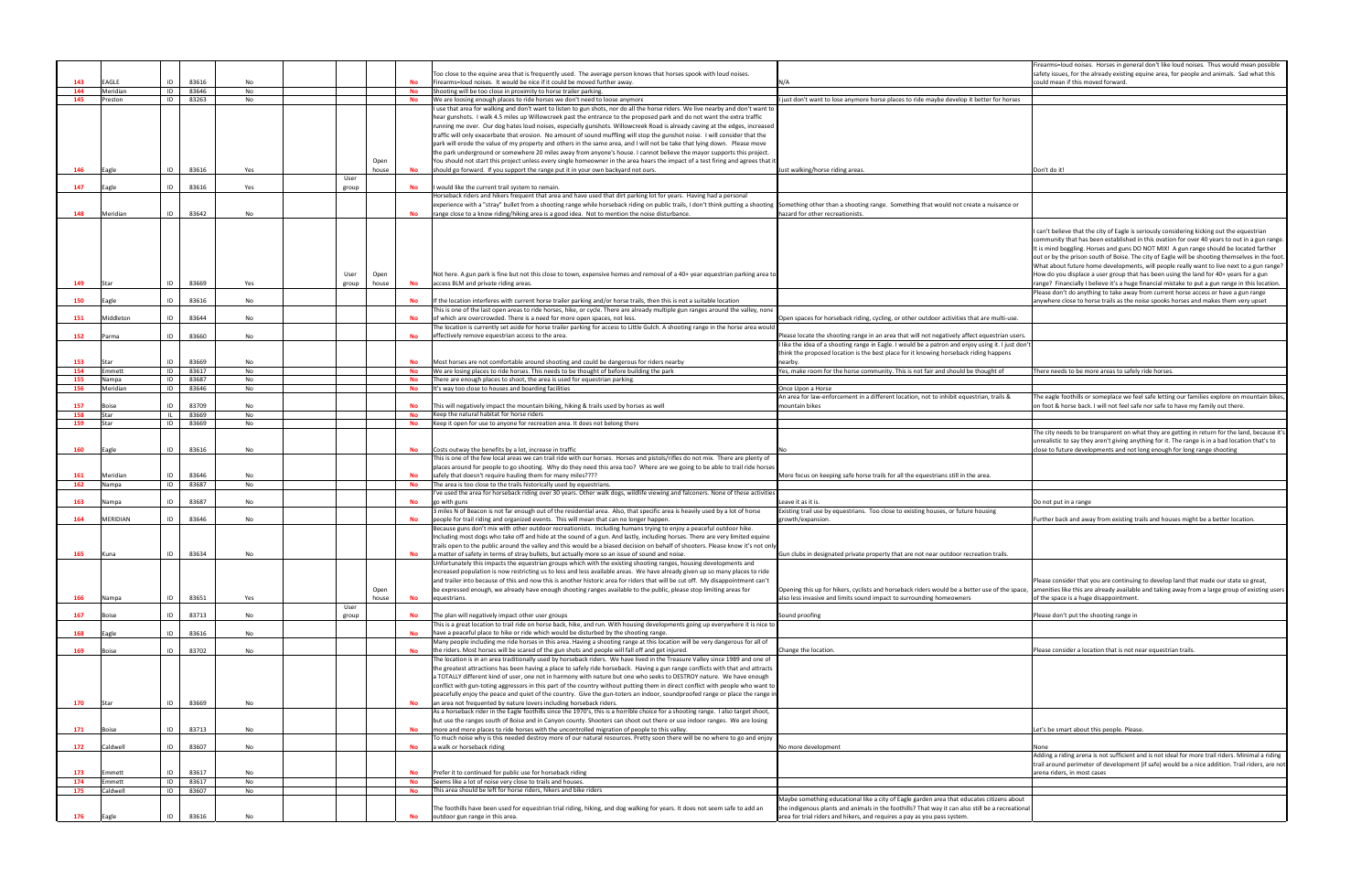|                                                           | Firearms=loud noises. Horses in general don't like loud noises. Thus would mean possible<br>safety issues, for the already existing equine area, for people and animals. Sad what this<br>could mean if this moved forward.                                                                                                                                                                                                                                                                                                                                                                                                                                                                                                                                             |
|-----------------------------------------------------------|-------------------------------------------------------------------------------------------------------------------------------------------------------------------------------------------------------------------------------------------------------------------------------------------------------------------------------------------------------------------------------------------------------------------------------------------------------------------------------------------------------------------------------------------------------------------------------------------------------------------------------------------------------------------------------------------------------------------------------------------------------------------------|
|                                                           |                                                                                                                                                                                                                                                                                                                                                                                                                                                                                                                                                                                                                                                                                                                                                                         |
| etter for horses                                          |                                                                                                                                                                                                                                                                                                                                                                                                                                                                                                                                                                                                                                                                                                                                                                         |
|                                                           |                                                                                                                                                                                                                                                                                                                                                                                                                                                                                                                                                                                                                                                                                                                                                                         |
|                                                           | Don't do it!                                                                                                                                                                                                                                                                                                                                                                                                                                                                                                                                                                                                                                                                                                                                                            |
| a nuisance or                                             |                                                                                                                                                                                                                                                                                                                                                                                                                                                                                                                                                                                                                                                                                                                                                                         |
|                                                           | I can't believe that the city of Eagle is seriously considering kicking out the equestrian<br>community that has been established in this ovation for over 40 years to out in a gun range.<br>It is mind boggling. Horses and guns DO NOT MIX! A gun range should be located farther<br>out or by the prison south of Boise. The city of Eagle will be shooting themselves in the foot.<br>What about future home developments, will people really want to live next to a gun range?<br>How do you displace a user group that has been using the land for 40+ years for a gun<br>range? Financially I believe it's a huge financial mistake to put a gun range in this location.<br>Please don't do anything to take away from current horse access or have a gun range |
|                                                           | anywhere close to horse trails as the noise spooks horses and makes them very upset                                                                                                                                                                                                                                                                                                                                                                                                                                                                                                                                                                                                                                                                                     |
| are multi-use.                                            |                                                                                                                                                                                                                                                                                                                                                                                                                                                                                                                                                                                                                                                                                                                                                                         |
| equestrian users.<br>using it. I just don't<br>ng happens |                                                                                                                                                                                                                                                                                                                                                                                                                                                                                                                                                                                                                                                                                                                                                                         |
| ought of                                                  | There needs to be more areas to safely ride horses.                                                                                                                                                                                                                                                                                                                                                                                                                                                                                                                                                                                                                                                                                                                     |
|                                                           |                                                                                                                                                                                                                                                                                                                                                                                                                                                                                                                                                                                                                                                                                                                                                                         |
| ian, trails &                                             | The eagle foothills or someplace we feel safe letting our families explore on mountain bikes,<br>on foot & horse back. I will not feel safe nor safe to have my family out there.                                                                                                                                                                                                                                                                                                                                                                                                                                                                                                                                                                                       |
|                                                           |                                                                                                                                                                                                                                                                                                                                                                                                                                                                                                                                                                                                                                                                                                                                                                         |
|                                                           | The city needs to be transparent on what they are getting in return for the land, because it's<br>unrealistic to say they aren't giving anything for it. The range is in a bad location that's to<br>close to future developments and not long enough for long range shooting                                                                                                                                                                                                                                                                                                                                                                                                                                                                                           |
| ırea.                                                     |                                                                                                                                                                                                                                                                                                                                                                                                                                                                                                                                                                                                                                                                                                                                                                         |
|                                                           |                                                                                                                                                                                                                                                                                                                                                                                                                                                                                                                                                                                                                                                                                                                                                                         |
| pusing                                                    | Do not put in a range                                                                                                                                                                                                                                                                                                                                                                                                                                                                                                                                                                                                                                                                                                                                                   |
|                                                           | Further back and away from existing trails and houses might be a better location.                                                                                                                                                                                                                                                                                                                                                                                                                                                                                                                                                                                                                                                                                       |
| ition trails.                                             |                                                                                                                                                                                                                                                                                                                                                                                                                                                                                                                                                                                                                                                                                                                                                                         |
| use of the space,                                         | Please consider that you are continuing to develop land that made our state so great,<br>amenities like this are already available and taking away from a large group of existing users<br>of the space is a huge disappointment.                                                                                                                                                                                                                                                                                                                                                                                                                                                                                                                                       |
|                                                           | Please don't put the shooting range in                                                                                                                                                                                                                                                                                                                                                                                                                                                                                                                                                                                                                                                                                                                                  |
|                                                           | Please consider a location that is not near equestrian trails.                                                                                                                                                                                                                                                                                                                                                                                                                                                                                                                                                                                                                                                                                                          |
|                                                           |                                                                                                                                                                                                                                                                                                                                                                                                                                                                                                                                                                                                                                                                                                                                                                         |
|                                                           | Let's be smart about this people. Please.                                                                                                                                                                                                                                                                                                                                                                                                                                                                                                                                                                                                                                                                                                                               |
|                                                           | None                                                                                                                                                                                                                                                                                                                                                                                                                                                                                                                                                                                                                                                                                                                                                                    |
|                                                           | Adding a riding arena is not sufficient and is not ideal for more trail riders. Minimal a riding<br>trail around perimeter of development (if safe) would be a nice addition. Trail riders, are not<br>arena riders, in most cases                                                                                                                                                                                                                                                                                                                                                                                                                                                                                                                                      |
|                                                           |                                                                                                                                                                                                                                                                                                                                                                                                                                                                                                                                                                                                                                                                                                                                                                         |
| es citizens about<br>Il be a recreational                 |                                                                                                                                                                                                                                                                                                                                                                                                                                                                                                                                                                                                                                                                                                                                                                         |
|                                                           |                                                                                                                                                                                                                                                                                                                                                                                                                                                                                                                                                                                                                                                                                                                                                                         |

|     |              |             |           |       |       |           |                                                                                                                                                                                                                                                           |                                                                                                                                                                              | irearms=loud noises. Horses in general don't like loud noises. Thus would mean possible                                                                                                           |
|-----|--------------|-------------|-----------|-------|-------|-----------|-----------------------------------------------------------------------------------------------------------------------------------------------------------------------------------------------------------------------------------------------------------|------------------------------------------------------------------------------------------------------------------------------------------------------------------------------|---------------------------------------------------------------------------------------------------------------------------------------------------------------------------------------------------|
|     |              |             |           |       |       |           | Too close to the equine area that is frequently used. The average person knows that horses spook with loud noises.                                                                                                                                        |                                                                                                                                                                              | safety issues, for the already existing equine area, for people and animals. Sad what this                                                                                                        |
| 143 | EAGLE        | 83616<br>ID | No        |       |       |           | Firearms=loud noises. It would be nice if it could be moved further away.                                                                                                                                                                                 | J/A                                                                                                                                                                          | could mean if this moved forward.                                                                                                                                                                 |
| 144 | Meridian     | 83646<br>ID | No        |       |       | <b>No</b> | Shooting will be too close in proximity to horse trailer parking.                                                                                                                                                                                         |                                                                                                                                                                              |                                                                                                                                                                                                   |
| 145 | Preston      | ID<br>83263 | No        |       |       | No        | We are loosing enough places to ride horses we don't need to loose anymore                                                                                                                                                                                | just don't want to lose anymore horse places to ride maybe develop it better for horses                                                                                      |                                                                                                                                                                                                   |
|     |              |             |           |       |       |           | use that area for walking and don't want to listen to gun shots, nor do all the horse riders. We live nearby and don't want to<br>hear gunshots. I walk 4.5 miles up Willowcreek past the entrance to the proposed park and do not want the extra traffic |                                                                                                                                                                              |                                                                                                                                                                                                   |
|     |              |             |           |       |       |           | running me over. Our dog hates loud noises, especially gunshots. Willowcreek Road is already caving at the edges, increased                                                                                                                               |                                                                                                                                                                              |                                                                                                                                                                                                   |
|     |              |             |           |       |       |           | traffic will only exacerbate that erosion. No amount of sound muffling will stop the gunshot noise. I will consider that the                                                                                                                              |                                                                                                                                                                              |                                                                                                                                                                                                   |
|     |              |             |           |       |       |           | park will erode the value of my property and others in the same area, and I will not be take that lying down. Please move                                                                                                                                 |                                                                                                                                                                              |                                                                                                                                                                                                   |
|     |              |             |           |       |       |           | the park underground or somewhere 20 miles away from anyone's house. I cannot believe the mayor supports this project.                                                                                                                                    |                                                                                                                                                                              |                                                                                                                                                                                                   |
|     |              |             |           |       | Open  |           | You should not start this project unless every single homeowner in the area hears the impact of a test firing and agrees that it                                                                                                                          |                                                                                                                                                                              |                                                                                                                                                                                                   |
| 146 | Eagle        | 83616<br>ID | Yes       |       | house |           | should go forward. If you support the range put it in your own backyard not ours.                                                                                                                                                                         | ust walking/horse riding areas.                                                                                                                                              | )on't do it!                                                                                                                                                                                      |
|     |              |             |           | User  |       |           |                                                                                                                                                                                                                                                           |                                                                                                                                                                              |                                                                                                                                                                                                   |
| 147 | Eagle        | ID<br>83616 | Yes       | group |       | <b>No</b> | would like the current trail system to remain.                                                                                                                                                                                                            |                                                                                                                                                                              |                                                                                                                                                                                                   |
|     |              |             |           |       |       |           | Horseback riders and hikers frequent that area and have used that dirt parking lot for years. Having had a personal                                                                                                                                       |                                                                                                                                                                              |                                                                                                                                                                                                   |
|     |              |             |           |       |       |           | experience with a "stray" bullet from a shooting range while horseback riding on public trails, I don't think putting a shooting Something other than a shooting range. Something that would not create a nuisance or                                     |                                                                                                                                                                              |                                                                                                                                                                                                   |
| 148 | Meridian     | 83642<br>ID | No        |       |       |           | range close to a know riding/hiking area is a good idea. Not to mention the noise disturbance.                                                                                                                                                            | hazard for other recreationists.                                                                                                                                             |                                                                                                                                                                                                   |
|     |              |             |           |       |       |           |                                                                                                                                                                                                                                                           |                                                                                                                                                                              | can't believe that the city of Eagle is seriously considering kicking out the equestrian                                                                                                          |
|     |              |             |           |       |       |           |                                                                                                                                                                                                                                                           |                                                                                                                                                                              | community that has been established in this ovation for over 40 years to out in a gun rang                                                                                                        |
|     |              |             |           |       |       |           |                                                                                                                                                                                                                                                           |                                                                                                                                                                              | It is mind boggling. Horses and guns DO NOT MIX! A gun range should be located farther                                                                                                            |
|     |              |             |           |       |       |           |                                                                                                                                                                                                                                                           |                                                                                                                                                                              | out or by the prison south of Boise. The city of Eagle will be shooting themselves in the foc                                                                                                     |
|     |              |             |           |       |       |           |                                                                                                                                                                                                                                                           |                                                                                                                                                                              | What about future home developments, will people really want to live next to a gun range                                                                                                          |
|     |              |             |           | User  | Open  |           | Not here. A gun park is fine but not this close to town, expensive homes and removal of a 40+ year equestrian parking area to                                                                                                                             |                                                                                                                                                                              | How do you displace a user group that has been using the land for 40+ years for a gun                                                                                                             |
| 149 |              | 83669<br>ID | Yes       | group | house | No        | access BLM and private riding areas.                                                                                                                                                                                                                      |                                                                                                                                                                              | range? Financially I believe it's a huge financial mistake to put a gun range in this location.                                                                                                   |
|     |              |             |           |       |       |           |                                                                                                                                                                                                                                                           |                                                                                                                                                                              | Please don't do anything to take away from current horse access or have a gun range                                                                                                               |
| 150 | Eagle        | ID<br>83616 | No        |       |       |           | If the location interferes with current horse trailer parking and/or horse trails, then this is not a suitable location                                                                                                                                   |                                                                                                                                                                              | anywhere close to horse trails as the noise spooks horses and makes them very upset                                                                                                               |
|     |              |             |           |       |       |           | This is one of the last open areas to ride horses, hike, or cycle. There are already multiple gun ranges around the valley, none                                                                                                                          |                                                                                                                                                                              |                                                                                                                                                                                                   |
| 151 | Middleton    | ID<br>83644 | No        |       |       | <b>No</b> | of which are overcrowded. There is a need for more open spaces, not less.                                                                                                                                                                                 | Open spaces for horseback riding, cycling, or other outdoor activities that are multi-use.                                                                                   |                                                                                                                                                                                                   |
|     |              |             |           |       |       |           | The location is currently set aside for horse trailer parking for access to Little Gulch. A shooting range in the horse area would                                                                                                                        |                                                                                                                                                                              |                                                                                                                                                                                                   |
| 152 | Parma        | 83660<br>ID | No        |       |       | No        | effectively remove equestrian access to the area.                                                                                                                                                                                                         | Please locate the shooting range in an area that will not negatively affect equestrian users.                                                                                |                                                                                                                                                                                                   |
|     |              |             |           |       |       |           |                                                                                                                                                                                                                                                           | like the idea of a shooting range in Eagle. I would be a patron and enjoy using it. I just don'                                                                              |                                                                                                                                                                                                   |
|     |              |             |           |       |       |           |                                                                                                                                                                                                                                                           | think the proposed location is the best place for it knowing horseback riding happens                                                                                        |                                                                                                                                                                                                   |
| 153 | Star         | ID<br>83669 | No        |       |       |           | Most horses are not comfortable around shooting and could be dangerous for riders nearby                                                                                                                                                                  | hearby                                                                                                                                                                       |                                                                                                                                                                                                   |
| 154 | Emmett       | 83617<br>ID | No        |       |       | No        | We are losing places to ride horses. This needs to be thought of before building the park                                                                                                                                                                 | 'es, make room for the horse community. This is not fair and should be thought of                                                                                            | here needs to be more areas to safely ride horses.                                                                                                                                                |
| 155 | lampa        | 83687<br>ID | No        |       |       | No        | There are enough places to shoot, the area is used for equestrian parking.                                                                                                                                                                                |                                                                                                                                                                              |                                                                                                                                                                                                   |
| 156 | Meridian     | ID<br>83646 | No        |       |       | No        | It's way too close to houses and boarding facilities                                                                                                                                                                                                      | Once Upon a Horse                                                                                                                                                            |                                                                                                                                                                                                   |
| 157 |              | ID<br>83709 | No        |       |       |           | This will negatively impact the mountain biking, hiking & trails used by horses as well                                                                                                                                                                   | An area for law-enforcement in a different location, not to inhibit equestrian, trails &<br>nountain bikes                                                                   | The eagle foothills or someplace we feel safe letting our families explore on mountain bike<br>on foot & horse back. I will not feel safe nor safe to have my family out there.                   |
| 158 | Star         | 83669       | No        |       |       | No        | Keep the natural habitat for horse riders                                                                                                                                                                                                                 |                                                                                                                                                                              |                                                                                                                                                                                                   |
| 159 |              | 83669<br>ID | No        |       |       | No        | Keep it open for use to anyone for recreation area. It does not belong there                                                                                                                                                                              |                                                                                                                                                                              |                                                                                                                                                                                                   |
|     |              |             |           |       |       |           |                                                                                                                                                                                                                                                           |                                                                                                                                                                              | The city needs to be transparent on what they are getting in return for the land, because it                                                                                                      |
|     |              |             |           |       |       |           |                                                                                                                                                                                                                                                           |                                                                                                                                                                              | unrealistic to say they aren't giving anything for it. The range is in a bad location that's to                                                                                                   |
| 160 | Eagle        | 83616<br>ID | No        |       |       | No        | Costs outway the benefits by a lot, increase in traffic                                                                                                                                                                                                   |                                                                                                                                                                              | close to future developments and not long enough for long range shooting                                                                                                                          |
|     |              |             |           |       |       |           | This is one of the few local areas we can trail ride with our horses. Horses and pistols/rifles do not mix. There are plenty of                                                                                                                           |                                                                                                                                                                              |                                                                                                                                                                                                   |
|     |              |             |           |       |       |           | places around for people to go shooting. Why do they need this area too? Where are we going to be able to trail ride horses                                                                                                                               |                                                                                                                                                                              |                                                                                                                                                                                                   |
| 161 | Meridian     | 83646<br>ID | No        |       |       |           | safely that doesn't require hauling them for many miles????                                                                                                                                                                                               | More focus on keeping safe horse trails for all the equestrians still in the area.                                                                                           |                                                                                                                                                                                                   |
| 162 | Nampa        | 83687<br>ID | No        |       |       | <b>No</b> | The area is too close to the trails historically used by equestrians.                                                                                                                                                                                     |                                                                                                                                                                              |                                                                                                                                                                                                   |
|     |              |             |           |       |       |           | l've used the area for horseback riding over 30 years. Other walk dogs, wildlife viewing and falconers. None of these activities                                                                                                                          |                                                                                                                                                                              |                                                                                                                                                                                                   |
| 163 | Nampa        | 83687<br>ID | No        |       |       |           | o with guns;                                                                                                                                                                                                                                              | eave it as it is.                                                                                                                                                            | Do not put in a range                                                                                                                                                                             |
| 164 | MERIDIAN     | 83646<br>ID | No        |       |       |           | miles N of Beacon is not far enough out of the residential area. Also, that specific area is heavily used by a lot of horse اm:<br>people for trail riding and organized events. This will mean that can no longer happen.                                | Existing trail use by equestrians. Too close to existing houses, or future housing                                                                                           | urther back and away from existing trails and houses might be a better location.                                                                                                                  |
|     |              |             |           |       |       |           | Because guns don't mix with other outdoor recreationists. Including humans trying to enjoy a peaceful outdoor hike.                                                                                                                                       | rowth/expansion.                                                                                                                                                             |                                                                                                                                                                                                   |
|     |              |             |           |       |       |           | Including most dogs who take off and hide at the sound of a gun. And lastly, including horses. There are very limited equine                                                                                                                              |                                                                                                                                                                              |                                                                                                                                                                                                   |
|     |              |             |           |       |       |           | trails open to the public around the valley and this would be a biased decision on behalf of shooters. Please know it's not only                                                                                                                          |                                                                                                                                                                              |                                                                                                                                                                                                   |
| 165 | Kuna         | 83634<br>ID | No        |       |       |           | a matter of safety in terms of stray bullets, but actually more so an issue of sound and noise                                                                                                                                                            | Gun clubs in designated private property that are not near outdoor recreation trails                                                                                         |                                                                                                                                                                                                   |
|     |              |             |           |       |       |           | Unfortunately this impacts the equestrian groups which with the existing shooting ranges, housing developments and                                                                                                                                        |                                                                                                                                                                              |                                                                                                                                                                                                   |
|     |              |             |           |       |       |           | increased population is now restricting us to less and less available areas. We have already given up so many places to ride                                                                                                                              |                                                                                                                                                                              |                                                                                                                                                                                                   |
|     |              |             |           |       |       |           | and trailer into because of this and now this is another historic area for riders that will be cut off. My disappointment can't                                                                                                                           |                                                                                                                                                                              | Please consider that you are continuing to develop land that made our state so great,                                                                                                             |
|     |              |             |           |       | Open  |           | be expressed enough, we already have enough shooting ranges available to the public, please stop limiting areas for                                                                                                                                       | Opening this up for hikers, cyclists and horseback riders would be a better use of the space,                                                                                | amenities like this are already available and taking away from a large group of existing use                                                                                                      |
| 166 | Nampa        | 83651<br>ID | Yes       |       | house | <b>No</b> | equestrians.                                                                                                                                                                                                                                              | also less invasive and limits sound impact to surrounding homeowners                                                                                                         | of the space is a huge disappointment.                                                                                                                                                            |
|     |              |             |           | User  |       |           |                                                                                                                                                                                                                                                           |                                                                                                                                                                              |                                                                                                                                                                                                   |
| 167 | 30ise        | 83713<br>ID | No        | group |       | <b>No</b> | The plan will negatively impact other user groups                                                                                                                                                                                                         | Sound proofing                                                                                                                                                               | Please don't put the shooting range in                                                                                                                                                            |
|     |              | ID          |           |       |       |           | This is a great location to trail ride on horse back, hike, and run. With housing developments going up everywhere it is nice to                                                                                                                          |                                                                                                                                                                              |                                                                                                                                                                                                   |
| 168 | Eagle        | 83616       | No        |       |       |           | have a peaceful place to hike or ride which would be disturbed by the shooting range.                                                                                                                                                                     |                                                                                                                                                                              |                                                                                                                                                                                                   |
| 169 | <b>Boise</b> | ID<br>83702 | No        |       |       |           | Many people including me ride horses in this area. Having a shooting range at this location will be very dangerous for all of<br>the riders. Most horses will be scared of the gun shots and people will fall off and get injured.                        | Change the location.                                                                                                                                                         | Please consider a location that is not near equestrian trails.                                                                                                                                    |
|     |              |             |           |       |       |           | The location is in an area traditionally used by horseback riders. We have lived in the Treasure Valley since 1989 and one of                                                                                                                             |                                                                                                                                                                              |                                                                                                                                                                                                   |
|     |              |             |           |       |       |           | the greatest attractions has been having a place to safely ride horseback. Having a gun range conflicts with that and attracts                                                                                                                            |                                                                                                                                                                              |                                                                                                                                                                                                   |
|     |              |             |           |       |       |           | a TOTALLY different kind of user, one not in harmony with nature but one who seeks to DESTROY nature. We have enough                                                                                                                                      |                                                                                                                                                                              |                                                                                                                                                                                                   |
|     |              |             |           |       |       |           | conflict with gun-toting aggressors in this part of the country without putting them in direct conflict with people who want to                                                                                                                           |                                                                                                                                                                              |                                                                                                                                                                                                   |
|     |              |             |           |       |       |           | peacefully enjoy the peace and quiet of the country. Give the gun-toters an indoor, soundproofed range or place the range in                                                                                                                              |                                                                                                                                                                              |                                                                                                                                                                                                   |
| 170 |              | ID<br>83669 | <b>No</b> |       |       |           | an area not frequented by nature lovers including horseback riders.                                                                                                                                                                                       |                                                                                                                                                                              |                                                                                                                                                                                                   |
|     |              |             |           |       |       |           | As a horseback rider in the Eagle foothills since the 1970's, this is a horrible choice for a shooting range. I also target shoot,                                                                                                                        |                                                                                                                                                                              |                                                                                                                                                                                                   |
|     |              |             |           |       |       |           | but use the ranges south of Boise and in Canyon county. Shooters can shoot out there or use indoor ranges. We are losing                                                                                                                                  |                                                                                                                                                                              |                                                                                                                                                                                                   |
|     |              |             |           |       |       |           | more and more places to ride horses with the uncontrolled migration of people to this valley.                                                                                                                                                             |                                                                                                                                                                              |                                                                                                                                                                                                   |
| 171 |              | 83713<br>ID | No        |       |       |           |                                                                                                                                                                                                                                                           |                                                                                                                                                                              | et's be smart about this people. Please.                                                                                                                                                          |
|     |              |             |           |       |       |           | To much noise why is this needed destroy more of our natural resources. Pretty soon there will be no where to go and enjoy                                                                                                                                |                                                                                                                                                                              |                                                                                                                                                                                                   |
| 172 | Caldwell     | 83607<br>ID | No        |       |       | No        | a walk or horseback riding                                                                                                                                                                                                                                | No more development                                                                                                                                                          | None                                                                                                                                                                                              |
|     |              |             |           |       |       |           |                                                                                                                                                                                                                                                           |                                                                                                                                                                              |                                                                                                                                                                                                   |
|     |              |             |           |       |       |           |                                                                                                                                                                                                                                                           |                                                                                                                                                                              |                                                                                                                                                                                                   |
| 173 | Emmett       | 83617<br>ID | No        |       |       | <b>No</b> | Prefer it to continued for public use for horseback riding                                                                                                                                                                                                |                                                                                                                                                                              | arena riders, in most cases                                                                                                                                                                       |
| 174 | Emmett       | ID<br>83617 | No        |       |       | <b>No</b> | Seems like a lot of noise very close to trails and houses.                                                                                                                                                                                                |                                                                                                                                                                              |                                                                                                                                                                                                   |
| 175 | aldwell      | ID<br>83607 | No        |       |       | <b>No</b> | This area should be left for horse riders, hikers and bike riders                                                                                                                                                                                         |                                                                                                                                                                              |                                                                                                                                                                                                   |
|     |              |             |           |       |       |           |                                                                                                                                                                                                                                                           | Maybe something educational like a city of Eagle garden area that educates citizens about                                                                                    | Adding a riding arena is not sufficient and is not ideal for more trail riders. Minimal a riding<br>trail around perimeter of development (if safe) would be a nice addition. Trail riders, are n |
| 176 | Eagle        | 83616<br>ID | No        |       |       | <b>No</b> | The foothills have been used for equestrian trial riding, hiking, and dog walking for years. It does not seem safe to add an<br>outdoor gun range in this area.                                                                                           | the indigenous plants and animals in the foothills? That way it can also still be a recreational<br>area for trial riders and hikers, and requires a pay as you pass system. |                                                                                                                                                                                                   |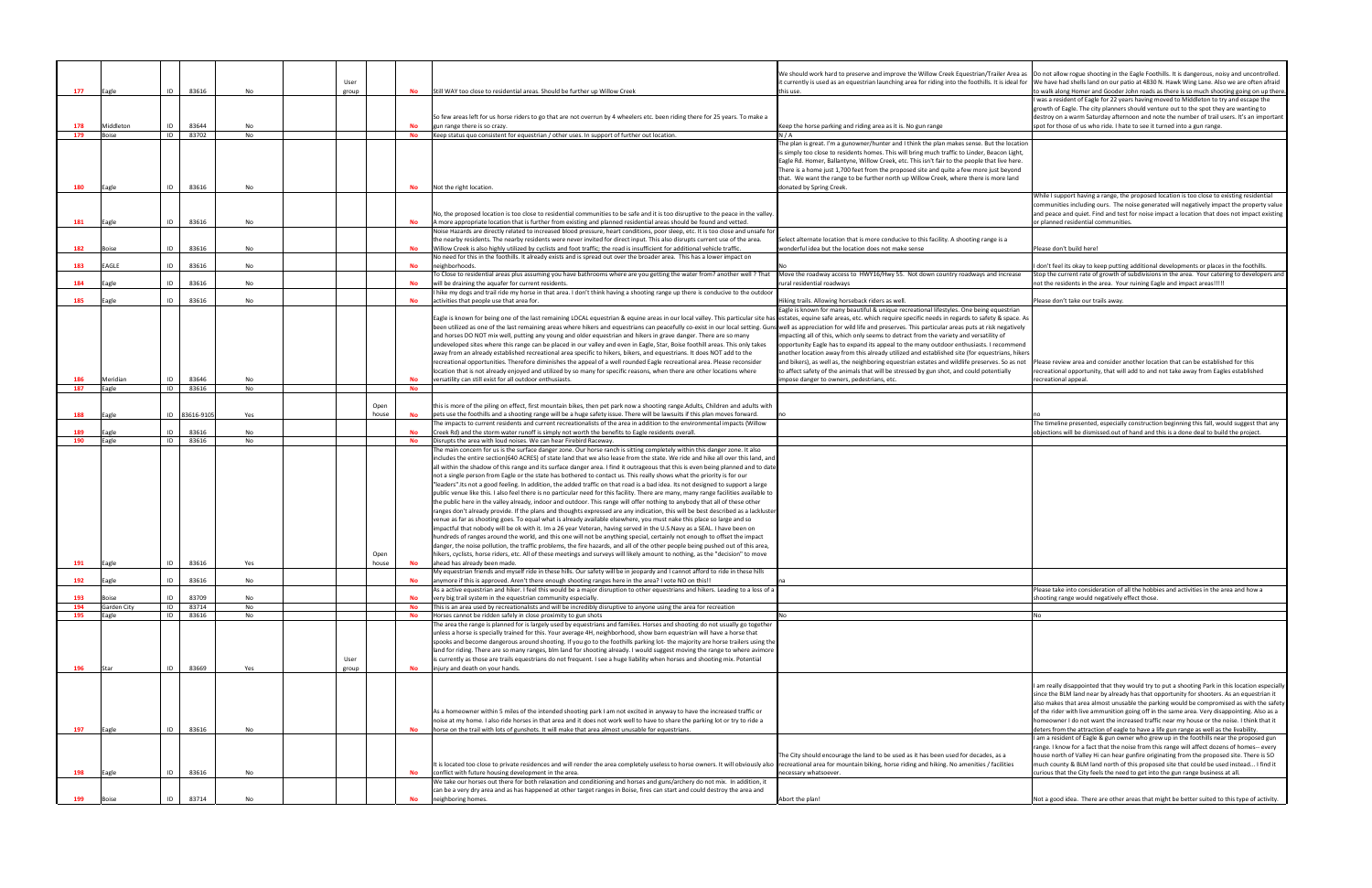|            |                    |                            |           |       |       |           |                                                                                                                                                                                                                                                                                                                                                                                                                                                                  | We should work hard to preserve and improve the Willow Creek Equestrian/Trailer Area as                                                                                                     | Do not allow rogue shooting in the Eagle Foothills. It is dangerous, noisy and uncontrolled                                                                                                                                                                                                                                                                                                                                                                                                                                                                                                                                                                                                                                                                          |
|------------|--------------------|----------------------------|-----------|-------|-------|-----------|------------------------------------------------------------------------------------------------------------------------------------------------------------------------------------------------------------------------------------------------------------------------------------------------------------------------------------------------------------------------------------------------------------------------------------------------------------------|---------------------------------------------------------------------------------------------------------------------------------------------------------------------------------------------|----------------------------------------------------------------------------------------------------------------------------------------------------------------------------------------------------------------------------------------------------------------------------------------------------------------------------------------------------------------------------------------------------------------------------------------------------------------------------------------------------------------------------------------------------------------------------------------------------------------------------------------------------------------------------------------------------------------------------------------------------------------------|
|            |                    |                            |           | User  |       |           |                                                                                                                                                                                                                                                                                                                                                                                                                                                                  | t currently is used as an equestrian launching area for riding into the foothills. It is ideal for We have had shells land on our patio at 4830 N. Hawk Wing Lane. Also we are often afraid |                                                                                                                                                                                                                                                                                                                                                                                                                                                                                                                                                                                                                                                                                                                                                                      |
| 177        | Eagle              | ID<br>83616                | No        | group |       |           | Still WAY too close to residential areas. Should be further up Willow Creek                                                                                                                                                                                                                                                                                                                                                                                      | his use.                                                                                                                                                                                    | to walk along Homer and Gooder John roads as there is so much shooting going on up the                                                                                                                                                                                                                                                                                                                                                                                                                                                                                                                                                                                                                                                                               |
|            |                    |                            |           |       |       |           |                                                                                                                                                                                                                                                                                                                                                                                                                                                                  |                                                                                                                                                                                             | I was a resident of Eagle for 22 years having moved to Middleton to try and escape the                                                                                                                                                                                                                                                                                                                                                                                                                                                                                                                                                                                                                                                                               |
|            |                    |                            |           |       |       |           |                                                                                                                                                                                                                                                                                                                                                                                                                                                                  |                                                                                                                                                                                             | growth of Eagle. The city planners should venture out to the spot they are wanting to                                                                                                                                                                                                                                                                                                                                                                                                                                                                                                                                                                                                                                                                                |
|            |                    |                            |           |       |       |           | So few areas left for us horse riders to go that are not overrun by 4 wheelers etc. been riding there for 25 years. To make a                                                                                                                                                                                                                                                                                                                                    |                                                                                                                                                                                             | destroy on a warm Saturday afternoon and note the number of trail users. It's an importa                                                                                                                                                                                                                                                                                                                                                                                                                                                                                                                                                                                                                                                                             |
| 178<br>179 | Middleton<br>Boise | 83644<br>ID<br>ID<br>83702 | No<br>No  |       |       | <b>No</b> | gun range there is so crazy.<br>Keep status quo consistent for equestrian / other uses. In support of further out location                                                                                                                                                                                                                                                                                                                                       | Geep the horse parking and riding area as it is. No gun range<br>N / A                                                                                                                      | spot for those of us who ride. I hate to see it turned into a gun range.                                                                                                                                                                                                                                                                                                                                                                                                                                                                                                                                                                                                                                                                                             |
|            |                    |                            |           |       |       |           |                                                                                                                                                                                                                                                                                                                                                                                                                                                                  | The plan is great. I'm a gunowner/hunter and I think the plan makes sense. But the locatior                                                                                                 |                                                                                                                                                                                                                                                                                                                                                                                                                                                                                                                                                                                                                                                                                                                                                                      |
|            |                    |                            |           |       |       |           |                                                                                                                                                                                                                                                                                                                                                                                                                                                                  | s simply too close to residents homes. This will bring much traffic to Linder, Beacon Light,                                                                                                |                                                                                                                                                                                                                                                                                                                                                                                                                                                                                                                                                                                                                                                                                                                                                                      |
|            |                    |                            |           |       |       |           |                                                                                                                                                                                                                                                                                                                                                                                                                                                                  | Eagle Rd. Homer, Ballantyne, Willow Creek, etc. This isn't fair to the people that live here.                                                                                               |                                                                                                                                                                                                                                                                                                                                                                                                                                                                                                                                                                                                                                                                                                                                                                      |
|            |                    |                            |           |       |       |           |                                                                                                                                                                                                                                                                                                                                                                                                                                                                  | There is a home just 1,700 feet from the proposed site and quite a few more just beyond                                                                                                     |                                                                                                                                                                                                                                                                                                                                                                                                                                                                                                                                                                                                                                                                                                                                                                      |
|            |                    |                            |           |       |       |           |                                                                                                                                                                                                                                                                                                                                                                                                                                                                  | that. We want the range to be further north up Willow Creek, where there is more land                                                                                                       |                                                                                                                                                                                                                                                                                                                                                                                                                                                                                                                                                                                                                                                                                                                                                                      |
| 180        | Eagle              | 83616<br>ID                | No        |       |       |           | No Not the right location.                                                                                                                                                                                                                                                                                                                                                                                                                                       | lonated by Spring Creek.                                                                                                                                                                    |                                                                                                                                                                                                                                                                                                                                                                                                                                                                                                                                                                                                                                                                                                                                                                      |
|            |                    |                            |           |       |       |           |                                                                                                                                                                                                                                                                                                                                                                                                                                                                  |                                                                                                                                                                                             | While I support having a range, the proposed location is too close to existing residential                                                                                                                                                                                                                                                                                                                                                                                                                                                                                                                                                                                                                                                                           |
|            |                    |                            |           |       |       |           |                                                                                                                                                                                                                                                                                                                                                                                                                                                                  |                                                                                                                                                                                             | communities including ours. The noise generated will negatively impact the property value                                                                                                                                                                                                                                                                                                                                                                                                                                                                                                                                                                                                                                                                            |
|            |                    | 83616<br>ID                | No        |       |       |           | No, the proposed location is too close to residential communities to be safe and it is too disruptive to the peace in the valley.<br>A more appropriate location that is further from existing and planned residential areas should be found and vetted.                                                                                                                                                                                                         |                                                                                                                                                                                             | and peace and quiet. Find and test for noise impact a location that does not impact existir<br>or planned residential communities.                                                                                                                                                                                                                                                                                                                                                                                                                                                                                                                                                                                                                                   |
| 181        | Eagle              |                            |           |       |       |           | Noise Hazards are directly related to increased blood pressure, heart conditions, poor sleep, etc. It is too close and unsafe for                                                                                                                                                                                                                                                                                                                                |                                                                                                                                                                                             |                                                                                                                                                                                                                                                                                                                                                                                                                                                                                                                                                                                                                                                                                                                                                                      |
|            |                    |                            |           |       |       |           | the nearby residents. The nearby residents were never invited for direct input. This also disrupts current use of the area.                                                                                                                                                                                                                                                                                                                                      | Select alternate location that is more conducive to this facility. A shooting range is a                                                                                                    |                                                                                                                                                                                                                                                                                                                                                                                                                                                                                                                                                                                                                                                                                                                                                                      |
| 182        | Boise              | 83616<br>ID                | No        |       |       |           | Willow Creek is also highly utilized by cyclists and foot traffic; the road is insufficient for additional vehicle traffic.                                                                                                                                                                                                                                                                                                                                      | onderful idea but the location does not make sense                                                                                                                                          | Please don't build here!                                                                                                                                                                                                                                                                                                                                                                                                                                                                                                                                                                                                                                                                                                                                             |
|            |                    |                            |           |       |       |           | No need for this in the foothills. It already exists and is spread out over the broader area. This has a lower impact on                                                                                                                                                                                                                                                                                                                                         |                                                                                                                                                                                             |                                                                                                                                                                                                                                                                                                                                                                                                                                                                                                                                                                                                                                                                                                                                                                      |
| 183        | <b>EAGLE</b>       | ID<br>83616                | No        |       |       |           | neighborhoods.                                                                                                                                                                                                                                                                                                                                                                                                                                                   |                                                                                                                                                                                             | I don't feel its okay to keep putting additional developments or places in the foothills.                                                                                                                                                                                                                                                                                                                                                                                                                                                                                                                                                                                                                                                                            |
|            |                    |                            |           |       |       |           | To Close to residential areas plus assuming you have bathrooms where are you getting the water from? another well? That                                                                                                                                                                                                                                                                                                                                          | Move the roadway access to HWY16/Hwy 55. Not down country roadways and increase                                                                                                             | Stop the current rate of growth of subdivisions in the area. Your catering to developers a                                                                                                                                                                                                                                                                                                                                                                                                                                                                                                                                                                                                                                                                           |
| 184        | Eagle              | ID<br>83616                | No        |       |       |           | will be draining the aquafer for current residents.                                                                                                                                                                                                                                                                                                                                                                                                              | ural residential roadways                                                                                                                                                                   | not the residents in the area. Your ruining Eagle and impact areas!!!!!                                                                                                                                                                                                                                                                                                                                                                                                                                                                                                                                                                                                                                                                                              |
|            |                    |                            |           |       |       |           | hike my dogs and trail ride my horse in that area. I don't think having a shooting range up there is conducive to the outdoor                                                                                                                                                                                                                                                                                                                                    |                                                                                                                                                                                             |                                                                                                                                                                                                                                                                                                                                                                                                                                                                                                                                                                                                                                                                                                                                                                      |
| 185        | Eagle              | 83616<br>ID                | No        |       |       |           | activities that people use that area for.                                                                                                                                                                                                                                                                                                                                                                                                                        | Hiking trails. Allowing horseback riders as well.                                                                                                                                           | Please don't take our trails away.                                                                                                                                                                                                                                                                                                                                                                                                                                                                                                                                                                                                                                                                                                                                   |
|            |                    |                            |           |       |       |           |                                                                                                                                                                                                                                                                                                                                                                                                                                                                  | Eagle is known for many beautiful & unique recreational lifestyles. One being equestrian                                                                                                    |                                                                                                                                                                                                                                                                                                                                                                                                                                                                                                                                                                                                                                                                                                                                                                      |
|            |                    |                            |           |       |       |           | Eagle is known for being one of the last remaining LOCAL equestrian & equine areas in our local valley. This particular site has estates, equine safe areas, etc. which require specific needs in regards to safety & space. A<br>been utilized as one of the last remaining areas where hikers and equestrians can peacefully co-exist in our local setting. Guns well as appreciation for wild life and preserves. This particular areas puts at risk negative |                                                                                                                                                                                             |                                                                                                                                                                                                                                                                                                                                                                                                                                                                                                                                                                                                                                                                                                                                                                      |
|            |                    |                            |           |       |       |           | and horses DO NOT mix well, putting any young and older equestrian and hikers in grave danger. There are so many                                                                                                                                                                                                                                                                                                                                                 | npacting all of this, which only seems to detract from the variety and versatility of                                                                                                       |                                                                                                                                                                                                                                                                                                                                                                                                                                                                                                                                                                                                                                                                                                                                                                      |
|            |                    |                            |           |       |       |           | undeveloped sites where this range can be placed in our valley and even in Eagle, Star, Boise foothill areas. This only takes                                                                                                                                                                                                                                                                                                                                    | opportunity Eagle has to expand its appeal to the many outdoor enthusiasts. I recommend                                                                                                     |                                                                                                                                                                                                                                                                                                                                                                                                                                                                                                                                                                                                                                                                                                                                                                      |
|            |                    |                            |           |       |       |           | away from an already established recreational area specific to hikers, bikers, and equestrians. It does NOT add to the                                                                                                                                                                                                                                                                                                                                           | another location away from this already utilized and established site (for equestrians, hikers                                                                                              |                                                                                                                                                                                                                                                                                                                                                                                                                                                                                                                                                                                                                                                                                                                                                                      |
|            |                    |                            |           |       |       |           | recreational opportunities. Therefore diminishes the appeal of a well rounded Eagle recreational area. Please reconsider                                                                                                                                                                                                                                                                                                                                         | ind bikers), as well as, the neighboring equestrian estates and wildlife preserves. So as not                                                                                               | Please review area and consider another location that can be established for this                                                                                                                                                                                                                                                                                                                                                                                                                                                                                                                                                                                                                                                                                    |
|            |                    |                            |           |       |       |           | location that is not already enjoyed and utilized by so many for specific reasons, when there are other locations where                                                                                                                                                                                                                                                                                                                                          | o affect safety of the animals that will be stressed by gun shot, and could potentially                                                                                                     | recreational opportunity, that will add to and not take away from Eagles established                                                                                                                                                                                                                                                                                                                                                                                                                                                                                                                                                                                                                                                                                 |
| 186        | Meridian           | 83646<br>ID                | No        |       |       |           | versatility can still exist for all outdoor enthusiasts.                                                                                                                                                                                                                                                                                                                                                                                                         | mpose danger to owners, pedestrians, etc.                                                                                                                                                   | recreational appeal.                                                                                                                                                                                                                                                                                                                                                                                                                                                                                                                                                                                                                                                                                                                                                 |
| 187        | Eagle              | ID<br>83616                | <b>No</b> |       |       | <b>No</b> |                                                                                                                                                                                                                                                                                                                                                                                                                                                                  |                                                                                                                                                                                             |                                                                                                                                                                                                                                                                                                                                                                                                                                                                                                                                                                                                                                                                                                                                                                      |
|            |                    |                            |           |       |       |           |                                                                                                                                                                                                                                                                                                                                                                                                                                                                  |                                                                                                                                                                                             |                                                                                                                                                                                                                                                                                                                                                                                                                                                                                                                                                                                                                                                                                                                                                                      |
|            |                    |                            |           |       | Open  |           | this is more of the piling on effect, first mountain bikes, then pet park now a shooting range. Adults, Children and adults with                                                                                                                                                                                                                                                                                                                                 |                                                                                                                                                                                             |                                                                                                                                                                                                                                                                                                                                                                                                                                                                                                                                                                                                                                                                                                                                                                      |
| 188        | Eagle              | ID<br>83616-910            | Yes       |       | house |           | pets use the foothills and a shooting range will be a huge safety issue. There will be lawsuits if this plan moves forward.                                                                                                                                                                                                                                                                                                                                      |                                                                                                                                                                                             |                                                                                                                                                                                                                                                                                                                                                                                                                                                                                                                                                                                                                                                                                                                                                                      |
| 189        | Eagle              | 83616<br>ID                | No        |       |       |           | The impacts to current residents and current recreationalists of the area in addition to the environmental impacts (Willow<br>Creek Rd) and the storm water runoff is simply not worth the benefits to Eagle residents overall.                                                                                                                                                                                                                                  |                                                                                                                                                                                             | The timeline presented, especially construction beginning this fall, would suggest that any<br>objections will be dismissed out of hand and this is a done deal to build the project.                                                                                                                                                                                                                                                                                                                                                                                                                                                                                                                                                                                |
| 190        | Eagle              | ID<br>83616                | No        |       |       | No        | Disrupts the area with loud noises. We can hear Firebird Raceway.                                                                                                                                                                                                                                                                                                                                                                                                |                                                                                                                                                                                             |                                                                                                                                                                                                                                                                                                                                                                                                                                                                                                                                                                                                                                                                                                                                                                      |
|            |                    |                            |           |       |       |           | The main concern for us is the surface danger zone. Our horse ranch is sitting completely within this danger zone. It also                                                                                                                                                                                                                                                                                                                                       |                                                                                                                                                                                             |                                                                                                                                                                                                                                                                                                                                                                                                                                                                                                                                                                                                                                                                                                                                                                      |
|            |                    |                            |           |       |       |           | includes the entire section(640 ACRES) of state land that we also lease from the state. We ride and hike all over this land, and                                                                                                                                                                                                                                                                                                                                 |                                                                                                                                                                                             |                                                                                                                                                                                                                                                                                                                                                                                                                                                                                                                                                                                                                                                                                                                                                                      |
|            |                    |                            |           |       |       |           |                                                                                                                                                                                                                                                                                                                                                                                                                                                                  |                                                                                                                                                                                             |                                                                                                                                                                                                                                                                                                                                                                                                                                                                                                                                                                                                                                                                                                                                                                      |
|            |                    |                            |           |       |       |           | all within the shadow of this range and its surface danger area. I find it outrageous that this is even being planned and to date                                                                                                                                                                                                                                                                                                                                |                                                                                                                                                                                             |                                                                                                                                                                                                                                                                                                                                                                                                                                                                                                                                                                                                                                                                                                                                                                      |
|            |                    |                            |           |       |       |           | not a single person from Eagle or the state has bothered to contact us. This really shows what the priority is for our                                                                                                                                                                                                                                                                                                                                           |                                                                                                                                                                                             |                                                                                                                                                                                                                                                                                                                                                                                                                                                                                                                                                                                                                                                                                                                                                                      |
|            |                    |                            |           |       |       |           | "leaders". Its not a good feeling. In addition, the added traffic on that road is a bad idea. Its not designed to support a large                                                                                                                                                                                                                                                                                                                                |                                                                                                                                                                                             |                                                                                                                                                                                                                                                                                                                                                                                                                                                                                                                                                                                                                                                                                                                                                                      |
|            |                    |                            |           |       |       |           | public venue like this. I also feel there is no particular need for this facility. There are many, many range facilities available to                                                                                                                                                                                                                                                                                                                            |                                                                                                                                                                                             |                                                                                                                                                                                                                                                                                                                                                                                                                                                                                                                                                                                                                                                                                                                                                                      |
|            |                    |                            |           |       |       |           | the public here in the valley already, indoor and outdoor. This range will offer nothing to anybody that all of these other                                                                                                                                                                                                                                                                                                                                      |                                                                                                                                                                                             |                                                                                                                                                                                                                                                                                                                                                                                                                                                                                                                                                                                                                                                                                                                                                                      |
|            |                    |                            |           |       |       |           | ranges don't already provide. If the plans and thoughts expressed are any indication, this will be best described as a lackluste                                                                                                                                                                                                                                                                                                                                 |                                                                                                                                                                                             |                                                                                                                                                                                                                                                                                                                                                                                                                                                                                                                                                                                                                                                                                                                                                                      |
|            |                    |                            |           |       |       |           | venue as far as shooting goes. To equal what is already available elsewhere, you must nake this place so large and so                                                                                                                                                                                                                                                                                                                                            |                                                                                                                                                                                             |                                                                                                                                                                                                                                                                                                                                                                                                                                                                                                                                                                                                                                                                                                                                                                      |
|            |                    |                            |           |       |       |           | impactful that nobody will be ok with it. Im a 26 year Veteran, having served in the U.S.Navy as a SEAL. I have been on                                                                                                                                                                                                                                                                                                                                          |                                                                                                                                                                                             |                                                                                                                                                                                                                                                                                                                                                                                                                                                                                                                                                                                                                                                                                                                                                                      |
|            |                    |                            |           |       |       |           | hundreds of ranges around the world, and this one will not be anything special, certainly not enough to offset the impact                                                                                                                                                                                                                                                                                                                                        |                                                                                                                                                                                             |                                                                                                                                                                                                                                                                                                                                                                                                                                                                                                                                                                                                                                                                                                                                                                      |
|            |                    |                            |           |       | Open  |           | danger, the noise pollution, the traffic problems, the fire hazards, and all of the other people being pushed out of this area,<br>hikers, cyclists, horse riders, etc. All of these meetings and surveys will likely amount to nothing, as the "decision" to move                                                                                                                                                                                               |                                                                                                                                                                                             |                                                                                                                                                                                                                                                                                                                                                                                                                                                                                                                                                                                                                                                                                                                                                                      |
| TAT        |                    | 83616<br>ישו               | res.      |       | nouse |           | ahead has already been made.                                                                                                                                                                                                                                                                                                                                                                                                                                     |                                                                                                                                                                                             |                                                                                                                                                                                                                                                                                                                                                                                                                                                                                                                                                                                                                                                                                                                                                                      |
|            |                    |                            |           |       |       |           | My equestrian friends and myself ride in these hills. Our safety will be in jeopardy and I cannot afford to ride in these hills                                                                                                                                                                                                                                                                                                                                  |                                                                                                                                                                                             |                                                                                                                                                                                                                                                                                                                                                                                                                                                                                                                                                                                                                                                                                                                                                                      |
| 192        | Eagle              | ID<br>83616                | No        |       |       |           | anymore if this is approved. Aren't there enough shooting ranges here in the area? I vote NO on this!!                                                                                                                                                                                                                                                                                                                                                           |                                                                                                                                                                                             |                                                                                                                                                                                                                                                                                                                                                                                                                                                                                                                                                                                                                                                                                                                                                                      |
|            |                    |                            |           |       |       |           | As a active equestrian and hiker. I feel this would be a major disruption to other equestrians and hikers. Leading to a loss of a                                                                                                                                                                                                                                                                                                                                |                                                                                                                                                                                             | Please take into consideration of all the hobbies and activities in the area and how a                                                                                                                                                                                                                                                                                                                                                                                                                                                                                                                                                                                                                                                                               |
| 193        | Boise              | 83709<br>ID                | No        |       |       |           | very big trail system in the equestrian community especially.                                                                                                                                                                                                                                                                                                                                                                                                    |                                                                                                                                                                                             | shooting range would negatively effect those                                                                                                                                                                                                                                                                                                                                                                                                                                                                                                                                                                                                                                                                                                                         |
| 194        | Garden City        | ID<br>83714                | No        |       |       | <b>No</b> | This is an area used by recreationalists and will be incredibly disruptive to anyone using the area for recreation                                                                                                                                                                                                                                                                                                                                               |                                                                                                                                                                                             |                                                                                                                                                                                                                                                                                                                                                                                                                                                                                                                                                                                                                                                                                                                                                                      |
| 195        | Eagle              | ID<br>83616                | No        |       |       | No        | Horses cannot be ridden safely in close proximity to gun shots                                                                                                                                                                                                                                                                                                                                                                                                   |                                                                                                                                                                                             | No                                                                                                                                                                                                                                                                                                                                                                                                                                                                                                                                                                                                                                                                                                                                                                   |
|            |                    |                            |           |       |       |           | The area the range is planned for is largely used by equestrians and families. Horses and shooting do not usually go together                                                                                                                                                                                                                                                                                                                                    |                                                                                                                                                                                             |                                                                                                                                                                                                                                                                                                                                                                                                                                                                                                                                                                                                                                                                                                                                                                      |
|            |                    |                            |           |       |       |           | unless a horse is specially trained for this. Your average 4H, neighborhood, show barn equestrian will have a horse that                                                                                                                                                                                                                                                                                                                                         |                                                                                                                                                                                             |                                                                                                                                                                                                                                                                                                                                                                                                                                                                                                                                                                                                                                                                                                                                                                      |
|            |                    |                            |           |       |       |           | spooks and become dangerous around shooting. If you go to the foothills parking lot-the majority are horse trailers using the<br>land for riding. There are so many ranges, blm land for shooting already. I would suggest moving the range to where avimore                                                                                                                                                                                                     |                                                                                                                                                                                             |                                                                                                                                                                                                                                                                                                                                                                                                                                                                                                                                                                                                                                                                                                                                                                      |
|            |                    |                            |           | User  |       |           | is currently as those are trails equestrians do not frequent. I see a huge liability when horses and shooting mix. Potential                                                                                                                                                                                                                                                                                                                                     |                                                                                                                                                                                             |                                                                                                                                                                                                                                                                                                                                                                                                                                                                                                                                                                                                                                                                                                                                                                      |
| 196        | Star               | 83669<br>ID                | Yes       | group |       | No        | injury and death on your hands.                                                                                                                                                                                                                                                                                                                                                                                                                                  |                                                                                                                                                                                             |                                                                                                                                                                                                                                                                                                                                                                                                                                                                                                                                                                                                                                                                                                                                                                      |
|            |                    |                            |           |       |       |           |                                                                                                                                                                                                                                                                                                                                                                                                                                                                  |                                                                                                                                                                                             |                                                                                                                                                                                                                                                                                                                                                                                                                                                                                                                                                                                                                                                                                                                                                                      |
|            |                    |                            |           |       |       |           |                                                                                                                                                                                                                                                                                                                                                                                                                                                                  |                                                                                                                                                                                             |                                                                                                                                                                                                                                                                                                                                                                                                                                                                                                                                                                                                                                                                                                                                                                      |
|            |                    |                            |           |       |       |           |                                                                                                                                                                                                                                                                                                                                                                                                                                                                  |                                                                                                                                                                                             |                                                                                                                                                                                                                                                                                                                                                                                                                                                                                                                                                                                                                                                                                                                                                                      |
|            |                    |                            |           |       |       |           |                                                                                                                                                                                                                                                                                                                                                                                                                                                                  |                                                                                                                                                                                             |                                                                                                                                                                                                                                                                                                                                                                                                                                                                                                                                                                                                                                                                                                                                                                      |
|            |                    |                            |           |       |       |           | As a homeowner within 5 miles of the intended shooting park I am not excited in anyway to have the increased traffic or                                                                                                                                                                                                                                                                                                                                          |                                                                                                                                                                                             |                                                                                                                                                                                                                                                                                                                                                                                                                                                                                                                                                                                                                                                                                                                                                                      |
|            |                    |                            |           |       |       |           | noise at my home. I also ride horses in that area and it does not work well to have to share the parking lot or try to ride a                                                                                                                                                                                                                                                                                                                                    |                                                                                                                                                                                             |                                                                                                                                                                                                                                                                                                                                                                                                                                                                                                                                                                                                                                                                                                                                                                      |
| 197        | Eagle              | 83616<br>ID                | No        |       |       |           | horse on the trail with lots of gunshots. It will make that area almost unusable for equestrians.                                                                                                                                                                                                                                                                                                                                                                |                                                                                                                                                                                             | deters from the attraction of eagle to have a life gun range as well as the livability.                                                                                                                                                                                                                                                                                                                                                                                                                                                                                                                                                                                                                                                                              |
|            |                    |                            |           |       |       |           |                                                                                                                                                                                                                                                                                                                                                                                                                                                                  |                                                                                                                                                                                             |                                                                                                                                                                                                                                                                                                                                                                                                                                                                                                                                                                                                                                                                                                                                                                      |
|            |                    |                            |           |       |       |           |                                                                                                                                                                                                                                                                                                                                                                                                                                                                  | The City should encourage the land to be used as it has been used for decades, as a                                                                                                         | house north of Valley Hi can hear gunfire originating from the proposed site. There is SO                                                                                                                                                                                                                                                                                                                                                                                                                                                                                                                                                                                                                                                                            |
|            |                    |                            |           |       |       |           | It is located too close to private residences and will render the area completely useless to horse owners. It will obviously also                                                                                                                                                                                                                                                                                                                                | recreational area for mountain biking, horse riding and hiking. No amenities / facilities                                                                                                   |                                                                                                                                                                                                                                                                                                                                                                                                                                                                                                                                                                                                                                                                                                                                                                      |
| 198        | Eagle              | 83616<br>ID                | No        |       |       |           | conflict with future housing development in the area.                                                                                                                                                                                                                                                                                                                                                                                                            | ecessary whatsoever.                                                                                                                                                                        | curious that the City feels the need to get into the gun range business at all.                                                                                                                                                                                                                                                                                                                                                                                                                                                                                                                                                                                                                                                                                      |
|            |                    |                            |           |       |       |           | We take our horses out there for both relaxation and conditioning and horses and guns/archery do not mix. In addition, it                                                                                                                                                                                                                                                                                                                                        |                                                                                                                                                                                             | I am really disappointed that they would try to put a shooting Park in this location especia<br>since the BLM land near by already has that opportunity for shooters. As an equestrian it<br>also makes that area almost unusable the parking would be compromised as with the safe<br>of the rider with live ammunition going off in the same area. Very disappointing. Also as a<br>homeowner I do not want the increased traffic near my house or the noise. I think that it<br>I am a resident of Eagle & gun owner who grew up in the foothills near the proposed gun<br>range. I know for a fact that the noise from this range will affect dozens of homes-- every<br>much county & BLM land north of this proposed site that could be used instead I find it |
| 199        | Boise              | 83714<br>ID                | No        |       |       |           | can be a very dry area and as has happened at other target ranges in Boise, fires can start and could destroy the area and<br>neighboring homes.                                                                                                                                                                                                                                                                                                                 | Abort the plan!                                                                                                                                                                             | Not a good idea. There are other areas that might be better suited to this type of activity                                                                                                                                                                                                                                                                                                                                                                                                                                                                                                                                                                                                                                                                          |

| erve and improve the Willow Creek Equestrian/Trailer Area as<br>strian launching area for riding into the foothills. It is ideal for                                                                                                                                                                                                                                                                                                                                | Do not allow rogue shooting in the Eagle Foothills. It is dangerous, noisy and uncontrolled.<br>We have had shells land on our patio at 4830 N. Hawk Wing Lane. Also we are often afraid<br>to walk along Homer and Gooder John roads as there is so much shooting going on up there.<br>I was a resident of Eagle for 22 years having moved to Middleton to try and escape the                                                                                                                                                                                                                                                                                                                                                                                                                                                                                                                                                                                                                                                                      |
|---------------------------------------------------------------------------------------------------------------------------------------------------------------------------------------------------------------------------------------------------------------------------------------------------------------------------------------------------------------------------------------------------------------------------------------------------------------------|------------------------------------------------------------------------------------------------------------------------------------------------------------------------------------------------------------------------------------------------------------------------------------------------------------------------------------------------------------------------------------------------------------------------------------------------------------------------------------------------------------------------------------------------------------------------------------------------------------------------------------------------------------------------------------------------------------------------------------------------------------------------------------------------------------------------------------------------------------------------------------------------------------------------------------------------------------------------------------------------------------------------------------------------------|
|                                                                                                                                                                                                                                                                                                                                                                                                                                                                     | growth of Eagle. The city planners should venture out to the spot they are wanting to<br>destroy on a warm Saturday afternoon and note the number of trail users. It's an important                                                                                                                                                                                                                                                                                                                                                                                                                                                                                                                                                                                                                                                                                                                                                                                                                                                                  |
| ding area as it is. No gun range                                                                                                                                                                                                                                                                                                                                                                                                                                    | spot for those of us who ride. I hate to see it turned into a gun range.                                                                                                                                                                                                                                                                                                                                                                                                                                                                                                                                                                                                                                                                                                                                                                                                                                                                                                                                                                             |
| ner/hunter and I think the plan makes sense. But the location                                                                                                                                                                                                                                                                                                                                                                                                       |                                                                                                                                                                                                                                                                                                                                                                                                                                                                                                                                                                                                                                                                                                                                                                                                                                                                                                                                                                                                                                                      |
| s homes. This will bring much traffic to Linder, Beacon Light,<br>Willow Creek, etc. This isn't fair to the people that live here.<br>et from the proposed site and quite a few more just beyond<br>e further north up Willow Creek, where there is more land                                                                                                                                                                                                       |                                                                                                                                                                                                                                                                                                                                                                                                                                                                                                                                                                                                                                                                                                                                                                                                                                                                                                                                                                                                                                                      |
|                                                                                                                                                                                                                                                                                                                                                                                                                                                                     | While I support having a range, the proposed location is too close to existing residential<br>communities including ours. The noise generated will negatively impact the property value<br>and peace and quiet. Find and test for noise impact a location that does not impact existing<br>or planned residential communities.                                                                                                                                                                                                                                                                                                                                                                                                                                                                                                                                                                                                                                                                                                                       |
| is more conducive to this facility. A shooting range is a<br>on does not make sense                                                                                                                                                                                                                                                                                                                                                                                 | Please don't build here!                                                                                                                                                                                                                                                                                                                                                                                                                                                                                                                                                                                                                                                                                                                                                                                                                                                                                                                                                                                                                             |
| HWY16/Hwy 55. Not down country roadways and increase                                                                                                                                                                                                                                                                                                                                                                                                                | I don't feel its okay to keep putting additional developments or places in the foothills.<br>Stop the current rate of growth of subdivisions in the area. Your catering to developers and<br>not the residents in the area. Your ruining Eagle and impact areas!!!!!                                                                                                                                                                                                                                                                                                                                                                                                                                                                                                                                                                                                                                                                                                                                                                                 |
| ack riders as well.                                                                                                                                                                                                                                                                                                                                                                                                                                                 | Please don't take our trails away.                                                                                                                                                                                                                                                                                                                                                                                                                                                                                                                                                                                                                                                                                                                                                                                                                                                                                                                                                                                                                   |
| tiful & unique recreational lifestyles. One being equestrian<br>. which require specific needs in regards to safety & space. As<br>fe and preserves. This particular areas puts at risk negatively<br>ly seems to detract from the variety and versatility of<br>nd its appeal to the many outdoor enthusiasts. I recommend<br>nis already utilized and established site (for equestrians, hikers<br>ighboring equestrian estates and wildlife preserves. So as not | Please review area and consider another location that can be established for this                                                                                                                                                                                                                                                                                                                                                                                                                                                                                                                                                                                                                                                                                                                                                                                                                                                                                                                                                                    |
| that will be stressed by gun shot, and could potentially                                                                                                                                                                                                                                                                                                                                                                                                            | recreational opportunity, that will add to and not take away from Eagles established                                                                                                                                                                                                                                                                                                                                                                                                                                                                                                                                                                                                                                                                                                                                                                                                                                                                                                                                                                 |
| destrians, etc.                                                                                                                                                                                                                                                                                                                                                                                                                                                     | recreational appeal.                                                                                                                                                                                                                                                                                                                                                                                                                                                                                                                                                                                                                                                                                                                                                                                                                                                                                                                                                                                                                                 |
|                                                                                                                                                                                                                                                                                                                                                                                                                                                                     |                                                                                                                                                                                                                                                                                                                                                                                                                                                                                                                                                                                                                                                                                                                                                                                                                                                                                                                                                                                                                                                      |
|                                                                                                                                                                                                                                                                                                                                                                                                                                                                     | no                                                                                                                                                                                                                                                                                                                                                                                                                                                                                                                                                                                                                                                                                                                                                                                                                                                                                                                                                                                                                                                   |
|                                                                                                                                                                                                                                                                                                                                                                                                                                                                     | The timeline presented, especially construction beginning this fall, would suggest that any<br>objections will be dismissed out of hand and this is a done deal to build the project.                                                                                                                                                                                                                                                                                                                                                                                                                                                                                                                                                                                                                                                                                                                                                                                                                                                                |
|                                                                                                                                                                                                                                                                                                                                                                                                                                                                     |                                                                                                                                                                                                                                                                                                                                                                                                                                                                                                                                                                                                                                                                                                                                                                                                                                                                                                                                                                                                                                                      |
|                                                                                                                                                                                                                                                                                                                                                                                                                                                                     |                                                                                                                                                                                                                                                                                                                                                                                                                                                                                                                                                                                                                                                                                                                                                                                                                                                                                                                                                                                                                                                      |
|                                                                                                                                                                                                                                                                                                                                                                                                                                                                     | Please take into consideration of all the hobbies and activities in the area and how a<br>shooting range would negatively effect those.                                                                                                                                                                                                                                                                                                                                                                                                                                                                                                                                                                                                                                                                                                                                                                                                                                                                                                              |
|                                                                                                                                                                                                                                                                                                                                                                                                                                                                     | No                                                                                                                                                                                                                                                                                                                                                                                                                                                                                                                                                                                                                                                                                                                                                                                                                                                                                                                                                                                                                                                   |
|                                                                                                                                                                                                                                                                                                                                                                                                                                                                     |                                                                                                                                                                                                                                                                                                                                                                                                                                                                                                                                                                                                                                                                                                                                                                                                                                                                                                                                                                                                                                                      |
| e land to be used as it has been used for decades, as a<br>n biking, horse riding and hiking. No amenities / facilities                                                                                                                                                                                                                                                                                                                                             | I am really disappointed that they would try to put a shooting Park in this location especially<br>since the BLM land near by already has that opportunity for shooters. As an equestrian it<br>also makes that area almost unusable the parking would be compromised as with the safety<br>of the rider with live ammunition going off in the same area. Very disappointing. Also as a<br>homeowner I do not want the increased traffic near my house or the noise. I think that it<br>deters from the attraction of eagle to have a life gun range as well as the livability.<br>I am a resident of Eagle & gun owner who grew up in the foothills near the proposed gun<br>range. I know for a fact that the noise from this range will affect dozens of homes-- every<br>house north of Valley Hi can hear gunfire originating from the proposed site. There is SO<br>much county & BLM land north of this proposed site that could be used instead I find it<br>curious that the City feels the need to get into the gun range business at all. |
|                                                                                                                                                                                                                                                                                                                                                                                                                                                                     | Not a good idea. There are other areas that might be better suited to this type of activity.                                                                                                                                                                                                                                                                                                                                                                                                                                                                                                                                                                                                                                                                                                                                                                                                                                                                                                                                                         |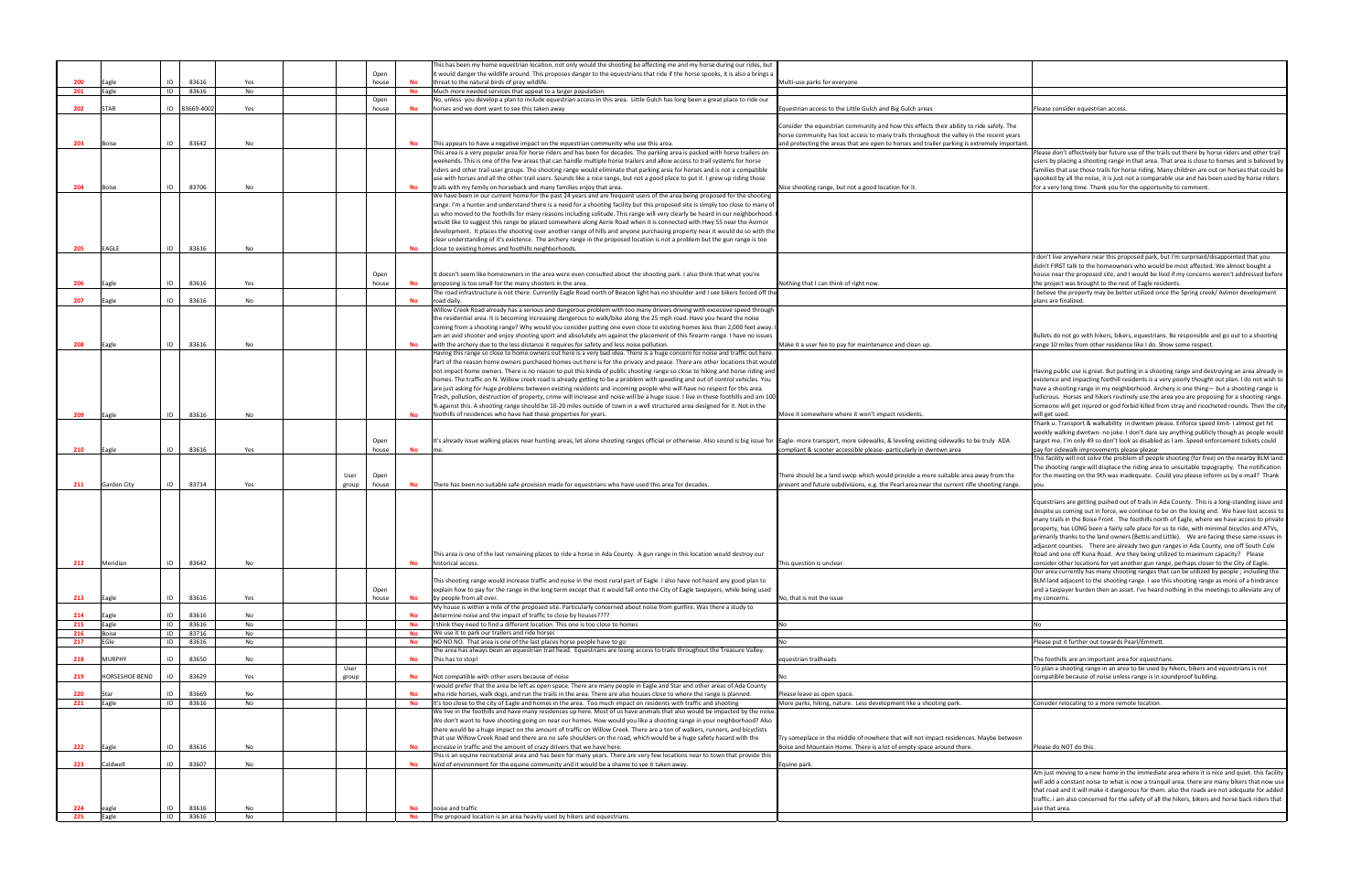| eas                                                                                                                      | Please consider equestrian access.                                                                                                                                                                                                                                                                                                                                                                                                                                                                                                                                                                                                                                      |
|--------------------------------------------------------------------------------------------------------------------------|-------------------------------------------------------------------------------------------------------------------------------------------------------------------------------------------------------------------------------------------------------------------------------------------------------------------------------------------------------------------------------------------------------------------------------------------------------------------------------------------------------------------------------------------------------------------------------------------------------------------------------------------------------------------------|
|                                                                                                                          |                                                                                                                                                                                                                                                                                                                                                                                                                                                                                                                                                                                                                                                                         |
| cts their ability to ride safely. The<br>ghout the valley in the recent years<br>trailer parking is extremely important. |                                                                                                                                                                                                                                                                                                                                                                                                                                                                                                                                                                                                                                                                         |
|                                                                                                                          | Please don't effectively bar future use of the trails out there by horse riders and other trail                                                                                                                                                                                                                                                                                                                                                                                                                                                                                                                                                                         |
|                                                                                                                          | users by placing a shooting range in that area. That area is close to homes and is beloved by<br>families that use those trails for horse riding. Many children are out on horses that could be<br>spooked by all the noise, it is just not a comparable use and has been used by horse riders                                                                                                                                                                                                                                                                                                                                                                          |
|                                                                                                                          | for a very long time. Thank you for the opportunity to comment.                                                                                                                                                                                                                                                                                                                                                                                                                                                                                                                                                                                                         |
|                                                                                                                          |                                                                                                                                                                                                                                                                                                                                                                                                                                                                                                                                                                                                                                                                         |
|                                                                                                                          |                                                                                                                                                                                                                                                                                                                                                                                                                                                                                                                                                                                                                                                                         |
|                                                                                                                          | I don't live anywhere near this proposed park, but I'm surprised/disappointed that you                                                                                                                                                                                                                                                                                                                                                                                                                                                                                                                                                                                  |
|                                                                                                                          | didn't FIRST talk to the homeowners who would be most affected. We almost bought a<br>house near the proposed site, and I would be livid if my concerns weren't addressed before                                                                                                                                                                                                                                                                                                                                                                                                                                                                                        |
|                                                                                                                          | the project was brought to the rest of Eagle residents.<br>I believe the property may be better utilized once the Spring creek/Avimor development                                                                                                                                                                                                                                                                                                                                                                                                                                                                                                                       |
|                                                                                                                          | plans are finalized.                                                                                                                                                                                                                                                                                                                                                                                                                                                                                                                                                                                                                                                    |
|                                                                                                                          |                                                                                                                                                                                                                                                                                                                                                                                                                                                                                                                                                                                                                                                                         |
| ıp.                                                                                                                      | Bullets do not go with hikers, bikers, equestrians. Be responsible and go out to a shooting<br>range 10 miles from other residence like I do. Show some respect.                                                                                                                                                                                                                                                                                                                                                                                                                                                                                                        |
|                                                                                                                          |                                                                                                                                                                                                                                                                                                                                                                                                                                                                                                                                                                                                                                                                         |
|                                                                                                                          | Having public use is great. But putting in a shooting range and destroying an area already in                                                                                                                                                                                                                                                                                                                                                                                                                                                                                                                                                                           |
|                                                                                                                          | existence and impacting foothill residents is a very poorly thought out plan. I do not wish to<br>have a shooting range in my neighborhood. Archery is one thing— but a shooting range is                                                                                                                                                                                                                                                                                                                                                                                                                                                                               |
|                                                                                                                          | ludicrous. Horses and hikers routinely use the area you are proposing for a shooting range.                                                                                                                                                                                                                                                                                                                                                                                                                                                                                                                                                                             |
|                                                                                                                          | Someone will get injured or god forbid killed from stray and ricocheted rounds. Then the city<br>will get sued.                                                                                                                                                                                                                                                                                                                                                                                                                                                                                                                                                         |
|                                                                                                                          | Thank u. Transport & walkability in dwntwn please. Enforce speed limit- I almost get hit                                                                                                                                                                                                                                                                                                                                                                                                                                                                                                                                                                                |
| sting sidewalks to be truly ADA                                                                                          | weekly walking dwntwn- no joke. I don't dare say anything publicly though as people would<br>target me. I'm only 49 so don't look as disabled as I am. Speed enforcement tickets could                                                                                                                                                                                                                                                                                                                                                                                                                                                                                  |
| dwntwn area                                                                                                              | pay for sidewalk improvements please please<br>This facility will not solve the problem of people shooting (for free) on the nearby BLM land.                                                                                                                                                                                                                                                                                                                                                                                                                                                                                                                           |
| nore suitable area away from the                                                                                         | The shooting range will displace the riding area to unsuitable topography. The notification<br>for the meeting on the 9th was inadequate. Could you please inform us by e-mail? Thank                                                                                                                                                                                                                                                                                                                                                                                                                                                                                   |
| ar the current rifle shooting range.                                                                                     | you.                                                                                                                                                                                                                                                                                                                                                                                                                                                                                                                                                                                                                                                                    |
|                                                                                                                          | Equestrians are getting pushed out of trails in Ada County. This is a long-standing issue and<br>despite us coming out in force, we continue to be on the losing end. We have lost access to<br>many trails in the Boise Front. The foothills north of Eagle, where we have access to private<br>property, has LONG been a fairly safe place for us to ride, with minimal bicycles and ATVs,<br>primarily thanks to the land owners (Bettis and Little). We are facing these same issues in<br>adjacent counties. There are already two gun ranges in Ada County, one off South Cole<br>Road and one off Kuna Road. Are they being utilized to maximum capacity? Please |
|                                                                                                                          | consider other locations for yet another gun range, perhaps closer to the City of Eagle.                                                                                                                                                                                                                                                                                                                                                                                                                                                                                                                                                                                |
|                                                                                                                          | Our area currently has many shooting ranges that can be utilized by people; including the<br>BLM land adjacent to the shooting range. I see this shooting range as more of a hindrance<br>and a taxpayer burden then an asset. I've heard nothing in the meetings to alleviate any of<br>my concerns.                                                                                                                                                                                                                                                                                                                                                                   |
|                                                                                                                          |                                                                                                                                                                                                                                                                                                                                                                                                                                                                                                                                                                                                                                                                         |
|                                                                                                                          | No                                                                                                                                                                                                                                                                                                                                                                                                                                                                                                                                                                                                                                                                      |
|                                                                                                                          | Please put it further out towards Pearl/Emmett.                                                                                                                                                                                                                                                                                                                                                                                                                                                                                                                                                                                                                         |
|                                                                                                                          | The foothills are an important area for equestrians.                                                                                                                                                                                                                                                                                                                                                                                                                                                                                                                                                                                                                    |
|                                                                                                                          | To plan a shooting range in an area to be used by hikers, bikers and equestrians is not<br>compatible because of noise unless range is in soundproof building.                                                                                                                                                                                                                                                                                                                                                                                                                                                                                                          |
|                                                                                                                          |                                                                                                                                                                                                                                                                                                                                                                                                                                                                                                                                                                                                                                                                         |
| hooting park.                                                                                                            | Consider relocating to a more remote location.                                                                                                                                                                                                                                                                                                                                                                                                                                                                                                                                                                                                                          |
|                                                                                                                          |                                                                                                                                                                                                                                                                                                                                                                                                                                                                                                                                                                                                                                                                         |
| impact residences. Maybe between<br>ace around there.                                                                    | Please do NOT do this.                                                                                                                                                                                                                                                                                                                                                                                                                                                                                                                                                                                                                                                  |
|                                                                                                                          |                                                                                                                                                                                                                                                                                                                                                                                                                                                                                                                                                                                                                                                                         |
|                                                                                                                          | Am just moving to a new home in the immediate area where it is nice and quiet. this facility<br>will add a constant noise to what is now a tranquil area. there are many bikers that now use<br>that road and it will make it dangerous for them. also the roads are not adequate for added<br>traffic. i am also concerned for the safety of all the hikers, bikers and horse back riders that<br>use that area.                                                                                                                                                                                                                                                       |
|                                                                                                                          |                                                                                                                                                                                                                                                                                                                                                                                                                                                                                                                                                                                                                                                                         |

|            |                     |                      |                |           |       |               |           | This has been my home equestrian location, not only would the shooting be affecting me and my horse during our rides, but                                                                                                                                       |                                                                                              |                                                                                                                                                                                                                                                                                                                                                                                                                                                                            |
|------------|---------------------|----------------------|----------------|-----------|-------|---------------|-----------|-----------------------------------------------------------------------------------------------------------------------------------------------------------------------------------------------------------------------------------------------------------------|----------------------------------------------------------------------------------------------|----------------------------------------------------------------------------------------------------------------------------------------------------------------------------------------------------------------------------------------------------------------------------------------------------------------------------------------------------------------------------------------------------------------------------------------------------------------------------|
| 200        |                     | ID                   | 83616          | Yes       |       | Open<br>house | No        | t would danger the wildlife around. This proposes danger to the equestrians that ride if the horse spooks, it is also a brings a<br>threat to the natural birds of prey wildlife.                                                                               | Multi-use parks for everyone                                                                 |                                                                                                                                                                                                                                                                                                                                                                                                                                                                            |
| 201        | Eagle<br>Eagle      | ID                   | 83616          | No        |       |               | <b>No</b> | Much more needed services that appeal to a larger population.                                                                                                                                                                                                   |                                                                                              |                                                                                                                                                                                                                                                                                                                                                                                                                                                                            |
|            |                     |                      |                |           |       | Open          |           | No, unless you develop a plan to include equestrian access in this area. Little Gulch has long been a great place to ride our                                                                                                                                   |                                                                                              |                                                                                                                                                                                                                                                                                                                                                                                                                                                                            |
| 202        | <b>STAR</b>         |                      | ID 83669-4002  | Yes       |       | house         | No        | horses and we dont want to see this taken away                                                                                                                                                                                                                  | Equestrian access to the Little Gulch and Big Gulch areas                                    | Please consider equestrian access.                                                                                                                                                                                                                                                                                                                                                                                                                                         |
|            |                     |                      |                |           |       |               |           |                                                                                                                                                                                                                                                                 | Consider the equestrian community and how this effects their ability to ride safely. The     |                                                                                                                                                                                                                                                                                                                                                                                                                                                                            |
|            |                     |                      |                |           |       |               |           |                                                                                                                                                                                                                                                                 | horse community has lost access to many trails throughout the valley in the recent years     |                                                                                                                                                                                                                                                                                                                                                                                                                                                                            |
| 203        | <b>Boise</b>        | ID                   | 83642          | No        |       |               | No        | This appears to have a negative impact on the equestrian community who use this area.                                                                                                                                                                           | and protecting the areas that are open to horses and trailer parking is extremely important. |                                                                                                                                                                                                                                                                                                                                                                                                                                                                            |
|            |                     |                      |                |           |       |               |           | This area is a very popular area for horse riders and has been for decades. The parking area is packed with horse trailers on<br>weekends. This is one of the few areas that can handle multiple horse trailers and allow access to trail systems for horse     |                                                                                              | Please don't effectively bar future use of the trails out there by horse riders and other tra<br>users by placing a shooting range in that area. That area is close to homes and is beloved                                                                                                                                                                                                                                                                                |
|            |                     |                      |                |           |       |               |           | riders and other trail user groups. The shooting range would eliminate that parking area for horses and is not a compatible                                                                                                                                     |                                                                                              | families that use those trails for horse riding. Many children are out on horses that could                                                                                                                                                                                                                                                                                                                                                                                |
|            |                     |                      |                |           |       |               |           | use with horses and all the other trail users. Sounds like a nice range, but not a good place to put it. I grew up riding those                                                                                                                                 |                                                                                              | spooked by all the noise, it is just not a comparable use and has been used by horse rider                                                                                                                                                                                                                                                                                                                                                                                 |
| 204        | <b>Boise</b>        | ID                   | 83706          | No        |       |               | No        | trails with my family on horseback and many families enjoy that area.                                                                                                                                                                                           | Nice shooting range, but not a good location for it.                                         | for a very long time. Thank you for the opportunity to comment.                                                                                                                                                                                                                                                                                                                                                                                                            |
|            |                     |                      |                |           |       |               |           | We have been in our current home for the past 24 years and are frequent users of the area being proposed for the shooting<br>range. I'm a hunter and understand there is a need for a shooting facility but this proposed site is simply too close to many o'   |                                                                                              |                                                                                                                                                                                                                                                                                                                                                                                                                                                                            |
|            |                     |                      |                |           |       |               |           | us who moved to the foothills for many reasons including solitude. This range will very clearly be heard in our neighborhood.                                                                                                                                   |                                                                                              |                                                                                                                                                                                                                                                                                                                                                                                                                                                                            |
|            |                     |                      |                |           |       |               |           | would like to suggest this range be placed somewhere along Aerie Road when it is connected with Hwy 55 near the Avimor                                                                                                                                          |                                                                                              |                                                                                                                                                                                                                                                                                                                                                                                                                                                                            |
|            |                     |                      |                |           |       |               |           | development. It places the shooting over another range of hills and anyone purchasing property near it would do so with the                                                                                                                                     |                                                                                              |                                                                                                                                                                                                                                                                                                                                                                                                                                                                            |
|            | <b>EAGLE</b>        |                      | 83616          |           |       |               |           | clear understanding of it's existence. The archery range in the proposed location is not a problem but the gun range is too                                                                                                                                     |                                                                                              |                                                                                                                                                                                                                                                                                                                                                                                                                                                                            |
| 205        |                     | ID                   |                | No        |       |               | No        | close to existing homes and foothills neighborhoods.                                                                                                                                                                                                            |                                                                                              | I don't live anywhere near this proposed park, but I'm surprised/disappointed that you                                                                                                                                                                                                                                                                                                                                                                                     |
|            |                     |                      |                |           |       |               |           |                                                                                                                                                                                                                                                                 |                                                                                              | didn't FIRST talk to the homeowners who would be most affected. We almost bought a                                                                                                                                                                                                                                                                                                                                                                                         |
|            |                     |                      |                |           |       | Open          |           | t doesn't seem like homeowners in the area were even consulted about the shooting park. I also think that what you're                                                                                                                                           |                                                                                              | house near the proposed site, and I would be livid if my concerns weren't addressed before                                                                                                                                                                                                                                                                                                                                                                                 |
| 206        | Eagle               | ID                   | 83616          | Yes       |       | house         | No        | proposing is too small for the many shooters in the area.                                                                                                                                                                                                       | Nothing that I can think of right now.                                                       | the project was brought to the rest of Eagle residents.                                                                                                                                                                                                                                                                                                                                                                                                                    |
| 207        | agle                | ID                   | 83616          | No        |       |               | No        | The road infrastructure is not there. Currently Eagle Road north of Beacon light has no shoulder and I see bikers forced off th<br>road daily.                                                                                                                  |                                                                                              | I believe the property may be better utilized once the Spring creek/ Avimor development<br>plans are finalized.                                                                                                                                                                                                                                                                                                                                                            |
|            |                     |                      |                |           |       |               |           | Willow Creek Road already has a serious and dangerous problem with too many drivers driving with excessive speed through                                                                                                                                        |                                                                                              |                                                                                                                                                                                                                                                                                                                                                                                                                                                                            |
|            |                     |                      |                |           |       |               |           | the residential area. It is becoming increasing dangerous to walk/bike along the 25 mph road. Have you heard the noise                                                                                                                                          |                                                                                              |                                                                                                                                                                                                                                                                                                                                                                                                                                                                            |
|            |                     |                      |                |           |       |               |           | coming from a shooting range? Why would you consider putting one even close to existing homes less than 2,000 feet away.                                                                                                                                        |                                                                                              |                                                                                                                                                                                                                                                                                                                                                                                                                                                                            |
| 208        |                     | ID                   | 83616          | No        |       |               | No        | am an avid shooter and enjoy shooting sport and absolutely am against the placement of this firearm range. I have no issues<br>with the archery due to the less distance it requires for safety and less noise pollution.                                       | Make it a user fee to pay for maintenance and clean up.                                      | Bullets do not go with hikers, bikers, equestrians. Be responsible and go out to a shooting<br>range 10 miles from other residence like I do. Show some respect.                                                                                                                                                                                                                                                                                                           |
|            | Eagle               |                      |                |           |       |               |           | Having this range so close to home owners out here is a very bad idea. There is a huge concern for noise and traffic out here                                                                                                                                   |                                                                                              |                                                                                                                                                                                                                                                                                                                                                                                                                                                                            |
|            |                     |                      |                |           |       |               |           | Part of the reason home owners purchased homes out here is for the privacy and peace. There are other locations that would                                                                                                                                      |                                                                                              |                                                                                                                                                                                                                                                                                                                                                                                                                                                                            |
|            |                     |                      |                |           |       |               |           | not impact home owners. There is no reason to put this kinda of public shooting range so close to hiking and horse riding and                                                                                                                                   |                                                                                              | Having public use is great. But putting in a shooting range and destroying an area already                                                                                                                                                                                                                                                                                                                                                                                 |
|            |                     |                      |                |           |       |               |           | homes. The traffic on N. Willow creek road is already getting to be a problem with speeding and out of control vehicles. You                                                                                                                                    |                                                                                              | existence and impacting foothill residents is a very poorly thought out plan. I do not wish                                                                                                                                                                                                                                                                                                                                                                                |
|            |                     |                      |                |           |       |               |           | are just asking for huge problems between existing residents and incoming people who will have no respect for this area.<br>Trash, pollution, destruction of property, crime will increase and noise will be a huge issue. I live in these foothills and am 100 |                                                                                              | have a shooting range in my neighborhood. Archery is one thing- but a shooting range is<br>ludicrous. Horses and hikers routinely use the area you are proposing for a shooting rang                                                                                                                                                                                                                                                                                       |
|            |                     |                      |                |           |       |               |           | % against this. A shooting range should be 10-20 miles outside of town in a well structured area designed for it. Not in the                                                                                                                                    |                                                                                              | Someone will get injured or god forbid killed from stray and ricocheted rounds. Then the                                                                                                                                                                                                                                                                                                                                                                                   |
| 209        | Eagle               | ID                   | 83616          | No        |       |               | No        | foothills of residences who have had these properties for years.                                                                                                                                                                                                | Move it somewhere where it won't impact residents                                            | will get sued.                                                                                                                                                                                                                                                                                                                                                                                                                                                             |
|            |                     |                      |                |           |       |               |           |                                                                                                                                                                                                                                                                 |                                                                                              | Thank u. Transport & walkability in dwntwn please. Enforce speed limit- I almost get hit                                                                                                                                                                                                                                                                                                                                                                                   |
|            |                     |                      |                |           |       |               |           |                                                                                                                                                                                                                                                                 |                                                                                              | weekly walking dwntwn- no joke. I don't dare say anything publicly though as people wor                                                                                                                                                                                                                                                                                                                                                                                    |
| 210        | Eagle               | ID                   | 83616          | Yes       |       | Open<br>house | No        | It's already issue walking places near hunting areas, let alone shooting ranges official or otherwise. Also sound is big issue for [Eagle- more transport, more sidewalks, & leveling existing sidewalks to be truly ADA                                        | compliant & scooter accessible please- particularly in dwntwn area                           | target me. I'm only 49 so don't look as disabled as I am. Speed enforcement tickets could<br>pay for sidewalk improvements please please                                                                                                                                                                                                                                                                                                                                   |
|            |                     |                      |                |           |       |               |           |                                                                                                                                                                                                                                                                 |                                                                                              | This facility will not solve the problem of people shooting (for free) on the nearby BLM lat                                                                                                                                                                                                                                                                                                                                                                               |
|            |                     |                      |                |           |       |               |           |                                                                                                                                                                                                                                                                 |                                                                                              | The shooting range will displace the riding area to unsuitable topography. The notification                                                                                                                                                                                                                                                                                                                                                                                |
|            |                     |                      |                |           | User  | Open          |           |                                                                                                                                                                                                                                                                 | There should be a land swop which would provide a more suitable area away from the           | for the meeting on the 9th was inadequate. Could you please inform us by e-mail? Than                                                                                                                                                                                                                                                                                                                                                                                      |
| 211        | Garden City         | ID                   | 83714          | Yes       | group | house         | <b>No</b> | There has been no suitable safe provision made for equestrians who have used this area for decades.                                                                                                                                                             | present and future subdivisions, e.g. the Pearl area near the current rifle shooting range.  |                                                                                                                                                                                                                                                                                                                                                                                                                                                                            |
|            |                     |                      |                |           |       |               |           |                                                                                                                                                                                                                                                                 |                                                                                              | Equestrians are getting pushed out of trails in Ada County. This is a long-standing issue a                                                                                                                                                                                                                                                                                                                                                                                |
|            |                     |                      |                |           |       |               |           |                                                                                                                                                                                                                                                                 |                                                                                              | despite us coming out in force, we continue to be on the losing end. We have lost access                                                                                                                                                                                                                                                                                                                                                                                   |
|            |                     |                      |                |           |       |               |           |                                                                                                                                                                                                                                                                 |                                                                                              | many trails in the Boise Front. The foothills north of Eagle, where we have access to prival                                                                                                                                                                                                                                                                                                                                                                               |
|            |                     |                      |                |           |       |               |           |                                                                                                                                                                                                                                                                 |                                                                                              | property, has LONG been a fairly safe place for us to ride, with minimal bicycles and ATVs<br>primarily thanks to the land owners (Bettis and Little). We are facing these same issues                                                                                                                                                                                                                                                                                     |
|            |                     |                      |                |           |       |               |           |                                                                                                                                                                                                                                                                 |                                                                                              |                                                                                                                                                                                                                                                                                                                                                                                                                                                                            |
|            |                     |                      |                |           |       |               |           |                                                                                                                                                                                                                                                                 |                                                                                              |                                                                                                                                                                                                                                                                                                                                                                                                                                                                            |
| 212        | Meridian            | ID   83642           |                |           |       |               |           | This area is one of the last remaining places to ride a horse in Ada County. A gun range in this location would destroy our                                                                                                                                     |                                                                                              | Road and one off Kuna Road. Are they being utilized to maximum capacity? Please                                                                                                                                                                                                                                                                                                                                                                                            |
|            |                     |                      |                | No        |       |               | <b>No</b> | historical access.                                                                                                                                                                                                                                              | This question is unclear.                                                                    |                                                                                                                                                                                                                                                                                                                                                                                                                                                                            |
|            |                     |                      |                |           |       |               |           |                                                                                                                                                                                                                                                                 |                                                                                              |                                                                                                                                                                                                                                                                                                                                                                                                                                                                            |
|            |                     |                      |                |           |       | Open          |           | This shooting range would increase traffic and noise in the most rural part of Eagle. I also have not heard any good plan to<br>explain how to pay for the range in the long term except that it would fall onto the City of Eagle taxpayers, while being used  |                                                                                              |                                                                                                                                                                                                                                                                                                                                                                                                                                                                            |
| 213        | Eagle               | ID                   | 83616          | Yes       |       | house         | No        | by people from all over.                                                                                                                                                                                                                                        | No. that is not the issue                                                                    | my concerns.                                                                                                                                                                                                                                                                                                                                                                                                                                                               |
|            |                     |                      |                |           |       |               |           | My house is within a mile of the proposed site. Particularly concerned about noise from gunfire. Was there a study to                                                                                                                                           |                                                                                              |                                                                                                                                                                                                                                                                                                                                                                                                                                                                            |
| 214        | Eagle               | ID                   | 83616          | <b>No</b> |       |               | <b>No</b> | determine noise and the impact of traffic to close by houses????                                                                                                                                                                                                |                                                                                              | adjacent counties. There are already two gun ranges in Ada County, one off South Cole<br>consider other locations for yet another gun range, perhaps closer to the City of Eagle.<br>Our area currently has many shooting ranges that can be utilized by people; including the<br>BLM land adjacent to the shooting range. I see this shooting range as more of a hindrance<br>and a taxpayer burden then an asset. I've heard nothing in the meetings to alleviate any of |
| 215        | Eagle               |                      | ID 83616       | No        |       |               | <b>No</b> | I think they need to find a different location. This one is too close to homes                                                                                                                                                                                  | N <sub>0</sub>                                                                               |                                                                                                                                                                                                                                                                                                                                                                                                                                                                            |
| 216<br>217 | <b>Boise</b><br>Gle | $\overline{D}$<br>ID | 83716<br>83616 | No<br>No  |       |               | No<br>No  | We use it to park our trailers and ride horses<br>NO NO NO. That area is one of the last places horse people have to go                                                                                                                                         |                                                                                              | Please put it further out towards Pearl/Emmett.                                                                                                                                                                                                                                                                                                                                                                                                                            |
|            |                     |                      |                |           |       |               |           | The area has always been an equestrian trail head. Equestrians are losing access to trails throughout the Treasure Valley.                                                                                                                                      |                                                                                              |                                                                                                                                                                                                                                                                                                                                                                                                                                                                            |
| 218        | <b>AURPHY</b>       | ID                   | 83650          | No        |       |               | No        | This has to stop!                                                                                                                                                                                                                                               | equestrian trailheads                                                                        | The foothills are an important area for equestrians.                                                                                                                                                                                                                                                                                                                                                                                                                       |
|            |                     |                      |                |           | User  |               |           |                                                                                                                                                                                                                                                                 |                                                                                              | To plan a shooting range in an area to be used by hikers, bikers and equestrians is not                                                                                                                                                                                                                                                                                                                                                                                    |
| 219        | HORSESHOE BEND      | ID                   | 83629          | Yes       | group |               | No        | Not compatible with other users because of noise<br>would prefer that the area be left as open space. There are many people in Eagle and Star and other areas of Ada County                                                                                     |                                                                                              | compatible because of noise unless range is in soundproof building.                                                                                                                                                                                                                                                                                                                                                                                                        |
| 220        | Star                | ID                   | 83669          | No        |       |               | <b>No</b> | who ride horses, walk dogs, and run the trails in the area. There are also houses close to where the range is planned.                                                                                                                                          | Please leave as open space.                                                                  |                                                                                                                                                                                                                                                                                                                                                                                                                                                                            |
| 221        | Eagle               | ID                   | 83616          | No        |       |               | No        | It's too close to the city of Eagle and homes in the area. Too much impact on residents with traffic and shooting                                                                                                                                               | More parks, hiking, nature. Less development like a shooting park.                           | Consider relocating to a more remote location.                                                                                                                                                                                                                                                                                                                                                                                                                             |
|            |                     |                      |                |           |       |               |           | We live in the foothills and have many residences up here. Most of us have animals that also would be impacted by the noise.                                                                                                                                    |                                                                                              |                                                                                                                                                                                                                                                                                                                                                                                                                                                                            |
|            |                     |                      |                |           |       |               |           | We don't want to have shooting going on near our homes. How would you like a shooting range in your neighborhood? Also                                                                                                                                          |                                                                                              |                                                                                                                                                                                                                                                                                                                                                                                                                                                                            |
|            |                     |                      |                |           |       |               |           | there would be a huge impact on the amount of traffic on Willow Creek. There are a ton of walkers, runners, and bicyclists<br>that use Willow Creek Road and there are no safe shoulders on the road, which would be a huge safety hazard with the              | Try someplace in the middle of nowhere that will not impact residences. Maybe between        |                                                                                                                                                                                                                                                                                                                                                                                                                                                                            |
| 222        | Eagle               | ID                   | 83616          | No        |       |               | <b>No</b> | increase in traffic and the amount of crazy drivers that we have here.                                                                                                                                                                                          | Boise and Mountain Home. There is a lot of empty space around there.                         | Please do NOT do this.                                                                                                                                                                                                                                                                                                                                                                                                                                                     |
|            |                     |                      |                |           |       |               |           | This is an equine recreational area and has been for many years. There are very few locations near to town that provide this                                                                                                                                    |                                                                                              |                                                                                                                                                                                                                                                                                                                                                                                                                                                                            |
| 223        | Caldwell            | ID                   | 83607          | No        |       |               | No        | kind of environment for the equine community and it would be a shame to see it taken away.                                                                                                                                                                      | Equine park.                                                                                 |                                                                                                                                                                                                                                                                                                                                                                                                                                                                            |
|            |                     |                      |                |           |       |               |           |                                                                                                                                                                                                                                                                 |                                                                                              | Am just moving to a new home in the immediate area where it is nice and quiet. this facil                                                                                                                                                                                                                                                                                                                                                                                  |
|            |                     |                      |                |           |       |               |           |                                                                                                                                                                                                                                                                 |                                                                                              | will add a constant noise to what is now a tranquil area. there are many bikers that now i<br>that road and it will make it dangerous for them. also the roads are not adequate for add                                                                                                                                                                                                                                                                                    |
|            |                     |                      |                |           |       |               |           |                                                                                                                                                                                                                                                                 |                                                                                              | traffic. i am also concerned for the safety of all the hikers, bikers and horse back riders th                                                                                                                                                                                                                                                                                                                                                                             |
| 224<br>225 | eagle<br>Eagle      | ID<br>ID             | 83616<br>83616 | No<br>No  |       |               | No<br>No  | noise and traffic<br>The proposed location is an area heavily used by hikers and equestrians.                                                                                                                                                                   |                                                                                              | use that area.                                                                                                                                                                                                                                                                                                                                                                                                                                                             |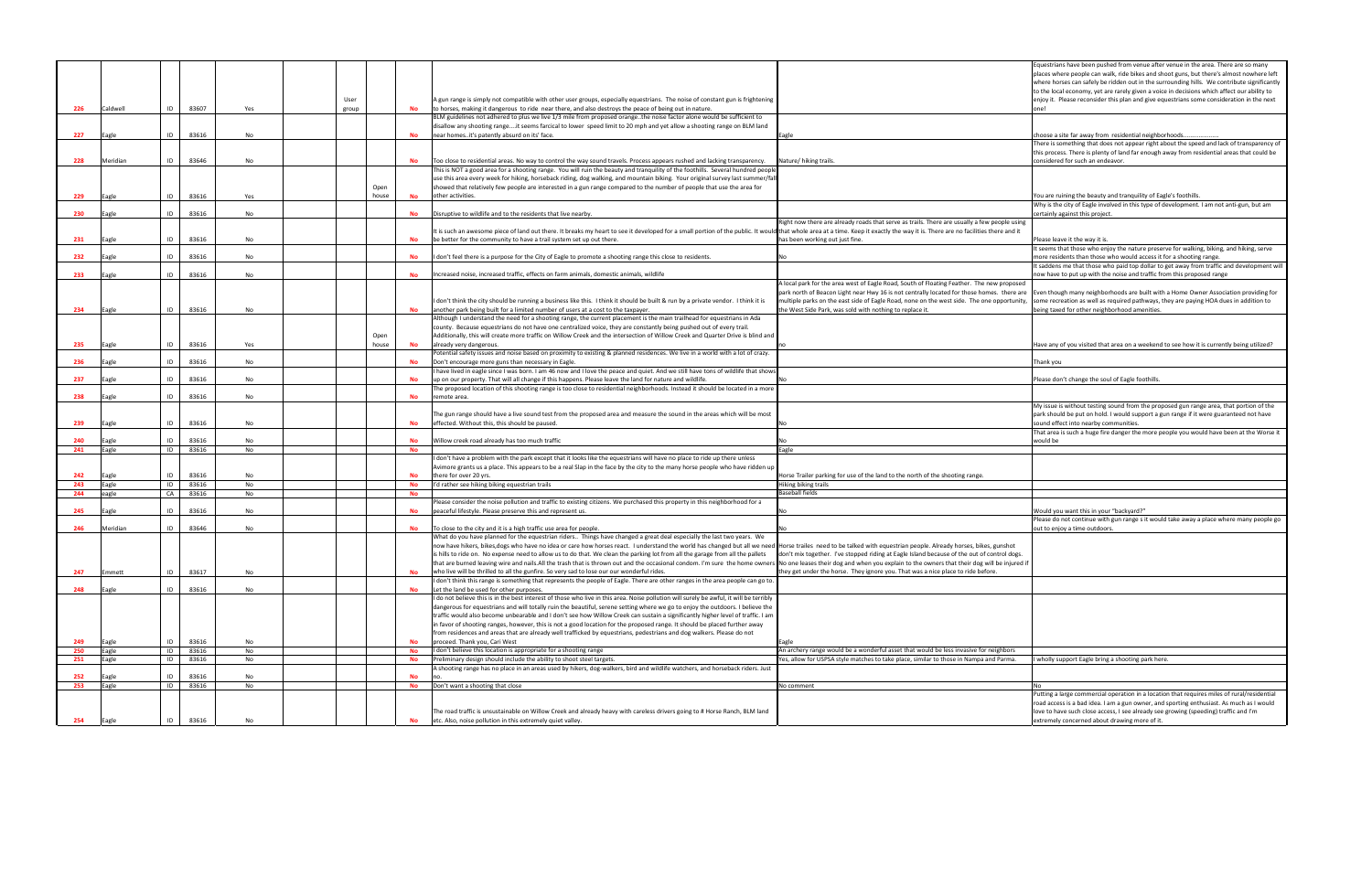|     |          |    |       |     |       |       |           |                                                                                                                                                                                                                               |                                                                                              | Equestrians have been pushed from venue after venue in the area. There are so many          |
|-----|----------|----|-------|-----|-------|-------|-----------|-------------------------------------------------------------------------------------------------------------------------------------------------------------------------------------------------------------------------------|----------------------------------------------------------------------------------------------|---------------------------------------------------------------------------------------------|
|     |          |    |       |     |       |       |           |                                                                                                                                                                                                                               |                                                                                              | places where people can walk, ride bikes and shoot guns, but there's almost nowhere le      |
|     |          |    |       |     |       |       |           |                                                                                                                                                                                                                               |                                                                                              | where horses can safely be ridden out in the surrounding hills. We contribute significar    |
|     |          |    |       |     |       |       |           |                                                                                                                                                                                                                               |                                                                                              | to the local economy, yet are rarely given a voice in decisions which affect our ability to |
|     |          |    |       |     | User  |       |           | A gun range is simply not compatible with other user groups, especially equestrians. The noise of constant gun is frightening                                                                                                 |                                                                                              | enjoy it. Please reconsider this plan and give equestrians some consideration in the nex    |
| 226 | Caldwell | ID | 83607 | Yes | group |       | No        | to horses, making it dangerous to ride near there, and also destroys the peace of being out in nature.                                                                                                                        |                                                                                              |                                                                                             |
|     |          |    |       |     |       |       |           | BLM guidelines not adhered to plus we live 1/3 mile from proposed orangethe noise factor alone would be sufficient to                                                                                                         |                                                                                              |                                                                                             |
|     |          |    |       |     |       |       |           | disallow any shooting rangeit seems farcical to lower speed limit to 20 mph and yet allow a shooting range on BLM land                                                                                                        |                                                                                              |                                                                                             |
|     |          | ID |       |     |       |       | <b>No</b> | near homesit's patently absurd on its' face.                                                                                                                                                                                  |                                                                                              |                                                                                             |
| 227 | Eagle    |    | 83616 | No  |       |       |           |                                                                                                                                                                                                                               | Eagle                                                                                        | choose a site far away from residential neighborhoods.                                      |
|     |          |    |       |     |       |       |           |                                                                                                                                                                                                                               |                                                                                              | There is something that does not appear right about the speed and lack of transparency      |
|     |          |    |       |     |       |       |           |                                                                                                                                                                                                                               |                                                                                              | this process. There is plenty of land far enough away from residential areas that could b   |
| 228 | Meridian | ID | 83646 | No  |       |       | No        | Too close to residential areas. No way to control the way sound travels. Process appears rushed and lacking transparency.                                                                                                     | Nature/ hiking trails.                                                                       | onsidered for such an endeavor.                                                             |
|     |          |    |       |     |       |       |           | This is NOT a good area for a shooting range. You will ruin the beauty and tranquility of the foothills. Several hundred peopl                                                                                                |                                                                                              |                                                                                             |
|     |          |    |       |     |       |       |           | use this area every week for hiking, horseback riding, dog walking, and mountain biking. Your original survey last summer/fall                                                                                                |                                                                                              |                                                                                             |
|     |          |    |       |     |       | Open  |           | showed that relatively few people are interested in a gun range compared to the number of people that use the area for                                                                                                        |                                                                                              |                                                                                             |
| 229 | Eagle    | ID | 83616 | Yes |       | house | <b>No</b> | other activities.                                                                                                                                                                                                             |                                                                                              | 'ou are ruining the beauty and tranquility of Eagle's foothills.                            |
|     |          |    |       |     |       |       |           |                                                                                                                                                                                                                               |                                                                                              | Why is the city of Eagle involved in this type of development. I am not anti-gun, but am    |
|     |          |    |       |     |       |       |           |                                                                                                                                                                                                                               |                                                                                              |                                                                                             |
| 230 | Eagle    | ID | 83616 | No  |       |       | No        | Disruptive to wildlife and to the residents that live nearby                                                                                                                                                                  |                                                                                              | certainly against this project.                                                             |
|     |          |    |       |     |       |       |           |                                                                                                                                                                                                                               | light now there are already roads that serve as trails. There are usually a few people using |                                                                                             |
|     |          |    |       |     |       |       |           | It is such an awesome piece of land out there. It breaks my heart to see it developed for a small portion of the public. It would that whole area at a time. Keep it exactly the way it is. There are no facilities there and |                                                                                              |                                                                                             |
| 231 | Eagle    | ID | 83616 | No  |       |       | No        | be better for the community to have a trail system set up out there.                                                                                                                                                          | has been working out just fine.                                                              | Please leave it the way it is.                                                              |
|     |          |    |       |     |       |       |           |                                                                                                                                                                                                                               |                                                                                              | It seems that those who enjoy the nature preserve for walking, biking, and hiking, serve    |
| 232 | Eagle    | ID | 83616 | No  |       |       | <b>No</b> | I don't feel there is a purpose for the City of Eagle to promote a shooting range this close to residents.                                                                                                                    |                                                                                              | nore residents than those who would access it for a shooting range.                         |
|     |          |    |       |     |       |       |           |                                                                                                                                                                                                                               |                                                                                              | It saddens me that those who paid top dollar to get away from traffic and development       |
| 233 | agle     | ID | 83616 | No  |       |       | <b>No</b> | Increased noise, increased traffic, effects on farm animals, domestic animals, wildlife                                                                                                                                       |                                                                                              | now have to put up with the noise and traffic from this proposed range                      |
|     |          |    |       |     |       |       |           |                                                                                                                                                                                                                               |                                                                                              |                                                                                             |
|     |          |    |       |     |       |       |           |                                                                                                                                                                                                                               | A local park for the area west of Eagle Road, South of Floating Feather. The new proposed    |                                                                                             |
|     |          |    |       |     |       |       |           |                                                                                                                                                                                                                               | park north of Beacon Light near Hwy 16 is not centrally located for those homes. there are   | Even though many neighborhoods are built with a Home Owner Association providing f          |
|     |          |    |       |     |       |       |           | I don't think the city should be running a business like this. I think it should be built & run by a private vendor. I think it is                                                                                            | multiple parks on the east side of Eagle Road, none on the west side. The one opportunity,   | some recreation as well as required pathways, they are paying HOA dues in addition to       |
| 234 | Eagle    | ID | 83616 | No  |       |       | <b>No</b> | another park being built for a limited number of users at a cost to the taxpayer.                                                                                                                                             | the West Side Park, was sold with nothing to replace it.                                     | being taxed for other neighborhood amenities.                                               |
|     |          |    |       |     |       |       |           | Although I understand the need for a shooting range, the current placement is the main trailhead for equestrians in Ada                                                                                                       |                                                                                              |                                                                                             |
|     |          |    |       |     |       |       |           | county. Because equestrians do not have one centralized voice, they are constantly being pushed out of every trail.                                                                                                           |                                                                                              |                                                                                             |
|     |          |    |       |     |       | Open  |           | Additionally, this will create more traffic on Willow Creek and the intersection of Willow Creek and Quarter Drive is blind and                                                                                               |                                                                                              |                                                                                             |
| 235 |          | ID | 83616 | Yes |       |       |           |                                                                                                                                                                                                                               |                                                                                              |                                                                                             |
|     | Eagle    |    |       |     |       | house | No        | already very dangerous.                                                                                                                                                                                                       |                                                                                              | Have any of you visited that area on a weekend to see how it is currently being utilized?   |
|     |          |    |       |     |       |       |           | Potential safety issues and noise based on proximity to existing & planned residences. We live in a world with a lot of crazy.                                                                                                |                                                                                              |                                                                                             |
| 236 | Eagle    | ID | 83616 | No  |       |       | No        | Don't encourage more guns than necessary in Eagle.                                                                                                                                                                            |                                                                                              | Thank you                                                                                   |
|     |          |    |       |     |       |       |           | I have lived in eagle since I was born. I am 46 now and I love the peace and quiet. And we still have tons of wildlife that show                                                                                              |                                                                                              |                                                                                             |
| 237 | agle     | ID | 83616 | No  |       |       | <b>No</b> | up on our property. That will all change if this happens. Please leave the land for nature and wildlife.                                                                                                                      |                                                                                              | Please don't change the soul of Eagle foothills.                                            |
|     |          |    |       |     |       |       |           | The proposed location of this shooting range is too close to residential neighborhoods. Instead it should be located in a more                                                                                                |                                                                                              |                                                                                             |
| 238 | agle     | ID | 83616 | No  |       |       | <b>No</b> | remote area.                                                                                                                                                                                                                  |                                                                                              |                                                                                             |
|     |          |    |       |     |       |       |           |                                                                                                                                                                                                                               |                                                                                              | My issue is without testing sound from the proposed gun range area, that portion of the     |
|     |          |    |       |     |       |       |           | The gun range should have a live sound test from the proposed area and measure the sound in the areas which will be most                                                                                                      |                                                                                              | park should be put on hold. I would support a gun range if it were guaranteed not have      |
| 239 | Eagle    | ID | 83616 | No  |       |       | <b>No</b> | effected. Without this, this should be paused.                                                                                                                                                                                |                                                                                              | sound effect into nearby communities.                                                       |
|     |          |    |       |     |       |       |           |                                                                                                                                                                                                                               |                                                                                              |                                                                                             |
|     |          |    |       |     |       |       |           |                                                                                                                                                                                                                               |                                                                                              | That area is such a huge fire danger the more people you would have been at the Wors        |
| 240 | Eagle    | ID | 83616 | No  |       |       | <b>No</b> | Willow creek road already has too much traffic                                                                                                                                                                                |                                                                                              | would be                                                                                    |
| 241 | Eagle    | ID | 83616 | No  |       |       | No        |                                                                                                                                                                                                                               | agle                                                                                         |                                                                                             |
|     |          |    |       |     |       |       |           | I don't have a problem with the park except that it looks like the equestrians will have no place to ride up there unless                                                                                                     |                                                                                              |                                                                                             |
|     |          |    |       |     |       |       |           | Avimore grants us a place. This appears to be a real Slap in the face by the city to the many horse people who have ridden up                                                                                                 |                                                                                              |                                                                                             |
| 242 | Eagle    | ID | 83616 | No  |       |       | No        | there for over 20 yrs.                                                                                                                                                                                                        | Horse Trailer parking for use of the land to the north of the shooting range.                |                                                                                             |
| 243 | Eagle    | ID | 83616 | No  |       |       | No        | I'd rather see hiking biking equestrian trails                                                                                                                                                                                | Hiking biking trails                                                                         |                                                                                             |
| 244 | agle     | CA | 83616 | No  |       |       | No        |                                                                                                                                                                                                                               | Baseball fields                                                                              |                                                                                             |
|     |          |    |       |     |       |       |           |                                                                                                                                                                                                                               |                                                                                              |                                                                                             |
|     |          |    |       |     |       |       |           | Please consider the noise pollution and traffic to existing citizens. We purchased this property in this neighborhood for a                                                                                                   |                                                                                              |                                                                                             |
| 245 | agle     | ID | 83616 | No  |       |       | No        | peaceful lifestyle. Please preserve this and represent us.                                                                                                                                                                    |                                                                                              | "Vould you want this in your "backyard?"                                                    |
|     |          |    |       |     |       |       |           |                                                                                                                                                                                                                               |                                                                                              | Please do not continue with gun range s it would take away a place where many people        |
| 246 | Meridian | ID | 83646 | No  |       |       | No        | To close to the city and it is a high traffic use area for people.                                                                                                                                                            |                                                                                              | out to enjoy a time outdoors.                                                               |
|     |          |    |       |     |       |       |           | What do you have planned for the equestrian riders Things have changed a great deal especially the last two years. We                                                                                                         |                                                                                              |                                                                                             |
|     |          |    |       |     |       |       |           | now have hikers, bikes,dogs who have no idea or care how horses react. I understand the world has changed but all we need Horse trailes need to be talked with equestrian people. Already horses, bikes, gunshot              |                                                                                              |                                                                                             |
|     |          |    |       |     |       |       |           | is hills to ride on. No expense need to allow us to do that. We clean the parking lot from all the garage from all the pallets                                                                                                | don't mix together. I've stopped riding at Eagle Island because of the out of control dogs.  |                                                                                             |
|     |          |    |       |     |       |       |           | that are burned leaving wire and nails.All the trash that is thrown out and the occasional condom. I'm sure the home owner                                                                                                    | Io one leases their dog and when you explain to the owners that their dog will be injured it |                                                                                             |
| 247 | Emmett   | ID | 83617 | No  |       |       | No        | who live will be thrilled to all the gunfire. So very sad to lose our our wonderful rides.                                                                                                                                    | they get under the horse. They ignore you. That was a nice place to ride before.             |                                                                                             |
|     |          |    |       |     |       |       |           | I don't think this range is something that represents the people of Eagle. There are other ranges in the area people can go to.                                                                                               |                                                                                              |                                                                                             |
|     |          |    |       |     |       |       |           |                                                                                                                                                                                                                               |                                                                                              |                                                                                             |
| 248 | Eagle    | ID | 83616 | No  |       |       | <b>No</b> | Let the land be used for other purposes.                                                                                                                                                                                      |                                                                                              |                                                                                             |
|     |          |    |       |     |       |       |           | I do not believe this is in the best interest of those who live in this area. Noise pollution will surely be awful, it will be terribly                                                                                       |                                                                                              |                                                                                             |
|     |          |    |       |     |       |       |           | dangerous for equestrians and will totally ruin the beautiful, serene setting where we go to enjoy the outdoors. I believe the                                                                                                |                                                                                              |                                                                                             |
|     |          |    |       |     |       |       |           | traffic would also become unbearable and I don't see how Willow Creek can sustain a significantly higher level of traffic. I am                                                                                               |                                                                                              |                                                                                             |
|     |          |    |       |     |       |       |           | in favor of shooting ranges, however, this is not a good location for the proposed range. It should be placed further away                                                                                                    |                                                                                              |                                                                                             |
|     |          |    |       |     |       |       |           | from residences and areas that are already well trafficked by equestrians, pedestrians and dog walkers. Please do not                                                                                                         |                                                                                              |                                                                                             |
| 249 | Eagle    | ID | 83616 | No  |       |       | <b>No</b> | proceed. Thank you, Cari West                                                                                                                                                                                                 |                                                                                              |                                                                                             |
|     |          |    |       |     |       |       |           |                                                                                                                                                                                                                               | agle                                                                                         |                                                                                             |
| 250 | Eagle    | ID | 83616 | No  |       |       | No        | I don't believe this location is appropriate for a shooting range                                                                                                                                                             | An archery range would be a wonderful asset that would be less invasive for neighbors        |                                                                                             |
| 251 | Eagle    | ID | 83616 | No  |       |       | No        | Preliminary design should include the ability to shoot steel targets.                                                                                                                                                         | Yes, allow for USPSA style matches to take place, similar to those in Nampa and Parma.       | wholly support Eagle bring a shooting park here.                                            |
|     |          |    |       |     |       |       |           | A shooting range has no place in an areas used by hikers, dog-walkers, bird and wildlife watchers, and horseback riders. Just                                                                                                 |                                                                                              |                                                                                             |
| 252 | Eagle    | ID | 83616 | No  |       |       | <b>No</b> |                                                                                                                                                                                                                               |                                                                                              |                                                                                             |
| 253 | Eagle    | ID | 83616 | No  |       |       | <b>No</b> | Don't want a shooting that close                                                                                                                                                                                              | No comment                                                                                   |                                                                                             |
|     |          |    |       |     |       |       |           |                                                                                                                                                                                                                               |                                                                                              | Putting a large commercial operation in a location that requires miles of rural/residentian |
|     |          |    |       |     |       |       |           |                                                                                                                                                                                                                               |                                                                                              | road access is a bad idea. I am a gun owner, and sporting enthusiast. As much as I would    |
|     |          |    |       |     |       |       |           | The road traffic is unsustainable on Willow Creek and already heavy with careless drivers going to # Horse Ranch, BLM land                                                                                                    |                                                                                              | love to have such close access, I see already see growing (speeding) traffic and I'm        |
|     |          |    |       |     |       |       |           |                                                                                                                                                                                                                               |                                                                                              |                                                                                             |
| 254 | Eagle    | ID | 83616 | No  |       |       | <b>No</b> | etc. Also, noise pollution in this extremely quiet valley.                                                                                                                                                                    |                                                                                              | extremely concerned about drawing more of it.                                               |

|                           | Equestrians have been pushed from venue after venue in the area. There are so many<br>places where people can walk, ride bikes and shoot guns, but there's almost nowhere left<br>where horses can safely be ridden out in the surrounding hills. We contribute significantly<br>to the local economy, yet are rarely given a voice in decisions which affect our ability to<br>enjoy it. Please reconsider this plan and give equestrians some consideration in the next<br>one! |
|---------------------------|-----------------------------------------------------------------------------------------------------------------------------------------------------------------------------------------------------------------------------------------------------------------------------------------------------------------------------------------------------------------------------------------------------------------------------------------------------------------------------------|
|                           |                                                                                                                                                                                                                                                                                                                                                                                                                                                                                   |
|                           | choose a site far away from residential neighborhoods<br>There is something that does not appear right about the speed and lack of transparency of                                                                                                                                                                                                                                                                                                                                |
|                           | this process. There is plenty of land far enough away from residential areas that could be<br>considered for such an endeavor.                                                                                                                                                                                                                                                                                                                                                    |
|                           | You are ruining the beauty and tranquility of Eagle's foothills.                                                                                                                                                                                                                                                                                                                                                                                                                  |
|                           | Why is the city of Eagle involved in this type of development. I am not anti-gun, but am<br>certainly against this project.                                                                                                                                                                                                                                                                                                                                                       |
| e using                   |                                                                                                                                                                                                                                                                                                                                                                                                                                                                                   |
| nd it                     | Please leave it the way it is.                                                                                                                                                                                                                                                                                                                                                                                                                                                    |
|                           | It seems that those who enjoy the nature preserve for walking, biking, and hiking, serve<br>more residents than those who would access it for a shooting range.                                                                                                                                                                                                                                                                                                                   |
|                           | It saddens me that those who paid top dollar to get away from traffic and development will<br>now have to put up with the noise and traffic from this proposed range                                                                                                                                                                                                                                                                                                              |
| posed<br>ere are          | Even though many neighborhoods are built with a Home Owner Association providing for                                                                                                                                                                                                                                                                                                                                                                                              |
| rtunity,                  | some recreation as well as required pathways, they are paying HOA dues in addition to<br>being taxed for other neighborhood amenities.                                                                                                                                                                                                                                                                                                                                            |
|                           |                                                                                                                                                                                                                                                                                                                                                                                                                                                                                   |
|                           | Have any of you visited that area on a weekend to see how it is currently being utilized?                                                                                                                                                                                                                                                                                                                                                                                         |
|                           | Thank you                                                                                                                                                                                                                                                                                                                                                                                                                                                                         |
|                           | Please don't change the soul of Eagle foothills.                                                                                                                                                                                                                                                                                                                                                                                                                                  |
|                           |                                                                                                                                                                                                                                                                                                                                                                                                                                                                                   |
|                           | My issue is without testing sound from the proposed gun range area, that portion of the<br>park should be put on hold. I would support a gun range if it were guaranteed not have<br>sound effect into nearby communities.                                                                                                                                                                                                                                                        |
|                           | That area is such a huge fire danger the more people you would have been at the Worse it<br>would be                                                                                                                                                                                                                                                                                                                                                                              |
|                           |                                                                                                                                                                                                                                                                                                                                                                                                                                                                                   |
|                           |                                                                                                                                                                                                                                                                                                                                                                                                                                                                                   |
|                           |                                                                                                                                                                                                                                                                                                                                                                                                                                                                                   |
|                           | Would you want this in your "backyard?"                                                                                                                                                                                                                                                                                                                                                                                                                                           |
|                           | Please do not continue with gun range s it would take away a place where many people go<br>out to enjoy a time outdoors.                                                                                                                                                                                                                                                                                                                                                          |
| וסו<br>dogs.<br>ıjured if |                                                                                                                                                                                                                                                                                                                                                                                                                                                                                   |
|                           |                                                                                                                                                                                                                                                                                                                                                                                                                                                                                   |
|                           |                                                                                                                                                                                                                                                                                                                                                                                                                                                                                   |
|                           |                                                                                                                                                                                                                                                                                                                                                                                                                                                                                   |
| ors                       |                                                                                                                                                                                                                                                                                                                                                                                                                                                                                   |
| na.                       | I wholly support Eagle bring a shooting park here.                                                                                                                                                                                                                                                                                                                                                                                                                                |
|                           |                                                                                                                                                                                                                                                                                                                                                                                                                                                                                   |
|                           | No                                                                                                                                                                                                                                                                                                                                                                                                                                                                                |
|                           | Putting a large commercial operation in a location that requires miles of rural/residential<br>road access is a bad idea. I am a gun owner, and sporting enthusiast. As much as I would<br>love to have such close access, I see already see growing (speeding) traffic and I'm                                                                                                                                                                                                   |
|                           | extremely concerned about drawing more of it.                                                                                                                                                                                                                                                                                                                                                                                                                                     |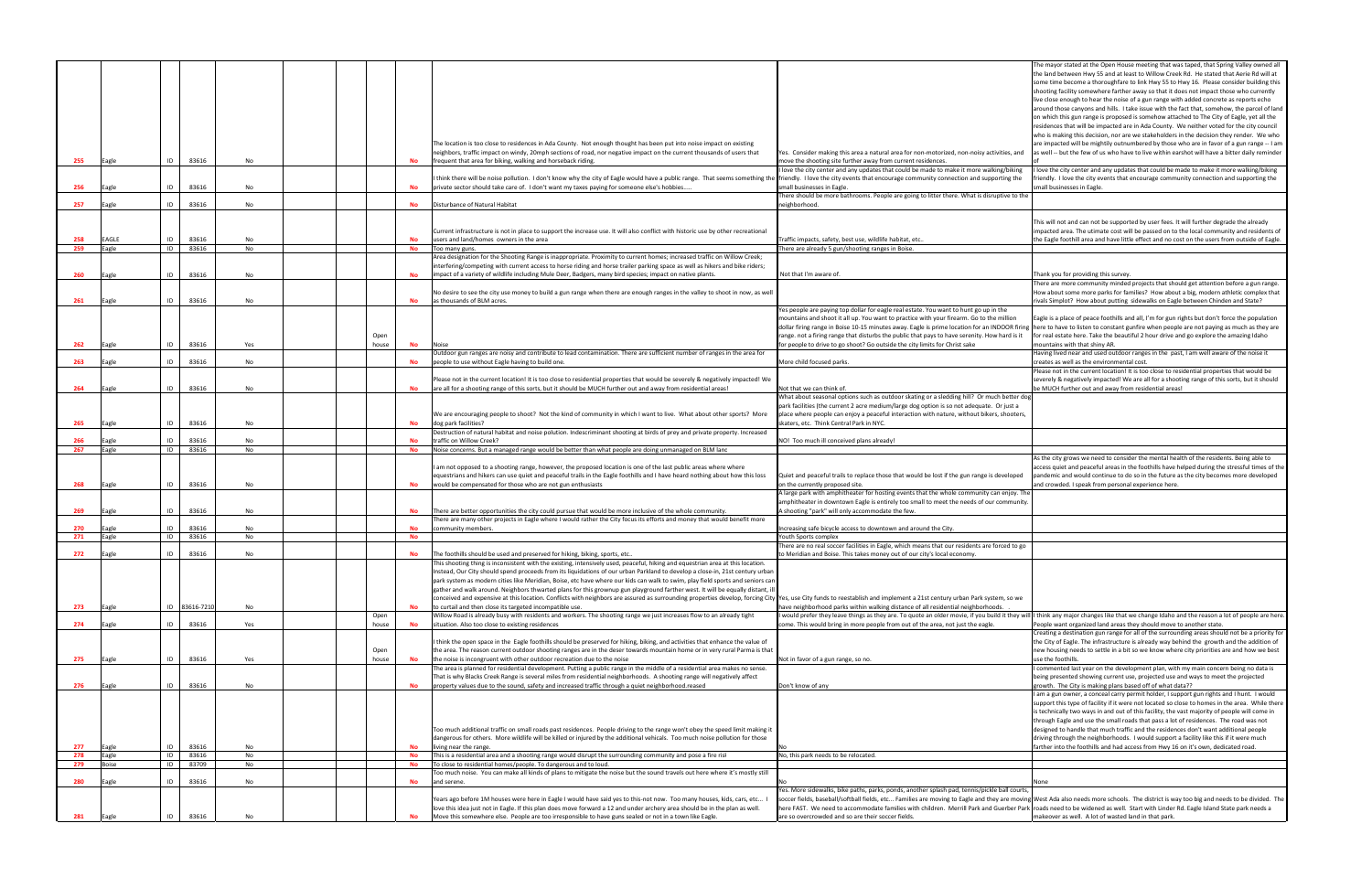|     |       |    |                |     |               |           |                                                                                                                                                                                                                                                          |                                                                                                                                                                                                                                                                                        | The mayor stated at the Open House meeting that was taped, that Spring Valley owned a                                                                                                      |
|-----|-------|----|----------------|-----|---------------|-----------|----------------------------------------------------------------------------------------------------------------------------------------------------------------------------------------------------------------------------------------------------------|----------------------------------------------------------------------------------------------------------------------------------------------------------------------------------------------------------------------------------------------------------------------------------------|--------------------------------------------------------------------------------------------------------------------------------------------------------------------------------------------|
|     |       |    |                |     |               |           |                                                                                                                                                                                                                                                          |                                                                                                                                                                                                                                                                                        | the land between Hwy 55 and at least to Willow Creek Rd. He stated that Aerie Rd will at                                                                                                   |
|     |       |    |                |     |               |           |                                                                                                                                                                                                                                                          |                                                                                                                                                                                                                                                                                        | some time become a thoroughfare to link Hwy 55 to Hwy 16. Please consider building thi                                                                                                     |
|     |       |    |                |     |               |           |                                                                                                                                                                                                                                                          |                                                                                                                                                                                                                                                                                        | shooting facility somewhere farther away so that it does not impact those who currently                                                                                                    |
|     |       |    |                |     |               |           |                                                                                                                                                                                                                                                          |                                                                                                                                                                                                                                                                                        | live close enough to hear the noise of a gun range with added concrete as reports echo                                                                                                     |
|     |       |    |                |     |               |           |                                                                                                                                                                                                                                                          |                                                                                                                                                                                                                                                                                        | around those canyons and hills. I take issue with the fact that, somehow, the parcel of lar                                                                                                |
|     |       |    |                |     |               |           |                                                                                                                                                                                                                                                          |                                                                                                                                                                                                                                                                                        | on which this gun range is proposed is somehow attached to The City of Eagle, yet all the<br>residences that will be impacted are in Ada County. We neither voted for the city council     |
|     |       |    |                |     |               |           |                                                                                                                                                                                                                                                          |                                                                                                                                                                                                                                                                                        | who is making this decision, nor are we stakeholders in the decision they render. We who                                                                                                   |
|     |       |    |                |     |               |           | The location is too close to residences in Ada County. Not enough thought has been put into noise impact on existing                                                                                                                                     |                                                                                                                                                                                                                                                                                        | are impacted will be mightily outnumbered by those who are in favor of a gun range -- I a                                                                                                  |
|     |       |    |                |     |               |           | neighbors, traffic impact on windy, 20mph sections of road, nor negative impact on the current thousands of users that                                                                                                                                   | Yes.  Consider making this area a natural area for non-motorized, non-noisy activities, and                                                                                                                                                                                            | as well -- but the few of us who have to live within earshot will have a bitter daily reminde                                                                                              |
| 255 | Eagle | ID | 83616          | No  |               |           | frequent that area for biking, walking and horseback riding.                                                                                                                                                                                             | move the shooting site further away from current residences.                                                                                                                                                                                                                           |                                                                                                                                                                                            |
|     |       |    |                |     |               |           |                                                                                                                                                                                                                                                          | I love the city center and any updates that could be made to make it more walking/biking                                                                                                                                                                                               | I love the city center and any updates that could be made to make it more walking/biking                                                                                                   |
|     |       |    |                |     |               |           | think there will be noise pollution. I don't know why the city of Eagle would have a public range. That seems something the friendly. I love the city events that encourage community connection and supporting the                                      |                                                                                                                                                                                                                                                                                        | friendly. I love the city events that encourage community connection and supporting the                                                                                                    |
| 256 | Eagle | ID | 83616          | No  |               |           | private sector should take care of. I don't want my taxes paying for someone else's hobbies                                                                                                                                                              | mall businesses in Eagle.                                                                                                                                                                                                                                                              | small businesses in Eagle.                                                                                                                                                                 |
|     |       |    |                |     |               |           |                                                                                                                                                                                                                                                          | There should be more bathrooms. People are going to litter there. What is disruptive to the                                                                                                                                                                                            |                                                                                                                                                                                            |
| 257 | Eagle | ID | 83616          | No  |               | No        | Disturbance of Natural Habitat                                                                                                                                                                                                                           | heighborhood.                                                                                                                                                                                                                                                                          |                                                                                                                                                                                            |
|     |       |    |                |     |               |           |                                                                                                                                                                                                                                                          |                                                                                                                                                                                                                                                                                        |                                                                                                                                                                                            |
|     |       |    |                |     |               |           |                                                                                                                                                                                                                                                          |                                                                                                                                                                                                                                                                                        | This will not and can not be supported by user fees. It will further degrade the already                                                                                                   |
|     |       |    |                |     |               |           | Current infrastructure is not in place to support the increase use. It will also conflict with historic use by other recreational                                                                                                                        |                                                                                                                                                                                                                                                                                        | impacted area. The utimate cost will be passed on to the local community and residents c                                                                                                   |
| 258 | EAGLE | ID | 83616          | No  |               | No        | users and land/homes owners in the area                                                                                                                                                                                                                  | Traffic impacts, safety, best use, wildlife habitat, etc.                                                                                                                                                                                                                              | the Eagle foothill area and have little effect and no cost on the users from outside of Eagle                                                                                              |
| 259 | Eagle | ID | 83616          | No  |               | No        | Too many guns.                                                                                                                                                                                                                                           | There are already 5 gun/shooting ranges in Boise.                                                                                                                                                                                                                                      |                                                                                                                                                                                            |
|     |       |    |                |     |               |           | Area designation for the Shooting Range is inappropriate. Proximity to current homes; increased traffic on Willow Creek;<br>interfering/competing with current access to horse riding and horse trailer parking space as well as hikers and bike riders; |                                                                                                                                                                                                                                                                                        |                                                                                                                                                                                            |
| 260 | Eagle | ID | 83616          | No  |               |           | impact of a variety of wildlife including Mule Deer, Badgers, many bird species; impact on native plants.                                                                                                                                                | Not that I'm aware of.                                                                                                                                                                                                                                                                 | Thank you for providing this survey.                                                                                                                                                       |
|     |       |    |                |     |               |           |                                                                                                                                                                                                                                                          |                                                                                                                                                                                                                                                                                        | There are more community minded projects that should get attention before a gun range                                                                                                      |
|     |       |    |                |     |               |           | No desire to see the city use money to build a gun range when there are enough ranges in the valley to shoot in now, as well                                                                                                                             |                                                                                                                                                                                                                                                                                        | How about some more parks for families? How about a big, modern athletic complex tha                                                                                                       |
| 261 | Eagle | ID | 83616          | No  |               | No        | as thousands of BLM acres.                                                                                                                                                                                                                               |                                                                                                                                                                                                                                                                                        | rivals Simplot? How about putting sidewalks on Eagle between Chinden and State?                                                                                                            |
|     |       |    |                |     |               |           |                                                                                                                                                                                                                                                          | Yes people are paying top dollar for eagle real estate. You want to hunt go up in the                                                                                                                                                                                                  |                                                                                                                                                                                            |
|     |       |    |                |     |               |           |                                                                                                                                                                                                                                                          | mountains and shoot it all up. You want to practice with your firearm. Go to the million                                                                                                                                                                                               | Eagle is a place of peace foothills and all, I'm for gun rights but don't force the population                                                                                             |
|     |       |    |                |     |               |           |                                                                                                                                                                                                                                                          | dollar firing range in Boise 10-15 minutes away. Eagle is prime location for an INDOOR firing lhere to have to listen to constant gunfire when people are not paying as much as they are                                                                                               |                                                                                                                                                                                            |
|     |       |    |                |     | Open          |           |                                                                                                                                                                                                                                                          | range. not a firing range that disturbs the public that pays to have serenity. How hard is it                                                                                                                                                                                          | for real estate here. Take the beautiful 2 hour drive and go explore the amazing Idaho                                                                                                     |
| 262 | Eagle | ID | 83616          | Yes | house         | No        |                                                                                                                                                                                                                                                          | for people to drive to go shoot? Go outside the city limits for Christ sake                                                                                                                                                                                                            | mountains with that shiny AR.                                                                                                                                                              |
|     |       |    |                |     |               |           | Outdoor gun ranges are noisy and contribute to lead contamination. There are sufficient number of ranges in the area for                                                                                                                                 |                                                                                                                                                                                                                                                                                        | Having lived near and used outdoor ranges in the past, I am well aware of the noise it                                                                                                     |
| 263 | Eagle | ID | 83616          | No  |               |           | people to use without Eagle having to build one.                                                                                                                                                                                                         | More child focused parks.                                                                                                                                                                                                                                                              | creates as well as the environmental cost.                                                                                                                                                 |
|     |       |    |                |     |               |           |                                                                                                                                                                                                                                                          |                                                                                                                                                                                                                                                                                        | Please not in the current location! It is too close to residential properties that would be                                                                                                |
|     |       |    |                |     |               |           | Please not in the current location! It is too close to residential properties that would be severely & negatively impacted! We                                                                                                                           |                                                                                                                                                                                                                                                                                        | severely & negatively impacted! We are all for a shooting range of this sorts, but it should                                                                                               |
| 264 |       | ID | 83616          | No  |               | No        | are all for a shooting range of this sorts, but it should be MUCH further out and away from residential areas!                                                                                                                                           | Not that we can think of.                                                                                                                                                                                                                                                              | be MUCH further out and away from residential areas!                                                                                                                                       |
|     |       |    |                |     |               |           |                                                                                                                                                                                                                                                          | What about seasonal options such as outdoor skating or a sledding hill? Or much better dog                                                                                                                                                                                             |                                                                                                                                                                                            |
|     |       |    |                |     |               |           |                                                                                                                                                                                                                                                          | park facilities (the current 2 acre medium/large dog option is so not adequate. Or just a                                                                                                                                                                                              |                                                                                                                                                                                            |
|     |       |    |                |     |               |           | We are encouraging people to shoot? Not the kind of community in which I want to live. What about other sports? More                                                                                                                                     | place where people can enjoy a peaceful interaction with nature, without bikers, shooters,                                                                                                                                                                                             |                                                                                                                                                                                            |
| 265 | Eagle | ID | 83616          | No  |               | No        | dog park facilities?                                                                                                                                                                                                                                     | skaters, etc. Think Central Park in NYC.                                                                                                                                                                                                                                               |                                                                                                                                                                                            |
| 266 |       | ID |                | No  |               | No        | Destruction of natural habitat and noise polution. Indescriminant shooting at birds of prey and private property. Increased<br>traffic on Willow Creek?                                                                                                  |                                                                                                                                                                                                                                                                                        |                                                                                                                                                                                            |
|     |       |    | 83616<br>83616 | No  |               |           | Noise concerns. But a managed range would be better than what people are doing unmanaged on BLM lanc                                                                                                                                                     | NO! Too much ill conceived plans already!                                                                                                                                                                                                                                              |                                                                                                                                                                                            |
|     |       |    |                |     |               |           |                                                                                                                                                                                                                                                          |                                                                                                                                                                                                                                                                                        |                                                                                                                                                                                            |
| 267 | Eagle | ID |                |     |               | No        |                                                                                                                                                                                                                                                          |                                                                                                                                                                                                                                                                                        |                                                                                                                                                                                            |
|     |       |    |                |     |               |           |                                                                                                                                                                                                                                                          |                                                                                                                                                                                                                                                                                        | As the city grows we need to consider the mental health of the residents. Being able to                                                                                                    |
|     |       |    |                |     |               |           | am not opposed to a shooting range, however, the proposed location is one of the last public areas where where                                                                                                                                           |                                                                                                                                                                                                                                                                                        | access quiet and peaceful areas in the foothills have helped during the stressful times of t                                                                                               |
| 268 | Eagle | ID |                | No  |               | No        | equestrians and hikers can use quiet and peaceful trails in the Eagle foothills and I have heard nothing about how this loss                                                                                                                             | Quiet and peaceful trails to replace those that would be lost if the gun range is developed                                                                                                                                                                                            | pandemic and would continue to do so in the future as the city becomes more developed                                                                                                      |
|     |       |    | 83616          |     |               |           | would be compensated for those who are not gun enthusiasts                                                                                                                                                                                               | on the currently proposed site.<br>A large park with amphitheater for hosting events that the whole community can enjoy. The                                                                                                                                                           | and crowded. I speak from personal experience here.                                                                                                                                        |
|     |       |    |                |     |               |           |                                                                                                                                                                                                                                                          | amphitheater in downtown Eagle is entirely too small to meet the needs of our community.                                                                                                                                                                                               |                                                                                                                                                                                            |
| 269 | Eagle | ID | 83616          | No  |               |           | There are better opportunities the city could pursue that would be more inclusive of the whole community.                                                                                                                                                | ، shooting "park" will only accommodate the few.                                                                                                                                                                                                                                       |                                                                                                                                                                                            |
|     |       |    |                |     |               |           | There are many other projects in Eagle where I would rather the City focus its efforts and money that would benefit more                                                                                                                                 |                                                                                                                                                                                                                                                                                        |                                                                                                                                                                                            |
| 270 | Eagle | ID | 83616          | No  |               | No.       | community members.                                                                                                                                                                                                                                       | Increasing safe bicycle access to downtown and around the City.                                                                                                                                                                                                                        |                                                                                                                                                                                            |
| 271 | Eagle | ID | 83616          | No  |               | No        |                                                                                                                                                                                                                                                          | Youth Sports complex                                                                                                                                                                                                                                                                   |                                                                                                                                                                                            |
|     |       |    |                |     |               |           |                                                                                                                                                                                                                                                          | There are no real soccer facilities in Eagle, which means that our residents are forced to go                                                                                                                                                                                          |                                                                                                                                                                                            |
| 272 | Eagle | ID | 83616          | No  |               | No        | The foothills should be used and preserved for hiking, biking, sports, etc                                                                                                                                                                               | to Meridian and Boise. This takes money out of our city's local economy.                                                                                                                                                                                                               |                                                                                                                                                                                            |
|     |       |    |                |     |               |           | his shooting thing is inconsistent with the existing, intensively used, peaceful, hiking and equestrian area at this location                                                                                                                            |                                                                                                                                                                                                                                                                                        |                                                                                                                                                                                            |
|     |       |    |                |     |               |           | Instead, Our City should spend proceeds from its liquidations of our urban Parkland to develop a close-in, 21st century urban                                                                                                                            |                                                                                                                                                                                                                                                                                        |                                                                                                                                                                                            |
|     |       |    |                |     |               |           | park system as modern cities like Meridian, Boise, etc have where our kids can walk to swim, play field sports and seniors can                                                                                                                           |                                                                                                                                                                                                                                                                                        |                                                                                                                                                                                            |
|     |       |    |                |     |               |           | gather and walk around. Neighbors thwarted plans for this grownup gun playground farther west. It will be equally distant, ill                                                                                                                           |                                                                                                                                                                                                                                                                                        |                                                                                                                                                                                            |
|     |       |    |                |     |               |           | conceived and expensive at this location. Conflicts with neighbors are assured as surrounding properties develop, forcing City Yes, use City funds to reestablish and implement a 21st century urban Park system, so we                                  |                                                                                                                                                                                                                                                                                        |                                                                                                                                                                                            |
| 273 | Eagle | ID | 83616-7210     | No  |               |           | to curtail and then close its targeted incompatible use.                                                                                                                                                                                                 | have neighborhood parks within walking distance of all residential neighborhoods.                                                                                                                                                                                                      |                                                                                                                                                                                            |
|     |       |    |                |     | Open<br>house |           | Willow Road is already busy with residents and workers. The shooting range we just increases flow to an already tight<br>situation. Also too close to existing residences                                                                                | I would prefer they leave things as they are. To quote an older movie, if you build it they will I think any major changes like that we change Idaho and the reason a lot of people are he                                                                                             |                                                                                                                                                                                            |
| 274 | Eagle | ID | 83616          | Yes |               | No        |                                                                                                                                                                                                                                                          | come. This would bring in more people from out of the area, not just the eagle.                                                                                                                                                                                                        | People want organized land areas they should move to another state.                                                                                                                        |
|     |       |    |                |     |               |           | think the open space in the Eagle foothills should be preserved for hiking, biking, and activities that enhance the value of                                                                                                                             |                                                                                                                                                                                                                                                                                        | Creating a destination gun range for all of the surrounding areas should not be a priority f<br>the City of Eagle. The infrastructure is already way behind the growth and the addition of |
|     |       |    |                |     | Open          |           | the area. The reason current outdoor shooting ranges are in the deser towards mountain home or in very rural Parma is that                                                                                                                               |                                                                                                                                                                                                                                                                                        | new housing needs to settle in a bit so we know where city priorities are and how we bes                                                                                                   |
| 275 | Eagle | ID | 83616          | Yes | house         | <b>No</b> | the noise is incongruent with other outdoor recreation due to the noise                                                                                                                                                                                  | Not in favor of a gun range, so no.                                                                                                                                                                                                                                                    | use the foothills.                                                                                                                                                                         |
|     |       |    |                |     |               |           | The area is planned for residential development. Putting a public range in the middle of a residential area makes no sense.                                                                                                                              |                                                                                                                                                                                                                                                                                        | I commented last year on the development plan, with my main concern being no data is                                                                                                       |
|     |       |    |                |     |               |           | That is why Blacks Creek Range is several miles from residential neighborhoods. A shooting range will negatively affect                                                                                                                                  |                                                                                                                                                                                                                                                                                        | being presented showing current use, projected use and ways to meet the projected                                                                                                          |
| 276 | Eagle | ID | 83616          | No  |               |           | property values due to the sound, safety and increased traffic through a quiet neighborhood.reased                                                                                                                                                       | Don't know of any                                                                                                                                                                                                                                                                      | growth. The City is making plans based off of what data??                                                                                                                                  |
|     |       |    |                |     |               |           |                                                                                                                                                                                                                                                          |                                                                                                                                                                                                                                                                                        | I am a gun owner, a conceal carry permit holder, I support gun rights and I hunt. I would                                                                                                  |
|     |       |    |                |     |               |           |                                                                                                                                                                                                                                                          |                                                                                                                                                                                                                                                                                        | support this type of facility if it were not located so close to homes in the area. While the                                                                                              |
|     |       |    |                |     |               |           |                                                                                                                                                                                                                                                          |                                                                                                                                                                                                                                                                                        | is technically two ways in and out of this facility, the vast majority of people will come in                                                                                              |
|     |       |    |                |     |               |           |                                                                                                                                                                                                                                                          |                                                                                                                                                                                                                                                                                        | through Eagle and use the small roads that pass a lot of residences. The road was not                                                                                                      |
|     |       |    |                |     |               |           | Too much additional traffic on small roads past residences. People driving to the range won't obey the speed limit making it                                                                                                                             |                                                                                                                                                                                                                                                                                        | designed to handle that much traffic and the residences don't want additional people                                                                                                       |
|     |       |    |                |     |               |           | dangerous for others. More wildlife will be killed or injured by the additional vehicals. Too much noise pollution for those                                                                                                                             |                                                                                                                                                                                                                                                                                        | driving through the neighborhoods. I would support a facility like this if it were much                                                                                                    |
| 277 | Eagle | ID | 83616          | No  |               |           | living near the range.                                                                                                                                                                                                                                   |                                                                                                                                                                                                                                                                                        | farther into the foothills and had access from Hwy 16 on it's own, dedicated road.                                                                                                         |
| 278 | Eagle | ID | 83616          | No  |               | <b>No</b> | This is a residential area and a shooting range would disrupt the surrounding community and pose a fire risl                                                                                                                                             | No, this park needs to be relocated.                                                                                                                                                                                                                                                   |                                                                                                                                                                                            |
| 279 | Boise | ID | 83709          | No  |               | No        | To close to residential homes/people. To dangerous and to loud.                                                                                                                                                                                          |                                                                                                                                                                                                                                                                                        |                                                                                                                                                                                            |
| 280 | Eagle | ID | 83616          | No  |               | No        | Too much noise. You can make all kinds of plans to mitigate the noise but the sound travels out here where it's mostly still<br>and serene.                                                                                                              |                                                                                                                                                                                                                                                                                        | None                                                                                                                                                                                       |
|     |       |    |                |     |               |           |                                                                                                                                                                                                                                                          |                                                                                                                                                                                                                                                                                        |                                                                                                                                                                                            |
|     |       |    |                |     |               |           | Years ago before 1M houses were here in Eagle I would have said yes to this-not now. Too many houses, kids, cars, etc I                                                                                                                                  | Yes. More sidewalks, bike paths, parks, ponds, another splash pad, tennis/pickle ball courts<br>soccer fields, baseball/softball fields, etc Families are moving to Eagle and they are moving West Ada also needs more schools. The district is way too big and needs to be divided. T |                                                                                                                                                                                            |
|     |       |    |                |     |               |           | love this idea just not in Eagle. If this plan does move forward a 12 and under archery area should be in the plan as well.                                                                                                                              | here FAST. We need to accommodate families with children. Merrill Park and Guerber Park roads need to be widened as well. Start with Linder Rd. Eagle Island State park needs a                                                                                                        |                                                                                                                                                                                            |
| 281 | Eagle | ID | 83616          | No  |               |           | Move this somewhere else. People are too irresponsible to have guns sealed or not in a town like Eagle.                                                                                                                                                  | are so overcrowded and so are their soccer fields.                                                                                                                                                                                                                                     | makeover as well. A lot of wasted land in that park.                                                                                                                                       |

|                                                                                                                                                                                                                                                                                                                                                                                                                                                                                                                               | The mayor stated at the Open House meeting that was taped, that Spring Valley owned all<br>the land between Hwy 55 and at least to Willow Creek Rd. He stated that Aerie Rd will at<br>some time become a thoroughfare to link Hwy 55 to Hwy 16. Please consider building this<br>shooting facility somewhere farther away so that it does not impact those who currently<br>live close enough to hear the noise of a gun range with added concrete as reports echo<br>around those canyons and hills. I take issue with the fact that, somehow, the parcel of land<br>on which this gun range is proposed is somehow attached to The City of Eagle, yet all the<br>residences that will be impacted are in Ada County. We neither voted for the city council<br>who is making this decision, nor are we stakeholders in the decision they render. We who<br>are impacted will be mightily outnumbered by those who are in favor of a gun range -- I am |
|-------------------------------------------------------------------------------------------------------------------------------------------------------------------------------------------------------------------------------------------------------------------------------------------------------------------------------------------------------------------------------------------------------------------------------------------------------------------------------------------------------------------------------|---------------------------------------------------------------------------------------------------------------------------------------------------------------------------------------------------------------------------------------------------------------------------------------------------------------------------------------------------------------------------------------------------------------------------------------------------------------------------------------------------------------------------------------------------------------------------------------------------------------------------------------------------------------------------------------------------------------------------------------------------------------------------------------------------------------------------------------------------------------------------------------------------------------------------------------------------------|
| Yes. Consider making this area a natural area for non-motorized, non-noisy activities, and<br>move the shooting site further away from current residences.<br>I love the city center and any updates that could be made to make it more walking/biking                                                                                                                                                                                                                                                                        | as well -- but the few of us who have to live within earshot will have a bitter daily reminder<br>of<br>I love the city center and any updates that could be made to make it more walking/biking                                                                                                                                                                                                                                                                                                                                                                                                                                                                                                                                                                                                                                                                                                                                                        |
| friendly. I love the city events that encourage community connection and supporting the<br>small businesses in Eagle.                                                                                                                                                                                                                                                                                                                                                                                                         | friendly. I love the city events that encourage community connection and supporting the<br>small businesses in Eagle.                                                                                                                                                                                                                                                                                                                                                                                                                                                                                                                                                                                                                                                                                                                                                                                                                                   |
| There should be more bathrooms. People are going to litter there. What is disruptive to the<br>neighborhood.                                                                                                                                                                                                                                                                                                                                                                                                                  |                                                                                                                                                                                                                                                                                                                                                                                                                                                                                                                                                                                                                                                                                                                                                                                                                                                                                                                                                         |
| Traffic impacts, safety, best use, wildlife habitat, etc                                                                                                                                                                                                                                                                                                                                                                                                                                                                      | This will not and can not be supported by user fees. It will further degrade the already<br>impacted area. The utimate cost will be passed on to the local community and residents of<br>the Eagle foothill area and have little effect and no cost on the users from outside of Eagle.                                                                                                                                                                                                                                                                                                                                                                                                                                                                                                                                                                                                                                                                 |
| There are already 5 gun/shooting ranges in Boise.                                                                                                                                                                                                                                                                                                                                                                                                                                                                             |                                                                                                                                                                                                                                                                                                                                                                                                                                                                                                                                                                                                                                                                                                                                                                                                                                                                                                                                                         |
| Not that I'm aware of.                                                                                                                                                                                                                                                                                                                                                                                                                                                                                                        | Thank you for providing this survey.                                                                                                                                                                                                                                                                                                                                                                                                                                                                                                                                                                                                                                                                                                                                                                                                                                                                                                                    |
|                                                                                                                                                                                                                                                                                                                                                                                                                                                                                                                               | There are more community minded projects that should get attention before a gun range.<br>How about some more parks for families? How about a big, modern athletic complex that<br>rivals Simplot? How about putting sidewalks on Eagle between Chinden and State?                                                                                                                                                                                                                                                                                                                                                                                                                                                                                                                                                                                                                                                                                      |
| Yes people are paying top dollar for eagle real estate. You want to hunt go up in the<br>mountains and shoot it all up. You want to practice with your firearm. Go to the million<br>dollar firing range in Boise 10-15 minutes away. Eagle is prime location for an INDOOR firing<br>range. not a firing range that disturbs the public that pays to have serenity. How hard is it<br>for people to drive to go shoot? Go outside the city limits for Christ sake                                                            | Eagle is a place of peace foothills and all, I'm for gun rights but don't force the population<br>here to have to listen to constant gunfire when people are not paying as much as they are<br>for real estate here. Take the beautiful 2 hour drive and go explore the amazing Idaho<br>mountains with that shiny AR.                                                                                                                                                                                                                                                                                                                                                                                                                                                                                                                                                                                                                                  |
| More child focused parks.                                                                                                                                                                                                                                                                                                                                                                                                                                                                                                     | Having lived near and used outdoor ranges in the past, I am well aware of the noise it<br>creates as well as the environmental cost.                                                                                                                                                                                                                                                                                                                                                                                                                                                                                                                                                                                                                                                                                                                                                                                                                    |
|                                                                                                                                                                                                                                                                                                                                                                                                                                                                                                                               | Please not in the current location! It is too close to residential properties that would be<br>severely & negatively impacted! We are all for a shooting range of this sorts, but it should                                                                                                                                                                                                                                                                                                                                                                                                                                                                                                                                                                                                                                                                                                                                                             |
| Not that we can think of.<br>What about seasonal options such as outdoor skating or a sledding hill? Or much better dog<br>park facilities (the current 2 acre medium/large dog option is so not adequate. Or just a<br>place where people can enjoy a peaceful interaction with nature, without bikers, shooters,<br>skaters, etc. Think Central Park in NYC.                                                                                                                                                                | be MUCH further out and away from residential areas!                                                                                                                                                                                                                                                                                                                                                                                                                                                                                                                                                                                                                                                                                                                                                                                                                                                                                                    |
| NO! Too much ill conceived plans already!                                                                                                                                                                                                                                                                                                                                                                                                                                                                                     |                                                                                                                                                                                                                                                                                                                                                                                                                                                                                                                                                                                                                                                                                                                                                                                                                                                                                                                                                         |
| Quiet and peaceful trails to replace those that would be lost if the gun range is developed                                                                                                                                                                                                                                                                                                                                                                                                                                   | As the city grows we need to consider the mental health of the residents. Being able to<br>access quiet and peaceful areas in the foothills have helped during the stressful times of the<br>pandemic and would continue to do so in the future as the city becomes more developed                                                                                                                                                                                                                                                                                                                                                                                                                                                                                                                                                                                                                                                                      |
| on the currently proposed site.<br>A large park with amphitheater for hosting events that the whole community can enjoy. The<br>amphitheater in downtown Eagle is entirely too small to meet the needs of our community.<br>A shooting "park" will only accommodate the few.                                                                                                                                                                                                                                                  | and crowded. I speak from personal experience here.                                                                                                                                                                                                                                                                                                                                                                                                                                                                                                                                                                                                                                                                                                                                                                                                                                                                                                     |
| Increasing safe bicycle access to downtown and around the City.                                                                                                                                                                                                                                                                                                                                                                                                                                                               |                                                                                                                                                                                                                                                                                                                                                                                                                                                                                                                                                                                                                                                                                                                                                                                                                                                                                                                                                         |
| Youth Sports complex<br>There are no real soccer facilities in Eagle, which means that our residents are forced to go                                                                                                                                                                                                                                                                                                                                                                                                         |                                                                                                                                                                                                                                                                                                                                                                                                                                                                                                                                                                                                                                                                                                                                                                                                                                                                                                                                                         |
| to Meridian and Boise. This takes money out of our city's local economy.                                                                                                                                                                                                                                                                                                                                                                                                                                                      |                                                                                                                                                                                                                                                                                                                                                                                                                                                                                                                                                                                                                                                                                                                                                                                                                                                                                                                                                         |
|                                                                                                                                                                                                                                                                                                                                                                                                                                                                                                                               |                                                                                                                                                                                                                                                                                                                                                                                                                                                                                                                                                                                                                                                                                                                                                                                                                                                                                                                                                         |
|                                                                                                                                                                                                                                                                                                                                                                                                                                                                                                                               |                                                                                                                                                                                                                                                                                                                                                                                                                                                                                                                                                                                                                                                                                                                                                                                                                                                                                                                                                         |
|                                                                                                                                                                                                                                                                                                                                                                                                                                                                                                                               |                                                                                                                                                                                                                                                                                                                                                                                                                                                                                                                                                                                                                                                                                                                                                                                                                                                                                                                                                         |
|                                                                                                                                                                                                                                                                                                                                                                                                                                                                                                                               | People want organized land areas they should move to another state.<br>Creating a destination gun range for all of the surrounding areas should not be a priority for<br>the City of Eagle. The infrastructure is already way behind the growth and the addition of                                                                                                                                                                                                                                                                                                                                                                                                                                                                                                                                                                                                                                                                                     |
|                                                                                                                                                                                                                                                                                                                                                                                                                                                                                                                               | new housing needs to settle in a bit so we know where city priorities are and how we best<br>use the foothills.                                                                                                                                                                                                                                                                                                                                                                                                                                                                                                                                                                                                                                                                                                                                                                                                                                         |
|                                                                                                                                                                                                                                                                                                                                                                                                                                                                                                                               | I commented last year on the development plan, with my main concern being no data is<br>being presented showing current use, projected use and ways to meet the projected                                                                                                                                                                                                                                                                                                                                                                                                                                                                                                                                                                                                                                                                                                                                                                               |
|                                                                                                                                                                                                                                                                                                                                                                                                                                                                                                                               | growth. The City is making plans based off of what data??<br>I am a gun owner, a conceal carry permit holder, I support gun rights and I hunt. I would                                                                                                                                                                                                                                                                                                                                                                                                                                                                                                                                                                                                                                                                                                                                                                                                  |
| Yes, use City funds to reestablish and implement a 21st century urban Park system, so we<br>have neighborhood parks within walking distance of all residential neighborhoods.<br>I would prefer they leave things as they are. To quote an older movie, if you build it they will I think any major changes like that we change Idaho and the reason a lot of people are here.<br>come. This would bring in more people from out of the area, not just the eagle.<br>Not in favor of a gun range, so no.<br>Don't know of any | support this type of facility if it were not located so close to homes in the area. While there<br>is technically two ways in and out of this facility, the vast majority of people will come in<br>through Eagle and use the small roads that pass a lot of residences. The road was not<br>designed to handle that much traffic and the residences don't want additional people<br>driving through the neighborhoods. I would support a facility like this if it were much                                                                                                                                                                                                                                                                                                                                                                                                                                                                            |
|                                                                                                                                                                                                                                                                                                                                                                                                                                                                                                                               | farther into the foothills and had access from Hwy 16 on it's own, dedicated road.                                                                                                                                                                                                                                                                                                                                                                                                                                                                                                                                                                                                                                                                                                                                                                                                                                                                      |
| No<br>No, this park needs to be relocated.                                                                                                                                                                                                                                                                                                                                                                                                                                                                                    |                                                                                                                                                                                                                                                                                                                                                                                                                                                                                                                                                                                                                                                                                                                                                                                                                                                                                                                                                         |
| No                                                                                                                                                                                                                                                                                                                                                                                                                                                                                                                            | None                                                                                                                                                                                                                                                                                                                                                                                                                                                                                                                                                                                                                                                                                                                                                                                                                                                                                                                                                    |
| Yes. More sidewalks, bike paths, parks, ponds, another splash pad, tennis/pickle ball courts,<br>here FAST. We need to accommodate families with children. Merrill Park and Guerber Park<br>are so overcrowded and so are their soccer fields.                                                                                                                                                                                                                                                                                | soccer fields, baseball/softball fields, etc Families are moving to Eagle and they are moving West Ada also needs more schools. The district is way too big and needs to be divided. The<br>roads need to be widened as well. Start with Linder Rd. Eagle Island State park needs a<br>makeover as well. A lot of wasted land in that park.                                                                                                                                                                                                                                                                                                                                                                                                                                                                                                                                                                                                             |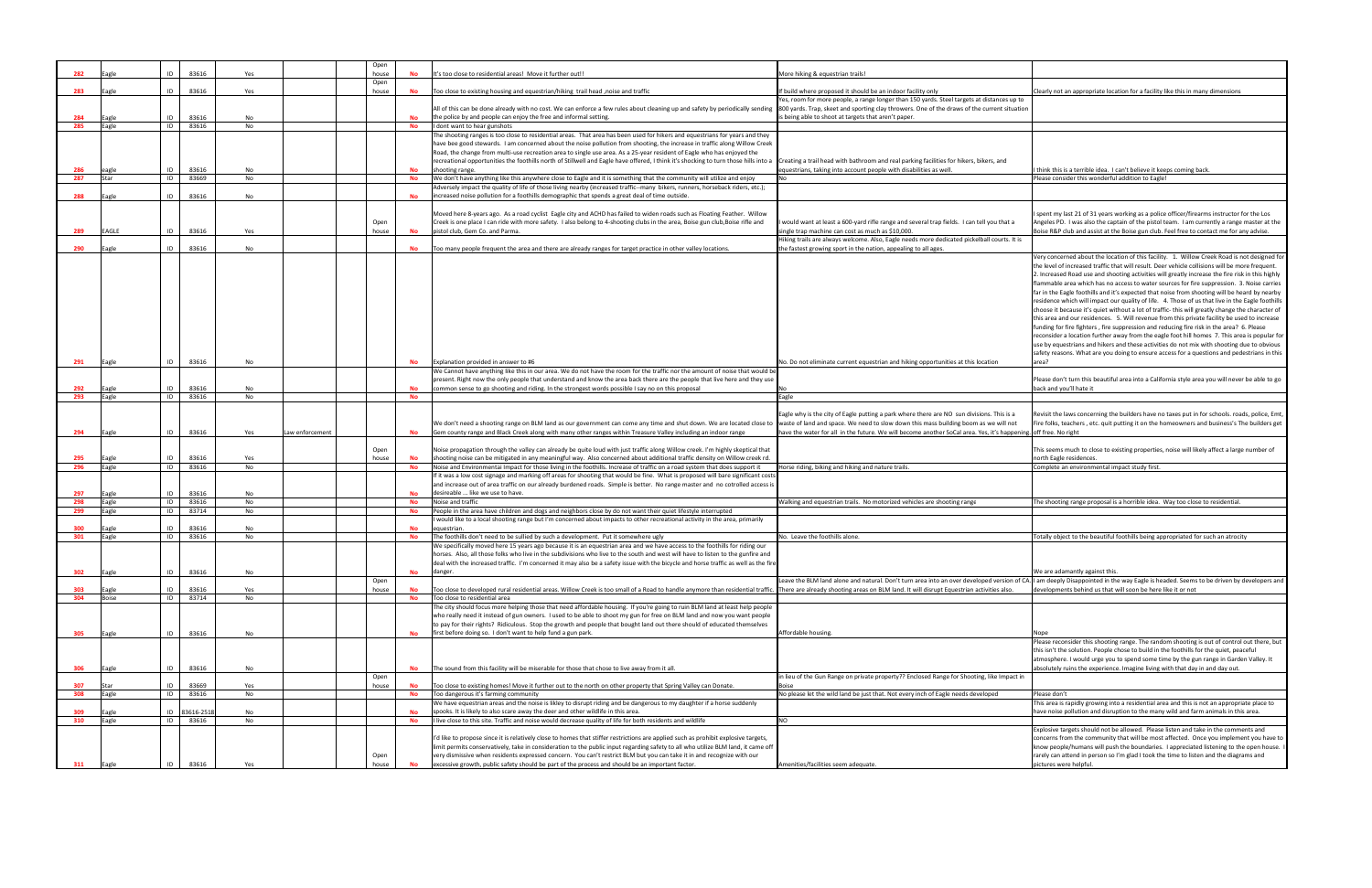| 282        | agle          | ID       | 83616          | Yes |                 | Open<br>house | <b>No</b>       | It's too close to residential areas! Move it further out!!                                                                                                                                                                                                               | More hiking & equestrian trails!                                                                                                                                                         |                                                                                                                                                                        |
|------------|---------------|----------|----------------|-----|-----------------|---------------|-----------------|--------------------------------------------------------------------------------------------------------------------------------------------------------------------------------------------------------------------------------------------------------------------------|------------------------------------------------------------------------------------------------------------------------------------------------------------------------------------------|------------------------------------------------------------------------------------------------------------------------------------------------------------------------|
|            |               |          |                |     |                 | Open          |                 |                                                                                                                                                                                                                                                                          |                                                                                                                                                                                          |                                                                                                                                                                        |
| 283        | agle          | ID       | 83616          | Yes |                 | house         | No              | Too close to existing housing and equestrian/hiking trail head ,noise and traffic                                                                                                                                                                                        | If build where proposed it should be an indoor facility only<br>Yes, room for more people, a range longer than 150 yards. Steel targets at distances up to                               | Clearly not an appropriate location for a facility like this in many dimensions                                                                                        |
|            |               |          |                |     |                 |               |                 | All of this can be done already with no cost. We can enforce a few rules about cleaning up and safety by periodically sending                                                                                                                                            | 800 yards. Trap, skeet and sporting clay throwers. One of the draws of the current situation                                                                                             |                                                                                                                                                                        |
| 284        | agle          | ID       | 83616          | No  |                 |               | <b>No</b>       | the police by and people can enjoy the free and informal setting.                                                                                                                                                                                                        | is being able to shoot at targets that aren't paper.                                                                                                                                     |                                                                                                                                                                        |
| 285        | Eagle         | ID       | 83616          | No  |                 |               | No              | I dont want to hear gunshots<br>The shooting ranges is too close to residential areas. That area has been used for hikers and equestrians for years and they                                                                                                             |                                                                                                                                                                                          |                                                                                                                                                                        |
|            |               |          |                |     |                 |               |                 | have bee good stewards. I am concerned about the noise pollution from shooting, the increase in traffic along Willow Creek                                                                                                                                               |                                                                                                                                                                                          |                                                                                                                                                                        |
|            |               |          |                |     |                 |               |                 | Road, the change from multi-use recreation area to single use area. As a 25-year resident of Eagle who has enjoyed the                                                                                                                                                   |                                                                                                                                                                                          |                                                                                                                                                                        |
| 286        |               | ID       | 83616          | No  |                 |               | <b>No</b>       | recreational opportunities the foothills north of Stillwell and Eagle have offered, I think it's shocking to turn those hills into a<br>shooting range.                                                                                                                  | Creating a trail head with bathroom and real parking facilities for hikers, bikers, and<br>equestrians, taking into account people with disabilities as well.                            | think this is a terrible idea. I can't believe it keeps coming back.                                                                                                   |
| 287        | eagle<br>itar | ID       | 83669          | No  |                 |               | No              | We don't have anything like this anywhere close to Eagle and it is something that the community will utilize and enjoy                                                                                                                                                   |                                                                                                                                                                                          | lease consider this wonderful addition to Eagle!                                                                                                                       |
|            |               |          |                |     |                 |               |                 | Adversely impact the quality of life of those living nearby (increased traffic--many  bikers, runners, horseback riders, etc.);                                                                                                                                          |                                                                                                                                                                                          |                                                                                                                                                                        |
| 288        | agle          | ID       | 83616          | No  |                 |               | No              | increased noise pollution for a foothills demographic that spends a great deal of time outside.                                                                                                                                                                          |                                                                                                                                                                                          |                                                                                                                                                                        |
|            |               |          |                |     |                 |               |                 | Moved here 8-years ago. As a road cyclist Eagle city and ACHD has failed to widen roads such as Floating Feather. Willow                                                                                                                                                 |                                                                                                                                                                                          | spent my last 21 of 31 years working as a police officer/firearms instructor fo                                                                                        |
|            |               |          |                |     |                 | Open          |                 | Creek is one place I can ride with more safety. I also belong to 4-shooting clubs in the area, Boise gun club,Boise rifle and                                                                                                                                            | would want at least a 600-yard rifle range and several trap fields. I can tell you that a                                                                                                | Angeles PD. I was also the captain of the pistol team. I am currently a range r                                                                                        |
| 289        | EAGLE         | ID       | 83616          | Yes |                 | house         | <b>No</b>       | pistol club, Gem Co. and Parma.                                                                                                                                                                                                                                          | single trap machine can cost as much as \$10,000.                                                                                                                                        | Boise R&P club and assist at the Boise gun club. Feel free to contact me for an                                                                                        |
| 290        | agle          | ID       | 83616          | No  |                 |               | <b>No</b>       | Too many people frequent the area and there are already ranges for target practice in other valley locations.                                                                                                                                                            | Hiking trails are always welcome. Also, Eagle needs more dedicated pickelball courts. It is<br>the fastest growing sport in the nation, appealing to all ages.                           |                                                                                                                                                                        |
|            |               |          |                |     |                 |               |                 |                                                                                                                                                                                                                                                                          |                                                                                                                                                                                          | Very concerned about the location of this facility. 1. Willow Creek Road is no                                                                                         |
|            |               |          |                |     |                 |               |                 |                                                                                                                                                                                                                                                                          |                                                                                                                                                                                          | the level of increased traffic that will result. Deer vehicle collisions will be mor                                                                                   |
|            |               |          |                |     |                 |               |                 |                                                                                                                                                                                                                                                                          |                                                                                                                                                                                          | 2. Increased Road use and shooting activities will greatly increase the fire risk<br>flammable area which has no access to water sources for fire suppression. 3.      |
|            |               |          |                |     |                 |               |                 |                                                                                                                                                                                                                                                                          |                                                                                                                                                                                          | far in the Eagle foothills and it's expected that noise from shooting will be hea                                                                                      |
|            |               |          |                |     |                 |               |                 |                                                                                                                                                                                                                                                                          |                                                                                                                                                                                          | residence which will impact our quality of life. 4. Those of us that live in the E                                                                                     |
|            |               |          |                |     |                 |               |                 |                                                                                                                                                                                                                                                                          |                                                                                                                                                                                          | choose it because it's quiet without a lot of traffic- this will greatly change the                                                                                    |
|            |               |          |                |     |                 |               |                 |                                                                                                                                                                                                                                                                          |                                                                                                                                                                                          | this area and our residences. 5. Will revenue from this private facility be used<br>funding for fire fighters, fire suppression and reducing fire risk in the area? 6. |
|            |               |          |                |     |                 |               |                 |                                                                                                                                                                                                                                                                          |                                                                                                                                                                                          | reconsider a location further away from the eagle foot hill homes 7. This area                                                                                         |
|            |               |          |                |     |                 |               |                 |                                                                                                                                                                                                                                                                          |                                                                                                                                                                                          | use by equestrians and hikers and these activities do not mix with shooting du                                                                                         |
| 291        | Eagle         | ID       | 83616          | No  |                 |               | No              | Explanation provided in answer to #6                                                                                                                                                                                                                                     | No. Do not eliminate current equestrian and hiking opportunities at this location                                                                                                        | safety reasons. What are you doing to ensure access for a questions and pede<br>area?                                                                                  |
|            |               |          |                |     |                 |               |                 | We Cannot have anything like this in our area. We do not have the room for the traffic nor the amount of noise that would be                                                                                                                                             |                                                                                                                                                                                          |                                                                                                                                                                        |
|            |               |          |                |     |                 |               |                 | present. Right now the only people that understand and know the area back there are the people that live here and they use                                                                                                                                               |                                                                                                                                                                                          | Please don't turn this beautiful area into a California style area you will never                                                                                      |
| 292        | Eagle         | ID       | 83616          | No  |                 |               | No              | common sense to go shooting and riding. In the strongest words possible I say no on this proposal                                                                                                                                                                        |                                                                                                                                                                                          | back and you'll hate it                                                                                                                                                |
| 293        | Eagle         | ID       | 83616          | No  |                 |               | No              |                                                                                                                                                                                                                                                                          | Eagle                                                                                                                                                                                    |                                                                                                                                                                        |
|            |               |          |                |     |                 |               |                 |                                                                                                                                                                                                                                                                          | Eagle why is the city of Eagle putting a park where there are NO sun divisions. This is a                                                                                                | Revisit the laws concerning the builders have no taxes put in for schools. road                                                                                        |
|            |               |          |                |     |                 |               |                 | We don't need a shooting range on BLM land as our government can come any time and shut down. We are located close to                                                                                                                                                    | waste of land and space. We need to slow down this mass building boom as we will not                                                                                                     | Fire folks, teachers, etc. quit putting it on the homeowners and business's The                                                                                        |
| 294        | Eagle         | ID       | 83616          | Yes | Law enforcement |               | <b>No</b>       | Gem county range and Black Creek along with many other ranges within Treasure Valley including an indoor range                                                                                                                                                           | have the water for all in the future. We will become another SoCal area. Yes, it's happening. off free. No right                                                                         |                                                                                                                                                                        |
|            |               |          |                |     |                 | Open          |                 | Noise propagation through the valley can already be quite loud with just traffic along Willow creek. I'm highly skeptical that                                                                                                                                           |                                                                                                                                                                                          | This seems much to close to existing properties, noise will likely affect a large                                                                                      |
| 295        | Eagle         | ID       | 83616          | Yes |                 | house         | No              | shooting noise can be mitigated in any meaningful way. Also concerned about additional traffic density on Willow creek rd.                                                                                                                                               |                                                                                                                                                                                          | north Eagle residences.                                                                                                                                                |
| 296        | agle          | ID       | 83616          | No  |                 |               | No              | Noise and Environmentai Impact for those living in the foothills. Increase of traffic on a road system that does support it                                                                                                                                              | Horse riding, biking and hiking and nature trails.                                                                                                                                       | omplete an environmental impact study first.                                                                                                                           |
|            |               |          |                |     |                 |               |                 | If it was a low cost signage and marking off areas for shooting that would be fine. What is proposed will bare significant costs<br>and increase out of area traffic on our already burdened roads. Simple is better. No range master and no cotrolled access is         |                                                                                                                                                                                          |                                                                                                                                                                        |
| 297        | agle          | ID       | 83616          | No  |                 |               | <b>No</b>       | desireable  like we use to have.                                                                                                                                                                                                                                         |                                                                                                                                                                                          |                                                                                                                                                                        |
| 298<br>299 | agle          | ID<br>ID | 83616<br>83714 | No  |                 |               | No<br><b>No</b> | Noise and traffic                                                                                                                                                                                                                                                        | Valking and equestrian trails. No motorized vehicles are shooting range                                                                                                                  | he shooting range proposal is a horrible idea. Way too close to residential.                                                                                           |
|            | agle          |          |                | No  |                 |               |                 | People in the area have children and dogs and neighbors close by do not want their quiet lifestyle interrupted<br>I would like to a local shooting range but I'm concerned about impacts to other recreational activity in the area, primarily                           |                                                                                                                                                                                          |                                                                                                                                                                        |
| 300        | agle          | ID       | 83616          | No  |                 |               | <b>No</b>       | equestrian.                                                                                                                                                                                                                                                              |                                                                                                                                                                                          |                                                                                                                                                                        |
| 301        | Eagle         | ID       | 83616          | No  |                 |               | <b>No</b>       | The foothills don't need to be sullied by such a development. Put it somewhere ugly                                                                                                                                                                                      | Io. Leave the foothills alone.                                                                                                                                                           | otally object to the beautiful foothills being appropriated for such an atrocity                                                                                       |
|            |               |          |                |     |                 |               |                 | We specifically moved here 15 years ago because it is an equestrian area and we have access to the foothills for riding our<br>horses. Also, all those folks who live in the subdivisions who live to the south and west will have to listen to the gunfire and          |                                                                                                                                                                                          |                                                                                                                                                                        |
|            |               |          |                |     |                 |               |                 | deal with the increased traffic. I'm concerned it may also be a safety issue with the bicycle and horse traffic as well as the fire                                                                                                                                      |                                                                                                                                                                                          |                                                                                                                                                                        |
| 302        | Eagle         | ID       | 83616          | No  |                 |               | <b>No</b>       | danger.                                                                                                                                                                                                                                                                  |                                                                                                                                                                                          | We are adamantly against this.                                                                                                                                         |
| 303        | Eagle         | ID       | 83616          | Yes |                 | Open<br>house | No              | Too close to developed rural residential areas. Willow Creek is too small of a Road to handle anymore than residential traffic.                                                                                                                                          | Leave the BLM land alone and natural. Don't turn area into an over developed version of CA.<br>There are already shooting areas on BLM land. It will disrupt Equestrian activities also. | I am deeply Disappointed in the way Eagle is headed. Seems to be driven by d<br>levelopments behind us that will soon be here like it or not                           |
| 304        | <b>Boise</b>  | ID       | 83714          | No  |                 |               | <b>No</b>       | Too close to residential area                                                                                                                                                                                                                                            |                                                                                                                                                                                          |                                                                                                                                                                        |
|            |               |          |                |     |                 |               |                 | The city should focus more helping those that need affordable housing. If you're going to ruin BLM land at least help people                                                                                                                                             |                                                                                                                                                                                          |                                                                                                                                                                        |
|            |               |          |                |     |                 |               |                 | who really need it instead of gun owners. I used to be able to shoot my gun for free on BLM land and now you want people<br>to pay for their rights? Ridiculous. Stop the growth and people that bought land out there should of educated themselves                     |                                                                                                                                                                                          |                                                                                                                                                                        |
| 305        | Eagle         | ID       | 83616          | No  |                 |               | <b>No</b>       | first before doing so. I don't want to help fund a gun park.                                                                                                                                                                                                             | Affordable housing                                                                                                                                                                       | Jone                                                                                                                                                                   |
|            |               |          |                |     |                 |               |                 |                                                                                                                                                                                                                                                                          |                                                                                                                                                                                          | Please reconsider this shooting range. The random shooting is out of control of                                                                                        |
|            |               |          |                |     |                 |               |                 |                                                                                                                                                                                                                                                                          |                                                                                                                                                                                          | this isn't the solution. People chose to build in the foothills for the quiet, peac                                                                                    |
| 306        | Eagle         | ID       | 83616          | No  |                 |               | <b>No</b>       | The sound from this facility will be miserable for those that chose to live away from it all.                                                                                                                                                                            |                                                                                                                                                                                          | atmosphere. I would urge you to spend some time by the gun range in Garder<br>absolutely ruins the experience. Imagine living with that day in and day out.            |
|            |               |          |                |     |                 | Open          |                 |                                                                                                                                                                                                                                                                          | in lieu of the Gun Range on private property?? Enclosed Range for Shooting, like Impact in                                                                                               |                                                                                                                                                                        |
| 307        | Star          | ID       | 83669          | Yes |                 | house         | <b>No</b>       | Too close to existing homes! Move it further out to the north on other property that Spring Valley can Donate.                                                                                                                                                           | Boise                                                                                                                                                                                    |                                                                                                                                                                        |
| 308        | agle          | ID       | 83616          | No  |                 |               | No              | Too dangerous it's farming community<br>We have equestrian areas and the noise is likley to disrupt riding and be dangerous to my daughter if a horse suddenly                                                                                                           | No please let the wild land be just that. Not every inch of Eagle needs developed                                                                                                        | Please don't<br>This area is rapidly growing into a residential area and this is not an appropria                                                                      |
| 309        | Eagle         | ID       | 83616-251      | No  |                 |               | <b>No</b>       | spooks. It is likely to also scare away the deer and other wildlife in this area.                                                                                                                                                                                        |                                                                                                                                                                                          | have noise pollution and disruption to the many wild and farm animals in this                                                                                          |
| 310        | Eagle         | ID       | 83616          | No  |                 |               | No              | I live close to this site. Traffic and noise would decrease quality of life for both residents and wildlife                                                                                                                                                              | NΩ                                                                                                                                                                                       |                                                                                                                                                                        |
|            |               |          |                |     |                 |               |                 |                                                                                                                                                                                                                                                                          |                                                                                                                                                                                          | Explosive targets should not be allowed. Please listen and take in the commer                                                                                          |
|            |               |          |                |     |                 |               |                 | I'd like to propose since it is relatively close to homes that stiffer restrictions are applied such as prohibit explosive targets,<br>limit permits conservatively, take in consideration to the public input regarding safety to all who utilize BLM land, it came ofl |                                                                                                                                                                                          | concerns from the community that will be most affected. Once you implemer<br>know people/humans will push the boundaries. I appreciated listening to the               |
|            |               |          |                |     |                 | Open          |                 | very dismissive when residents expressed concern. You can't restrict BLM but you can take it in and recognize with our                                                                                                                                                   |                                                                                                                                                                                          | rarely can attend in person so I'm glad I took the time to listen and the diagra                                                                                       |
| 311        | Eagle         | ID       | 83616          | Yes |                 | house         | No              | excessive growth, public safety should be part of the process and should be an important factor.                                                                                                                                                                         | Amenities/facilities seem adequate.                                                                                                                                                      | pictures were helpful.                                                                                                                                                 |

| istances up to                    | Clearly not an appropriate location for a facility like this in many dimensions                                                                                                                  |
|-----------------------------------|--------------------------------------------------------------------------------------------------------------------------------------------------------------------------------------------------|
| urrent situation                  |                                                                                                                                                                                                  |
|                                   |                                                                                                                                                                                                  |
|                                   |                                                                                                                                                                                                  |
|                                   |                                                                                                                                                                                                  |
| ers, and                          | I think this is a terrible idea. I can't believe it keeps coming back.                                                                                                                           |
|                                   | Please consider this wonderful addition to Eagle!                                                                                                                                                |
|                                   |                                                                                                                                                                                                  |
|                                   | I spent my last 21 of 31 years working as a police officer/firearms instructor for the Los                                                                                                       |
| you that a                        | Angeles PD. I was also the captain of the pistol team. I am currently a range master at the<br>Boise R&P club and assist at the Boise gun club. Feel free to contact me for any advise.          |
| Il courts. It is                  |                                                                                                                                                                                                  |
|                                   | Very concerned about the location of this facility. 1. Willow Creek Road is not designed for                                                                                                     |
|                                   | the level of increased traffic that will result. Deer vehicle collisions will be more frequent.                                                                                                  |
|                                   | 2. Increased Road use and shooting activities will greatly increase the fire risk in this highly                                                                                                 |
|                                   | flammable area which has no access to water sources for fire suppression. 3. Noise carries<br>far in the Eagle foothills and it's expected that noise from shooting will be heard by nearby      |
|                                   | residence which will impact our quality of life. 4. Those of us that live in the Eagle foothills                                                                                                 |
|                                   | choose it because it's quiet without a lot of traffic- this will greatly change the character of<br>this area and our residences. 5. Will revenue from this private facility be used to increase |
|                                   | funding for fire fighters, fire suppression and reducing fire risk in the area? 6. Please                                                                                                        |
|                                   | reconsider a location further away from the eagle foot hill homes 7. This area is popular for                                                                                                    |
|                                   | use by equestrians and hikers and these activities do not mix with shooting due to obvious<br>safety reasons. What are you doing to ensure access for a questions and pedestrians in this        |
| ıtion                             | area?                                                                                                                                                                                            |
|                                   | Please don't turn this beautiful area into a California style area you will never be able to go                                                                                                  |
|                                   | back and you'll hate it                                                                                                                                                                          |
|                                   |                                                                                                                                                                                                  |
| าร. This is a                     | Revisit the laws concerning the builders have no taxes put in for schools. roads, police, Emt,                                                                                                   |
| we will not<br>s, it's happening. | Fire folks, teachers , etc. quit putting it on the homeowners and business's The builders get<br>off free. No right                                                                              |
|                                   |                                                                                                                                                                                                  |
|                                   | This seems much to close to existing properties, noise will likely affect a large number of<br>north Eagle residences.                                                                           |
|                                   | Complete an environmental impact study first.                                                                                                                                                    |
|                                   |                                                                                                                                                                                                  |
|                                   |                                                                                                                                                                                                  |
|                                   | The shooting range proposal is a horrible idea. Way too close to residential.                                                                                                                    |
|                                   |                                                                                                                                                                                                  |
|                                   | Totally object to the beautiful foothills being appropriated for such an atrocity                                                                                                                |
|                                   |                                                                                                                                                                                                  |
|                                   |                                                                                                                                                                                                  |
| ed version of CA.                 | We are adamantly against this.<br>I am deeply Disappointed in the way Eagle is headed. Seems to be driven by developers and                                                                      |
| vities also.                      | developments behind us that will soon be here like it or not                                                                                                                                     |
|                                   |                                                                                                                                                                                                  |
|                                   |                                                                                                                                                                                                  |
|                                   | Nope                                                                                                                                                                                             |
|                                   | Please reconsider this shooting range. The random shooting is out of control out there, but                                                                                                      |
|                                   | this isn't the solution. People chose to build in the foothills for the quiet, peaceful<br>atmosphere. I would urge you to spend some time by the gun range in Garden Valley. It                 |
|                                   | absolutely ruins the experience. Imagine living with that day in and day out.                                                                                                                    |
| like Impact in                    |                                                                                                                                                                                                  |
| pped                              | Please don't                                                                                                                                                                                     |
|                                   | This area is rapidly growing into a residential area and this is not an appropriate place to<br>have noise pollution and disruption to the many wild and farm animals in this area.              |
|                                   |                                                                                                                                                                                                  |
|                                   | Explosive targets should not be allowed. Please listen and take in the comments and<br>concerns from the community that will be most affected. Once you implement you have to                    |
|                                   | know people/humans will push the boundaries. I appreciated listening to the open house. I                                                                                                        |
|                                   | rarely can attend in person so I'm glad I took the time to listen and the diagrams and                                                                                                           |
|                                   | pictures were helpful.                                                                                                                                                                           |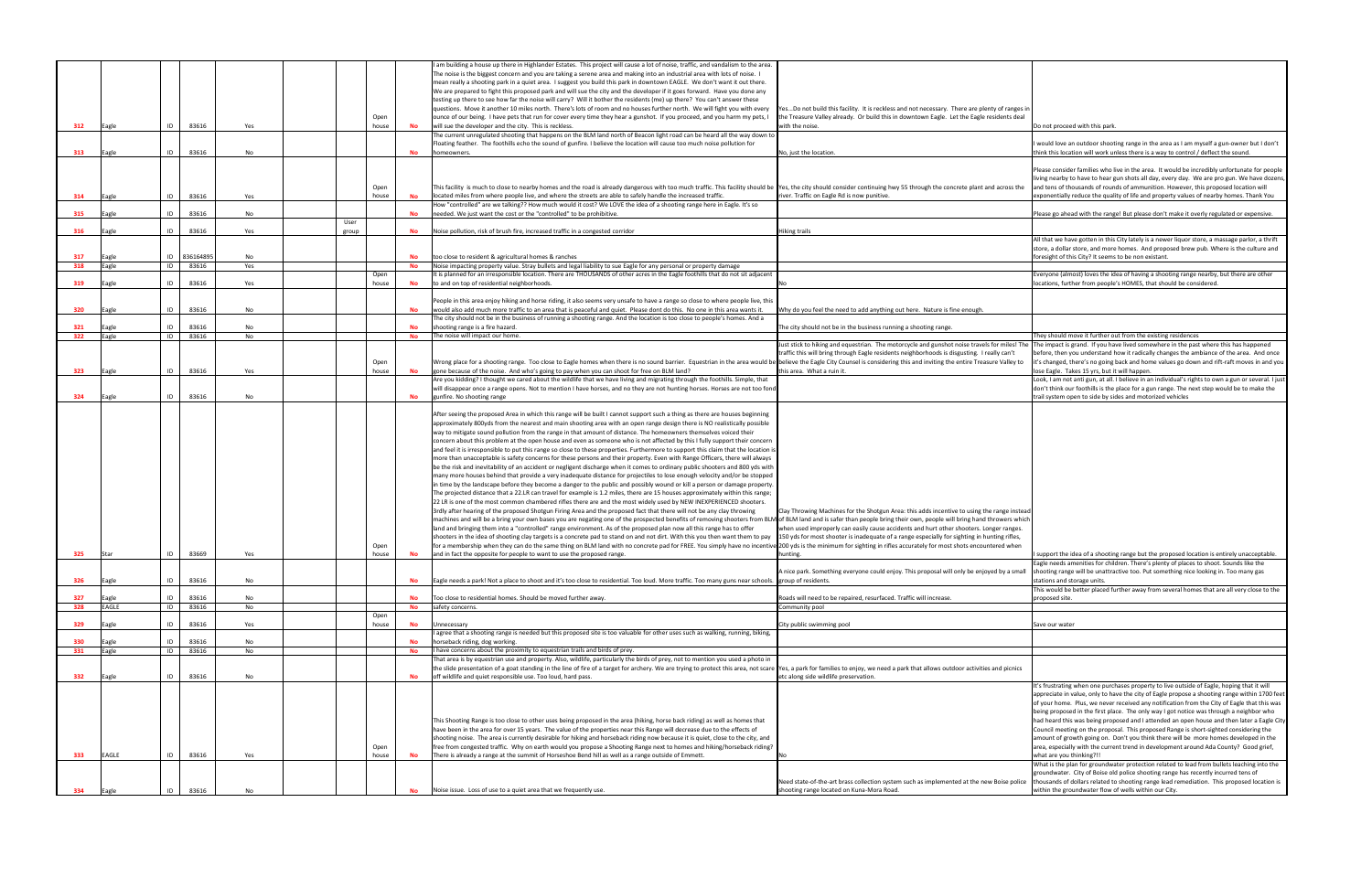|     |              |    |                |           |       |       |           | am building a house up there in Highlander Estates. This project will cause a lot of noise, traffic, and vandalism to the area.                                                                                                                                                                |                                                                                                                                                                                                                               |                                                                                               |
|-----|--------------|----|----------------|-----------|-------|-------|-----------|------------------------------------------------------------------------------------------------------------------------------------------------------------------------------------------------------------------------------------------------------------------------------------------------|-------------------------------------------------------------------------------------------------------------------------------------------------------------------------------------------------------------------------------|-----------------------------------------------------------------------------------------------|
|     |              |    |                |           |       |       |           | The noise is the biggest concern and you are taking a serene area and making into an industrial area with lots of noise. I                                                                                                                                                                     |                                                                                                                                                                                                                               |                                                                                               |
|     |              |    |                |           |       |       |           | mean really a shooting park in a quiet area. I suggest you build this park in downtown EAGLE. We don't want it out there.                                                                                                                                                                      |                                                                                                                                                                                                                               |                                                                                               |
|     |              |    |                |           |       |       |           | We are prepared to fight this proposed park and will sue the city and the developer if it goes forward. Have you done any                                                                                                                                                                      |                                                                                                                                                                                                                               |                                                                                               |
|     |              |    |                |           |       |       |           | testing up there to see how far the noise will carry? Will it bother the residents (me) up there? You can't answer these                                                                                                                                                                       |                                                                                                                                                                                                                               |                                                                                               |
|     |              |    |                |           |       |       |           | questions. Move it another 10 miles north. There's lots of room and no houses further north. We will fight you with every                                                                                                                                                                      | YesDo not build this facility. It is reckless and not necessary. There are plenty of ranges ir                                                                                                                                |                                                                                               |
|     |              |    |                |           |       | Open  |           | ounce of our being. I have pets that run for cover every time they hear a gunshot. If you proceed, and you harm my pets, I                                                                                                                                                                     | the Treasure Valley already. Or build this in downtown Eagle. Let the Eagle residents deal                                                                                                                                    |                                                                                               |
| 312 | Eagle        | ID | 83616          | Yes       |       | house | No        | will sue the developer and the city. This is reckless.                                                                                                                                                                                                                                         | with the noise.                                                                                                                                                                                                               | Do not proceed with this park.                                                                |
|     |              |    |                |           |       |       |           | The current unregulated shooting that happens on the BLM land north of Beacon light road can be heard all the way down to                                                                                                                                                                      |                                                                                                                                                                                                                               |                                                                                               |
|     |              |    |                |           |       |       |           | Floating feather. The foothills echo the sound of gunfire. I believe the location will cause too much noise pollution for                                                                                                                                                                      |                                                                                                                                                                                                                               | would love an outdoor shooting range in the area as I am myself a gun-owner but I do          |
| 313 | Eagle        | ID | 83616          | No        |       |       | No        | homeowners.                                                                                                                                                                                                                                                                                    | No, just the location                                                                                                                                                                                                         | think this location will work unless there is a way to control / deflect the sound.           |
|     |              |    |                |           |       |       |           |                                                                                                                                                                                                                                                                                                |                                                                                                                                                                                                                               |                                                                                               |
|     |              |    |                |           |       |       |           |                                                                                                                                                                                                                                                                                                |                                                                                                                                                                                                                               | Please consider families who live in the area. It would be incredibly unfortunate for peo     |
|     |              |    |                |           |       |       |           |                                                                                                                                                                                                                                                                                                |                                                                                                                                                                                                                               | iving nearby to have to hear gun shots all day, every day. We are pro gun. We have do         |
|     |              |    |                |           |       | Open  |           | This facility is much to close to nearby homes and the road is already dangerous with too much traffic. This facility should be                                                                                                                                                                | Yes, the city should consider continuing hwy 55 through the concrete plant and across the                                                                                                                                     | and tens of thousands of rounds of ammunition. However, this proposed location will           |
| 314 | Eagle        | ID | 83616          | Yes       |       | house | No        | located miles from where people live, and where the streets are able to safely handle the increased traffic.                                                                                                                                                                                   | iver. Traffic on Eagle Rd is now punitive.                                                                                                                                                                                    | exponentially reduce the quality of life and property values of nearby homes. Thank Yor       |
|     |              |    |                |           |       |       |           | How "controlled" are we talking?? How much would it cost? We LOVE the idea of a shooting range here in Eagle. It's so                                                                                                                                                                          |                                                                                                                                                                                                                               |                                                                                               |
| 315 | Eagle        | ID | 83616          | No        |       |       | <b>No</b> | needed. We just want the cost or the "controlled" to be prohibitive.                                                                                                                                                                                                                           |                                                                                                                                                                                                                               | Please go ahead with the range! But please don't make it overly regulated or expensive        |
|     |              |    |                |           | User  |       |           |                                                                                                                                                                                                                                                                                                |                                                                                                                                                                                                                               |                                                                                               |
| 316 | Eagle        | ID | 83616          | Yes       | group |       | No        | Noise pollution, risk of brush fire, increased traffic in a congested corridor                                                                                                                                                                                                                 | <b>Hiking trails</b>                                                                                                                                                                                                          |                                                                                               |
|     |              |    |                |           |       |       |           |                                                                                                                                                                                                                                                                                                |                                                                                                                                                                                                                               | All that we have gotten in this City lately is a newer liquor store, a massage parlor, a thr  |
|     |              |    |                |           |       |       |           |                                                                                                                                                                                                                                                                                                |                                                                                                                                                                                                                               | store, a dollar store, and more homes. And proposed brew pub. Where is the culture a          |
| 317 | Eagle        |    | ID 83616489    | No        |       |       | <b>No</b> | too close to resident & agricultural homes & ranches                                                                                                                                                                                                                                           |                                                                                                                                                                                                                               | foresight of this City? It seems to be non existant.                                          |
| 318 | Eagle        | ID | 83616          | Yes       |       |       | No        | Noise impacting property value. Stray bullets and legal liability to sue Eagle for any personal or property damage                                                                                                                                                                             |                                                                                                                                                                                                                               |                                                                                               |
|     |              |    |                |           |       | Open  |           | It is planned for an irresponsible location. There are THOUSANDS of other acres in the Eagle foothills that do not sit adjacent                                                                                                                                                                |                                                                                                                                                                                                                               | veryone (almost) loves the idea of having a shooting range nearby, but there are other        |
| 319 | Eagle        | ID | 83616          | Yes       |       | house | No        | to and on top of residential neighborhoods.                                                                                                                                                                                                                                                    |                                                                                                                                                                                                                               | ocations, further from people's HOMES, that should be considered.                             |
|     |              |    |                |           |       |       |           |                                                                                                                                                                                                                                                                                                |                                                                                                                                                                                                                               |                                                                                               |
|     |              |    |                |           |       |       |           | People in this area enjoy hiking and horse riding, it also seems very unsafe to have a range so close to where people live, this                                                                                                                                                               |                                                                                                                                                                                                                               |                                                                                               |
| 320 | Eagle        | ID | 83616          | No        |       |       | <b>No</b> | would also add much more traffic to an area that is peaceful and quiet. Please dont do this. No one in this area wants it.                                                                                                                                                                     | Why do you feel the need to add anything out here. Nature is fine enough.                                                                                                                                                     |                                                                                               |
|     |              |    |                |           |       |       |           | The city should not be in the business of running a shooting range. And the location is too close to people's homes. And a                                                                                                                                                                     |                                                                                                                                                                                                                               |                                                                                               |
| 321 | Eagle        | ID | 83616          | No        |       |       | No        | shooting range is a fire hazard.                                                                                                                                                                                                                                                               | The city should not be in the business running a shooting range.                                                                                                                                                              |                                                                                               |
| 322 | Eagle        | ID | 83616          | No        |       |       | <b>No</b> | The noise will impact our home.                                                                                                                                                                                                                                                                |                                                                                                                                                                                                                               | hey should move it further out from the existing residences                                   |
|     |              |    |                |           |       |       |           |                                                                                                                                                                                                                                                                                                | Just stick to hiking and equestrian. The motorcycle and gunshot noise travels for miles! The                                                                                                                                  | The impact is grand. If you have lived somewhere in the past where this has happened          |
|     |              |    |                |           |       |       |           |                                                                                                                                                                                                                                                                                                | traffic this will bring through Eagle residents neighborhoods is disgusting. I really can't                                                                                                                                   | before, then you understand how it radically changes the ambiance of the area. And or         |
|     |              |    |                |           |       | Open  |           | Wrong place for a shooting range. Too close to Eagle homes when there is no sound barrier. Equestrian in the area would be believe the Eagle City Counsel is considering this and inviting the entire Treasure Valley to                                                                       |                                                                                                                                                                                                                               | it's changed, there's no going back and home values go down and rift-raft moves in and        |
| 323 | Eagle        | ID | 83616          | Yes       |       | house | No        | gone because of the noise. And who's going to pay when you can shoot for free on BLM land?                                                                                                                                                                                                     | his area. What a ruin it.                                                                                                                                                                                                     | ose Eagle. Takes 15 yrs, but it will happen.                                                  |
|     |              |    |                |           |       |       |           | Are you kidding? I thought we cared about the wildlife that we have living and migrating through the foothills. Simple, that                                                                                                                                                                   |                                                                                                                                                                                                                               | Look, I am not anti gun, at all. I believe in an individual's rights to own a gun or several. |
|     |              |    |                |           |       |       |           | will disappear once a range opens. Not to mention I have horses, and no they are not hunting horses. Horses are not too fond                                                                                                                                                                   |                                                                                                                                                                                                                               | don't think our foothills is the place for a gun range. The next step would be to make th     |
| 324 | Eagle        | ID | 83616          | No        |       |       | No        | gunfire. No shooting range                                                                                                                                                                                                                                                                     |                                                                                                                                                                                                                               | trail system open to side by sides and motorized vehicles                                     |
|     |              |    |                |           |       |       |           |                                                                                                                                                                                                                                                                                                |                                                                                                                                                                                                                               |                                                                                               |
|     |              |    |                |           |       |       |           | After seeing the proposed Area in which this range will be built I cannot support such a thing as there are houses beginning                                                                                                                                                                   |                                                                                                                                                                                                                               |                                                                                               |
|     |              |    |                |           |       |       |           | approximately 800yds from the nearest and main shooting area with an open range design there is NO realistically possible                                                                                                                                                                      |                                                                                                                                                                                                                               |                                                                                               |
|     |              |    |                |           |       |       |           | way to mitigate sound pollution from the range in that amount of distance. The homeowners themselves voiced their                                                                                                                                                                              |                                                                                                                                                                                                                               |                                                                                               |
|     |              |    |                |           |       |       |           | concern about this problem at the open house and even as someone who is not affected by this I fully support their concern                                                                                                                                                                     |                                                                                                                                                                                                                               |                                                                                               |
|     |              |    |                |           |       |       |           | and feel it is irresponsible to put this range so close to these properties. Furthermore to support this claim that the location i:                                                                                                                                                            |                                                                                                                                                                                                                               |                                                                                               |
|     |              |    |                |           |       |       |           | more than unacceptable is safety concerns for these persons and their property. Even with Range Officers, there will always                                                                                                                                                                    |                                                                                                                                                                                                                               |                                                                                               |
|     |              |    |                |           |       |       |           | be the risk and inevitability of an accident or negligent discharge when it comes to ordinary public shooters and 800 yds with                                                                                                                                                                 |                                                                                                                                                                                                                               |                                                                                               |
|     |              |    |                |           |       |       |           | many more houses behind that provide a very inadequate distance for projectiles to lose enough velocity and/or be stopped                                                                                                                                                                      |                                                                                                                                                                                                                               |                                                                                               |
|     |              |    |                |           |       |       |           | in time by the landscape before they become a danger to the public and possibly wound or kill a person or damage property.                                                                                                                                                                     |                                                                                                                                                                                                                               |                                                                                               |
|     |              |    |                |           |       |       |           | The projected distance that a 22.LR can travel for example is 1.2 miles, there are 15 houses approximately within this range;                                                                                                                                                                  |                                                                                                                                                                                                                               |                                                                                               |
|     |              |    |                |           |       |       |           | 22 LR is one of the most common chambered rifles there are and the most widely used by NEW INEXPERIENCED shooters.                                                                                                                                                                             |                                                                                                                                                                                                                               |                                                                                               |
|     |              |    |                |           |       |       |           | 3rdly after hearing of the proposed Shotgun Firing Area and the proposed fact that there will not be any clay throwing                                                                                                                                                                         | Clay Throwing Machines for the Shotgun Area: this adds incentive to using the range instead                                                                                                                                   |                                                                                               |
|     |              |    |                |           |       |       |           | machines and will be a bring your own bases you are negating one of the prospected benefits of removing shooters from BLM of BLM land and is safer than people bring their own, people will bring hand throwers which                                                                          |                                                                                                                                                                                                                               |                                                                                               |
|     |              |    |                |           |       |       |           | land and bringing them into a "controlled" range environment. As of the proposed plan now all this range has to offer                                                                                                                                                                          | when used improperly can easily cause accidents and hurt other shooters. Longer ranges.                                                                                                                                       |                                                                                               |
|     |              |    |                |           |       |       |           | shooters in the idea of shooting clay targets is a concrete pad to stand on and not dirt. With this you then want them to pay                                                                                                                                                                  | 150 yds for most shooter is inadequate of a range especially for sighting in hunting rifles,                                                                                                                                  |                                                                                               |
|     |              |    |                |           |       | Open  |           | for a membership when they can do the same thing on BLM land with no concrete pad for FREE. You simply have no incentive 200 yds is the minimum for sighting in rifles accurately for most shots encountered when                                                                              |                                                                                                                                                                                                                               |                                                                                               |
| 325 |              | ID | 83669          | Yes       |       | house | No        | and in fact the opposite for people to want to use the proposed range.                                                                                                                                                                                                                         | hunting.                                                                                                                                                                                                                      | support the idea of a shooting range but the proposed location is entirely unacceptabl        |
|     |              |    |                |           |       |       |           |                                                                                                                                                                                                                                                                                                |                                                                                                                                                                                                                               | Eagle needs amenities for children. There's plenty of places to shoot. Sounds like the        |
|     |              |    |                |           |       |       |           |                                                                                                                                                                                                                                                                                                | A nice park. Something everyone could enjoy. This proposal will only be enjoyed by a small                                                                                                                                    | shooting range will be unattractive too. Put something nice looking in. Too many gas          |
| 326 | Eagle        | ID | 83616          | No        |       |       | <b>No</b> | Eagle needs a park! Not a place to shoot and it's too close to residential. Too loud. More traffic. Too many guns near schools.                                                                                                                                                                | group of residents.                                                                                                                                                                                                           | stations and storage units.                                                                   |
|     |              |    |                |           |       |       |           |                                                                                                                                                                                                                                                                                                |                                                                                                                                                                                                                               | This would be better placed further away from several homes that are all very close to t      |
| 327 | Eagle        | ID | 83616          | <b>No</b> |       |       | No        | Too close to residential homes. Should be moved further away.                                                                                                                                                                                                                                  | Roads will need to be repaired, resurfaced. Traffic will increase.                                                                                                                                                            | proposed site                                                                                 |
| 328 | <b>EAGLE</b> | ID | 83616          | No        |       |       | <b>No</b> | safety concerns                                                                                                                                                                                                                                                                                | community pool                                                                                                                                                                                                                |                                                                                               |
|     |              |    |                |           |       | Open  |           |                                                                                                                                                                                                                                                                                                |                                                                                                                                                                                                                               |                                                                                               |
| 329 | Eagle        | ID | 83616          | Yes       |       | house | <b>No</b> | Unnecessary                                                                                                                                                                                                                                                                                    | City public swimming pool                                                                                                                                                                                                     | Save our water                                                                                |
|     |              | ID |                |           |       |       |           | agree that a shooting range is needed but this proposed site is too valuable for other uses such as walking, running, biking,                                                                                                                                                                  |                                                                                                                                                                                                                               |                                                                                               |
| 330 | Eagle        | ID | 83616<br>83616 | <b>No</b> |       |       |           | horseback riding, dog working.                                                                                                                                                                                                                                                                 |                                                                                                                                                                                                                               |                                                                                               |
| 331 | Eagle        |    |                | <b>No</b> |       |       | No        | I have concerns about the proximity to equestrian trails and birds of prey.<br>That area is by equestrian use and property. Also, wildlife, particularly the birds of prey, not to mention you used a photo in                                                                                 |                                                                                                                                                                                                                               |                                                                                               |
|     |              |    |                |           |       |       |           |                                                                                                                                                                                                                                                                                                |                                                                                                                                                                                                                               |                                                                                               |
|     |              | ID | 83616          | No        |       |       |           | the slide presentation of a goat standing in the line of fire of a target for archery. We are trying to protect this area, not scare Yes, a park for families to enjoy, we need a park that allows outdoor activities and picn<br>off wildlife and quiet responsible use. Too loud, hard pass. |                                                                                                                                                                                                                               |                                                                                               |
| 332 | Eagle        |    |                |           |       |       | No        |                                                                                                                                                                                                                                                                                                | etc along side wildlife preservation.                                                                                                                                                                                         |                                                                                               |
|     |              |    |                |           |       |       |           |                                                                                                                                                                                                                                                                                                |                                                                                                                                                                                                                               | It's frustrating when one purchases property to live outside of Eagle, hoping that it will    |
|     |              |    |                |           |       |       |           |                                                                                                                                                                                                                                                                                                |                                                                                                                                                                                                                               | appreciate in value, only to have the city of Eagle propose a shooting range within 1700      |
|     |              |    |                |           |       |       |           |                                                                                                                                                                                                                                                                                                |                                                                                                                                                                                                                               | of your home. Plus, we never received any notification from the City of Eagle that this v     |
|     |              |    |                |           |       |       |           |                                                                                                                                                                                                                                                                                                |                                                                                                                                                                                                                               | being proposed in the first place. The only way I got notice was through a neighbor wh        |
|     |              |    |                |           |       |       |           | This Shooting Range is too close to other uses being proposed in the area (hiking, horse back riding) as well as homes that                                                                                                                                                                    |                                                                                                                                                                                                                               | had heard this was being proposed and I attended an open house and then later a Eagle         |
|     |              |    |                |           |       |       |           | have been in the area for over 15 years. The value of the properties near this Range will decrease due to the effects of                                                                                                                                                                       |                                                                                                                                                                                                                               | Council meeting on the proposal. This proposed Range is short-sighted considering the         |
|     |              |    |                |           |       |       |           | shooting noise. The area is currently desirable for hiking and horseback riding now because it is quiet, close to the city, and                                                                                                                                                                |                                                                                                                                                                                                                               | amount of growth going on. Don't you think there will be more homes developed in th           |
|     |              |    |                |           |       | Open  |           | free from congested traffic. Why on earth would you propose a Shooting Range next to homes and hiking/horseback riding?                                                                                                                                                                        |                                                                                                                                                                                                                               | area, especially with the current trend in development around Ada County? Good grief          |
| 333 | <b>EAGLE</b> | ID | 83616          | Yes       |       | house | <b>No</b> | There is already a range at the summit of Horseshoe Bend hill as well as a range outside of Emmett.                                                                                                                                                                                            |                                                                                                                                                                                                                               | what are you thinking?!!                                                                      |
|     |              |    |                |           |       |       |           |                                                                                                                                                                                                                                                                                                |                                                                                                                                                                                                                               | What is the plan for groundwater protection related to lead from bullets leaching into t      |
|     |              |    |                |           |       |       |           |                                                                                                                                                                                                                                                                                                |                                                                                                                                                                                                                               | groundwater. City of Boise old police shooting range has recently incurred tens of            |
| 334 |              |    |                |           |       |       |           | Noise issue. Loss of use to a quiet area that we frequently use.                                                                                                                                                                                                                               | Need state-of-the-art brass collection system such as implemented at the new Boise police thousands of dollars related to shooting range lead remediation. This proposed locatio<br>shooting range located on Kuna-Mora Road. | within the groundwater flow of wells within our City.                                         |
|     |              |    |                |           |       |       |           |                                                                                                                                                                                                                                                                                                |                                                                                                                                                                                                                               |                                                                                               |

| YesDo not build this facility. It is reckless and not necessary. There are plenty of ranges in                                                                                                                                                                                                                                                                                                                                                                                                                                                                                                                                                                                                                                          |                                                                                                                                                                                                                                                                                                                                                                                                                                                                                                                                                                                                                                                                                                                                                                                           |
|-----------------------------------------------------------------------------------------------------------------------------------------------------------------------------------------------------------------------------------------------------------------------------------------------------------------------------------------------------------------------------------------------------------------------------------------------------------------------------------------------------------------------------------------------------------------------------------------------------------------------------------------------------------------------------------------------------------------------------------------|-------------------------------------------------------------------------------------------------------------------------------------------------------------------------------------------------------------------------------------------------------------------------------------------------------------------------------------------------------------------------------------------------------------------------------------------------------------------------------------------------------------------------------------------------------------------------------------------------------------------------------------------------------------------------------------------------------------------------------------------------------------------------------------------|
| the Treasure Valley already. Or build this in downtown Eagle. Let the Eagle residents deal<br>with the noise.                                                                                                                                                                                                                                                                                                                                                                                                                                                                                                                                                                                                                           | Do not proceed with this park.                                                                                                                                                                                                                                                                                                                                                                                                                                                                                                                                                                                                                                                                                                                                                            |
|                                                                                                                                                                                                                                                                                                                                                                                                                                                                                                                                                                                                                                                                                                                                         | I would love an outdoor shooting range in the area as I am myself a gun-owner but I don't                                                                                                                                                                                                                                                                                                                                                                                                                                                                                                                                                                                                                                                                                                 |
| No, just the location.                                                                                                                                                                                                                                                                                                                                                                                                                                                                                                                                                                                                                                                                                                                  | think this location will work unless there is a way to control / deflect the sound.                                                                                                                                                                                                                                                                                                                                                                                                                                                                                                                                                                                                                                                                                                       |
| Yes, the city should consider continuing hwy 55 through the concrete plant and across the<br>river. Traffic on Eagle Rd is now punitive.                                                                                                                                                                                                                                                                                                                                                                                                                                                                                                                                                                                                | Please consider families who live in the area. It would be incredibly unfortunate for people<br>living nearby to have to hear gun shots all day, every day. We are pro gun. We have dozens,<br>and tens of thousands of rounds of ammunition. However, this proposed location will<br>exponentially reduce the quality of life and property values of nearby homes. Thank You                                                                                                                                                                                                                                                                                                                                                                                                             |
|                                                                                                                                                                                                                                                                                                                                                                                                                                                                                                                                                                                                                                                                                                                                         | Please go ahead with the range! But please don't make it overly regulated or expensive.                                                                                                                                                                                                                                                                                                                                                                                                                                                                                                                                                                                                                                                                                                   |
| Hiking trails                                                                                                                                                                                                                                                                                                                                                                                                                                                                                                                                                                                                                                                                                                                           |                                                                                                                                                                                                                                                                                                                                                                                                                                                                                                                                                                                                                                                                                                                                                                                           |
|                                                                                                                                                                                                                                                                                                                                                                                                                                                                                                                                                                                                                                                                                                                                         | All that we have gotten in this City lately is a newer liquor store, a massage parlor, a thrift<br>store, a dollar store, and more homes. And proposed brew pub. Where is the culture and<br>foresight of this City? It seems to be non existant.                                                                                                                                                                                                                                                                                                                                                                                                                                                                                                                                         |
| No                                                                                                                                                                                                                                                                                                                                                                                                                                                                                                                                                                                                                                                                                                                                      | Everyone (almost) loves the idea of having a shooting range nearby, but there are other<br>locations, further from people's HOMES, that should be considered.                                                                                                                                                                                                                                                                                                                                                                                                                                                                                                                                                                                                                             |
| Why do you feel the need to add anything out here. Nature is fine enough.                                                                                                                                                                                                                                                                                                                                                                                                                                                                                                                                                                                                                                                               |                                                                                                                                                                                                                                                                                                                                                                                                                                                                                                                                                                                                                                                                                                                                                                                           |
| The city should not be in the business running a shooting range.                                                                                                                                                                                                                                                                                                                                                                                                                                                                                                                                                                                                                                                                        |                                                                                                                                                                                                                                                                                                                                                                                                                                                                                                                                                                                                                                                                                                                                                                                           |
|                                                                                                                                                                                                                                                                                                                                                                                                                                                                                                                                                                                                                                                                                                                                         | They should move it further out from the existing residences                                                                                                                                                                                                                                                                                                                                                                                                                                                                                                                                                                                                                                                                                                                              |
| Just stick to hiking and equestrian. The motorcycle and gunshot noise travels for miles! The<br>traffic this will bring through Eagle residents neighborhoods is disgusting. I really can't<br>believe the Eagle City Counsel is considering this and inviting the entire Treasure Valley to<br>this area. What a ruin it.                                                                                                                                                                                                                                                                                                                                                                                                              | The impact is grand. If you have lived somewhere in the past where this has happened<br>before, then you understand how it radically changes the ambiance of the area. And once<br>it's changed, there's no going back and home values go down and rift-raft moves in and you<br>lose Eagle. Takes 15 yrs, but it will happen.                                                                                                                                                                                                                                                                                                                                                                                                                                                            |
|                                                                                                                                                                                                                                                                                                                                                                                                                                                                                                                                                                                                                                                                                                                                         | Look, I am not anti gun, at all. I believe in an individual's rights to own a gun or several. I just<br>don't think our foothills is the place for a gun range. The next step would be to make the<br>trail system open to side by sides and motorized vehicles                                                                                                                                                                                                                                                                                                                                                                                                                                                                                                                           |
| Clay Throwing Machines for the Shotgun Area: this adds incentive to using the range instead<br>of BLM land and is safer than people bring their own, people will bring hand throwers which<br>when used improperly can easily cause accidents and hurt other shooters. Longer ranges.<br>150 yds for most shooter is inadequate of a range especially for sighting in hunting rifles,<br>200 yds is the minimum for sighting in rifles accurately for most shots encountered when<br>hunting.<br>A nice park. Something everyone could enjoy. This proposal will only be enjoyed by a small<br>group of residents.<br>Roads will need to be repaired, resurfaced. Traffic will increase.<br>Community pool<br>City public swimming pool | support the idea of a shooting range but the proposed location is entirely unacceptable.<br>agle needs amenities for children. There's plenty of places to shoot. Sounds like the<br>shooting range will be unattractive too. Put something nice looking in. Too many gas<br>stations and storage units.<br>This would be better placed further away from several homes that are all very close to the<br>proposed site.<br>Save our water                                                                                                                                                                                                                                                                                                                                                |
|                                                                                                                                                                                                                                                                                                                                                                                                                                                                                                                                                                                                                                                                                                                                         |                                                                                                                                                                                                                                                                                                                                                                                                                                                                                                                                                                                                                                                                                                                                                                                           |
| Yes, a park for families to enjoy, we need a park that allows outdoor activities and picnics<br>etc along side wildlife preservation.                                                                                                                                                                                                                                                                                                                                                                                                                                                                                                                                                                                                   |                                                                                                                                                                                                                                                                                                                                                                                                                                                                                                                                                                                                                                                                                                                                                                                           |
| No                                                                                                                                                                                                                                                                                                                                                                                                                                                                                                                                                                                                                                                                                                                                      | It's frustrating when one purchases property to live outside of Eagle, hoping that it will<br>appreciate in value, only to have the city of Eagle propose a shooting range within 1700 feet<br>of your home. Plus, we never received any notification from the City of Eagle that this was<br>being proposed in the first place. The only way I got notice was through a neighbor who<br>had heard this was being proposed and I attended an open house and then later a Eagle City<br>Council meeting on the proposal. This proposed Range is short-sighted considering the<br>amount of growth going on. Don't you think there will be more homes developed in the<br>area, especially with the current trend in development around Ada County? Good grief,<br>what are you thinking?!! |
| Need state-of-the-art brass collection system such as implemented at the new Boise police<br>shooting range located on Kuna-Mora Road.                                                                                                                                                                                                                                                                                                                                                                                                                                                                                                                                                                                                  | What is the plan for groundwater protection related to lead from bullets leaching into the<br>groundwater. City of Boise old police shooting range has recently incurred tens of<br>thousands of dollars related to shooting range lead remediation. This proposed location is<br>within the groundwater flow of wells within our City.                                                                                                                                                                                                                                                                                                                                                                                                                                                   |
|                                                                                                                                                                                                                                                                                                                                                                                                                                                                                                                                                                                                                                                                                                                                         |                                                                                                                                                                                                                                                                                                                                                                                                                                                                                                                                                                                                                                                                                                                                                                                           |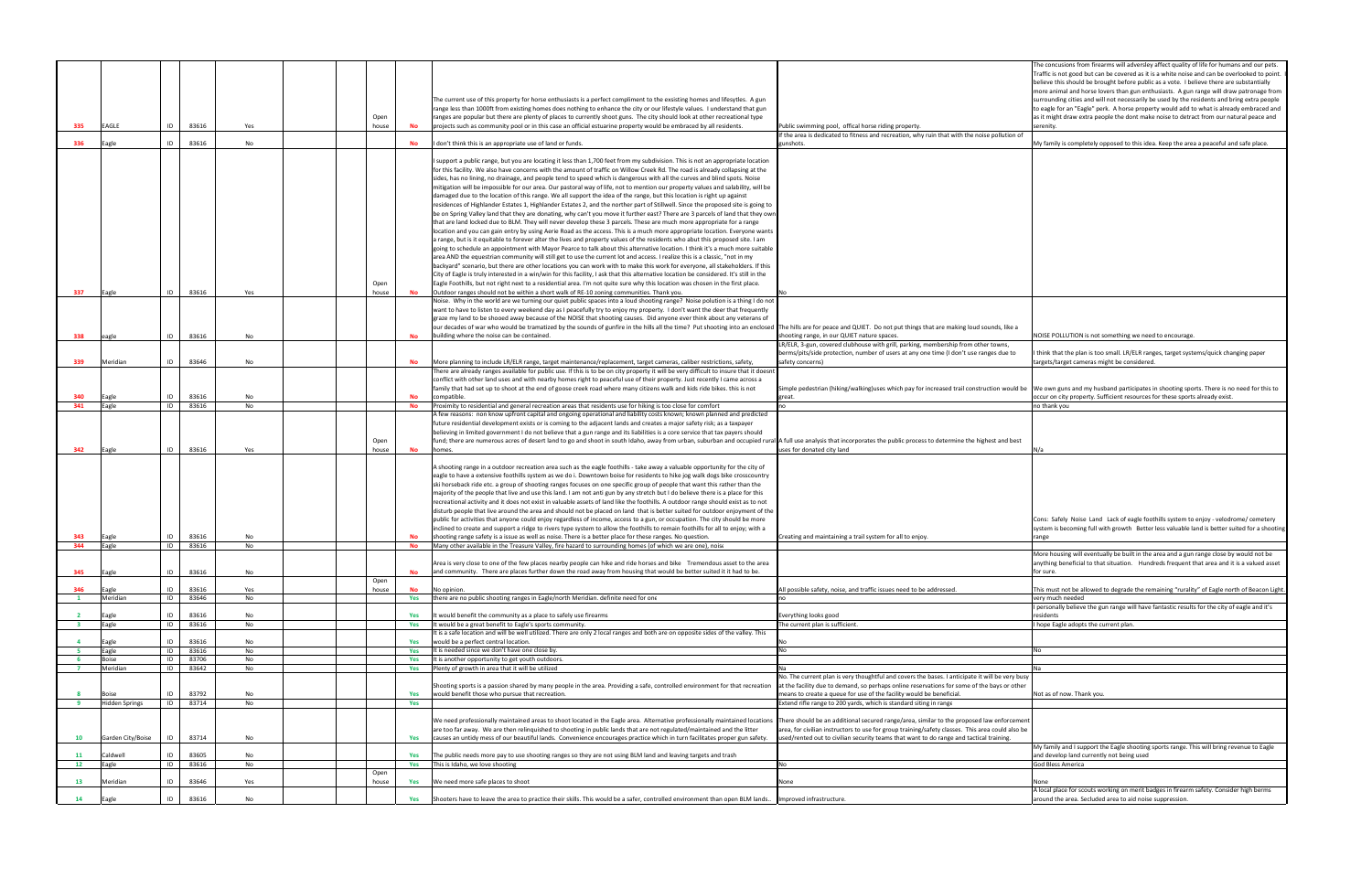|                         |                       |                            |          |               |            |                                                                                                                                                                                                                                                             |                                                                                                                                                                                     | The concusions from firearms will adversley affect quality of life for humans and our pets.                                                                                               |
|-------------------------|-----------------------|----------------------------|----------|---------------|------------|-------------------------------------------------------------------------------------------------------------------------------------------------------------------------------------------------------------------------------------------------------------|-------------------------------------------------------------------------------------------------------------------------------------------------------------------------------------|-------------------------------------------------------------------------------------------------------------------------------------------------------------------------------------------|
|                         |                       |                            |          |               |            |                                                                                                                                                                                                                                                             |                                                                                                                                                                                     | Traffic is not good but can be covered as it is a white noise and can be overlooked to point<br>believe this should be brought before public as a vote. I believe there are substantially |
|                         |                       |                            |          |               |            |                                                                                                                                                                                                                                                             |                                                                                                                                                                                     | more animal and horse lovers than gun enthusiasts. A gun range will draw patronage from                                                                                                   |
|                         |                       |                            |          |               |            | The current use of this property for horse enthusiasts is a perfect compliment to the exsisting homes and lifesytles. A gun                                                                                                                                 |                                                                                                                                                                                     | surrounding cities and will not necessarily be used by the residents and bring extra people                                                                                               |
|                         |                       |                            |          |               |            | range less than 1000ft from existing homes does nothing to enhance the city or our lifestyle values. I understand that gun                                                                                                                                  |                                                                                                                                                                                     | to eagle for an "Eagle" perk. A horse property would add to what is already embraced and                                                                                                  |
| 335                     | EAGLE                 | 83616<br>ID                | Yes      | Open<br>house | <b>No</b>  | ranges are popular but there are plenty of places to currently shoot guns. The city should look at other recreational type<br>projects such as community pool or in this case an official estuarine property would be embraced by all residents.            | Public swimming pool, offical horse riding property.                                                                                                                                | as it might draw extra people the dont make noise to detract from our natural peace and<br>serenity.                                                                                      |
|                         |                       |                            |          |               |            |                                                                                                                                                                                                                                                             | f the area is dedicated to fitness and recreation, why ruin that with the noise pollution of                                                                                        |                                                                                                                                                                                           |
| 336                     | Eagle                 | ID<br>83616                | No       |               |            | don't think this is an appropriate use of land or funds.                                                                                                                                                                                                    | gunshots.                                                                                                                                                                           | My family is completely opposed to this idea. Keep the area a peaceful and safe place.                                                                                                    |
|                         |                       |                            |          |               |            | support a public range, but you are locating it less than 1,700 feet from my subdivision. This is not an appropriate location                                                                                                                               |                                                                                                                                                                                     |                                                                                                                                                                                           |
|                         |                       |                            |          |               |            | for this facility. We also have concerns with the amount of traffic on Willow Creek Rd. The road is already collapsing at the                                                                                                                               |                                                                                                                                                                                     |                                                                                                                                                                                           |
|                         |                       |                            |          |               |            | sides, has no lining, no drainage, and people tend to speed which is dangerous with all the curves and blind spots. Noise                                                                                                                                   |                                                                                                                                                                                     |                                                                                                                                                                                           |
|                         |                       |                            |          |               |            | mitigation will be impossible for our area. Our pastoral way of life, not to mention our property values and salability, will be                                                                                                                            |                                                                                                                                                                                     |                                                                                                                                                                                           |
|                         |                       |                            |          |               |            | damaged due to the location of this range. We all support the idea of the range, but this location is right up against                                                                                                                                      |                                                                                                                                                                                     |                                                                                                                                                                                           |
|                         |                       |                            |          |               |            | residences of Highlander Estates 1, Highlander Estates 2, and the norther part of Stillwell. Since the proposed site is going to                                                                                                                            |                                                                                                                                                                                     |                                                                                                                                                                                           |
|                         |                       |                            |          |               |            | be on Spring Valley land that they are donating, why can't you move it further east? There are 3 parcels of land that they own<br>that are land locked due to BLM. They will never develop these 3 parcels. These are much more appropriate for a range     |                                                                                                                                                                                     |                                                                                                                                                                                           |
|                         |                       |                            |          |               |            | location and you can gain entry by using Aerie Road as the access. This is a much more appropriate location. Everyone wants                                                                                                                                 |                                                                                                                                                                                     |                                                                                                                                                                                           |
|                         |                       |                            |          |               |            | a range, but is it equitable to forever alter the lives and property values of the residents who abut this proposed site. I am                                                                                                                              |                                                                                                                                                                                     |                                                                                                                                                                                           |
|                         |                       |                            |          |               |            | going to schedule an appointment with Mayor Pearce to talk about this alternative location. I think it's a much more suitable                                                                                                                               |                                                                                                                                                                                     |                                                                                                                                                                                           |
|                         |                       |                            |          |               |            | area AND the equestrian community will still get to use the current lot and access. I realize this is a classic, "not in my                                                                                                                                 |                                                                                                                                                                                     |                                                                                                                                                                                           |
|                         |                       |                            |          |               |            | backyard" scenario, but there are other locations you can work with to make this work for everyone, all stakeholders. If this                                                                                                                               |                                                                                                                                                                                     |                                                                                                                                                                                           |
|                         |                       |                            |          |               |            | City of Eagle is truly interested in a win/win for this facility, I ask that this alternative location be considered. It's still in the                                                                                                                     |                                                                                                                                                                                     |                                                                                                                                                                                           |
| 337                     | Eagle                 | 83616<br>ID                | Yes      | Open<br>house | <b>No</b>  | Eagle Foothills, but not right next to a residential area. I'm not quite sure why this location was chosen in the first place.<br>Outdoor ranges should not be within a short walk of RE-10 zoning communities. Thank you.                                  |                                                                                                                                                                                     |                                                                                                                                                                                           |
|                         |                       |                            |          |               |            | Noise. Why in the world are we turning our quiet public spaces into a loud shooting range? Noise polution is a thing I do not                                                                                                                               |                                                                                                                                                                                     |                                                                                                                                                                                           |
|                         |                       |                            |          |               |            | want to have to listen to every weekend day as I peacefully try to enjoy my property. I don't want the deer that frequently                                                                                                                                 |                                                                                                                                                                                     |                                                                                                                                                                                           |
|                         |                       |                            |          |               |            | graze my land to be shooed away because of the NOISE that shooting causes. Did anyone ever think about any veterans of                                                                                                                                      |                                                                                                                                                                                     |                                                                                                                                                                                           |
|                         |                       |                            |          |               |            | our decades of war who would be tramatized by the sounds of gunfire in the hills all the time? Put shooting into an enclosed The hills are for peace and QUIET. Do not put things that are making loud sounds, like a                                       |                                                                                                                                                                                     |                                                                                                                                                                                           |
| 338                     | eagle                 | ID<br>83616                | No       |               | <b>No</b>  | building where the noise can be contained.                                                                                                                                                                                                                  | shooting range, in our QUIET nature spaces.                                                                                                                                         | NOISE POLLUTION is not something we need to encourage.                                                                                                                                    |
|                         |                       |                            |          |               |            |                                                                                                                                                                                                                                                             | LR/ELR, 3-gun, covered clubhouse with grill, parking, membership from other towns,                                                                                                  |                                                                                                                                                                                           |
| 339                     | Meridian              | ID<br>83646                | No       |               |            | More planning to include LR/ELR range, target maintenance/replacement, target cameras, caliber restrictions, safety,                                                                                                                                        | berms/pits/side protection, number of users at any one time (I don't use ranges due to<br>safety concerns)                                                                          | I think that the plan is too small. LR/ELR ranges, target systems/quick changing paper<br>targets/target cameras might be considered                                                      |
|                         |                       |                            |          |               |            | There are already ranges available for public use. If this is to be on city property it will be very difficult to insure that it doesnt                                                                                                                     |                                                                                                                                                                                     |                                                                                                                                                                                           |
|                         |                       |                            |          |               |            | conflict with other land uses and with nearby homes right to peaceful use of their property. Just recently I came across a                                                                                                                                  |                                                                                                                                                                                     |                                                                                                                                                                                           |
|                         |                       |                            |          |               |            | family that had set up to shoot at the end of goose creek road where many citizens walk and kids ride bikes. this is not                                                                                                                                    | Simple pedestrian (hiking/walking)uses which pay for increased trail construction would be We own guns and my husband participates in shooting sports. There is no need for this to |                                                                                                                                                                                           |
| 340                     | Eagle                 | ID<br>83616                | No       |               | <b>No</b>  | ompatible.                                                                                                                                                                                                                                                  | great.                                                                                                                                                                              | occur on city property. Sufficient resources for these sports already exist.                                                                                                              |
| 341                     | Eagle                 | ID<br>83616                | No       |               | <b>No</b>  | roximity to residential and general recreation areas that residents use for hiking is too close for comfort                                                                                                                                                 |                                                                                                                                                                                     | no thank you                                                                                                                                                                              |
|                         |                       |                            |          |               |            | A few reasons: non know upfront capital and ongoing operational and liability costs known; known planned and predicted<br>future residential development exists or is coming to the adjacent lands and creates a major safety risk; as a taxpayer           |                                                                                                                                                                                     |                                                                                                                                                                                           |
|                         |                       |                            |          |               |            | believing in limited government I do not believe that a gun range and its liabilities is a core service that tax payers should                                                                                                                              |                                                                                                                                                                                     |                                                                                                                                                                                           |
|                         |                       |                            |          | Open          |            | fund; there are numerous acres of desert land to go and shoot in south Idaho, away from urban, suburban and occupied rural A full use analysis that incorporates the public process to determine the highest and best                                       |                                                                                                                                                                                     |                                                                                                                                                                                           |
| 342                     | Eagle                 | ID<br>83616                | Yes      | house         | <b>No</b>  | homes.                                                                                                                                                                                                                                                      | uses for donated city land                                                                                                                                                          | N/a                                                                                                                                                                                       |
|                         |                       |                            |          |               |            |                                                                                                                                                                                                                                                             |                                                                                                                                                                                     |                                                                                                                                                                                           |
|                         |                       |                            |          |               |            | A shooting range in a outdoor recreation area such as the eagle foothills - take away a valuable opportunity for the city of<br>eagle to have a extensive foothills system as we do i. Downtown boise for residents to hike jog walk dogs bike crosscountry |                                                                                                                                                                                     |                                                                                                                                                                                           |
|                         |                       |                            |          |               |            | ski horseback ride etc. a group of shooting ranges focuses on one specific group of people that want this rather than the                                                                                                                                   |                                                                                                                                                                                     |                                                                                                                                                                                           |
|                         |                       |                            |          |               |            | majority of the people that live and use this land. I am not anti gun by any stretch but I do believe there is a place for this                                                                                                                             |                                                                                                                                                                                     |                                                                                                                                                                                           |
|                         |                       |                            |          |               |            | recreational activity and it does not exist in valuable assets of land like the foothills. A outdoor range should exist as to not                                                                                                                           |                                                                                                                                                                                     |                                                                                                                                                                                           |
|                         |                       |                            |          |               |            | disturb people that live around the area and should not be placed on land that is better suited for outdoor enjoyment of the                                                                                                                                |                                                                                                                                                                                     |                                                                                                                                                                                           |
|                         |                       |                            |          |               |            |                                                                                                                                                                                                                                                             |                                                                                                                                                                                     |                                                                                                                                                                                           |
| 343                     |                       |                            |          |               |            | public for activities that anyone could enjoy regardless of income, access to a gun, or occupation. The city should be more                                                                                                                                 |                                                                                                                                                                                     | Cons: Safely Noise Land Lack of eagle foothills system to enjoy - velodrome/ cemetery                                                                                                     |
| 344                     |                       |                            |          |               |            | inclined to create and support a ridge to rivers type system to allow the foothills to remain foothills for all to enjoy; with a                                                                                                                            |                                                                                                                                                                                     | system is becoming full with growth Better less valuable land is better suited for a shooting                                                                                             |
|                         | Eagle<br>Eagle        | ID<br>83616<br>ID<br>83616 | No<br>No |               | No<br>No   | shooting range safety is a issue as well as noise. There is a better place for these ranges. No question.<br>Many other available in the Treasure Valley, fire hazard to surrounding homes (of which we are one), noise                                     | Creating and maintaining a trail system for all to enjoy.                                                                                                                           | range                                                                                                                                                                                     |
|                         |                       |                            |          |               |            |                                                                                                                                                                                                                                                             |                                                                                                                                                                                     | More housing will eventually be built in the area and a gun range close by would not be                                                                                                   |
|                         |                       |                            |          |               |            | rea is very close to one of the few places nearby people can hike and ride horses and bike Tremendous asset to the area                                                                                                                                     |                                                                                                                                                                                     | nything beneficial to that situation. Hundreds frequent that area and it is a valued asset                                                                                                |
| 345                     | Eagle                 | ID<br>83616                | No       |               |            | and community. There are places further down the road away from housing that would be better suited it it had to be.                                                                                                                                        |                                                                                                                                                                                     | for sure.                                                                                                                                                                                 |
| 346                     | Eagle                 | ID.<br>83616               | Yes      | Open<br>house | No         | No opinion.                                                                                                                                                                                                                                                 | All possible safety, noise, and traffic issues need to be addressed.                                                                                                                | This must not be allowed to degrade the remaining "rurality" of Eagle north of Beacon Light                                                                                               |
| $\mathbf{1}$            | Meridian              | ID<br>83646                | No       |               | Yes        | there are no public shooting ranges in Eagle/north Meridian. definite need for one                                                                                                                                                                          |                                                                                                                                                                                     | erv much needed                                                                                                                                                                           |
|                         |                       |                            |          |               |            |                                                                                                                                                                                                                                                             |                                                                                                                                                                                     | personally believe the gun range will have fantastic results for the city of eagle and it's                                                                                               |
| $\overline{\mathbf{2}}$ | Eagle                 | ID<br>83616                | No       |               |            | would benefit the community as a place to safely use firearms                                                                                                                                                                                               | verything looks good                                                                                                                                                                | residents                                                                                                                                                                                 |
| $\overline{\mathbf{3}}$ | Eagle                 | ID<br>83616                | No       |               | Yes        | t would be a great benefit to Eagle's sports community.                                                                                                                                                                                                     | The current plan is sufficient.                                                                                                                                                     | hope Eagle adopts the current plan.                                                                                                                                                       |
| $\overline{4}$          | Eagle                 | ID<br>83616                | No       |               | Yes        | t is a safe location and will be well utilized. There are only 2 local ranges and both are on opposite sides of the valley. This<br>would be a perfect central location.                                                                                    |                                                                                                                                                                                     |                                                                                                                                                                                           |
| - 5                     | Eagle                 | ID<br>83616                | No       |               | Yes        | It is needed since we don't have one close by.                                                                                                                                                                                                              |                                                                                                                                                                                     |                                                                                                                                                                                           |
| 6                       | Boise                 | ID<br>83706                | No       |               | Yes        | It is another opportunity to get youth outdoors.                                                                                                                                                                                                            |                                                                                                                                                                                     |                                                                                                                                                                                           |
| $\overline{7}$          | Meridian              | ID<br>83642                | No       |               | Yes        | Plenty of growth in area that it will be utilized                                                                                                                                                                                                           |                                                                                                                                                                                     |                                                                                                                                                                                           |
|                         |                       |                            |          |               |            |                                                                                                                                                                                                                                                             | No. The current plan is very thoughtful and covers the bases. I anticipate it will be very busy                                                                                     |                                                                                                                                                                                           |
|                         |                       |                            |          |               |            | Shooting sports is a passion shared by many people in the area. Providing a safe, controlled environment for that recreation                                                                                                                                | at the facility due to demand, so perhaps online reservations for some of the bays or other                                                                                         |                                                                                                                                                                                           |
| 8                       | Boise                 | 83792<br>ID                | No       |               | Yes        | would benefit those who pursue that recreation.                                                                                                                                                                                                             | means to create a queue for use of the facility would be beneficial.                                                                                                                | Not as of now. Thank you.                                                                                                                                                                 |
| 9                       | <b>Hidden Springs</b> | ID<br>83714                | No       |               | Yes        |                                                                                                                                                                                                                                                             | Extend rifle range to 200 yards, which is standard siting in range                                                                                                                  |                                                                                                                                                                                           |
|                         |                       |                            |          |               |            | We need professionally maintained areas to shoot located in the Eagle area. Alternative professionally maintained locations  There should be an additional secured range/area, similar to the proposed law enforcement                                      |                                                                                                                                                                                     |                                                                                                                                                                                           |
|                         |                       |                            |          |               |            | are too far away. We are then relinquished to shooting in public lands that are not regulated/maintained and the litter                                                                                                                                     | area, for civilian instructors to use for group training/safety classes. This area could also be                                                                                    |                                                                                                                                                                                           |
| 10                      | Garden City/Boise     | 83714<br>ID                | No       |               | Yes        | causes an untidy mess of our beautiful lands. Convenience encourages practice which in turn facilitates proper gun safety.                                                                                                                                  | ised/rented out to civilian security teams that want to do range and tactical training.                                                                                             |                                                                                                                                                                                           |
|                         |                       |                            |          |               |            |                                                                                                                                                                                                                                                             |                                                                                                                                                                                     | My family and I support the Eagle shooting sports range. This will bring revenue to Eagle                                                                                                 |
| 11                      | Caldwell              | 83605<br>ID<br>83616<br>ID | No<br>No |               | Yes<br>Yes | The public needs more pay to use shooting ranges so they are not using BLM land and leaving targets and trash                                                                                                                                               | N٥                                                                                                                                                                                  | and develop land currently not being used<br>God Bless America                                                                                                                            |
| 12                      | Eagle                 |                            |          | Open          |            | This is Idaho, we love shooting                                                                                                                                                                                                                             |                                                                                                                                                                                     |                                                                                                                                                                                           |
| 13                      | Meridian              | ID<br>83646                | Yes      | house         | Yes        | We need more safe places to shoot                                                                                                                                                                                                                           | None                                                                                                                                                                                | None                                                                                                                                                                                      |
| 14                      | Eagle                 | ID<br>83616                | No       |               | Yes        | Shooters have to leave the area to practice their skills. This would be a safer, controlled environment than open BLM lands. Improved infrastructure.                                                                                                       |                                                                                                                                                                                     | A local place for scouts working on merit badges in firearm safety. Consider high berms<br>around the area. Secluded area to aid noise suppression.                                       |

| Public swimming pool, offical horse riding property.                                                                                                                                                                                                                                     | The concusions from firearms will adversley affect quality of life for humans and our pets.<br>Traffic is not good but can be covered as it is a white noise and can be overlooked to point.<br>believe this should be brought before public as a vote. I believe there are substantially<br>more animal and horse lovers than gun enthusiasts. A gun range will draw patronage from<br>surrounding cities and will not necessarily be used by the residents and bring extra people<br>to eagle for an "Eagle" perk. A horse property would add to what is already embraced and<br>as it might draw extra people the dont make noise to detract from our natural peace and<br>serenity. |
|------------------------------------------------------------------------------------------------------------------------------------------------------------------------------------------------------------------------------------------------------------------------------------------|-----------------------------------------------------------------------------------------------------------------------------------------------------------------------------------------------------------------------------------------------------------------------------------------------------------------------------------------------------------------------------------------------------------------------------------------------------------------------------------------------------------------------------------------------------------------------------------------------------------------------------------------------------------------------------------------|
| If the area is dedicated to fitness and recreation, why ruin that with the noise pollution of<br>gunshots.                                                                                                                                                                               | My family is completely opposed to this idea. Keep the area a peaceful and safe place.                                                                                                                                                                                                                                                                                                                                                                                                                                                                                                                                                                                                  |
| No                                                                                                                                                                                                                                                                                       |                                                                                                                                                                                                                                                                                                                                                                                                                                                                                                                                                                                                                                                                                         |
|                                                                                                                                                                                                                                                                                          |                                                                                                                                                                                                                                                                                                                                                                                                                                                                                                                                                                                                                                                                                         |
| The hills are for peace and QUIET. Do not put things that are making loud sounds, like a<br>shooting range, in our QUIET nature spaces.<br>LR/ELR, 3-gun, covered clubhouse with grill, parking, membership from other towns,                                                            | NOISE POLLUTION is not something we need to encourage.                                                                                                                                                                                                                                                                                                                                                                                                                                                                                                                                                                                                                                  |
| berms/pits/side protection, number of users at any one time (I don't use ranges due to<br>safety concerns)                                                                                                                                                                               | think that the plan is too small. LR/ELR ranges, target systems/quick changing paper<br>targets/target cameras might be considered.                                                                                                                                                                                                                                                                                                                                                                                                                                                                                                                                                     |
| Simple pedestrian (hiking/walking)uses which pay for increased trail construction would be<br>great.                                                                                                                                                                                     | We own guns and my husband participates in shooting sports. There is no need for this to<br>occur on city property. Sufficient resources for these sports already exist.                                                                                                                                                                                                                                                                                                                                                                                                                                                                                                                |
| no                                                                                                                                                                                                                                                                                       | no thank you                                                                                                                                                                                                                                                                                                                                                                                                                                                                                                                                                                                                                                                                            |
| A full use analysis that incorporates the public process to determine the highest and best<br>uses for donated city land                                                                                                                                                                 | N/a                                                                                                                                                                                                                                                                                                                                                                                                                                                                                                                                                                                                                                                                                     |
| Creating and maintaining a trail system for all to enjoy.                                                                                                                                                                                                                                | Cons: Safely Noise Land Lack of eagle foothills system to enjoy - velodrome/ cemetery<br>system is becoming full with growth Better less valuable land is better suited for a shooting<br>range                                                                                                                                                                                                                                                                                                                                                                                                                                                                                         |
|                                                                                                                                                                                                                                                                                          | More housing will eventually be built in the area and a gun range close by would not be<br>anything beneficial to that situation. Hundreds frequent that area and it is a valued asset<br>for sure.                                                                                                                                                                                                                                                                                                                                                                                                                                                                                     |
| All possible safety, noise, and traffic issues need to be addressed.<br>no                                                                                                                                                                                                               | This must not be allowed to degrade the remaining "rurality" of Eagle north of Beacon Light.<br>very much needed                                                                                                                                                                                                                                                                                                                                                                                                                                                                                                                                                                        |
| Everything looks good                                                                                                                                                                                                                                                                    | personally believe the gun range will have fantastic results for the city of eagle and it's<br>residents                                                                                                                                                                                                                                                                                                                                                                                                                                                                                                                                                                                |
| The current plan is sufficient.                                                                                                                                                                                                                                                          | hope Eagle adopts the current plan.                                                                                                                                                                                                                                                                                                                                                                                                                                                                                                                                                                                                                                                     |
|                                                                                                                                                                                                                                                                                          |                                                                                                                                                                                                                                                                                                                                                                                                                                                                                                                                                                                                                                                                                         |
| No<br>No                                                                                                                                                                                                                                                                                 | No                                                                                                                                                                                                                                                                                                                                                                                                                                                                                                                                                                                                                                                                                      |
|                                                                                                                                                                                                                                                                                          |                                                                                                                                                                                                                                                                                                                                                                                                                                                                                                                                                                                                                                                                                         |
| Na                                                                                                                                                                                                                                                                                       | Na                                                                                                                                                                                                                                                                                                                                                                                                                                                                                                                                                                                                                                                                                      |
| No. The current plan is very thoughtful and covers the bases. I anticipate it will be very busy<br>at the facility due to demand, so perhaps online reservations for some of the bays or other<br>means to create a queue for use of the facility would be beneficial.                   | Not as of now. Thank you.                                                                                                                                                                                                                                                                                                                                                                                                                                                                                                                                                                                                                                                               |
| Extend rifle range to 200 yards, which is standard siting in range                                                                                                                                                                                                                       |                                                                                                                                                                                                                                                                                                                                                                                                                                                                                                                                                                                                                                                                                         |
| There should be an additional secured range/area, similar to the proposed law enforcement<br>area, for civilian instructors to use for group training/safety classes. This area could also be<br>used/rented out to civilian security teams that want to do range and tactical training. | My family and I support the Eagle shooting sports range. This will bring revenue to Eagle                                                                                                                                                                                                                                                                                                                                                                                                                                                                                                                                                                                               |
| No                                                                                                                                                                                                                                                                                       | and develop land currently not being used<br>God Bless America                                                                                                                                                                                                                                                                                                                                                                                                                                                                                                                                                                                                                          |
|                                                                                                                                                                                                                                                                                          |                                                                                                                                                                                                                                                                                                                                                                                                                                                                                                                                                                                                                                                                                         |
| None                                                                                                                                                                                                                                                                                     | None                                                                                                                                                                                                                                                                                                                                                                                                                                                                                                                                                                                                                                                                                    |
| Improved infrastructure.                                                                                                                                                                                                                                                                 | A local place for scouts working on merit badges in firearm safety. Consider high berms<br>around the area. Secluded area to aid noise suppression.                                                                                                                                                                                                                                                                                                                                                                                                                                                                                                                                     |
|                                                                                                                                                                                                                                                                                          |                                                                                                                                                                                                                                                                                                                                                                                                                                                                                                                                                                                                                                                                                         |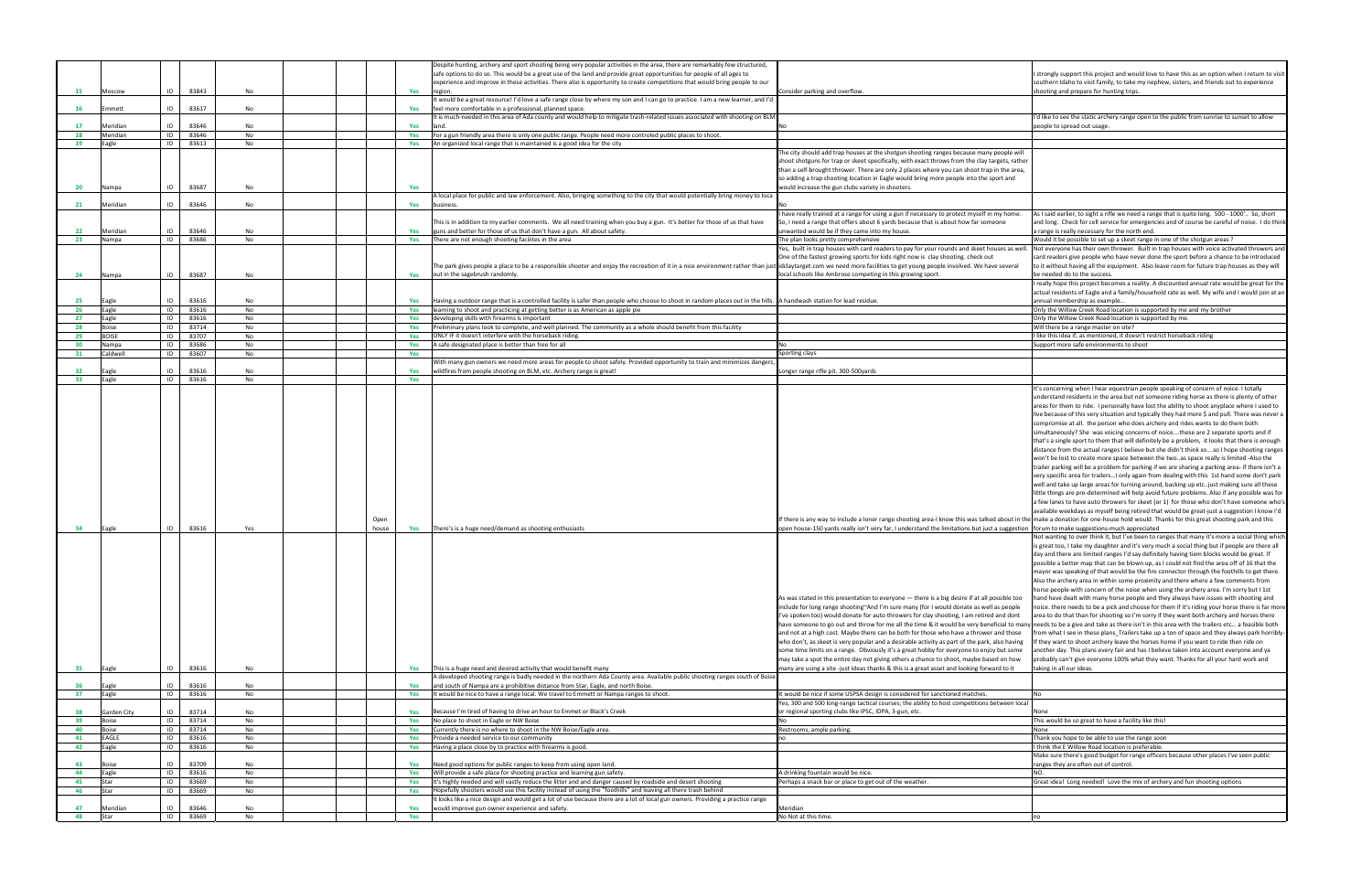| I strongly support this project and would love to have this as an option when I return to visit<br>southern Idaho to visit family, to take my nephew, sisters, and friends out to experience<br>shooting and prepare for hunting trips.                                                                                                                                                                                                                                                                                                                                                                                                                                                                                                                                                                                                                                                                                                                                                                                                                                                                                                                                                                                                                                                                                                                                                                                                                                                                                                                                                                                                                                                                                                                                                                                                                                                                                                                                                                                                                                                                                                                                                                                                                                                                                                                                                                                                                                                                                                                                                                                                                                                                                                                                                                                                                                                                                                                                                                                                                                                |
|----------------------------------------------------------------------------------------------------------------------------------------------------------------------------------------------------------------------------------------------------------------------------------------------------------------------------------------------------------------------------------------------------------------------------------------------------------------------------------------------------------------------------------------------------------------------------------------------------------------------------------------------------------------------------------------------------------------------------------------------------------------------------------------------------------------------------------------------------------------------------------------------------------------------------------------------------------------------------------------------------------------------------------------------------------------------------------------------------------------------------------------------------------------------------------------------------------------------------------------------------------------------------------------------------------------------------------------------------------------------------------------------------------------------------------------------------------------------------------------------------------------------------------------------------------------------------------------------------------------------------------------------------------------------------------------------------------------------------------------------------------------------------------------------------------------------------------------------------------------------------------------------------------------------------------------------------------------------------------------------------------------------------------------------------------------------------------------------------------------------------------------------------------------------------------------------------------------------------------------------------------------------------------------------------------------------------------------------------------------------------------------------------------------------------------------------------------------------------------------------------------------------------------------------------------------------------------------------------------------------------------------------------------------------------------------------------------------------------------------------------------------------------------------------------------------------------------------------------------------------------------------------------------------------------------------------------------------------------------------------------------------------------------------------------------------------------------------|
|                                                                                                                                                                                                                                                                                                                                                                                                                                                                                                                                                                                                                                                                                                                                                                                                                                                                                                                                                                                                                                                                                                                                                                                                                                                                                                                                                                                                                                                                                                                                                                                                                                                                                                                                                                                                                                                                                                                                                                                                                                                                                                                                                                                                                                                                                                                                                                                                                                                                                                                                                                                                                                                                                                                                                                                                                                                                                                                                                                                                                                                                                        |
| I'd like to see the static archery range open to the public from sunrise to sunset to allow                                                                                                                                                                                                                                                                                                                                                                                                                                                                                                                                                                                                                                                                                                                                                                                                                                                                                                                                                                                                                                                                                                                                                                                                                                                                                                                                                                                                                                                                                                                                                                                                                                                                                                                                                                                                                                                                                                                                                                                                                                                                                                                                                                                                                                                                                                                                                                                                                                                                                                                                                                                                                                                                                                                                                                                                                                                                                                                                                                                            |
| people to spread out usage.                                                                                                                                                                                                                                                                                                                                                                                                                                                                                                                                                                                                                                                                                                                                                                                                                                                                                                                                                                                                                                                                                                                                                                                                                                                                                                                                                                                                                                                                                                                                                                                                                                                                                                                                                                                                                                                                                                                                                                                                                                                                                                                                                                                                                                                                                                                                                                                                                                                                                                                                                                                                                                                                                                                                                                                                                                                                                                                                                                                                                                                            |
|                                                                                                                                                                                                                                                                                                                                                                                                                                                                                                                                                                                                                                                                                                                                                                                                                                                                                                                                                                                                                                                                                                                                                                                                                                                                                                                                                                                                                                                                                                                                                                                                                                                                                                                                                                                                                                                                                                                                                                                                                                                                                                                                                                                                                                                                                                                                                                                                                                                                                                                                                                                                                                                                                                                                                                                                                                                                                                                                                                                                                                                                                        |
|                                                                                                                                                                                                                                                                                                                                                                                                                                                                                                                                                                                                                                                                                                                                                                                                                                                                                                                                                                                                                                                                                                                                                                                                                                                                                                                                                                                                                                                                                                                                                                                                                                                                                                                                                                                                                                                                                                                                                                                                                                                                                                                                                                                                                                                                                                                                                                                                                                                                                                                                                                                                                                                                                                                                                                                                                                                                                                                                                                                                                                                                                        |
|                                                                                                                                                                                                                                                                                                                                                                                                                                                                                                                                                                                                                                                                                                                                                                                                                                                                                                                                                                                                                                                                                                                                                                                                                                                                                                                                                                                                                                                                                                                                                                                                                                                                                                                                                                                                                                                                                                                                                                                                                                                                                                                                                                                                                                                                                                                                                                                                                                                                                                                                                                                                                                                                                                                                                                                                                                                                                                                                                                                                                                                                                        |
| As I said earlier, to sight a rifle we need a range that is quite long. 500 - 1000' So, short<br>and long. Check for cell service for emergencies and of course be careful of noise. I do think<br>a range is really necessary for the north end.                                                                                                                                                                                                                                                                                                                                                                                                                                                                                                                                                                                                                                                                                                                                                                                                                                                                                                                                                                                                                                                                                                                                                                                                                                                                                                                                                                                                                                                                                                                                                                                                                                                                                                                                                                                                                                                                                                                                                                                                                                                                                                                                                                                                                                                                                                                                                                                                                                                                                                                                                                                                                                                                                                                                                                                                                                      |
| Would it be possible to set up a skeet range in one of the shotgun areas ?<br>Not everyone has their own thrower. Built in trap houses with voice activated throwers and                                                                                                                                                                                                                                                                                                                                                                                                                                                                                                                                                                                                                                                                                                                                                                                                                                                                                                                                                                                                                                                                                                                                                                                                                                                                                                                                                                                                                                                                                                                                                                                                                                                                                                                                                                                                                                                                                                                                                                                                                                                                                                                                                                                                                                                                                                                                                                                                                                                                                                                                                                                                                                                                                                                                                                                                                                                                                                               |
| card readers give people who have never done the sport before a chance to be introduced<br>to it without having all the equipment. Also leave room for future trap houses as they will<br>be needed do to the success.                                                                                                                                                                                                                                                                                                                                                                                                                                                                                                                                                                                                                                                                                                                                                                                                                                                                                                                                                                                                                                                                                                                                                                                                                                                                                                                                                                                                                                                                                                                                                                                                                                                                                                                                                                                                                                                                                                                                                                                                                                                                                                                                                                                                                                                                                                                                                                                                                                                                                                                                                                                                                                                                                                                                                                                                                                                                 |
| I really hope this project becomes a reality. A discounted annual rate would be great for the<br>actual residents of Eagle and a family/household rate as well. My wife and I would join at an<br>annual membership as example                                                                                                                                                                                                                                                                                                                                                                                                                                                                                                                                                                                                                                                                                                                                                                                                                                                                                                                                                                                                                                                                                                                                                                                                                                                                                                                                                                                                                                                                                                                                                                                                                                                                                                                                                                                                                                                                                                                                                                                                                                                                                                                                                                                                                                                                                                                                                                                                                                                                                                                                                                                                                                                                                                                                                                                                                                                         |
| Only the Willow Creek Road location is supported by me and my brother                                                                                                                                                                                                                                                                                                                                                                                                                                                                                                                                                                                                                                                                                                                                                                                                                                                                                                                                                                                                                                                                                                                                                                                                                                                                                                                                                                                                                                                                                                                                                                                                                                                                                                                                                                                                                                                                                                                                                                                                                                                                                                                                                                                                                                                                                                                                                                                                                                                                                                                                                                                                                                                                                                                                                                                                                                                                                                                                                                                                                  |
| Only the Willow Creek Road location is supported by me<br>Will there be a range master on site?                                                                                                                                                                                                                                                                                                                                                                                                                                                                                                                                                                                                                                                                                                                                                                                                                                                                                                                                                                                                                                                                                                                                                                                                                                                                                                                                                                                                                                                                                                                                                                                                                                                                                                                                                                                                                                                                                                                                                                                                                                                                                                                                                                                                                                                                                                                                                                                                                                                                                                                                                                                                                                                                                                                                                                                                                                                                                                                                                                                        |
| I like this idea if, as mentioned, it doesn't restrict horseback riding.                                                                                                                                                                                                                                                                                                                                                                                                                                                                                                                                                                                                                                                                                                                                                                                                                                                                                                                                                                                                                                                                                                                                                                                                                                                                                                                                                                                                                                                                                                                                                                                                                                                                                                                                                                                                                                                                                                                                                                                                                                                                                                                                                                                                                                                                                                                                                                                                                                                                                                                                                                                                                                                                                                                                                                                                                                                                                                                                                                                                               |
| Support more safe environments to shoot                                                                                                                                                                                                                                                                                                                                                                                                                                                                                                                                                                                                                                                                                                                                                                                                                                                                                                                                                                                                                                                                                                                                                                                                                                                                                                                                                                                                                                                                                                                                                                                                                                                                                                                                                                                                                                                                                                                                                                                                                                                                                                                                                                                                                                                                                                                                                                                                                                                                                                                                                                                                                                                                                                                                                                                                                                                                                                                                                                                                                                                |
|                                                                                                                                                                                                                                                                                                                                                                                                                                                                                                                                                                                                                                                                                                                                                                                                                                                                                                                                                                                                                                                                                                                                                                                                                                                                                                                                                                                                                                                                                                                                                                                                                                                                                                                                                                                                                                                                                                                                                                                                                                                                                                                                                                                                                                                                                                                                                                                                                                                                                                                                                                                                                                                                                                                                                                                                                                                                                                                                                                                                                                                                                        |
| It's concerning when I hear equestrian people speaking of concern of noice. I totally<br>understand residents in the area but not someone riding horse as there is plenty of other<br>areas for them to ride. I personally have lost the ability to shoot anyplace where I used to<br>live because of this very situation and typically they had more \$ and pull. There was never a<br>compromise at all. the person who does archery and rides wants to do them both<br>simultaneously? She was voicing concerns of noicethese are 2 separate sports and if<br>that's a single sport to them that will definitely be a problem, it looks that there is enough<br>distance from the actual ranges I believe but she didn't think soso I hope shooting ranges<br>won't be lost to create more space between the twoas space really is limited -Also the<br>trailer parking will be a problem for parking if we are sharing a parking area- if there isn't a<br>very specific area for trailersI only again from dealing with this 1st hand some don't park<br>well and take up large areas for turning around, backing up etcjust making sure all these<br>little things are pre-determined will help avoid future problems. Also if any possible was for<br>a few lanes to have auto throwers for skeet (or 1) for those who don't have someone who's<br>available weekdays as myself being retired that would be great-just a suggestion I know I'd<br>ut in the make a donation for one-house hold would. Thanks for this great shooting park and this<br>forum to make suggestions-much appreciated<br>Not wanting to over think it, but I've been to ranges that many it's more a social thing which<br>is great too, I take my daughter and it's very much a social thing but if people are there all<br>day and there are limited ranges I'd say definitely having tiem blocks would be great. If<br>possible a better map that can be blown up, as I could not find the area off of 16 that the<br>mayor was speaking of that would be the fire connector through the foothills to get there.<br>Also the archery area in within some proximity and there where a few comments from<br>horse people with concern of the noise when using the archery area. I'm sorry but I 1st<br>hand have dealt with many horse people and they always have issues with shooting and<br>noice. there needs to be a pick and choose for them if it's riding your horse there is far more<br>area to do that than for shooting so I'm sorry if they want both archery and horses there<br>needs to be a give and take as there isn't in this area with the trailers etc a feasible both<br>from what I see in these plans_Trailers take up a ton of space and they always park horribly-<br>If they want to shoot archery leave the horses home if you want to ride then ride on<br>another day. This plans every fair and has I believe taken into account everyone and ya<br>probably can't give everyone 100% what they want. Thanks for all your hard work and<br>taking in all our ideas. |
|                                                                                                                                                                                                                                                                                                                                                                                                                                                                                                                                                                                                                                                                                                                                                                                                                                                                                                                                                                                                                                                                                                                                                                                                                                                                                                                                                                                                                                                                                                                                                                                                                                                                                                                                                                                                                                                                                                                                                                                                                                                                                                                                                                                                                                                                                                                                                                                                                                                                                                                                                                                                                                                                                                                                                                                                                                                                                                                                                                                                                                                                                        |
| No                                                                                                                                                                                                                                                                                                                                                                                                                                                                                                                                                                                                                                                                                                                                                                                                                                                                                                                                                                                                                                                                                                                                                                                                                                                                                                                                                                                                                                                                                                                                                                                                                                                                                                                                                                                                                                                                                                                                                                                                                                                                                                                                                                                                                                                                                                                                                                                                                                                                                                                                                                                                                                                                                                                                                                                                                                                                                                                                                                                                                                                                                     |
| None                                                                                                                                                                                                                                                                                                                                                                                                                                                                                                                                                                                                                                                                                                                                                                                                                                                                                                                                                                                                                                                                                                                                                                                                                                                                                                                                                                                                                                                                                                                                                                                                                                                                                                                                                                                                                                                                                                                                                                                                                                                                                                                                                                                                                                                                                                                                                                                                                                                                                                                                                                                                                                                                                                                                                                                                                                                                                                                                                                                                                                                                                   |
| This would be so great to have a facility like this!                                                                                                                                                                                                                                                                                                                                                                                                                                                                                                                                                                                                                                                                                                                                                                                                                                                                                                                                                                                                                                                                                                                                                                                                                                                                                                                                                                                                                                                                                                                                                                                                                                                                                                                                                                                                                                                                                                                                                                                                                                                                                                                                                                                                                                                                                                                                                                                                                                                                                                                                                                                                                                                                                                                                                                                                                                                                                                                                                                                                                                   |
| None<br>Thank you hope to be able to use the range soon                                                                                                                                                                                                                                                                                                                                                                                                                                                                                                                                                                                                                                                                                                                                                                                                                                                                                                                                                                                                                                                                                                                                                                                                                                                                                                                                                                                                                                                                                                                                                                                                                                                                                                                                                                                                                                                                                                                                                                                                                                                                                                                                                                                                                                                                                                                                                                                                                                                                                                                                                                                                                                                                                                                                                                                                                                                                                                                                                                                                                                |
| I think the E Willow Road location is preferable.                                                                                                                                                                                                                                                                                                                                                                                                                                                                                                                                                                                                                                                                                                                                                                                                                                                                                                                                                                                                                                                                                                                                                                                                                                                                                                                                                                                                                                                                                                                                                                                                                                                                                                                                                                                                                                                                                                                                                                                                                                                                                                                                                                                                                                                                                                                                                                                                                                                                                                                                                                                                                                                                                                                                                                                                                                                                                                                                                                                                                                      |
| Make sure there's good budget for range officers because other places I've seen public<br>ranges they are often out of control.                                                                                                                                                                                                                                                                                                                                                                                                                                                                                                                                                                                                                                                                                                                                                                                                                                                                                                                                                                                                                                                                                                                                                                                                                                                                                                                                                                                                                                                                                                                                                                                                                                                                                                                                                                                                                                                                                                                                                                                                                                                                                                                                                                                                                                                                                                                                                                                                                                                                                                                                                                                                                                                                                                                                                                                                                                                                                                                                                        |
| NO.<br>Great idea! Long needed! Love the mix of archery and fun shooting options                                                                                                                                                                                                                                                                                                                                                                                                                                                                                                                                                                                                                                                                                                                                                                                                                                                                                                                                                                                                                                                                                                                                                                                                                                                                                                                                                                                                                                                                                                                                                                                                                                                                                                                                                                                                                                                                                                                                                                                                                                                                                                                                                                                                                                                                                                                                                                                                                                                                                                                                                                                                                                                                                                                                                                                                                                                                                                                                                                                                       |
|                                                                                                                                                                                                                                                                                                                                                                                                                                                                                                                                                                                                                                                                                                                                                                                                                                                                                                                                                                                                                                                                                                                                                                                                                                                                                                                                                                                                                                                                                                                                                                                                                                                                                                                                                                                                                                                                                                                                                                                                                                                                                                                                                                                                                                                                                                                                                                                                                                                                                                                                                                                                                                                                                                                                                                                                                                                                                                                                                                                                                                                                                        |
|                                                                                                                                                                                                                                                                                                                                                                                                                                                                                                                                                                                                                                                                                                                                                                                                                                                                                                                                                                                                                                                                                                                                                                                                                                                                                                                                                                                                                                                                                                                                                                                                                                                                                                                                                                                                                                                                                                                                                                                                                                                                                                                                                                                                                                                                                                                                                                                                                                                                                                                                                                                                                                                                                                                                                                                                                                                                                                                                                                                                                                                                                        |
|                                                                                                                                                                                                                                                                                                                                                                                                                                                                                                                                                                                                                                                                                                                                                                                                                                                                                                                                                                                                                                                                                                                                                                                                                                                                                                                                                                                                                                                                                                                                                                                                                                                                                                                                                                                                                                                                                                                                                                                                                                                                                                                                                                                                                                                                                                                                                                                                                                                                                                                                                                                                                                                                                                                                                                                                                                                                                                                                                                                                                                                                                        |
| to many                                                                                                                                                                                                                                                                                                                                                                                                                                                                                                                                                                                                                                                                                                                                                                                                                                                                                                                                                                                                                                                                                                                                                                                                                                                                                                                                                                                                                                                                                                                                                                                                                                                                                                                                                                                                                                                                                                                                                                                                                                                                                                                                                                                                                                                                                                                                                                                                                                                                                                                                                                                                                                                                                                                                                                                                                                                                                                                                                                                                                                                                                |

|                 |                       |                 |                         |                |               |                   | Despite hunting, archery and sport shooting being very popular activities in the area, there are remarkably few structured,                                                                                                                                                                                                                                                  |                                                                                                                                                                                                                                                                                                                                                                                                                                                                                                                                                                                                                                                                                                                                                                                                                                                                                                                                                                                                                                  |                                                                                                                                                                                                                                                                                                                                                                                                                                                                                                                                                                                                                                                                                                                                                                                                                                                                                                                                                                                                                                                                                                                                                                                                                                                                                                                                                                                                                                                                                                                                                                                      |
|-----------------|-----------------------|-----------------|-------------------------|----------------|---------------|-------------------|------------------------------------------------------------------------------------------------------------------------------------------------------------------------------------------------------------------------------------------------------------------------------------------------------------------------------------------------------------------------------|----------------------------------------------------------------------------------------------------------------------------------------------------------------------------------------------------------------------------------------------------------------------------------------------------------------------------------------------------------------------------------------------------------------------------------------------------------------------------------------------------------------------------------------------------------------------------------------------------------------------------------------------------------------------------------------------------------------------------------------------------------------------------------------------------------------------------------------------------------------------------------------------------------------------------------------------------------------------------------------------------------------------------------|--------------------------------------------------------------------------------------------------------------------------------------------------------------------------------------------------------------------------------------------------------------------------------------------------------------------------------------------------------------------------------------------------------------------------------------------------------------------------------------------------------------------------------------------------------------------------------------------------------------------------------------------------------------------------------------------------------------------------------------------------------------------------------------------------------------------------------------------------------------------------------------------------------------------------------------------------------------------------------------------------------------------------------------------------------------------------------------------------------------------------------------------------------------------------------------------------------------------------------------------------------------------------------------------------------------------------------------------------------------------------------------------------------------------------------------------------------------------------------------------------------------------------------------------------------------------------------------|
|                 |                       |                 |                         |                |               |                   | safe options to do so. This would be a great use of the land and provide great opportunities for people of all ages to                                                                                                                                                                                                                                                       |                                                                                                                                                                                                                                                                                                                                                                                                                                                                                                                                                                                                                                                                                                                                                                                                                                                                                                                                                                                                                                  | strongly support this project and would love to have this as an option when                                                                                                                                                                                                                                                                                                                                                                                                                                                                                                                                                                                                                                                                                                                                                                                                                                                                                                                                                                                                                                                                                                                                                                                                                                                                                                                                                                                                                                                                                                          |
| 15              | Moscow                | ID              | 83843                   | No             |               | Yes               | experience and improve in these activities. There also is opportunity to create competitions that would bring people to our<br>region.                                                                                                                                                                                                                                       | Consider parking and overflow.                                                                                                                                                                                                                                                                                                                                                                                                                                                                                                                                                                                                                                                                                                                                                                                                                                                                                                                                                                                                   | southern Idaho to visit family, to take my nephew, sisters, and friends out to<br>shooting and prepare for hunting trips.                                                                                                                                                                                                                                                                                                                                                                                                                                                                                                                                                                                                                                                                                                                                                                                                                                                                                                                                                                                                                                                                                                                                                                                                                                                                                                                                                                                                                                                            |
|                 |                       |                 |                         |                |               |                   | t would be a great resource! I'd love a safe range close by where my son and I can go to practice. I am a new learner, and I'd                                                                                                                                                                                                                                               |                                                                                                                                                                                                                                                                                                                                                                                                                                                                                                                                                                                                                                                                                                                                                                                                                                                                                                                                                                                                                                  |                                                                                                                                                                                                                                                                                                                                                                                                                                                                                                                                                                                                                                                                                                                                                                                                                                                                                                                                                                                                                                                                                                                                                                                                                                                                                                                                                                                                                                                                                                                                                                                      |
| 16              | mmett                 | ID              | 83617                   | No             |               | Yes               | feel more comfortable in a professional, planned space.                                                                                                                                                                                                                                                                                                                      |                                                                                                                                                                                                                                                                                                                                                                                                                                                                                                                                                                                                                                                                                                                                                                                                                                                                                                                                                                                                                                  |                                                                                                                                                                                                                                                                                                                                                                                                                                                                                                                                                                                                                                                                                                                                                                                                                                                                                                                                                                                                                                                                                                                                                                                                                                                                                                                                                                                                                                                                                                                                                                                      |
|                 |                       |                 |                         |                |               |                   | It is much-needed in this area of Ada county and would help to mitigate trash-related issues associated with shooting on BLM                                                                                                                                                                                                                                                 |                                                                                                                                                                                                                                                                                                                                                                                                                                                                                                                                                                                                                                                                                                                                                                                                                                                                                                                                                                                                                                  | I'd like to see the static archery range open to the public from sunrise to sur                                                                                                                                                                                                                                                                                                                                                                                                                                                                                                                                                                                                                                                                                                                                                                                                                                                                                                                                                                                                                                                                                                                                                                                                                                                                                                                                                                                                                                                                                                      |
| 17<br>18        | Meridian<br>Meridian  | ID<br>ID        | 83646<br>83646          | No<br>No       |               | Yes<br>Yes        | land.<br>For a gun friendly area there is only one public range. People need more controled public places to shoot.                                                                                                                                                                                                                                                          |                                                                                                                                                                                                                                                                                                                                                                                                                                                                                                                                                                                                                                                                                                                                                                                                                                                                                                                                                                                                                                  | people to spread out usage.                                                                                                                                                                                                                                                                                                                                                                                                                                                                                                                                                                                                                                                                                                                                                                                                                                                                                                                                                                                                                                                                                                                                                                                                                                                                                                                                                                                                                                                                                                                                                          |
| 19              | agle                  | ID              | 83613                   | No             |               | Yes               | An organized local range that is maintained is a good idea for the city                                                                                                                                                                                                                                                                                                      |                                                                                                                                                                                                                                                                                                                                                                                                                                                                                                                                                                                                                                                                                                                                                                                                                                                                                                                                                                                                                                  |                                                                                                                                                                                                                                                                                                                                                                                                                                                                                                                                                                                                                                                                                                                                                                                                                                                                                                                                                                                                                                                                                                                                                                                                                                                                                                                                                                                                                                                                                                                                                                                      |
|                 |                       |                 |                         |                |               |                   |                                                                                                                                                                                                                                                                                                                                                                              | The city should add trap houses at the shotgun shooting ranges because many people will                                                                                                                                                                                                                                                                                                                                                                                                                                                                                                                                                                                                                                                                                                                                                                                                                                                                                                                                          |                                                                                                                                                                                                                                                                                                                                                                                                                                                                                                                                                                                                                                                                                                                                                                                                                                                                                                                                                                                                                                                                                                                                                                                                                                                                                                                                                                                                                                                                                                                                                                                      |
|                 |                       |                 |                         |                |               |                   |                                                                                                                                                                                                                                                                                                                                                                              | shoot shotguns for trap or skeet specifically, with exact throws from the clay targets, rather                                                                                                                                                                                                                                                                                                                                                                                                                                                                                                                                                                                                                                                                                                                                                                                                                                                                                                                                   |                                                                                                                                                                                                                                                                                                                                                                                                                                                                                                                                                                                                                                                                                                                                                                                                                                                                                                                                                                                                                                                                                                                                                                                                                                                                                                                                                                                                                                                                                                                                                                                      |
|                 |                       |                 |                         |                |               |                   |                                                                                                                                                                                                                                                                                                                                                                              | than a self-brought thrower. There are only 2 places where you can shoot trap in the area,                                                                                                                                                                                                                                                                                                                                                                                                                                                                                                                                                                                                                                                                                                                                                                                                                                                                                                                                       |                                                                                                                                                                                                                                                                                                                                                                                                                                                                                                                                                                                                                                                                                                                                                                                                                                                                                                                                                                                                                                                                                                                                                                                                                                                                                                                                                                                                                                                                                                                                                                                      |
|                 |                       | ID              | 83687                   | No             |               |                   |                                                                                                                                                                                                                                                                                                                                                                              | so adding a trap shooting location in Eagle would bring more people into the sport and<br>would increase the gun clubs variety in shooters.                                                                                                                                                                                                                                                                                                                                                                                                                                                                                                                                                                                                                                                                                                                                                                                                                                                                                      |                                                                                                                                                                                                                                                                                                                                                                                                                                                                                                                                                                                                                                                                                                                                                                                                                                                                                                                                                                                                                                                                                                                                                                                                                                                                                                                                                                                                                                                                                                                                                                                      |
| 20              | Nampa                 |                 |                         |                |               | Yes               | A local place for public and law enforcement. Also, bringing something to the city that would potentially bring money to loca                                                                                                                                                                                                                                                |                                                                                                                                                                                                                                                                                                                                                                                                                                                                                                                                                                                                                                                                                                                                                                                                                                                                                                                                                                                                                                  |                                                                                                                                                                                                                                                                                                                                                                                                                                                                                                                                                                                                                                                                                                                                                                                                                                                                                                                                                                                                                                                                                                                                                                                                                                                                                                                                                                                                                                                                                                                                                                                      |
| 21              | Meridian              | ID              | 83646                   | No             |               | Yes               | business                                                                                                                                                                                                                                                                                                                                                                     |                                                                                                                                                                                                                                                                                                                                                                                                                                                                                                                                                                                                                                                                                                                                                                                                                                                                                                                                                                                                                                  |                                                                                                                                                                                                                                                                                                                                                                                                                                                                                                                                                                                                                                                                                                                                                                                                                                                                                                                                                                                                                                                                                                                                                                                                                                                                                                                                                                                                                                                                                                                                                                                      |
|                 |                       |                 |                         |                |               |                   |                                                                                                                                                                                                                                                                                                                                                                              | I have really trained at a range for using a gun if necessary to protect myself in my home.                                                                                                                                                                                                                                                                                                                                                                                                                                                                                                                                                                                                                                                                                                                                                                                                                                                                                                                                      | As I said earlier, to sight a rifle we need a range that is quite long. 500 - 100                                                                                                                                                                                                                                                                                                                                                                                                                                                                                                                                                                                                                                                                                                                                                                                                                                                                                                                                                                                                                                                                                                                                                                                                                                                                                                                                                                                                                                                                                                    |
|                 |                       |                 |                         |                |               |                   | This is in addition to my earlier comments. We all need training when you buy a gun. It's better for those of us that have                                                                                                                                                                                                                                                   | So, I need a range that offers about 6 yards because that is about how far someone                                                                                                                                                                                                                                                                                                                                                                                                                                                                                                                                                                                                                                                                                                                                                                                                                                                                                                                                               | and long. Check for cell service for emergencies and of course be careful of                                                                                                                                                                                                                                                                                                                                                                                                                                                                                                                                                                                                                                                                                                                                                                                                                                                                                                                                                                                                                                                                                                                                                                                                                                                                                                                                                                                                                                                                                                         |
| 22<br>23        | Meridian<br>Nampa     | ID<br>ID        | 83646<br>83686          | No<br>No       |               | Yes               | guns and better for those of us that don't have a gun. All about safety.<br>Yes There are not enough shooting facilites in the area                                                                                                                                                                                                                                          | unwanted would be if they came into my house.<br>The plan looks pretty comprehensive                                                                                                                                                                                                                                                                                                                                                                                                                                                                                                                                                                                                                                                                                                                                                                                                                                                                                                                                             | a range is really necessary for the north end.<br>Would it be possible to set up a skeet range in one of the shotgun areas?                                                                                                                                                                                                                                                                                                                                                                                                                                                                                                                                                                                                                                                                                                                                                                                                                                                                                                                                                                                                                                                                                                                                                                                                                                                                                                                                                                                                                                                          |
|                 |                       |                 |                         |                |               |                   |                                                                                                                                                                                                                                                                                                                                                                              | Yes, built in trap houses with card readers to pay for your rounds and skeet houses as wel                                                                                                                                                                                                                                                                                                                                                                                                                                                                                                                                                                                                                                                                                                                                                                                                                                                                                                                                       | Not everyone has their own thrower. Built in trap houses with voice activat                                                                                                                                                                                                                                                                                                                                                                                                                                                                                                                                                                                                                                                                                                                                                                                                                                                                                                                                                                                                                                                                                                                                                                                                                                                                                                                                                                                                                                                                                                          |
|                 |                       |                 |                         |                |               |                   |                                                                                                                                                                                                                                                                                                                                                                              | One of the fastest growing sports for kids right now is clay shooting. check out                                                                                                                                                                                                                                                                                                                                                                                                                                                                                                                                                                                                                                                                                                                                                                                                                                                                                                                                                 | card readers give people who have never done the sport before a chance to                                                                                                                                                                                                                                                                                                                                                                                                                                                                                                                                                                                                                                                                                                                                                                                                                                                                                                                                                                                                                                                                                                                                                                                                                                                                                                                                                                                                                                                                                                            |
|                 |                       |                 |                         |                |               |                   | The park gives people a place to be a responsible shooter and enjoy the recreation of it in a nice environment rather than just idclaytarget.com we need more facilities to get young people involved. We have several                                                                                                                                                       |                                                                                                                                                                                                                                                                                                                                                                                                                                                                                                                                                                                                                                                                                                                                                                                                                                                                                                                                                                                                                                  | to it without having all the equipment. Also leave room for future trap hous                                                                                                                                                                                                                                                                                                                                                                                                                                                                                                                                                                                                                                                                                                                                                                                                                                                                                                                                                                                                                                                                                                                                                                                                                                                                                                                                                                                                                                                                                                         |
| 24              | Nampa                 | ID              | 83687                   | No             |               | Yes               | out in the sagebrush randomly.                                                                                                                                                                                                                                                                                                                                               | local schools like Ambrose competing in this growing sport.                                                                                                                                                                                                                                                                                                                                                                                                                                                                                                                                                                                                                                                                                                                                                                                                                                                                                                                                                                      | be needed do to the success.                                                                                                                                                                                                                                                                                                                                                                                                                                                                                                                                                                                                                                                                                                                                                                                                                                                                                                                                                                                                                                                                                                                                                                                                                                                                                                                                                                                                                                                                                                                                                         |
|                 |                       |                 |                         |                |               |                   |                                                                                                                                                                                                                                                                                                                                                                              |                                                                                                                                                                                                                                                                                                                                                                                                                                                                                                                                                                                                                                                                                                                                                                                                                                                                                                                                                                                                                                  | I really hope this project becomes a reality. A discounted annual rate would<br>actual residents of Eagle and a family/household rate as well. My wife and I                                                                                                                                                                                                                                                                                                                                                                                                                                                                                                                                                                                                                                                                                                                                                                                                                                                                                                                                                                                                                                                                                                                                                                                                                                                                                                                                                                                                                         |
| 25              | Eagle                 | ID              | 83616                   | No             |               | Yes               | Having a outdoor range that is a controlled facility is safer than people who choose to shoot in random places out in the hills. A handwash station for lead residue.                                                                                                                                                                                                        |                                                                                                                                                                                                                                                                                                                                                                                                                                                                                                                                                                                                                                                                                                                                                                                                                                                                                                                                                                                                                                  | annual membership as example                                                                                                                                                                                                                                                                                                                                                                                                                                                                                                                                                                                                                                                                                                                                                                                                                                                                                                                                                                                                                                                                                                                                                                                                                                                                                                                                                                                                                                                                                                                                                         |
| 26              | Eagle                 | ID              | 83616                   | No             |               |                   | Yes learning to shoot and practicing at getting better is as American as apple pie                                                                                                                                                                                                                                                                                           |                                                                                                                                                                                                                                                                                                                                                                                                                                                                                                                                                                                                                                                                                                                                                                                                                                                                                                                                                                                                                                  | Only the Willow Creek Road location is supported by me and my brother                                                                                                                                                                                                                                                                                                                                                                                                                                                                                                                                                                                                                                                                                                                                                                                                                                                                                                                                                                                                                                                                                                                                                                                                                                                                                                                                                                                                                                                                                                                |
| 27              | Eagle                 | ID              | 83616                   | No             |               | Yes               | developing skills with firearms is important                                                                                                                                                                                                                                                                                                                                 |                                                                                                                                                                                                                                                                                                                                                                                                                                                                                                                                                                                                                                                                                                                                                                                                                                                                                                                                                                                                                                  | Only the Willow Creek Road location is supported by me                                                                                                                                                                                                                                                                                                                                                                                                                                                                                                                                                                                                                                                                                                                                                                                                                                                                                                                                                                                                                                                                                                                                                                                                                                                                                                                                                                                                                                                                                                                               |
| 28              | Boise                 | ID              | 83714                   | No             |               | Yes               | Preliminary plans look to complete, and well planned. The community as a whole should benefit from this facility                                                                                                                                                                                                                                                             |                                                                                                                                                                                                                                                                                                                                                                                                                                                                                                                                                                                                                                                                                                                                                                                                                                                                                                                                                                                                                                  | Will there be a range master on site?                                                                                                                                                                                                                                                                                                                                                                                                                                                                                                                                                                                                                                                                                                                                                                                                                                                                                                                                                                                                                                                                                                                                                                                                                                                                                                                                                                                                                                                                                                                                                |
| 29<br>30        | <b>BOISE</b><br>Nampa | ID<br>ID        | 83707<br>83686          | No<br>No       |               | Yes<br>Yes        | ONLY IF it doesn't interfere with the horseback riding<br>A safe designated place is better than free for all                                                                                                                                                                                                                                                                |                                                                                                                                                                                                                                                                                                                                                                                                                                                                                                                                                                                                                                                                                                                                                                                                                                                                                                                                                                                                                                  | I like this idea if, as mentioned, it doesn't restrict horseback riding<br>Support more safe environments to shoot                                                                                                                                                                                                                                                                                                                                                                                                                                                                                                                                                                                                                                                                                                                                                                                                                                                                                                                                                                                                                                                                                                                                                                                                                                                                                                                                                                                                                                                                   |
| 31              | Caldwell              | ID              | 83607                   | No             |               | Yes               |                                                                                                                                                                                                                                                                                                                                                                              | Sporting clays                                                                                                                                                                                                                                                                                                                                                                                                                                                                                                                                                                                                                                                                                                                                                                                                                                                                                                                                                                                                                   |                                                                                                                                                                                                                                                                                                                                                                                                                                                                                                                                                                                                                                                                                                                                                                                                                                                                                                                                                                                                                                                                                                                                                                                                                                                                                                                                                                                                                                                                                                                                                                                      |
|                 |                       |                 |                         |                |               |                   | With many gun owners we need more areas for people to shoot safely. Provided opportunity to train and minimizes danger:                                                                                                                                                                                                                                                      |                                                                                                                                                                                                                                                                                                                                                                                                                                                                                                                                                                                                                                                                                                                                                                                                                                                                                                                                                                                                                                  |                                                                                                                                                                                                                                                                                                                                                                                                                                                                                                                                                                                                                                                                                                                                                                                                                                                                                                                                                                                                                                                                                                                                                                                                                                                                                                                                                                                                                                                                                                                                                                                      |
| 32 <sub>2</sub> | Eagle                 | ID              | 83616                   | No             |               | Yes               | wildfires from people shooting on BLM, etc. Archery range is great!                                                                                                                                                                                                                                                                                                          | Longer range rifle pit. 300-500yards                                                                                                                                                                                                                                                                                                                                                                                                                                                                                                                                                                                                                                                                                                                                                                                                                                                                                                                                                                                             |                                                                                                                                                                                                                                                                                                                                                                                                                                                                                                                                                                                                                                                                                                                                                                                                                                                                                                                                                                                                                                                                                                                                                                                                                                                                                                                                                                                                                                                                                                                                                                                      |
| 33              | Eagle                 | ID              | 83616                   | No             |               | Yes               |                                                                                                                                                                                                                                                                                                                                                                              |                                                                                                                                                                                                                                                                                                                                                                                                                                                                                                                                                                                                                                                                                                                                                                                                                                                                                                                                                                                                                                  | It's concerning when I hear equestrian people speaking of concern of noice.                                                                                                                                                                                                                                                                                                                                                                                                                                                                                                                                                                                                                                                                                                                                                                                                                                                                                                                                                                                                                                                                                                                                                                                                                                                                                                                                                                                                                                                                                                          |
| 34              | Eagle                 | ID              | 83616                   | Yes            | Open<br>house |                   | Yes There's is a huge need/demand as shooting enthusiasts                                                                                                                                                                                                                                                                                                                    | If there is any way to include a loner range shooting area-I know this was talked about in the make a donation for one-house hold would. Thanks for this great shooting p<br>open house-150 yards really isn't very far, I understand the limitations but just a suggestion forum to make suggestions-much appreciated                                                                                                                                                                                                                                                                                                                                                                                                                                                                                                                                                                                                                                                                                                           | understand residents in the area but not someone riding horse as there is p<br>areas for them to ride. I personally have lost the ability to shoot anyplace w<br>live because of this very situation and typically they had more \$ and pull. Th<br>compromise at all. the person who does archery and rides wants to do ther<br>simultaneously? She was voicing concerns of noicethese are 2 separate s<br>that's a single sport to them that will definitely be a problem, it looks that t<br>distance from the actual ranges I believe but she didn't think soso I hope :<br>won't be lost to create more space between the twoas space really is limit<br>trailer parking will be a problem for parking if we are sharing a parking area-<br>very specific area for trailers I only again from dealing with this 1st hand so<br>well and take up large areas for turning around, backing up etcjust making<br>little things are pre-determined will help avoid future problems. Also if any p<br>a few lanes to have auto throwers for skeet (or 1) for those who don't have<br>available weekdays as myself being retired that would be great-just a sugge<br>Not wanting to over think it, but I've been to ranges that many it's more a so<br>is great too, I take my daughter and it's very much a social thing but if peopl<br>day and there are limited ranges I'd say definitely having tiem blocks would<br>possible a better map that can be blown up, as I could not find the area off o<br>mayor was speaking of that would be the fire connector through the foothil |
| 35<br>36<br>37  | Eagle<br>Eagle        | ID<br>ID<br>ID  | 83616<br>83616<br>83616 | No<br>No<br>No |               | Yes<br>Yes<br>Yes | This is a huge need and desired activity that would benefit many<br>A developed shooting range is badly needed in the northern Ada County area. Available public shooting ranges south of Boise<br>and south of Nampa are a prohibitive distance from Star, Eagle, and north Boise.<br>It would be nice to have a range local. We travel to Emmett or Nampa ranges to shoot. | As was stated in this presentation to everyone — there is a big desire if at all possible too<br>include for long range shooting~And I'm sure many (for I would donate as well as people<br>I've spoken too) would donate for auto throwers for clay shooting, I am retired and dont<br>have someone to go out and throw for me all the time & it would be very beneficial to many needs to be a give and take as there isn't in this area with the trailers etc a<br>and not at a high cost. Maybe there can be both for those who have a thrower and those<br>who don't, as skeet is very popular and a desirable activity as part of the park, also having<br>some time limits on a range.  Obviously it's a great hobby for everyone to enjoy but some<br>may take a spot the entire day not giving others a chance to shoot, maybe based on how<br>many are using a site -just ideas thanks & this is a great asset and looking forward to it<br>t would be nice if some USPSA design is considered for sanctioned matches. | Also the archery area in within some proximity and there where a few comr<br>horse people with concern of the noise when using the archery area. I'm soı<br>hand have dealt with many horse people and they always have issues with s<br>noice. there needs to be a pick and choose for them if it's riding your horse<br>area to do that than for shooting so I'm sorry if they want both archery and<br>from what I see in these plans_Trailers take up a ton of space and they alwa<br>If they want to shoot archery leave the horses home if you want to ride ther<br>another day. This plans every fair and has I believe taken into account every<br>probably can't give everyone 100% what they want. Thanks for all your hard<br>taking in all our ideas.<br>No                                                                                                                                                                                                                                                                                                                                                                                                                                                                                                                                                                                                                                                                                                                                                                                                              |
|                 |                       |                 |                         |                |               |                   |                                                                                                                                                                                                                                                                                                                                                                              | Yes, 300 and 500 long-range tactical courses; the ability to host competitions between local                                                                                                                                                                                                                                                                                                                                                                                                                                                                                                                                                                                                                                                                                                                                                                                                                                                                                                                                     |                                                                                                                                                                                                                                                                                                                                                                                                                                                                                                                                                                                                                                                                                                                                                                                                                                                                                                                                                                                                                                                                                                                                                                                                                                                                                                                                                                                                                                                                                                                                                                                      |
| 38              | Garden City           | ID              | 83714                   | No             |               | Yes               | Because I'm tired of having to drive an hour to Emmet or Black's Creek                                                                                                                                                                                                                                                                                                       | or regional sporting clubs like IPSC, IDPA, 3-gun, etc.                                                                                                                                                                                                                                                                                                                                                                                                                                                                                                                                                                                                                                                                                                                                                                                                                                                                                                                                                                          |                                                                                                                                                                                                                                                                                                                                                                                                                                                                                                                                                                                                                                                                                                                                                                                                                                                                                                                                                                                                                                                                                                                                                                                                                                                                                                                                                                                                                                                                                                                                                                                      |
| 39              | Boise                 | ID              | 83714                   | No             |               | Yes               | No place to shoot in Eagle or NW Boise                                                                                                                                                                                                                                                                                                                                       |                                                                                                                                                                                                                                                                                                                                                                                                                                                                                                                                                                                                                                                                                                                                                                                                                                                                                                                                                                                                                                  | This would be so great to have a facility like this!                                                                                                                                                                                                                                                                                                                                                                                                                                                                                                                                                                                                                                                                                                                                                                                                                                                                                                                                                                                                                                                                                                                                                                                                                                                                                                                                                                                                                                                                                                                                 |
| 41              | Boise<br>EAGLE        | ID<br>ID        | 83714<br>83616          | No<br>No       |               | Yes<br>Yes        | Currently there is no where to shoot in the NW Boise/Eagle area.<br>Provide a needed service to our community                                                                                                                                                                                                                                                                | Restro <u>oms, ample parking</u> .                                                                                                                                                                                                                                                                                                                                                                                                                                                                                                                                                                                                                                                                                                                                                                                                                                                                                                                                                                                               | Thank you hope to be able to use the range soon                                                                                                                                                                                                                                                                                                                                                                                                                                                                                                                                                                                                                                                                                                                                                                                                                                                                                                                                                                                                                                                                                                                                                                                                                                                                                                                                                                                                                                                                                                                                      |
| 42              | Eagle                 | ID              | 83616                   | No             |               | Yes               | Having a place close by to practice with firearms is good.                                                                                                                                                                                                                                                                                                                   |                                                                                                                                                                                                                                                                                                                                                                                                                                                                                                                                                                                                                                                                                                                                                                                                                                                                                                                                                                                                                                  | I think the E Willow Road location is preferable.                                                                                                                                                                                                                                                                                                                                                                                                                                                                                                                                                                                                                                                                                                                                                                                                                                                                                                                                                                                                                                                                                                                                                                                                                                                                                                                                                                                                                                                                                                                                    |
|                 |                       |                 |                         |                |               |                   |                                                                                                                                                                                                                                                                                                                                                                              |                                                                                                                                                                                                                                                                                                                                                                                                                                                                                                                                                                                                                                                                                                                                                                                                                                                                                                                                                                                                                                  | Make sure there's good budget for range officers because other places I've :                                                                                                                                                                                                                                                                                                                                                                                                                                                                                                                                                                                                                                                                                                                                                                                                                                                                                                                                                                                                                                                                                                                                                                                                                                                                                                                                                                                                                                                                                                         |
| 43              | Boise                 | ID              | 83709                   | No             |               | Yes               | Need good options for public ranges to keep from using open land.                                                                                                                                                                                                                                                                                                            |                                                                                                                                                                                                                                                                                                                                                                                                                                                                                                                                                                                                                                                                                                                                                                                                                                                                                                                                                                                                                                  | ranges they are often out of control.                                                                                                                                                                                                                                                                                                                                                                                                                                                                                                                                                                                                                                                                                                                                                                                                                                                                                                                                                                                                                                                                                                                                                                                                                                                                                                                                                                                                                                                                                                                                                |
| 44              |                       | ID              | 83616                   | No             |               | Yes               | Will provide a safe place for shooting practice and learning gun safety.                                                                                                                                                                                                                                                                                                     | A drinking fountain would be nice.                                                                                                                                                                                                                                                                                                                                                                                                                                                                                                                                                                                                                                                                                                                                                                                                                                                                                                                                                                                               |                                                                                                                                                                                                                                                                                                                                                                                                                                                                                                                                                                                                                                                                                                                                                                                                                                                                                                                                                                                                                                                                                                                                                                                                                                                                                                                                                                                                                                                                                                                                                                                      |
| 45<br>46        | Star<br>Star          | <b>ID</b><br>ID | 83669<br>83669          | No<br>No       |               | Yes<br>Yes        | It's highly needed and will vastly reduce the litter and and danger caused by roadside and desert shooting<br>Hopefully shooters would use this facility instead of using the "foothills" and leaving all there trash behind                                                                                                                                                 | Perhaps a snack bar or place to get out of the weather.                                                                                                                                                                                                                                                                                                                                                                                                                                                                                                                                                                                                                                                                                                                                                                                                                                                                                                                                                                          | Great idea! Long needed! Love the mix of archery and fun shooting options                                                                                                                                                                                                                                                                                                                                                                                                                                                                                                                                                                                                                                                                                                                                                                                                                                                                                                                                                                                                                                                                                                                                                                                                                                                                                                                                                                                                                                                                                                            |
|                 |                       |                 |                         |                |               |                   | : looks like a nice design and would get a lot of use because there are a lot of local gun owners. Providing a practice range                                                                                                                                                                                                                                                |                                                                                                                                                                                                                                                                                                                                                                                                                                                                                                                                                                                                                                                                                                                                                                                                                                                                                                                                                                                                                                  |                                                                                                                                                                                                                                                                                                                                                                                                                                                                                                                                                                                                                                                                                                                                                                                                                                                                                                                                                                                                                                                                                                                                                                                                                                                                                                                                                                                                                                                                                                                                                                                      |
| 47              | Meridian              |                 | 83646                   | No             |               |                   | would improve gun owner experience and safety.                                                                                                                                                                                                                                                                                                                               | Meridian                                                                                                                                                                                                                                                                                                                                                                                                                                                                                                                                                                                                                                                                                                                                                                                                                                                                                                                                                                                                                         |                                                                                                                                                                                                                                                                                                                                                                                                                                                                                                                                                                                                                                                                                                                                                                                                                                                                                                                                                                                                                                                                                                                                                                                                                                                                                                                                                                                                                                                                                                                                                                                      |
| 48              | Star                  | ID              | 83669                   | No             |               | Yes               |                                                                                                                                                                                                                                                                                                                                                                              | No Not at this time.                                                                                                                                                                                                                                                                                                                                                                                                                                                                                                                                                                                                                                                                                                                                                                                                                                                                                                                                                                                                             |                                                                                                                                                                                                                                                                                                                                                                                                                                                                                                                                                                                                                                                                                                                                                                                                                                                                                                                                                                                                                                                                                                                                                                                                                                                                                                                                                                                                                                                                                                                                                                                      |
|                 |                       |                 |                         |                |               |                   |                                                                                                                                                                                                                                                                                                                                                                              |                                                                                                                                                                                                                                                                                                                                                                                                                                                                                                                                                                                                                                                                                                                                                                                                                                                                                                                                                                                                                                  |                                                                                                                                                                                                                                                                                                                                                                                                                                                                                                                                                                                                                                                                                                                                                                                                                                                                                                                                                                                                                                                                                                                                                                                                                                                                                                                                                                                                                                                                                                                                                                                      |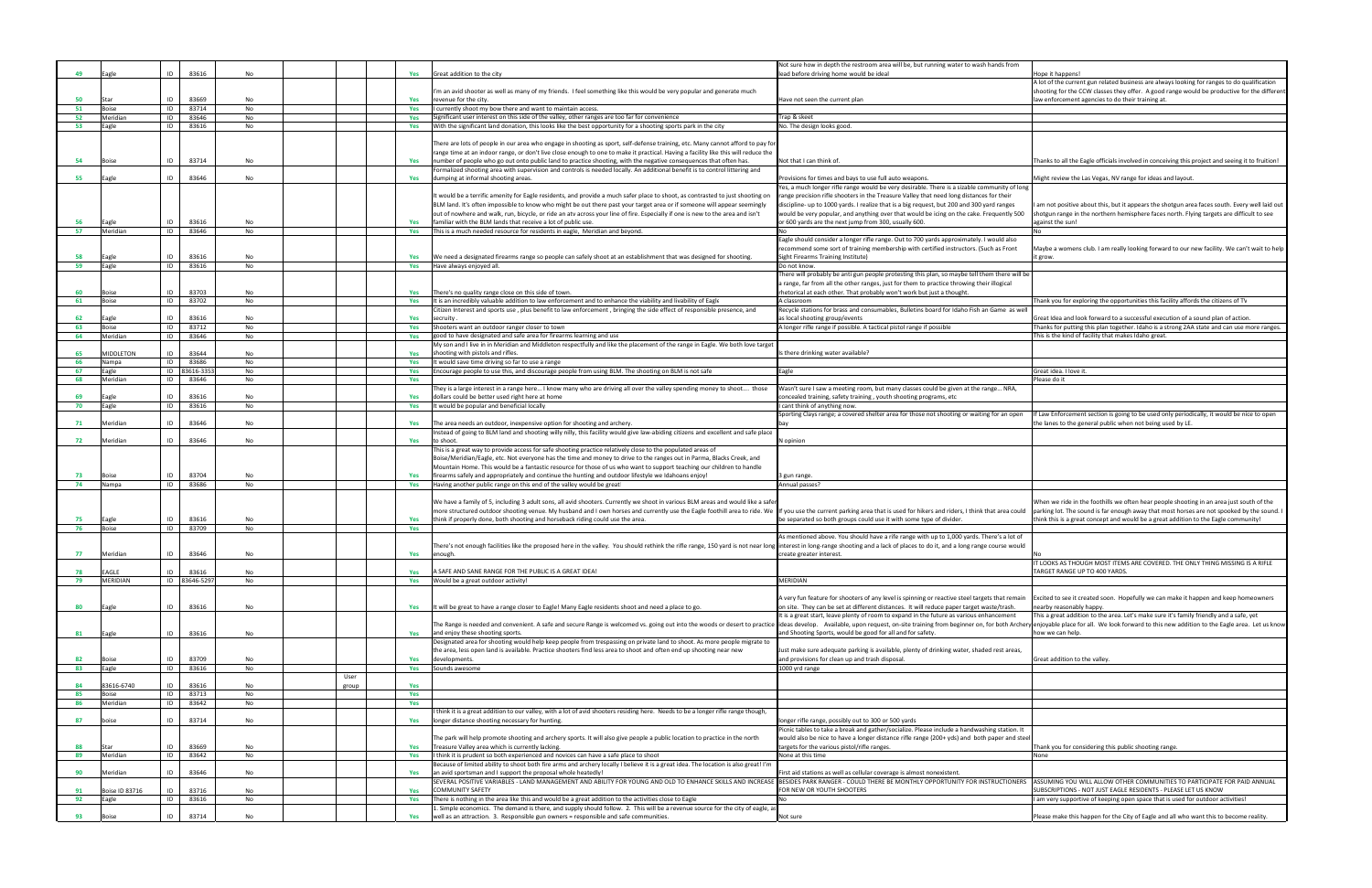| Not sure how in depth the restroom area will be, but running water to wash hands from                                                                                                        |                                                                                                                                                                                         |
|----------------------------------------------------------------------------------------------------------------------------------------------------------------------------------------------|-----------------------------------------------------------------------------------------------------------------------------------------------------------------------------------------|
| ead before driving home would be ideal                                                                                                                                                       | Hope it happens!<br>A lot of the current gun related business are always looking for ranges to do qualification                                                                         |
|                                                                                                                                                                                              | shooting for the CCW classes they offer. A good range would be productive for the different                                                                                             |
| lave not seen the current plan                                                                                                                                                               | law enforcement agencies to do their training at.                                                                                                                                       |
| rap & skeet                                                                                                                                                                                  |                                                                                                                                                                                         |
| Vo. The design looks good.                                                                                                                                                                   |                                                                                                                                                                                         |
|                                                                                                                                                                                              |                                                                                                                                                                                         |
|                                                                                                                                                                                              |                                                                                                                                                                                         |
| Vot that I can think of.                                                                                                                                                                     | Thanks to all the Eagle officials involved in conceiving this project and seeing it to fruition!                                                                                        |
|                                                                                                                                                                                              |                                                                                                                                                                                         |
| Provisions for times and bays to use full auto weapons.<br>es, a much longer rifle range would be very desirable. There is a sizable community of long                                       | Might review the Las Vegas, NV range for ideas and layout.                                                                                                                              |
| ange precision rifle shooters in the Treasure Valley that need long distances for their                                                                                                      |                                                                                                                                                                                         |
| liscipline- up to 1000 yards. I realize that is a big request, but 200 and 300 yard ranges                                                                                                   | am not positive about this, but it appears the shotgun area faces south. Every well laid out                                                                                            |
| vould be very popular, and anything over that would be icing on the cake. Frequently 500                                                                                                     | shotgun range in the northern hemisphere faces north. Flying targets are difficult to see                                                                                               |
| or 600 yards are the next jump from 300, usually 600.                                                                                                                                        | against the sun!<br>No                                                                                                                                                                  |
| agle should consider a longer rifle range. Out to 700 yards approximately. I would also                                                                                                      |                                                                                                                                                                                         |
| ecommend some sort of training membership with certified instructors. (Such as Front                                                                                                         | Maybe a womens club. I am really looking forward to our new facility. We can't wait to help                                                                                             |
| ight Firearms Training Institute)                                                                                                                                                            | it grow.                                                                                                                                                                                |
| Oo not know.<br>There will probably be anti gun people protesting this plan, so maybe tell them there will be                                                                                |                                                                                                                                                                                         |
| range, far from all the other ranges, just for them to practice throwing their illogical                                                                                                     |                                                                                                                                                                                         |
| hetorical at each other. That probably won't work but just a thought.                                                                                                                        |                                                                                                                                                                                         |
| A classroom                                                                                                                                                                                  | Thank you for exploring the opportunities this facility affords the citizens of TV                                                                                                      |
| Recycle stations for brass and consumables, Bulletins board for Idaho Fish an Game as well<br>is local shooting group/events                                                                 | Great Idea and look forward to a successful execution of a sound plan of action.                                                                                                        |
| A longer rifle range if possible. A tactical pistol range if possible                                                                                                                        | Thanks for putting this plan together. Idaho is a strong 2AA state and can use more ranges.                                                                                             |
|                                                                                                                                                                                              | This is the kind of facility that makes Idaho great.                                                                                                                                    |
| s there drinking water available?                                                                                                                                                            |                                                                                                                                                                                         |
|                                                                                                                                                                                              |                                                                                                                                                                                         |
| agle:                                                                                                                                                                                        | Great idea. I love it.                                                                                                                                                                  |
|                                                                                                                                                                                              | Please do it                                                                                                                                                                            |
| Wasn't sure I saw a meeting room, but many classes could be given at the range NRA,<br>oncealed training, safety training, youth shooting programs, etc<br>cant think of anything now.       |                                                                                                                                                                                         |
| Sporting Clays range; a covered shelter area for those not shooting or waiting for an open                                                                                                   | If Law Enforcement section is going to be used only periodically, it would be nice to open                                                                                              |
| эау                                                                                                                                                                                          | the lanes to the general public when not being used by LE.                                                                                                                              |
| J opinion                                                                                                                                                                                    |                                                                                                                                                                                         |
|                                                                                                                                                                                              |                                                                                                                                                                                         |
|                                                                                                                                                                                              |                                                                                                                                                                                         |
| gun range.                                                                                                                                                                                   |                                                                                                                                                                                         |
| Annual passes?                                                                                                                                                                               |                                                                                                                                                                                         |
|                                                                                                                                                                                              | When we ride in the foothills we often hear people shooting in an area just south of the                                                                                                |
| f you use the current parking area that is used for hikers and riders, I think that area could                                                                                               | parking lot. The sound is far enough away that most horses are not spooked by the sound. I                                                                                              |
| be separated so both groups could use it with some type of divider.                                                                                                                          | think this is a great concept and would be a great addition to the Eagle community!                                                                                                     |
| As mentioned above. You should have a rife range with up to 1,000 yards. There's a lot of                                                                                                    |                                                                                                                                                                                         |
| nterest in long-range shooting and a lack of places to do it, and a long range course would                                                                                                  |                                                                                                                                                                                         |
| reate greater interest.                                                                                                                                                                      | No                                                                                                                                                                                      |
|                                                                                                                                                                                              | IT LOOKS AS THOUGH MOST ITEMS ARE COVERED. THE ONLY THING MISSING IS A RIFLE<br>TARGET RANGE UP TO 400 YARDS.                                                                           |
| <b>MERIDIAN</b>                                                                                                                                                                              |                                                                                                                                                                                         |
|                                                                                                                                                                                              |                                                                                                                                                                                         |
| A very fun feature for shooters of any level is spinning or reactive steel targets that remain                                                                                               | Excited to see it created soon. Hopefully we can make it happen and keep homeowners                                                                                                     |
| on site. They can be set at different distances. It will reduce paper target waste/trash.<br>t is a great start, leave plenty of room to expand in the future as various enhancement         | nearby reasonably happy.<br>This a great addition to the area. Let's make sure it's family friendly and a safe, yet                                                                     |
|                                                                                                                                                                                              | deas develop. Available, upon request, on-site training from beginner on, for both Archery enjoyable place for all. We look forward to this new addition to the Eagle area. Let us know |
| and Shooting Sports, would be good for all and for safety.                                                                                                                                   | how we can help.                                                                                                                                                                        |
|                                                                                                                                                                                              |                                                                                                                                                                                         |
| ust make sure adequate parking is available, plenty of drinking water, shaded rest areas,<br>and provisions for clean up and trash disposal.                                                 | Great addition to the valley.                                                                                                                                                           |
| 000 yrd range                                                                                                                                                                                |                                                                                                                                                                                         |
|                                                                                                                                                                                              |                                                                                                                                                                                         |
|                                                                                                                                                                                              |                                                                                                                                                                                         |
|                                                                                                                                                                                              |                                                                                                                                                                                         |
|                                                                                                                                                                                              |                                                                                                                                                                                         |
| onger rifle range, possibly out to 300 or 500 yards                                                                                                                                          |                                                                                                                                                                                         |
| Picnic tables to take a break and gather/socialize. Please include a handwashing station. It<br>vould also be nice to have a longer distance rifle range (200+ yds) and both paper and steel |                                                                                                                                                                                         |
| argets for the various pistol/rifle ranges.                                                                                                                                                  | Thank you for considering this public shooting range.                                                                                                                                   |
| Vone at this time                                                                                                                                                                            | None                                                                                                                                                                                    |
|                                                                                                                                                                                              |                                                                                                                                                                                         |
| irst aid stations as well as cellular coverage is almost nonexistent.<br>BESIDES PARK RANGER - COULD THERE BE MONTHLY OPPORTUNITY FOR INSTRUCTIONERS                                         | ASSUMING YOU WILL ALLOW OTHER COMMUNITIES TO PARTICIPATE FOR PAID ANNUAL                                                                                                                |
| OR NEW OR YOUTH SHOOTERS                                                                                                                                                                     | SUBSCRIPTIONS - NOT JUST EAGLE RESIDENTS - PLEASE LET US KNOW                                                                                                                           |
| ٧o                                                                                                                                                                                           | am very supportive of keeping open space that is used for outdoor activities!                                                                                                           |
|                                                                                                                                                                                              |                                                                                                                                                                                         |
| vot sure                                                                                                                                                                                     | Please make this happen for the City of Eagle and all who want this to become reality.                                                                                                  |
|                                                                                                                                                                                              |                                                                                                                                                                                         |

|    |                  |    |              |           |       |     |                                                                                                                                                                                                                                | Not sure how in depth the restroom area will be, but running water to wash hands from                                                                                                       |                                                                                                                                                                                          |
|----|------------------|----|--------------|-----------|-------|-----|--------------------------------------------------------------------------------------------------------------------------------------------------------------------------------------------------------------------------------|---------------------------------------------------------------------------------------------------------------------------------------------------------------------------------------------|------------------------------------------------------------------------------------------------------------------------------------------------------------------------------------------|
| 49 | agle             | ID | 83616        | No        |       | Yes | Great addition to the city                                                                                                                                                                                                     | lead before driving home would be ideal                                                                                                                                                     | lope it happens!                                                                                                                                                                         |
|    |                  |    |              |           |       |     | 'm an avid shooter as well as many of my friends. I feel something like this would be very popular and generate much                                                                                                           |                                                                                                                                                                                             | A lot of the current gun related business are always looking for ranges to do qualification<br>shooting for the CCW classes they offer. A good range would be productive for the differe |
| 50 | Star             | ID | 83669        | No        |       | Yes | revenue for the city                                                                                                                                                                                                           | Have not seen the current plan                                                                                                                                                              | aw enforcement agencies to do their training at.                                                                                                                                         |
| 51 | Boise            | ID | 83714        | No        |       | Yes | I currently shoot my bow there and want to maintain access.                                                                                                                                                                    |                                                                                                                                                                                             |                                                                                                                                                                                          |
| 52 | Meridian         | ID | 83646        | No        |       | Yes | Significant user interest on this side of the valley, other ranges are too far for convenience                                                                                                                                 | frap & skeet                                                                                                                                                                                |                                                                                                                                                                                          |
| 53 | Eagle            | ID | 83616        | No        |       | Yes | With the significant land donation, this looks like the best opportunity for a shooting sports park in the city                                                                                                                | No. The design looks good                                                                                                                                                                   |                                                                                                                                                                                          |
|    |                  |    |              |           |       |     |                                                                                                                                                                                                                                |                                                                                                                                                                                             |                                                                                                                                                                                          |
|    |                  |    |              |           |       |     | There are lots of people in our area who engage in shooting as sport, self-defense training, etc. Many cannot afford to pay for                                                                                                |                                                                                                                                                                                             |                                                                                                                                                                                          |
|    |                  |    |              |           |       |     | range time at an indoor range, or don't live close enough to one to make it practical. Having a facility like this will reduce the                                                                                             |                                                                                                                                                                                             |                                                                                                                                                                                          |
| 54 | Boise            | ID | 83714        | No        |       |     | number of people who go out onto public land to practice shooting, with the negative consequences that often has.                                                                                                              | Not that I can think of                                                                                                                                                                     | Thanks to all the Eagle officials involved in conceiving this project and seeing it to fruition!                                                                                         |
|    |                  |    |              |           |       |     | Formalized shooting area with supervision and controls is needed locally. An additional benefit is to control littering and                                                                                                    |                                                                                                                                                                                             |                                                                                                                                                                                          |
| 55 | Eagle            | ID | 83646        | No        |       | Yes | dumping at informal shooting areas.                                                                                                                                                                                            | Provisions for times and bays to use full auto weapons.                                                                                                                                     | Might review the Las Vegas, NV range for ideas and layout.                                                                                                                               |
|    |                  |    |              |           |       |     |                                                                                                                                                                                                                                | Yes, a much longer rifle range would be very desirable. There is a sizable community of long                                                                                                |                                                                                                                                                                                          |
|    |                  |    |              |           |       |     | It would be a terrific amenity for Eagle residents, and provide a much safer place to shoot, as contrasted to just shooting on                                                                                                 | range precision rifle shooters in the Treasure Valley that need long distances for their                                                                                                    |                                                                                                                                                                                          |
|    |                  |    |              |           |       |     | BLM land. It's often impossible to know who might be out there past your target area or if someone will appear seemingly                                                                                                       | discipline- up to 1000 yards. I realize that is a big request, but 200 and 300 yard ranges                                                                                                  | am not positive about this, but it appears the shotgun area faces south. Every well laid ou                                                                                              |
|    |                  |    |              |           |       |     | out of nowhere and walk, run, bicycle, or ride an atv across your line of fire. Especially if one is new to the area and isn't                                                                                                 | would be very popular, and anything over that would be icing on the cake. Frequently 500                                                                                                    | shotgun range in the northern hemisphere faces north. Flying targets are difficult to see                                                                                                |
|    | agle             | ID | 83616        | No        |       | Yes | familiar with the BLM lands that receive a lot of public use.                                                                                                                                                                  | or 600 yards are the next jump from 300, usually 600.                                                                                                                                       | against the sun!                                                                                                                                                                         |
| 57 | Meridian         | ID | 83646        | No        |       | Yes | This is a much needed resource for residents in eagle, Meridian and beyond.                                                                                                                                                    |                                                                                                                                                                                             |                                                                                                                                                                                          |
|    |                  |    |              |           |       |     |                                                                                                                                                                                                                                | Eagle should consider a longer rifle range. Out to 700 yards approximately. I would also<br>recommend some sort of training membership with certified instructors. (Such as Front           | Maybe a womens club. I am really looking forward to our new facility. We can't wait to hel                                                                                               |
| 58 | agle             | ID | 83616        | No        |       | Yes | We need a designated firearms range so people can safely shoot at an establishment that was designed for shooting.                                                                                                             | Sight Firearms Training Institute)                                                                                                                                                          |                                                                                                                                                                                          |
| 59 | Eagle            | ID | 83616        | No        |       |     | Yes Have always enjoyed all.                                                                                                                                                                                                   | Do not know.                                                                                                                                                                                | t grow.                                                                                                                                                                                  |
|    |                  |    |              |           |       |     |                                                                                                                                                                                                                                | There will probably be anti gun people protesting this plan, so maybe tell them there will be                                                                                               |                                                                                                                                                                                          |
|    |                  |    |              |           |       |     |                                                                                                                                                                                                                                | a range, far from all the other ranges, just for them to practice throwing their illogical                                                                                                  |                                                                                                                                                                                          |
| 60 |                  | ID | 83703        | No        |       | Yes | There's no quality range close on this side of town.                                                                                                                                                                           | hetorical at each other. That probably won't work but just a thought.                                                                                                                       |                                                                                                                                                                                          |
| 61 | Boise            | ID | 83702        | No        |       | Yes | It is an incredibly valuable addition to law enforcement and to enhance the viability and livability of Eagle                                                                                                                  | A classroom                                                                                                                                                                                 | Thank you for exploring the opportunities this facility affords the citizens of TV                                                                                                       |
|    |                  |    |              |           |       |     | Citizen Interest and sports use , plus benefit to law enforcement , bringing the side effect of responsible presence, and                                                                                                      | Recycle stations for brass and consumables, Bulletins board for Idaho Fish an Game as well                                                                                                  |                                                                                                                                                                                          |
| 62 | agle             | ID | 83616        | No        |       | Yes | secruity                                                                                                                                                                                                                       | as local shooting group/events                                                                                                                                                              | Great Idea and look forward to a successful execution of a sound plan of action.                                                                                                         |
| 63 | Boise            | ID | 83712        | No        |       | Yes | Shooters want an outdoor ranger closer to town                                                                                                                                                                                 | A longer rifle range if possible. A tactical pistol range if possible                                                                                                                       | Thanks for putting this plan together. Idaho is a strong 2AA state and can use more ranges                                                                                               |
| 64 | Meridian         | ID | 83646        | No        |       | Yes | good to have designated and safe area for firearms learning and use                                                                                                                                                            |                                                                                                                                                                                             | his is the kind of facility that makes Idaho great.                                                                                                                                      |
|    |                  |    |              |           |       |     | My son and I live in in Meridian and Middleton respectfully and like the placement of the range in Eagle. We both love target                                                                                                  |                                                                                                                                                                                             |                                                                                                                                                                                          |
| 65 | <b>MIDDLETON</b> | ID | 83644        | No        |       | Yes | shooting with pistols and rifles.                                                                                                                                                                                              | s there drinking water available?                                                                                                                                                           |                                                                                                                                                                                          |
| 66 | Nampa            | ID | 83686        | No        |       | Yes | It would save time driving so far to use a range                                                                                                                                                                               |                                                                                                                                                                                             |                                                                                                                                                                                          |
| 67 | Eagle            |    | ID 83616-335 | No        |       | Yes | Encourage people to use this, and discourage people from using BLM. The shooting on BLM is not safe                                                                                                                            | Eagle                                                                                                                                                                                       | Great idea. I love it.                                                                                                                                                                   |
| 68 | Meridian         | ID | 83646        | No        |       | Yes |                                                                                                                                                                                                                                |                                                                                                                                                                                             | lease do it                                                                                                                                                                              |
|    |                  |    |              |           |       |     | They is a large interest in a range here I know many who are driving all over the valley spending money to shoot those                                                                                                         | Wasn't sure I saw a meeting room, but many classes could be given at the range NRA,                                                                                                         |                                                                                                                                                                                          |
| 69 | agle             | ID | 83616        | No        |       | Yes | dollars could be better used right here at home                                                                                                                                                                                | concealed training, safety training, youth shooting programs, etc                                                                                                                           |                                                                                                                                                                                          |
| 70 | Eagle            | ID | 83616        | No        |       | Yes | It would be popular and beneficial locally.                                                                                                                                                                                    | I cant think of anything now.                                                                                                                                                               |                                                                                                                                                                                          |
|    |                  |    |              |           |       |     |                                                                                                                                                                                                                                | Sporting Clays range; a covered shelter area for those not shooting or waiting for an open                                                                                                  | f Law Enforcement section is going to be used only periodically, it would be nice to open                                                                                                |
| 71 | Meridian         | ID | 83646        | No        |       | Yes | The area needs an outdoor, inexpensive option for shooting and archery.                                                                                                                                                        |                                                                                                                                                                                             | he lanes to the general public when not being used by LE.                                                                                                                                |
|    |                  | ID | 83646        | No        |       |     | Instead of going to BLM land and shooting willy nilly, this facility would give law-abiding citizens and excellent and safe place<br>to shoot.                                                                                 | <b>V</b> opinion                                                                                                                                                                            |                                                                                                                                                                                          |
| 72 | Meridian         |    |              |           |       | Yes | This is a great way to provide access for safe shooting practice relatively close to the populated areas of                                                                                                                    |                                                                                                                                                                                             |                                                                                                                                                                                          |
|    |                  |    |              |           |       |     | Boise/Meridian/Eagle, etc. Not everyone has the time and money to drive to the ranges out in Parma, Blacks Creek, and                                                                                                          |                                                                                                                                                                                             |                                                                                                                                                                                          |
|    |                  |    |              |           |       |     | Mountain Home. This would be a fantastic resource for those of us who want to support teaching our children to handle                                                                                                          |                                                                                                                                                                                             |                                                                                                                                                                                          |
| 73 | Boise            | ID | 83704        | No        |       | Yes | firearms safely and appropriately and continue the hunting and outdoor lifestyle we Idahoans enjoy!                                                                                                                            | gun range.                                                                                                                                                                                  |                                                                                                                                                                                          |
| 74 | Nampa            | ID | 83686        | No        |       |     | Yes Having another public range on this end of the valley would be great!                                                                                                                                                      | Annual passes?                                                                                                                                                                              |                                                                                                                                                                                          |
|    |                  |    |              |           |       |     |                                                                                                                                                                                                                                |                                                                                                                                                                                             |                                                                                                                                                                                          |
|    |                  |    |              |           |       |     | We have a family of 5, including 3 adult sons, all avid shooters. Currently we shoot in various BLM areas and would like a safe                                                                                                |                                                                                                                                                                                             | When we ride in the foothills we often hear people shooting in an area just south of the                                                                                                 |
|    |                  |    |              |           |       |     | more structured outdoor shooting venue. My husband and I own horses and currently use the Eagle foothill area to ride. We lif you use the current parking area that is used for hikers and riders, I think that area could     |                                                                                                                                                                                             | parking lot. The sound is far enough away that most horses are not spooked by the sound.                                                                                                 |
| 75 | Eagle            | ID | 83616        | No        |       | Yes | think if properly done, both shooting and horseback riding could use the area.                                                                                                                                                 | be separated so both groups could use it with some type of divider.                                                                                                                         | think this is a great concept and would be a great addition to the Eagle community!                                                                                                      |
| 76 | Boise            | ID | 83709        | No        |       | Yes |                                                                                                                                                                                                                                |                                                                                                                                                                                             |                                                                                                                                                                                          |
|    |                  |    |              |           |       |     |                                                                                                                                                                                                                                | As mentioned above. You should have a rife range with up to 1,000 yards. There's a lot of                                                                                                   |                                                                                                                                                                                          |
|    |                  |    |              |           |       |     | There's not enough facilities like the proposed here in the valley. You should rethink the rifle range, 150 yard is not near long linterest in long-range shooting and a lack of places to do it, and a long range course woul |                                                                                                                                                                                             |                                                                                                                                                                                          |
| 77 | Meridian         | ID | 83646        | No        |       | Yes | enough.                                                                                                                                                                                                                        | create greater interest.                                                                                                                                                                    |                                                                                                                                                                                          |
|    |                  |    |              |           |       |     |                                                                                                                                                                                                                                |                                                                                                                                                                                             | LOOKS AS THOUGH MOST ITEMS ARE COVERED. THE ONLY THING MISSING IS A RIFLE                                                                                                                |
| 78 | AGLE             | ID | 83616        | No        |       | Yes | SAFE AND SANE RANGE FOR THE PUBLIC IS A GREAT IDEA!                                                                                                                                                                            |                                                                                                                                                                                             | <b>TARGET RANGE UP TO 400 YARDS.</b>                                                                                                                                                     |
| 79 | <b>MERIDIAN</b>  |    | ID 83646-529 | <b>No</b> |       | Yes | Would be a great outdoor activity!                                                                                                                                                                                             | MERIDIAN                                                                                                                                                                                    |                                                                                                                                                                                          |
|    |                  |    |              |           |       |     |                                                                                                                                                                                                                                |                                                                                                                                                                                             | Excited to see it created soon. Hopefully we can make it happen and keep homeowners                                                                                                      |
| 80 | Eagle            | ID | 83616        | No        |       | Yes | It will be great to have a range closer to Eagle! Many Eagle residents shoot and need a place to go.                                                                                                                           | A very fun feature for shooters of any level is spinning or reactive steel targets that remain<br>on site. They can be set at different distances. It will reduce paper target waste/trash. | nearby reasonably happy.                                                                                                                                                                 |
|    |                  |    |              |           |       |     |                                                                                                                                                                                                                                | It is a great start, leave plenty of room to expand in the future as various enhancement                                                                                                    | This a great addition to the area. Let's make sure it's family friendly and a safe, yet                                                                                                  |
|    |                  |    |              |           |       |     | The Range is needed and convenient. A safe and secure Range is welcomed vs. going out into the woods or desert to practice lideas develop. Available, upon request, on-site training from beginner on, for both Archer         |                                                                                                                                                                                             | y enjoyable place for all. We look forward to this new addition to the Eagle area. Let us kno                                                                                            |
| 81 | Eagle            | ID | 83616        | No        |       | Yes | and enjoy these shooting sports.                                                                                                                                                                                               | and Shooting Sports, would be good for all and for safety.                                                                                                                                  | how we can help.                                                                                                                                                                         |
|    |                  |    |              |           |       |     | Designated area for shooting would help keep people from trespassing on private land to shoot. As more people migrate to                                                                                                       |                                                                                                                                                                                             |                                                                                                                                                                                          |
|    |                  |    |              |           |       |     | the area, less open land is available. Practice shooters find less area to shoot and often end up shooting near new                                                                                                            | Just make sure adequate parking is available, plenty of drinking water, shaded rest areas,                                                                                                  |                                                                                                                                                                                          |
| 82 | Boise            | ID | 83709        | No        |       | Yes | developments.                                                                                                                                                                                                                  | and provisions for clean up and trash disposal.                                                                                                                                             | Great addition to the valley.                                                                                                                                                            |
| 83 | Eagle            | ID | 83616        | No        |       | Yes | Sounds awesome                                                                                                                                                                                                                 | 1000 yrd range                                                                                                                                                                              |                                                                                                                                                                                          |
|    |                  |    |              |           | User  |     |                                                                                                                                                                                                                                |                                                                                                                                                                                             |                                                                                                                                                                                          |
| 84 | 83616-6740       | ID | 83616        | <b>No</b> | group | Yes |                                                                                                                                                                                                                                |                                                                                                                                                                                             |                                                                                                                                                                                          |
| 85 | Boise            | ID | 83713        | No        |       | Yes |                                                                                                                                                                                                                                |                                                                                                                                                                                             |                                                                                                                                                                                          |
| 86 | Meridian         | ID | 83642        | No        |       | Yes |                                                                                                                                                                                                                                |                                                                                                                                                                                             |                                                                                                                                                                                          |
|    |                  |    |              |           |       |     | think it is a great addition to our valley, with a lot of avid shooters residing here. Needs to be a longer rifle range though,                                                                                                |                                                                                                                                                                                             |                                                                                                                                                                                          |
| 87 | boise            | ID | 83714        | No        |       | Yes | longer distance shooting necessary for hunting.                                                                                                                                                                                | longer rifle range, possibly out to 300 or 500 yards                                                                                                                                        |                                                                                                                                                                                          |
|    |                  |    |              |           |       |     |                                                                                                                                                                                                                                | Picnic tables to take a break and gather/socialize. Please include a handwashing station. It                                                                                                |                                                                                                                                                                                          |
|    |                  |    |              |           |       |     | The park will help promote shooting and archery sports. It will also give people a public location to practice in the north                                                                                                    | would also be nice to have a longer distance rifle range (200+ yds) and both paper and stee                                                                                                 |                                                                                                                                                                                          |
| 88 | Star             | ID | 83669        | No        |       | Yes | Treasure Valley area which is currently lacking.                                                                                                                                                                               | targets for the various pistol/rifle ranges.                                                                                                                                                | Thank you for considering this public shooting range.                                                                                                                                    |
| 89 | Meridian         | ID | 83642        | No        |       | Yes | I think it is prudent so both experienced and novices can have a safe place to shoot<br>Because of limited ability to shoot both fire arms and archery locally I believe it is a great idea. The location is also great! I'm   | None at this time                                                                                                                                                                           | None                                                                                                                                                                                     |
| 90 | Meridian         | ID | 83646        | No        |       |     |                                                                                                                                                                                                                                | First aid stations as well as cellular coverage is almost nonexistent.                                                                                                                      |                                                                                                                                                                                          |
|    |                  |    |              |           |       | Yes | an avid sportsman and I support the proposal whole heatedly!<br>SEVERAL POSITIVE VARIABLES - LAND MANAGEMENT AND ABILITY FOR YOUNG AND OLD TO ENHANCE SKILLS AND INCREASE                                                      | BESIDES PARK RANGER - COULD THERE BE MONTHLY OPPORTUNITY FOR INSTRUCTIONERS                                                                                                                 | ASSUMING YOU WILL ALLOW OTHER COMMUNITIES TO PARTICIPATE FOR PAID ANNUAL                                                                                                                 |
| 91 | Boise ID 83716   | ID | 83716        | No        |       | Yes | <b>COMMUNITY SAFETY</b>                                                                                                                                                                                                        | FOR NEW OR YOUTH SHOOTERS                                                                                                                                                                   | UBSCRIPTIONS - NOT JUST EAGLE RESIDENTS - PLEASE LET US KNOW                                                                                                                             |
| 92 | Eagle            | ID | 83616        | No        |       | Yes | There is nothing in the area like this and would be a great addition to the activities close to Eagle                                                                                                                          |                                                                                                                                                                                             | am very supportive of keeping open space that is used for outdoor activities!                                                                                                            |
|    |                  |    |              |           |       |     | . Simple economics. The demand is there, and supply should follow. 2. This will be a revenue source for the city of eagle, a                                                                                                   |                                                                                                                                                                                             |                                                                                                                                                                                          |
| 93 | <b>Boise</b>     | ID | 83714        | No        |       | Yes | well as an attraction. 3. Responsible gun owners = responsible and safe communities.                                                                                                                                           | Not sure                                                                                                                                                                                    | Please make this happen for the City of Eagle and all who want this to become reality.                                                                                                   |
|    |                  |    |              |           |       |     |                                                                                                                                                                                                                                |                                                                                                                                                                                             |                                                                                                                                                                                          |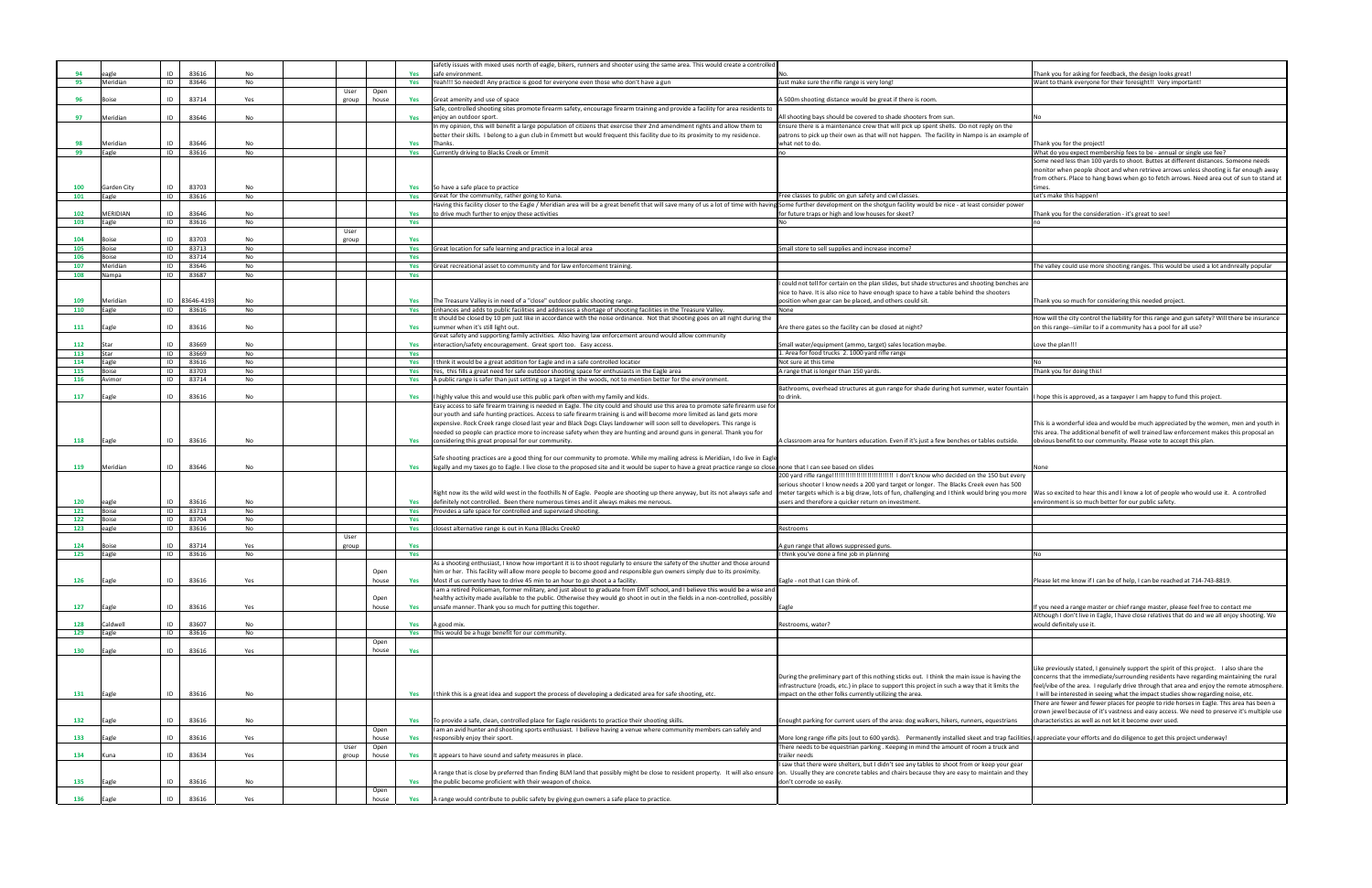|     |              |    |           |           |       |       |     | safetly issues with mixed uses north of eagle, bikers, runners and shooter using the same area. This would create a controllec                                         |                                                                                                |                                                                                               |
|-----|--------------|----|-----------|-----------|-------|-------|-----|------------------------------------------------------------------------------------------------------------------------------------------------------------------------|------------------------------------------------------------------------------------------------|-----------------------------------------------------------------------------------------------|
| 94  |              | ID | 83616     | No        |       |       | Yes | safe environmen                                                                                                                                                        |                                                                                                | Thank you for asking for feedback, the design looks great!                                    |
| 95  | Meridian     | ID | 83646     | No        |       |       | Yes | Yeah!!! So needed! Any practice is good for everyone even those who don't have a gun                                                                                   | Just make sure the rifle range is very long!                                                   | Want to thank everyone for their foresight!! Very important!                                  |
|     |              |    |           |           | User  | Open  |     |                                                                                                                                                                        |                                                                                                |                                                                                               |
| 96  | Boise        | ID | 83714     | Yes       | group | house | Yes | Great amenity and use of space                                                                                                                                         | 500m shooting distance would be great if there is room.                                        |                                                                                               |
|     |              |    |           |           |       |       |     | Safe, controlled shooting sites promote firearm safety, encourage firearm training and provide a facility for area residents to                                        |                                                                                                |                                                                                               |
|     |              |    |           |           |       |       |     |                                                                                                                                                                        |                                                                                                |                                                                                               |
| 97  | Meridian     | ID | 83646     | No        |       |       | Yes | enjoy an outdoor sport                                                                                                                                                 | All shooting bays should be covered to shade shooters from sun.                                |                                                                                               |
|     |              |    |           |           |       |       |     | In my opinion, this will benefit a large population of citizens that exercise their 2nd amendment rights and allow them to                                             | Ensure there is a maintenance crew that will pick up spent shells. Do not reply on the         |                                                                                               |
|     |              |    |           |           |       |       |     | better their skills. I belong to a gun club in Emmett but would frequent this facility due to its proximity to my residence.                                           | patrons to pick up their own as that will not happen. The facility in Nampo is an example of   |                                                                                               |
| 98  | Meridian     | ID | 83646     | No        |       |       | Yes | Thanks                                                                                                                                                                 | what not to do                                                                                 | Thank you for the project!                                                                    |
|     |              | ID | 83616     | No        |       |       |     |                                                                                                                                                                        | n <sub>0</sub>                                                                                 |                                                                                               |
| 99  | Eagle        |    |           |           |       |       | Yes | Currently driving to Blacks Creek or Emmit                                                                                                                             |                                                                                                | What do you expect membership fees to be - annual or single use fee?                          |
|     |              |    |           |           |       |       |     |                                                                                                                                                                        |                                                                                                | Some need less than 100 yards to shoot. Buttes at different distances. Someone needs          |
|     |              |    |           |           |       |       |     |                                                                                                                                                                        |                                                                                                | monitor when people shoot and when retrieve arrows unless shooting is far enough awa          |
|     |              |    |           |           |       |       |     |                                                                                                                                                                        |                                                                                                | from others. Place to hang bows when go to fetch arrows. Need area out of sun to stand        |
|     |              |    |           |           |       |       |     |                                                                                                                                                                        |                                                                                                |                                                                                               |
| 100 | Garden City  | ID | 83703     | No        |       |       | Yes | So have a safe place to practice                                                                                                                                       |                                                                                                | times.                                                                                        |
| 101 | Eagle        | ID | 83616     | No        |       |       | Yes | Great for the community, rather going to Kuna.                                                                                                                         | ree classes to public on gun safety and cwl classes.                                           | Let's make this happen!                                                                       |
|     |              |    |           |           |       |       |     | Having this facility closer to the Eagle / Meridian area will be a great benefit that will save many of us a lot of time with havin                                    | Some further development on the shotgun facility would be nice - at least consider power       |                                                                                               |
| 102 | MERIDIAN     | ID | 83646     | No        |       |       | Yes | to drive much further to enjoy these activities                                                                                                                        | for future traps or high and low houses for skeet?                                             | Thank you for the consideration - it's great to see!                                          |
|     |              |    |           |           |       |       |     |                                                                                                                                                                        |                                                                                                |                                                                                               |
| 103 | agle         | ID | 83616     | No        |       |       | Yes |                                                                                                                                                                        |                                                                                                |                                                                                               |
|     |              |    |           |           | User  |       |     |                                                                                                                                                                        |                                                                                                |                                                                                               |
| 104 | Boise        | ID | 83703     | No        | group |       | Yes |                                                                                                                                                                        |                                                                                                |                                                                                               |
| 105 | <b>Boise</b> | ID | 83713     | No        |       |       | Yes | Great location for safe learning and practice in a local area                                                                                                          | Small store to sell supplies and increase income?                                              |                                                                                               |
|     |              |    |           |           |       |       |     |                                                                                                                                                                        |                                                                                                |                                                                                               |
| 106 | <b>Boise</b> | ID | 83714     | No        |       |       | Yes |                                                                                                                                                                        |                                                                                                |                                                                                               |
| 107 | Meridian     | ID | 83646     | No        |       |       | Yes | Great recreational asset to community and for law enforcement training.                                                                                                |                                                                                                | The valley could use more shooting ranges. This would be used a lot andnreally popular        |
| 108 | Nampa        | ID | 83687     | No        |       |       | Yes |                                                                                                                                                                        |                                                                                                |                                                                                               |
|     |              |    |           |           |       |       |     |                                                                                                                                                                        |                                                                                                |                                                                                               |
|     |              |    |           |           |       |       |     |                                                                                                                                                                        | I could not tell for certain on the plan slides, but shade structures and shooting benches are |                                                                                               |
|     |              |    |           |           |       |       |     |                                                                                                                                                                        | nice to have. It is also nice to have enough space to have a table behind the shooters         |                                                                                               |
| 109 | Meridian     | ID | 83646-419 | No        |       |       | Yes | The Treasure Valley is in need of a "close" outdoor public shooting range.                                                                                             | position when gear can be placed, and others could sit.                                        | Thank you so much for considering this needed project                                         |
| 110 | Eagle        | ID | 83616     | No        |       |       | Yes | Enhances and adds to public facilities and addresses a shortage of shooting facilities in the Treasure Valley.                                                         | None                                                                                           |                                                                                               |
|     |              |    |           |           |       |       |     |                                                                                                                                                                        |                                                                                                |                                                                                               |
|     |              |    |           |           |       |       |     | It should be closed by 10 pm just like in accordance with the noise ordinance. Not that shooting goes on all night during the                                          |                                                                                                | How will the city control the liability for this range and gun safety? Will there be insurand |
| 111 | agle         | ID | 83616     | No        |       |       | Yes | summer when it's still light out.                                                                                                                                      | Are there gates so the facility can be closed at night?                                        | on this range--similar to if a community has a pool for all use?                              |
|     |              |    |           |           |       |       |     | Great safety and supporting family activities. Also having law enforcement around would allow community                                                                |                                                                                                |                                                                                               |
| 112 | Star         | ID | 83669     | No        |       |       |     |                                                                                                                                                                        |                                                                                                |                                                                                               |
|     |              |    |           |           |       |       | Yes | interaction/safety encouragement. Great sport too. Easy access.                                                                                                        | Small water/equipment (ammo, target) sales location maybe.                                     | Love the plan!!!                                                                              |
| 113 | Star         | ID | 83669     | <b>No</b> |       |       | Yes |                                                                                                                                                                        | . Area for food trucks 2. 1000 yard rifle range                                                |                                                                                               |
| 114 | Eagle        | ID | 83616     | No        |       |       | Yes | I think it would be a great addition for Eagle and in a safe controlled locatior                                                                                       | Not sure at this time                                                                          |                                                                                               |
| 115 | <b>Boise</b> | ID | 83703     | No        |       |       | Yes | Yes, this fills a great need for safe outdoor shooting space for enthusiasts in the Eagle area                                                                         | A range that is longer than 150 yards.                                                         | Fhank you for doing this!                                                                     |
| 116 | <b>vimor</b> | ID | 83714     | No        |       |       | Yes |                                                                                                                                                                        |                                                                                                |                                                                                               |
|     |              |    |           |           |       |       |     | A public range is safer than just setting up a target in the woods, not to mention better for the environment.                                                         |                                                                                                |                                                                                               |
|     |              |    |           |           |       |       |     |                                                                                                                                                                        | Bathrooms, overhead structures at gun range for shade during hot summer, water fountair        |                                                                                               |
| 117 | agle         | ID | 83616     | No        |       |       | Yes | highly value this and would use this public park often with my family and kids.                                                                                        | to drink.                                                                                      | hope this is approved, as a taxpayer I am happy to fund this project                          |
|     |              |    |           |           |       |       |     | Easy access to safe firearm training is needed in Eagle. The city could and should use this area to promote safe firearm use f                                         |                                                                                                |                                                                                               |
|     |              |    |           |           |       |       |     |                                                                                                                                                                        |                                                                                                |                                                                                               |
|     |              |    |           |           |       |       |     | our youth and safe hunting practices. Access to safe firearm training is and will become more limited as land gets more                                                |                                                                                                |                                                                                               |
|     |              |    |           |           |       |       |     | expensive. Rock Creek range closed last year and Black Dogs Clays landowner will soon sell to developers. This range is                                                |                                                                                                | This is a wonderful idea and would be much appreciated by the women, men and youth            |
|     |              |    |           |           |       |       |     | needed so people can practice more to increase safety when they are hunting and around guns in general. Thank you for                                                  |                                                                                                | this area. The additional benefit of well trained law enforcement makes this proposal an      |
|     |              | ID |           | No        |       |       |     |                                                                                                                                                                        | A classroom area for hunters education. Even if it's just a few benches or tables outside.     | obvious benefit to our community. Please vote to accept this plan.                            |
| 118 | Eagle        |    | 83616     |           |       |       | Yes | considering this great proposal for our community.                                                                                                                     |                                                                                                |                                                                                               |
|     |              |    |           |           |       |       |     |                                                                                                                                                                        |                                                                                                |                                                                                               |
|     |              |    |           |           |       |       |     | Safe shooting practices are a good thing for our community to promote. While my mailing adress is Meridian, I do live in Eagle                                         |                                                                                                |                                                                                               |
| 119 | Meridian     | ID | 83646     | No        |       |       | Yes | legally and my taxes go to Eagle. I live close to the proposed site and it would be super to have a great practice range so close. none that I can see based on slides |                                                                                                | None                                                                                          |
|     |              |    |           |           |       |       |     |                                                                                                                                                                        |                                                                                                |                                                                                               |
|     |              |    |           |           |       |       |     |                                                                                                                                                                        |                                                                                                |                                                                                               |
|     |              |    |           |           |       |       |     |                                                                                                                                                                        | serious shooter I know needs a 200 yard target or longer.  The Blacks Creek even has 500       |                                                                                               |
|     |              |    |           |           |       |       |     | Right now its the wild wild west in the foothills N of Eagle. People are shooting up there anyway, but its not always safe and                                         | meter targets which is a big draw, lots of fun, challenging and I think would bring you more   | Was so excited to hear this and I know a lot of people who would use it. A controlled         |
| 120 | eagle        | ID | 83616     | No        |       |       | Yes | definitely not controlled. Been there numerous times and it always makes me nervous.                                                                                   | users and therefore a quicker return on investment.                                            | environment is so much better for our public safety.                                          |
|     |              |    |           |           |       |       |     |                                                                                                                                                                        |                                                                                                |                                                                                               |
| 121 | <b>Boise</b> | ID | 83713     | No        |       |       | Yes | Provides a safe space for controlled and supervised shooting                                                                                                           |                                                                                                |                                                                                               |
| 122 | <b>Boise</b> | ID | 83704     | No        |       |       | Yes |                                                                                                                                                                        |                                                                                                |                                                                                               |
| 123 | eagle        | ID | 83616     | No        |       |       | Yes | closest alternative range is out in Kuna (Blacks Creek0                                                                                                                | testrooms                                                                                      |                                                                                               |
|     |              |    |           |           |       |       |     |                                                                                                                                                                        |                                                                                                |                                                                                               |
|     |              |    |           |           | User  |       |     |                                                                                                                                                                        |                                                                                                |                                                                                               |
| 124 | oise         | ID | 83714     | Yes       | group |       | Yes |                                                                                                                                                                        | A gun range that allows suppressed guns.                                                       |                                                                                               |
| 125 | agle         | ID | 83616     | <b>No</b> |       |       | Yes |                                                                                                                                                                        | think you've done a fine job in planning                                                       |                                                                                               |
|     |              |    |           |           |       |       |     | As a shooting enthusiast, I know how important it is to shoot regularly to ensure the safety of the shutter and those around                                           |                                                                                                |                                                                                               |
|     |              |    |           |           |       |       |     | him or her. This facility will allow more people to become good and responsible gun owners simply due to its proximity.                                                |                                                                                                |                                                                                               |
|     |              |    |           |           |       | Open  |     |                                                                                                                                                                        |                                                                                                |                                                                                               |
| 126 | Eagle        | ID | 83616     | Yes       |       | house | Yes | Most if us currently have to drive 45 min to an hour to go shoot a a facility.                                                                                         | Eagle - not that I can think of.                                                               | Please let me know if I can be of help, I can be reached at 714-743-8819.                     |
|     |              |    |           |           |       |       |     | I am a retired Policeman, former military, and just about to graduate from EMT school, and I believe this would be a wise and                                          |                                                                                                |                                                                                               |
|     |              |    |           |           |       | Open  |     | healthy activity made available to the public. Otherwise they would go shoot in out in the fields in a non-controlled, possibly                                        |                                                                                                |                                                                                               |
| 127 |              | ID | 83616     | Yes       |       | house | Yes |                                                                                                                                                                        |                                                                                                |                                                                                               |
|     | Eagle        |    |           |           |       |       |     | unsafe manner. Thank you so much for putting this together.                                                                                                            | Eagle                                                                                          | If you need a range master or chief range master, please feel free to contact me              |
|     |              |    |           |           |       |       |     |                                                                                                                                                                        |                                                                                                | Although I don't live in Eagle, I have close relatives that do and we all enjoy shooting. We  |
| 128 | Caldwell     | ID | 83607     | No        |       |       | Yes | A good mix.                                                                                                                                                            | Restrooms, water?                                                                              | would definitely use it.                                                                      |
| 129 | Eagle        | ID | 83616     | No        |       |       | Yes | This would be a huge benefit for our community.                                                                                                                        |                                                                                                |                                                                                               |
|     |              |    |           |           |       | Open  |     |                                                                                                                                                                        |                                                                                                |                                                                                               |
|     |              |    |           |           |       |       |     |                                                                                                                                                                        |                                                                                                |                                                                                               |
| 130 | Eagle        | ID | 83616     | Yes       |       | house | Yes |                                                                                                                                                                        |                                                                                                |                                                                                               |
|     |              |    |           |           |       |       |     |                                                                                                                                                                        |                                                                                                |                                                                                               |
|     |              |    |           |           |       |       |     |                                                                                                                                                                        |                                                                                                | Like previously stated, I genuinely support the spirit of this project. I also share the      |
|     |              |    |           |           |       |       |     |                                                                                                                                                                        | During the preliminary part of this nothing sticks out. I think the main issue is having the   | concerns that the immediate/surrounding residents have regarding maintaining the rura         |
|     |              |    |           |           |       |       |     |                                                                                                                                                                        |                                                                                                |                                                                                               |
|     |              |    |           |           |       |       |     |                                                                                                                                                                        | infrastructure (roads, etc.) in place to support this project in such a way that it limits the | feel/vibe of the area. I regularly drive through that area and enjoy the remote atmosphe      |
| 131 | Eagle        | ID | 83616     | No        |       |       | Yes | I think this is a great idea and support the process of developing a dedicated area for safe shooting, etc.                                                            | impact on the other folks currently utilizing the area.                                        | I will be interested in seeing what the impact studies show regarding noise, etc.             |
|     |              |    |           |           |       |       |     |                                                                                                                                                                        |                                                                                                | There are fewer and fewer places for people to ride horses in Eagle. This area has been a     |
|     |              |    |           |           |       |       |     |                                                                                                                                                                        |                                                                                                |                                                                                               |
|     |              |    |           |           |       |       |     |                                                                                                                                                                        |                                                                                                | crown jewel because of it's vastness and easy access. We need to preserve it's multiple u     |
| 132 | Eagle        | ID | 83616     | No        |       |       | Yes | To provide a safe, clean, controlled place for Eagle residents to practice their shooting skills.                                                                      | Enought parking for current users of the area: dog walkers, hikers, runners, equestrians       | characteristics as well as not let it become over used.                                       |
|     |              |    |           |           |       | Open  |     | am an avid hunter and shooting sports enthusiast. I believe having a venue where community members can safely and                                                      |                                                                                                |                                                                                               |
| 133 |              |    |           |           |       |       |     |                                                                                                                                                                        |                                                                                                |                                                                                               |
|     |              | ID | 83616     | Yes       |       | house | Yes | responsibly enjoy their sport.                                                                                                                                         | More long range rifle pits (out to 600 yards). Permanently installed skeet and trap facilities | I appreciate your efforts and do diligence to get this project underway!                      |
|     | Eagle        |    |           |           | User  | Open  |     |                                                                                                                                                                        | There needs to be equestrian parking . Keeping in mind the amount of room a truck and          |                                                                                               |
|     |              |    |           |           |       |       |     |                                                                                                                                                                        |                                                                                                |                                                                                               |
| 134 | Kuna         | ID | 83634     | Yes       | group | house | Yes | It appears to have sound and safety measures in place.                                                                                                                 | trailer needs                                                                                  |                                                                                               |
|     |              |    |           |           |       |       |     |                                                                                                                                                                        |                                                                                                |                                                                                               |
|     |              |    |           |           |       |       |     |                                                                                                                                                                        | I saw that there were shelters, but I didn't see any tables to shoot from or keep your gear    |                                                                                               |
|     |              |    |           |           |       |       |     | A range that is close by preferred than finding BLM land that possibly might be close to resident property. It will also ensure                                        | on. Usually they are concrete tables and chairs because they are easy to maintain and they     |                                                                                               |
| 135 | Eagle        | ID | 83616     | No        |       |       | Yes | the public become proficient with their weapon of choice.                                                                                                              | don't corrode so easily.                                                                       |                                                                                               |
|     |              |    |           |           |       | Open  |     |                                                                                                                                                                        |                                                                                                |                                                                                               |
| 136 | Eagle        | ID | 83616     | Yes       |       | house | Yes | A range would contribute to public safety by giving gun owners a safe place to practice.                                                                               |                                                                                                |                                                                                               |

|                     | Thank you for asking for feedback, the design looks great!<br>Want to thank everyone for their foresight!! Very important!                                                       |
|---------------------|----------------------------------------------------------------------------------------------------------------------------------------------------------------------------------|
|                     |                                                                                                                                                                                  |
|                     |                                                                                                                                                                                  |
|                     |                                                                                                                                                                                  |
|                     | No                                                                                                                                                                               |
| t reply on the      |                                                                                                                                                                                  |
| po is an example of | Thank you for the project!                                                                                                                                                       |
|                     | What do you expect membership fees to be - annual or single use fee?                                                                                                             |
|                     | Some need less than 100 yards to shoot. Buttes at different distances. Someone needs                                                                                             |
|                     | monitor when people shoot and when retrieve arrows unless shooting is far enough away                                                                                            |
|                     | from others. Place to hang bows when go to fetch arrows. Need area out of sun to stand at                                                                                        |
|                     | times.                                                                                                                                                                           |
| st consider power   | Let's make this happen!                                                                                                                                                          |
|                     | Thank you for the consideration - it's great to see!                                                                                                                             |
|                     | no                                                                                                                                                                               |
|                     |                                                                                                                                                                                  |
|                     |                                                                                                                                                                                  |
|                     |                                                                                                                                                                                  |
|                     | The valley could use more shooting ranges. This would be used a lot andnreally popular                                                                                           |
|                     |                                                                                                                                                                                  |
| ooting benches are  |                                                                                                                                                                                  |
| the shooters        |                                                                                                                                                                                  |
|                     | Thank you so much for considering this needed project.                                                                                                                           |
|                     | How will the city control the liability for this range and gun safety? Will there be insurance                                                                                   |
|                     | on this range--similar to if a community has a pool for all use?                                                                                                                 |
|                     |                                                                                                                                                                                  |
|                     | Love the plan!!!                                                                                                                                                                 |
|                     | N٥                                                                                                                                                                               |
|                     | Thank you for doing this!                                                                                                                                                        |
|                     |                                                                                                                                                                                  |
| ner, water fountain |                                                                                                                                                                                  |
|                     | I hope this is approved, as a taxpayer I am happy to fund this project.                                                                                                          |
|                     |                                                                                                                                                                                  |
|                     | This is a wonderful idea and would be much appreciated by the women, men and youth in                                                                                            |
|                     | this area. The additional benefit of well trained law enforcement makes this proposal an                                                                                         |
| r tables outside.   | obvious benefit to our community. Please vote to accept this plan.                                                                                                               |
|                     |                                                                                                                                                                                  |
|                     |                                                                                                                                                                                  |
| the 150 but every   | None                                                                                                                                                                             |
| eek even has 500    |                                                                                                                                                                                  |
| uld bring you more  | Was so excited to hear this and I know a lot of people who would use it. A controlled                                                                                            |
|                     | environment is so much better for our public safety.                                                                                                                             |
|                     |                                                                                                                                                                                  |
|                     |                                                                                                                                                                                  |
|                     |                                                                                                                                                                                  |
|                     |                                                                                                                                                                                  |
|                     | No                                                                                                                                                                               |
|                     |                                                                                                                                                                                  |
|                     |                                                                                                                                                                                  |
|                     | Please let me know if I can be of help, I can be reached at 714-743-8819.                                                                                                        |
|                     |                                                                                                                                                                                  |
|                     | If you need a range master or chief range master, please feel free to contact me                                                                                                 |
|                     | Although I don't live in Eagle, I have close relatives that do and we all enjoy shooting. We                                                                                     |
|                     | would definitely use it.                                                                                                                                                         |
|                     |                                                                                                                                                                                  |
|                     |                                                                                                                                                                                  |
|                     |                                                                                                                                                                                  |
|                     | Like previously stated, I genuinely support the spirit of this project. I also share the                                                                                         |
| sue is having the   | concerns that the immediate/surrounding residents have regarding maintaining the rural                                                                                           |
| that it limits the  | feel/vibe of the area. I regularly drive through that area and enjoy the remote atmosphere.<br>I will be interested in seeing what the impact studies show regarding noise, etc. |
|                     | There are fewer and fewer places for people to ride horses in Eagle. This area has been a                                                                                        |
|                     | crown jewel because of it's vastness and easy access. We need to preserve it's multiple use                                                                                      |
| ers, equestrians    | characteristics as well as not let it become over used.                                                                                                                          |
|                     |                                                                                                                                                                                  |
| oom a truck and     | !et and trap facilities. I appreciate your efforts and do diligence to get this project underway!                                                                                |
|                     |                                                                                                                                                                                  |
| or keep your gear   |                                                                                                                                                                                  |
| maintain and they   |                                                                                                                                                                                  |
|                     |                                                                                                                                                                                  |
|                     |                                                                                                                                                                                  |
|                     |                                                                                                                                                                                  |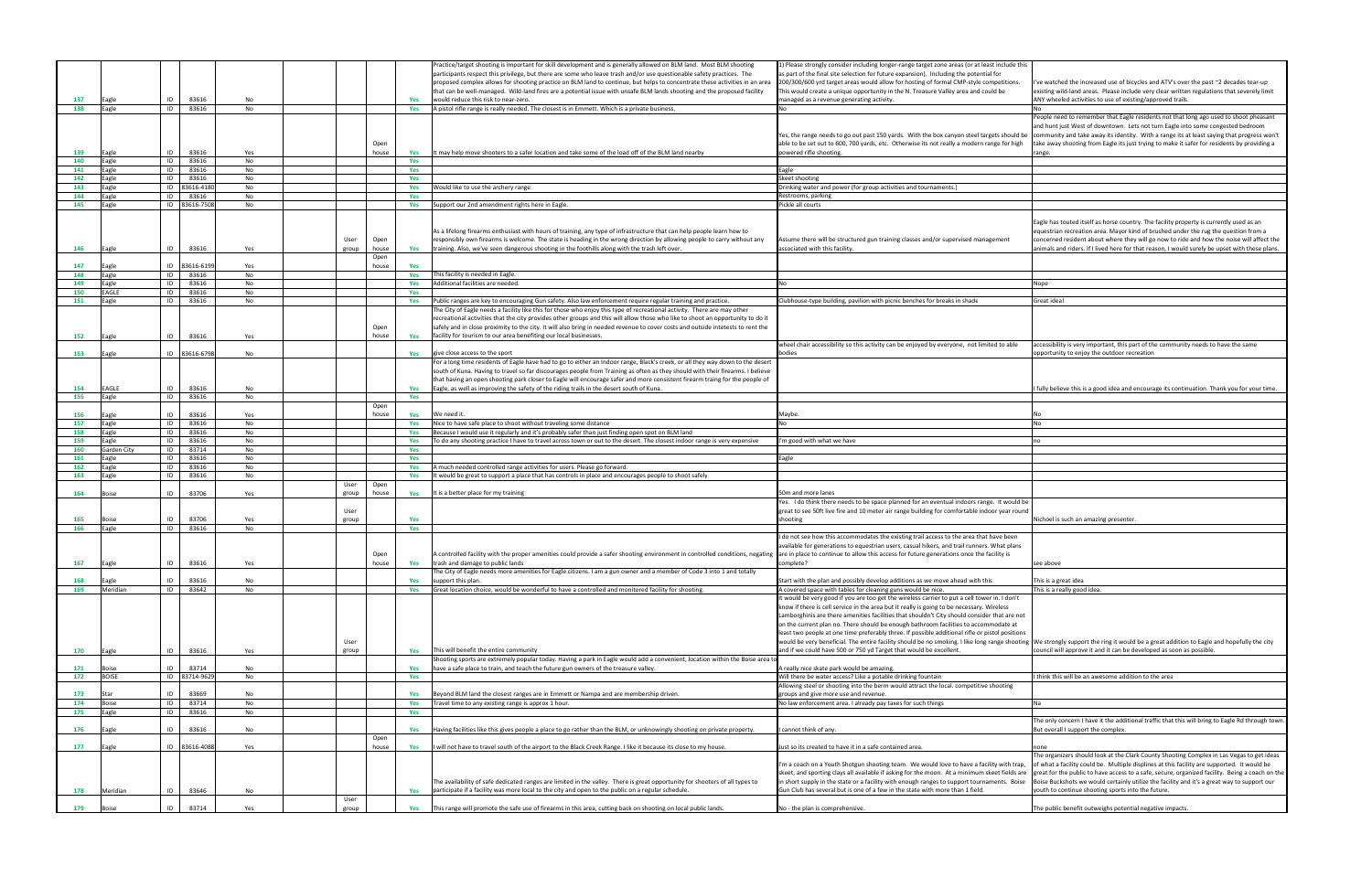|     |                |               |     |               |               |     | ractice/target shooting is important for skill development and is generally allowed on BLM land. Most BLM shooting                                                                                                      | 1) Please strongly consider including longer-range target zone areas (or at least include this                                                                                              |                                                                                                                                                                                      |
|-----|----------------|---------------|-----|---------------|---------------|-----|-------------------------------------------------------------------------------------------------------------------------------------------------------------------------------------------------------------------------|---------------------------------------------------------------------------------------------------------------------------------------------------------------------------------------------|--------------------------------------------------------------------------------------------------------------------------------------------------------------------------------------|
|     |                |               |     |               |               |     | participants respect this privilege, but there are some who leave trash and/or use questionable safety practices. The                                                                                                   | as part of the final site selection for future expansion). Including the potential for                                                                                                      |                                                                                                                                                                                      |
|     |                |               |     |               |               |     | rroposed complex allows for shooting practice on BLM land to continue, but helps to concentrate these activities in an area                                                                                             | 200/300/600 yrd target areas would allow for hosting of formal CMP-style competitions.                                                                                                      | I've watched the increased use of bicycles and ATV's over the past ~2 decades tear-up<br>existing wild-land areas. Please include very clear written regulations that severely limit |
| 137 |                | 83616<br>ID   | No  |               |               | Yes | hat can be well-managed. Wild-land fires are a potential issue with unsafe BLM lands shooting and the proposed facility<br>would reduce this risk to near-zero.                                                         | This would create a unique opportunity in the N. Treasure Valley area and could be<br>managed as a revenue generating activity.                                                             | ANY wheeled activities to use of existing/approved trails.                                                                                                                           |
| 138 | Eagle<br>Eagle | ID<br>83616   | No  |               |               | Yes | A pistol rifle range is really needed. The closest is in Emmett. Which is a private business.                                                                                                                           |                                                                                                                                                                                             |                                                                                                                                                                                      |
|     |                |               |     |               |               |     |                                                                                                                                                                                                                         |                                                                                                                                                                                             | People need to remember that Eagle residents not that long ago used to shoot pheasant                                                                                                |
|     |                |               |     |               |               |     |                                                                                                                                                                                                                         |                                                                                                                                                                                             | and hunt just West of downtown. Lets not turn Eagle into some congested bedroom                                                                                                      |
|     |                |               |     |               |               |     |                                                                                                                                                                                                                         | Yes, the range needs to go out past 150 yards. With the box canyon steel targets should be                                                                                                  | community and take away its identity. With a range its at least saying that progress won                                                                                             |
|     |                |               |     |               | Open          |     |                                                                                                                                                                                                                         | able to be set out to 600, 700 yards, etc. Otherwise its not really a modern range for high                                                                                                 | take away shooting from Eagle its just trying to make it safer for residents by providing a                                                                                          |
| 139 | Eagle          | 83616<br>ID   | Yes |               | house         | Yes | may help move shooters to a safer location and take some of the load off of the BLM land nearby :                                                                                                                       | powered rifle shooting                                                                                                                                                                      | range.                                                                                                                                                                               |
| 140 | Eagle          | ID<br>83616   | No  |               |               | Yes |                                                                                                                                                                                                                         |                                                                                                                                                                                             |                                                                                                                                                                                      |
| 141 | Eagle          | 83616<br>ID   | No  |               |               | Yes |                                                                                                                                                                                                                         | Eagle                                                                                                                                                                                       |                                                                                                                                                                                      |
| 142 | Eagle          | ID<br>83616   | No  |               |               | Yes |                                                                                                                                                                                                                         | Skeet shooting                                                                                                                                                                              |                                                                                                                                                                                      |
| 143 | agle           | ID 83616-4180 | No  |               |               | Yes | Vould like to use the archery range.                                                                                                                                                                                    | Drinking water and power (for group activities and tournaments.)                                                                                                                            |                                                                                                                                                                                      |
| 144 | Eagle          | ID<br>83616   | No  |               |               | Yes |                                                                                                                                                                                                                         | Restrooms, parking                                                                                                                                                                          |                                                                                                                                                                                      |
| 145 | agle           | ID 83616-7508 | No  |               |               | Yes | Support our 2nd amendment rights here in Eagle.                                                                                                                                                                         | Pickle all courts                                                                                                                                                                           |                                                                                                                                                                                      |
|     |                |               |     |               |               |     |                                                                                                                                                                                                                         |                                                                                                                                                                                             | Eagle has touted itself as horse country. The facility property is currently used as an                                                                                              |
|     |                |               |     |               |               |     | As a lifelong firearms enthusiast with hours of training, any type of infrastructure that can help people learn how to                                                                                                  |                                                                                                                                                                                             | equestrian recreation area. Mayor kind of brushed under the rug the question from a                                                                                                  |
|     |                |               |     | User          | Open          |     | responsibly own firearms is welcome. The state is heading in the wrong direction by allowing people to carry without any                                                                                                | \ssume there will be structured gun training classes and/or supervised management                                                                                                           | concerned resident about where they will go now to ride and how the noise will affect the                                                                                            |
| 146 | Eagle          | 83616<br>ID   | Yes | group         | house         | Yes | training. Also, we've seen dangerous shooting in the foothills along with the trash left over.                                                                                                                          | associated with this facility.                                                                                                                                                              | animals and riders. If I lived here for that reason, I would surely be upset with these plan                                                                                         |
|     |                |               |     |               | Open          |     |                                                                                                                                                                                                                         |                                                                                                                                                                                             |                                                                                                                                                                                      |
| 147 | Eagle          | ID 83616-6199 | Yes |               | house         | Yes |                                                                                                                                                                                                                         |                                                                                                                                                                                             |                                                                                                                                                                                      |
| 148 | Eagle          | 83616<br>ID   | No  |               |               | Yes | This facility is needed in Eagle.                                                                                                                                                                                       |                                                                                                                                                                                             |                                                                                                                                                                                      |
| 149 | Eagle          | ID<br>83616   | No  |               |               | Yes | Additional facilities are needed.                                                                                                                                                                                       |                                                                                                                                                                                             | Nope                                                                                                                                                                                 |
| 150 | EAGLE          | ID<br>83616   | No  |               |               | Yes |                                                                                                                                                                                                                         |                                                                                                                                                                                             |                                                                                                                                                                                      |
| 151 | agle           | 83616<br>ID   | No  |               |               | Yes | Public ranges are key to encouraging Gun safety. Also law enforcement require regular training and practice.                                                                                                            | Clubhouse-type building, pavilion with picnic benches for breaks in shade                                                                                                                   | Great idea!                                                                                                                                                                          |
|     |                |               |     |               |               |     | The City of Eagle needs a facility like this for those who enjoy this type of recreational activity. There are may other                                                                                                |                                                                                                                                                                                             |                                                                                                                                                                                      |
|     |                |               |     |               |               |     | ecreational activities that the city provides other groups and this will allow those who like to shoot an opportunity to do it                                                                                          |                                                                                                                                                                                             |                                                                                                                                                                                      |
|     |                |               |     |               | Open          |     | safely and in close proximity to the city. It will also bring in needed revenue to cover costs and outside intetests to rent the                                                                                        |                                                                                                                                                                                             |                                                                                                                                                                                      |
| 152 | Eagle          | 83616<br>ID   | Yes |               | house         | Yes | facility for tourism to our area benefiting our local businesses.                                                                                                                                                       |                                                                                                                                                                                             |                                                                                                                                                                                      |
|     |                |               |     |               |               |     |                                                                                                                                                                                                                         | wheel chair accessibility so this activity can be enjoyed by everyone, not limited to able                                                                                                  | accessibility is very important, this part of the community needs to have the same<br>opportunity to enjoy the outdoor recreation                                                    |
| 153 | Eagle          | ID 83616-6798 | No  |               |               | Yes | give close access to the sport<br>For a long time residents of Eagle have had to go to either an Indoor range, Black's creek, or all they way down to the desert                                                        | oodies                                                                                                                                                                                      |                                                                                                                                                                                      |
|     |                |               |     |               |               |     | south of Kuna. Having to travel so far discourages people from Training as often as they should with their firearms. I believe                                                                                          |                                                                                                                                                                                             |                                                                                                                                                                                      |
|     |                |               |     |               |               |     | that having an open shooting park closer to Eagle will encourage safer and more consistent firearm traing for the people of                                                                                             |                                                                                                                                                                                             |                                                                                                                                                                                      |
| 154 | EAGLE          | 83616<br>ID   | No  |               |               | Yes | Eagle, as well as improving the safety of the riding trails in the desert south of Kuna.                                                                                                                                |                                                                                                                                                                                             | I fully believe this is a good idea and encourage its continuation. Thank you for your time                                                                                          |
| 155 | Eagle          | 83616<br>ID   | No  |               |               | Yes |                                                                                                                                                                                                                         |                                                                                                                                                                                             |                                                                                                                                                                                      |
|     |                |               |     |               | Open          |     |                                                                                                                                                                                                                         |                                                                                                                                                                                             |                                                                                                                                                                                      |
| 156 | agle           | 83616<br>ID   | Yes |               | house         | Yes | We need it.                                                                                                                                                                                                             | Maybe.                                                                                                                                                                                      |                                                                                                                                                                                      |
| 157 | Eagle          | ID<br>83616   | No  |               |               | Yes | Nice to have safe place to shoot without traveling some distance                                                                                                                                                        |                                                                                                                                                                                             |                                                                                                                                                                                      |
| 158 | Eagle          | 83616<br>ID   | No  |               |               | Yes | Because I would use it regularly and it's probably safer than just finding open spot on BLM land                                                                                                                        |                                                                                                                                                                                             |                                                                                                                                                                                      |
|     |                |               | No  |               |               | Yes | To do any shooting practice I have to travel across town or out to the desert. The closest indoor range is very expensive                                                                                               | 'm good with what we have                                                                                                                                                                   |                                                                                                                                                                                      |
| 159 | Eagle          | ID<br>83616   |     |               |               |     |                                                                                                                                                                                                                         |                                                                                                                                                                                             |                                                                                                                                                                                      |
| 160 | Garden City    | 83714<br>ID   | No  |               |               | Yes |                                                                                                                                                                                                                         |                                                                                                                                                                                             |                                                                                                                                                                                      |
| 161 | agle           | ID<br>83616   | No  |               |               | Yes |                                                                                                                                                                                                                         | Eagle                                                                                                                                                                                       |                                                                                                                                                                                      |
| 162 | agle           | ID<br>83616   | No  |               |               | Yes | A much needed controlled range activities for users. Please go forward.                                                                                                                                                 |                                                                                                                                                                                             |                                                                                                                                                                                      |
| 163 | Eagle          | ID<br>83616   | No  |               |               | Yes | would be great to support a place that has controls in place and encourages people to shoot safel:                                                                                                                      |                                                                                                                                                                                             |                                                                                                                                                                                      |
|     |                |               |     | User          | Open          |     |                                                                                                                                                                                                                         |                                                                                                                                                                                             |                                                                                                                                                                                      |
| 164 | Boise          | 83706<br>ID   | Yes | group         | house         | Yes | t is a better place for my training                                                                                                                                                                                     | 50m and more lanes                                                                                                                                                                          |                                                                                                                                                                                      |
|     |                |               |     | User          |               |     |                                                                                                                                                                                                                         | Yes. I do think there needs to be space planned for an eventual indoors range. It would be<br>great to see 50ft live fire and 10 meter air range building for comfortable indoor year round |                                                                                                                                                                                      |
| 165 |                | 83706<br>ID   | Yes | group         |               | Yes |                                                                                                                                                                                                                         | shooting                                                                                                                                                                                    | Nichoel is such an amazing presenter                                                                                                                                                 |
| 166 | Eagle          | 83616<br>ID   | No  |               |               | Yes |                                                                                                                                                                                                                         |                                                                                                                                                                                             |                                                                                                                                                                                      |
|     |                |               |     |               |               |     |                                                                                                                                                                                                                         | I do not see how this accommodates the existing trail access to the area that have been                                                                                                     |                                                                                                                                                                                      |
|     |                |               |     |               |               |     |                                                                                                                                                                                                                         | available for generations to equestrian users, casual hikers, and trail runners. What plans                                                                                                 |                                                                                                                                                                                      |
|     |                |               |     |               | Open          |     | A controlled facility with the proper amenities could provide a safer shooting environment in controlled conditions, negating are in place to continue to allow this access for future generations once the facility is |                                                                                                                                                                                             |                                                                                                                                                                                      |
| 167 | agle           | ID<br>83616   | Yes |               | house         | Yes | trash and damage to public lands                                                                                                                                                                                        | complete?                                                                                                                                                                                   | see above                                                                                                                                                                            |
|     |                |               |     |               |               |     | The City of Eagle needs more amenities for Eagle citizens. I am a gun owner and a member of Code 3 into 1 and totally                                                                                                   |                                                                                                                                                                                             |                                                                                                                                                                                      |
| 168 | Eagle          | 83616<br>ID   | No  |               |               | Yes | support this plan.                                                                                                                                                                                                      | Start with the plan and possibly develop additions as we move ahead with this                                                                                                               | This is a great idea                                                                                                                                                                 |
| 169 | Meridian       | 83642<br>ID   | No  |               |               | Yes | Great location choice, would be wonderful to have a controlled and monitored facility for shooting.                                                                                                                     | A covered space with tables for cleaning guns would be nice.                                                                                                                                | his is a really good idea.                                                                                                                                                           |
|     |                |               |     |               |               |     |                                                                                                                                                                                                                         | It would be very good if you are too get the wireless carrier to put a cell tower in. I don't                                                                                               |                                                                                                                                                                                      |
|     |                |               |     |               |               |     |                                                                                                                                                                                                                         | know if there is cell service in the area but it really is going to be necessary. Wireless<br>Lamborghinis are there amenities facilities that shouldn't City should consider that are not  |                                                                                                                                                                                      |
|     |                |               |     |               |               |     |                                                                                                                                                                                                                         | on the current plan no. There should be enough bathroom facilities to accommodate at                                                                                                        |                                                                                                                                                                                      |
|     |                |               |     |               |               |     |                                                                                                                                                                                                                         | least two people at one time preferably three. If possible additional rifle or pistol positions                                                                                             |                                                                                                                                                                                      |
|     |                |               |     | User          |               |     |                                                                                                                                                                                                                         | would be very beneficial. The entire facility should be no smoking. I like long range shooting We strongly support the ring it would be a great addition to Eagle and hopefully the city    |                                                                                                                                                                                      |
| 170 | Eagle          | 83616<br>ID   | Yes | group         |               | Yes | This will benefit the entire community                                                                                                                                                                                  | and if we could have 500 or 750 yd Target that would be excellent.                                                                                                                          | council will approve it and it can be developed as soon as possible                                                                                                                  |
|     |                |               |     |               |               |     | Shooting sports are extremely popular today. Having a park in Eagle would add a convenient, location within the Boise area to                                                                                           |                                                                                                                                                                                             |                                                                                                                                                                                      |
| 171 | <b>Boise</b>   | 83714<br>ID   | No  |               |               | Yes | have a safe place to train, and teach the future gun owners of the treasure valley.                                                                                                                                     | A really nice skate park would be amazing.                                                                                                                                                  |                                                                                                                                                                                      |
| 172 | <b>BOISE</b>   | ID 83714-962  | No  |               |               | Yes |                                                                                                                                                                                                                         | Will there be water access? Like a potable drinking fountain                                                                                                                                | think this will be an awesome addition to the area                                                                                                                                   |
|     |                |               |     |               |               |     |                                                                                                                                                                                                                         | Allowing steel or shooting into the berm would attract the local. competitive shooting                                                                                                      |                                                                                                                                                                                      |
| 173 | Star           | 83669<br>ID   | No  |               |               | Yes | Beyond BLM land the closest ranges are in Emmett or Nampa and are membership driven.                                                                                                                                    | groups and give more use and revenue.                                                                                                                                                       |                                                                                                                                                                                      |
| 174 | Boise          | ID<br>83714   | No  |               |               | Yes | Travel time to any existing range is approx 1 hour.                                                                                                                                                                     | No law enforcement area. I already pay taxes for such things                                                                                                                                |                                                                                                                                                                                      |
| 175 | agle           | ID<br>83616   | No  |               |               | Yes |                                                                                                                                                                                                                         |                                                                                                                                                                                             |                                                                                                                                                                                      |
|     |                | ID            |     |               |               |     |                                                                                                                                                                                                                         |                                                                                                                                                                                             | The only concern I have it the additional traffic that this will bring to Eagle Rd through to                                                                                        |
| 176 | Eagle          | 83616         | No  |               |               | Yes | Having facilities like this gives people a place to go rather than the BLM, or unknowingly shooting on private property.                                                                                                | cannot think of any.                                                                                                                                                                        | But overall I support the complex.                                                                                                                                                   |
| 177 | Eagle          | ID 83616-4088 | Yes |               | Open<br>house | Yes | will not have to travel south of the airport to the Black Creek Range. I like it because its close to my house.                                                                                                         | Just so its created to have it in a safe contained area.                                                                                                                                    | none                                                                                                                                                                                 |
|     |                |               |     |               |               |     |                                                                                                                                                                                                                         |                                                                                                                                                                                             | The organizers should look at the Clark County Shooting Complex in Las Vegas to get idea                                                                                             |
|     |                |               |     |               |               |     |                                                                                                                                                                                                                         | I'm a coach on a Youth Shotgun shooting team. We would love to have a facility with trap,                                                                                                   | of what a facility could be. Multiple displines at this facility are supported. It would be                                                                                          |
|     |                |               |     |               |               |     |                                                                                                                                                                                                                         | skeet, and sporting clays all available if asking for the moon. At a minimum skeet fields are                                                                                               | great for the public to have access to a safe, secure, organized facility. Being a coach on                                                                                          |
|     |                |               |     |               |               |     | The availability of safe dedicated ranges are limited in the valley. There is great opportunity for shooters of all types to                                                                                            | in short supply in the state or a facility with enough ranges to support tournaments. Boise                                                                                                 | Boise Buckshots we would certainly utilize the facility and it's a great way to support our                                                                                          |
| 178 | Meridian       | 83646<br>ID   | No  |               |               | Yes | participate if a facility was more local to the city and open to the public on a regular schedule.                                                                                                                      | Gun Club has several but is one of a few in the state with more than 1 field.                                                                                                               | outh to continue shooting sports into the future.                                                                                                                                    |
| 179 | Boise          | 83714         | Yes | User<br>group |               | Yes | This range will promote the safe use of firearms in this area, cutting back on shooting on local public lands.                                                                                                          | No - the plan is comprehensive.                                                                                                                                                             | The public benefit outweighs potential negative impacts.                                                                                                                             |

| include this                                                                   |                                                                                                                                                                                                                                                                                                                                                                                                                                                  |
|--------------------------------------------------------------------------------|--------------------------------------------------------------------------------------------------------------------------------------------------------------------------------------------------------------------------------------------------------------------------------------------------------------------------------------------------------------------------------------------------------------------------------------------------|
| for<br>petitions.<br>d be                                                      | I've watched the increased use of bicycles and ATV's over the past ~2 decades tear-up<br>existing wild-land areas. Please include very clear written regulations that severely limit<br>ANY wheeled activities to use of existing/approved trails.                                                                                                                                                                                               |
|                                                                                | No                                                                                                                                                                                                                                                                                                                                                                                                                                               |
| ts should be<br>ge for high                                                    | People need to remember that Eagle residents not that long ago used to shoot pheasant<br>and hunt just West of downtown. Lets not turn Eagle into some congested bedroom<br>community and take away its identity. With a range its at least saying that progress won't<br>take away shooting from Eagle its just trying to make it safer for residents by providing a<br>range.                                                                  |
|                                                                                |                                                                                                                                                                                                                                                                                                                                                                                                                                                  |
|                                                                                |                                                                                                                                                                                                                                                                                                                                                                                                                                                  |
|                                                                                |                                                                                                                                                                                                                                                                                                                                                                                                                                                  |
|                                                                                |                                                                                                                                                                                                                                                                                                                                                                                                                                                  |
|                                                                                |                                                                                                                                                                                                                                                                                                                                                                                                                                                  |
| ment!                                                                          | Eagle has touted itself as horse country. The facility property is currently used as an<br>equestrian recreation area. Mayor kind of brushed under the rug the question from a<br>concerned resident about where they will go now to ride and how the noise will affect the<br>animals and riders. If I lived here for that reason, I would surely be upset with these plans.                                                                    |
|                                                                                |                                                                                                                                                                                                                                                                                                                                                                                                                                                  |
|                                                                                |                                                                                                                                                                                                                                                                                                                                                                                                                                                  |
|                                                                                | Nope                                                                                                                                                                                                                                                                                                                                                                                                                                             |
|                                                                                |                                                                                                                                                                                                                                                                                                                                                                                                                                                  |
|                                                                                | Great idea!                                                                                                                                                                                                                                                                                                                                                                                                                                      |
|                                                                                |                                                                                                                                                                                                                                                                                                                                                                                                                                                  |
| d to able                                                                      | accessibility is very important, this part of the community needs to have the same                                                                                                                                                                                                                                                                                                                                                               |
|                                                                                | opportunity to enjoy the outdoor recreation                                                                                                                                                                                                                                                                                                                                                                                                      |
|                                                                                | I fully believe this is a good idea and encourage its continuation. Thank you for your time.                                                                                                                                                                                                                                                                                                                                                     |
|                                                                                |                                                                                                                                                                                                                                                                                                                                                                                                                                                  |
|                                                                                | No<br>No                                                                                                                                                                                                                                                                                                                                                                                                                                         |
|                                                                                |                                                                                                                                                                                                                                                                                                                                                                                                                                                  |
|                                                                                | no                                                                                                                                                                                                                                                                                                                                                                                                                                               |
|                                                                                |                                                                                                                                                                                                                                                                                                                                                                                                                                                  |
|                                                                                |                                                                                                                                                                                                                                                                                                                                                                                                                                                  |
|                                                                                |                                                                                                                                                                                                                                                                                                                                                                                                                                                  |
|                                                                                |                                                                                                                                                                                                                                                                                                                                                                                                                                                  |
| It would be<br>r year round                                                    | Nichoel is such an amazing presenter.                                                                                                                                                                                                                                                                                                                                                                                                            |
| ıve been<br>hat plans<br>ility is                                              |                                                                                                                                                                                                                                                                                                                                                                                                                                                  |
|                                                                                | see above                                                                                                                                                                                                                                                                                                                                                                                                                                        |
|                                                                                | This is a great idea                                                                                                                                                                                                                                                                                                                                                                                                                             |
|                                                                                | This is a really good idea.                                                                                                                                                                                                                                                                                                                                                                                                                      |
| n. I don't<br>eless<br>hat are not<br>odate at<br>ol positions<br>nge shooting | We strongly support the ring it would be a great addition to Eagle and hopefully the city<br>council will approve it and it can be developed as soon as possible.                                                                                                                                                                                                                                                                                |
|                                                                                |                                                                                                                                                                                                                                                                                                                                                                                                                                                  |
|                                                                                | I think this will be an awesome addition to the area                                                                                                                                                                                                                                                                                                                                                                                             |
| ooting                                                                         |                                                                                                                                                                                                                                                                                                                                                                                                                                                  |
|                                                                                | Na                                                                                                                                                                                                                                                                                                                                                                                                                                               |
|                                                                                |                                                                                                                                                                                                                                                                                                                                                                                                                                                  |
|                                                                                | The only concern I have it the additional traffic that this will bring to Eagle Rd through town.<br>But overall I support the complex.                                                                                                                                                                                                                                                                                                           |
|                                                                                | none                                                                                                                                                                                                                                                                                                                                                                                                                                             |
| y with trap,<br>et fields are<br>ents. Boise                                   | The organizers should look at the Clark County Shooting Complex in Las Vegas to get ideas<br>of what a facility could be. Multiple displines at this facility are supported. It would be<br>great for the public to have access to a safe, secure, organized facility. Being a coach on the<br>Boise Buckshots we would certainly utilize the facility and it's a great way to support our<br>youth to continue shooting sports into the future. |
|                                                                                | The public benefit outweighs potential negative impacts.                                                                                                                                                                                                                                                                                                                                                                                         |
|                                                                                |                                                                                                                                                                                                                                                                                                                                                                                                                                                  |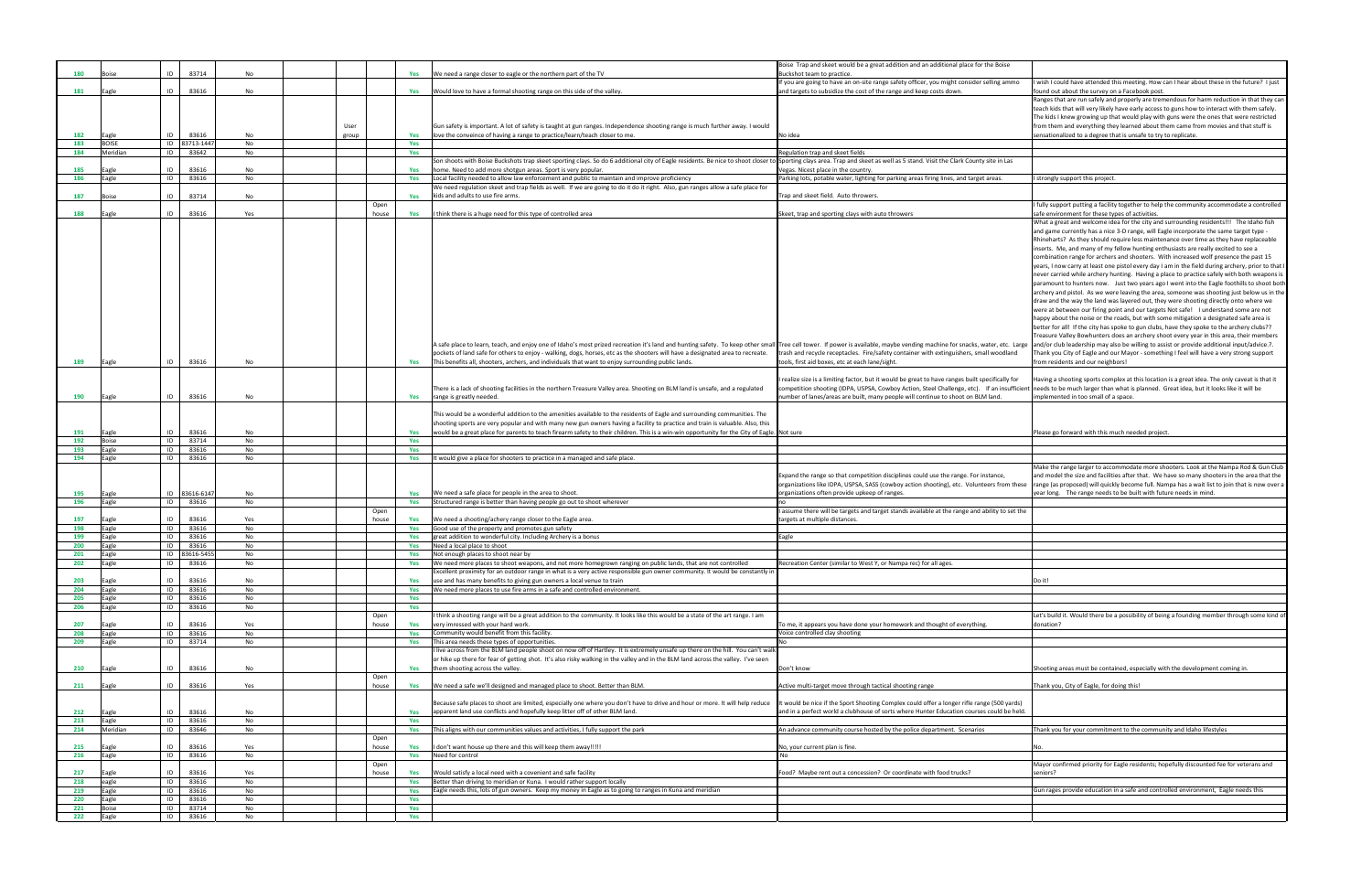| oise                            |                                                                                                                                                                                                                                                                                                                                                                                                                                                                                                                                                                                                                                                                                                                                                                                                                                                                                                                                                                                                                                                                                                                                                                                                                                    |
|---------------------------------|------------------------------------------------------------------------------------------------------------------------------------------------------------------------------------------------------------------------------------------------------------------------------------------------------------------------------------------------------------------------------------------------------------------------------------------------------------------------------------------------------------------------------------------------------------------------------------------------------------------------------------------------------------------------------------------------------------------------------------------------------------------------------------------------------------------------------------------------------------------------------------------------------------------------------------------------------------------------------------------------------------------------------------------------------------------------------------------------------------------------------------------------------------------------------------------------------------------------------------|
| g ammo                          | I wish I could have attended this meeting. How can I hear about these in the future? I just<br>found out about the survey on a Facebook post.                                                                                                                                                                                                                                                                                                                                                                                                                                                                                                                                                                                                                                                                                                                                                                                                                                                                                                                                                                                                                                                                                      |
|                                 | Ranges that are run safely and properly are tremendous for harm reduction in that they can<br>teach kids that will very likely have early access to guns how to interact with them safely.<br>The kids I knew growing up that would play with guns were the ones that were restricted<br>from them and everything they learned about them came from movies and that stuff is                                                                                                                                                                                                                                                                                                                                                                                                                                                                                                                                                                                                                                                                                                                                                                                                                                                       |
|                                 | sensationalized to a degree that is unsafe to try to replicate.                                                                                                                                                                                                                                                                                                                                                                                                                                                                                                                                                                                                                                                                                                                                                                                                                                                                                                                                                                                                                                                                                                                                                                    |
|                                 |                                                                                                                                                                                                                                                                                                                                                                                                                                                                                                                                                                                                                                                                                                                                                                                                                                                                                                                                                                                                                                                                                                                                                                                                                                    |
| in Las                          |                                                                                                                                                                                                                                                                                                                                                                                                                                                                                                                                                                                                                                                                                                                                                                                                                                                                                                                                                                                                                                                                                                                                                                                                                                    |
| s.                              | I strongly support this project.                                                                                                                                                                                                                                                                                                                                                                                                                                                                                                                                                                                                                                                                                                                                                                                                                                                                                                                                                                                                                                                                                                                                                                                                   |
|                                 | I fully support putting a facility together to help the community accommodate a controlled                                                                                                                                                                                                                                                                                                                                                                                                                                                                                                                                                                                                                                                                                                                                                                                                                                                                                                                                                                                                                                                                                                                                         |
|                                 | safe environment for these types of activities.<br>What a great and welcome idea for the city and surrounding residents!!! The Idaho fish                                                                                                                                                                                                                                                                                                                                                                                                                                                                                                                                                                                                                                                                                                                                                                                                                                                                                                                                                                                                                                                                                          |
|                                 | and game currently has a nice 3-D range, will Eagle incorporate the same target type -<br>Rhineharts? As they should require less maintenance over time as they have replaceable<br>inserts. Me, and many of my fellow hunting enthusiasts are really excited to see a<br>combination range for archers and shooters. With increased wolf presence the past 15<br>years, I now carry at least one pistol every day I am in the field during archery, prior to that I<br>never carried while archery hunting. Having a place to practice safely with both weapons is<br>paramount to hunters now. Just two years ago I went into the Eagle foothills to shoot both<br>archery and pistol. As we were leaving the area, someone was shooting just below us in the<br>draw and the way the land was layered out, they were shooting directly onto where we<br>were at between our firing point and our targets Not safe! I understand some are not<br>happy about the noise or the roads, but with some mitigation a designated safe area is<br>better for all! If the city has spoke to gun clubs, have they spoke to the archery clubs??<br>Treasure Valley Bowhunters does an archery shoot every year in this area, their members |
| etc. Large<br>odland            | and/or club leadership may also be willing to assist or provide additional input/advice.?.<br>Thank you City of Eagle and our Mayor - something I feel will have a very strong support<br>from residents and our neighbors!                                                                                                                                                                                                                                                                                                                                                                                                                                                                                                                                                                                                                                                                                                                                                                                                                                                                                                                                                                                                        |
| cally for<br>insufficient<br>d. | Having a shooting sports complex at this location is a great idea. The only caveat is that it<br>needs to be much larger than what is planned. Great idea, but it looks like it will be<br>implemented in too small of a space.                                                                                                                                                                                                                                                                                                                                                                                                                                                                                                                                                                                                                                                                                                                                                                                                                                                                                                                                                                                                    |
|                                 |                                                                                                                                                                                                                                                                                                                                                                                                                                                                                                                                                                                                                                                                                                                                                                                                                                                                                                                                                                                                                                                                                                                                                                                                                                    |
|                                 | Please go forward with this much needed project.                                                                                                                                                                                                                                                                                                                                                                                                                                                                                                                                                                                                                                                                                                                                                                                                                                                                                                                                                                                                                                                                                                                                                                                   |
|                                 |                                                                                                                                                                                                                                                                                                                                                                                                                                                                                                                                                                                                                                                                                                                                                                                                                                                                                                                                                                                                                                                                                                                                                                                                                                    |
| ce,<br>from these               | Make the range larger to accommodate more shooters. Look at the Nampa Rod & Gun Club<br>and model the size and facilities after that. We have so many shooters in the area that the<br>range (as proposed) will quickly become full. Nampa has a wait list to join that is now over a<br>year long. The range needs to be built with future needs in mind.                                                                                                                                                                                                                                                                                                                                                                                                                                                                                                                                                                                                                                                                                                                                                                                                                                                                         |
| to set the                      |                                                                                                                                                                                                                                                                                                                                                                                                                                                                                                                                                                                                                                                                                                                                                                                                                                                                                                                                                                                                                                                                                                                                                                                                                                    |
|                                 |                                                                                                                                                                                                                                                                                                                                                                                                                                                                                                                                                                                                                                                                                                                                                                                                                                                                                                                                                                                                                                                                                                                                                                                                                                    |
|                                 |                                                                                                                                                                                                                                                                                                                                                                                                                                                                                                                                                                                                                                                                                                                                                                                                                                                                                                                                                                                                                                                                                                                                                                                                                                    |
|                                 |                                                                                                                                                                                                                                                                                                                                                                                                                                                                                                                                                                                                                                                                                                                                                                                                                                                                                                                                                                                                                                                                                                                                                                                                                                    |
|                                 |                                                                                                                                                                                                                                                                                                                                                                                                                                                                                                                                                                                                                                                                                                                                                                                                                                                                                                                                                                                                                                                                                                                                                                                                                                    |
|                                 | Do it!                                                                                                                                                                                                                                                                                                                                                                                                                                                                                                                                                                                                                                                                                                                                                                                                                                                                                                                                                                                                                                                                                                                                                                                                                             |
|                                 |                                                                                                                                                                                                                                                                                                                                                                                                                                                                                                                                                                                                                                                                                                                                                                                                                                                                                                                                                                                                                                                                                                                                                                                                                                    |
|                                 | Let's build it. Would there be a possibility of being a founding member through some kind of<br>donation?                                                                                                                                                                                                                                                                                                                                                                                                                                                                                                                                                                                                                                                                                                                                                                                                                                                                                                                                                                                                                                                                                                                          |
|                                 |                                                                                                                                                                                                                                                                                                                                                                                                                                                                                                                                                                                                                                                                                                                                                                                                                                                                                                                                                                                                                                                                                                                                                                                                                                    |
|                                 | Shooting areas must be contained, especially with the development coming in.                                                                                                                                                                                                                                                                                                                                                                                                                                                                                                                                                                                                                                                                                                                                                                                                                                                                                                                                                                                                                                                                                                                                                       |
|                                 | Thank you, City of Eagle, for doing this!                                                                                                                                                                                                                                                                                                                                                                                                                                                                                                                                                                                                                                                                                                                                                                                                                                                                                                                                                                                                                                                                                                                                                                                          |
| 00 yards)<br>ld be held.        |                                                                                                                                                                                                                                                                                                                                                                                                                                                                                                                                                                                                                                                                                                                                                                                                                                                                                                                                                                                                                                                                                                                                                                                                                                    |
|                                 | Thank you for your commitment to the community and Idaho lifestyles                                                                                                                                                                                                                                                                                                                                                                                                                                                                                                                                                                                                                                                                                                                                                                                                                                                                                                                                                                                                                                                                                                                                                                |
|                                 | No.                                                                                                                                                                                                                                                                                                                                                                                                                                                                                                                                                                                                                                                                                                                                                                                                                                                                                                                                                                                                                                                                                                                                                                                                                                |
|                                 | Mayor confirmed priority for Eagle residents; hopefully discounted fee for veterans and<br>seniors?                                                                                                                                                                                                                                                                                                                                                                                                                                                                                                                                                                                                                                                                                                                                                                                                                                                                                                                                                                                                                                                                                                                                |
|                                 | Gun rages provide education in a safe and controlled environment, Eagle needs this                                                                                                                                                                                                                                                                                                                                                                                                                                                                                                                                                                                                                                                                                                                                                                                                                                                                                                                                                                                                                                                                                                                                                 |
|                                 |                                                                                                                                                                                                                                                                                                                                                                                                                                                                                                                                                                                                                                                                                                                                                                                                                                                                                                                                                                                                                                                                                                                                                                                                                                    |
|                                 |                                                                                                                                                                                                                                                                                                                                                                                                                                                                                                                                                                                                                                                                                                                                                                                                                                                                                                                                                                                                                                                                                                                                                                                                                                    |

|            |                          |          |                        |           |       |               |            |                                                                                                                                                                                                                                                                                                                                                                                                                                                                                                                                                                                                                                 | Boise Trap and skeet would be a great addition and an additional place for the Boise                                                                                                                                                                                                                                                                                                                                              |                                                                                                                                                                                                                                                                                                                                                                                                                                                                                                                                                                                                                                                                                                                                                                                                                                                                                                                                                                                                                                                                                                                                                                                                                                                                                                                                                                                                                                                                                                                                                                                                                                                                                                              |
|------------|--------------------------|----------|------------------------|-----------|-------|---------------|------------|---------------------------------------------------------------------------------------------------------------------------------------------------------------------------------------------------------------------------------------------------------------------------------------------------------------------------------------------------------------------------------------------------------------------------------------------------------------------------------------------------------------------------------------------------------------------------------------------------------------------------------|-----------------------------------------------------------------------------------------------------------------------------------------------------------------------------------------------------------------------------------------------------------------------------------------------------------------------------------------------------------------------------------------------------------------------------------|--------------------------------------------------------------------------------------------------------------------------------------------------------------------------------------------------------------------------------------------------------------------------------------------------------------------------------------------------------------------------------------------------------------------------------------------------------------------------------------------------------------------------------------------------------------------------------------------------------------------------------------------------------------------------------------------------------------------------------------------------------------------------------------------------------------------------------------------------------------------------------------------------------------------------------------------------------------------------------------------------------------------------------------------------------------------------------------------------------------------------------------------------------------------------------------------------------------------------------------------------------------------------------------------------------------------------------------------------------------------------------------------------------------------------------------------------------------------------------------------------------------------------------------------------------------------------------------------------------------------------------------------------------------------------------------------------------------|
| 180        | oise                     | ID       | 83714                  | No        |       |               | Yes        | We need a range closer to eagle or the northern part of the TV                                                                                                                                                                                                                                                                                                                                                                                                                                                                                                                                                                  | Buckshot team to practice.<br>If you are going to have an on-site range safety officer, you might consider selling ammo                                                                                                                                                                                                                                                                                                           | wish I could have attended this meeting. How can I hear about these in the future?                                                                                                                                                                                                                                                                                                                                                                                                                                                                                                                                                                                                                                                                                                                                                                                                                                                                                                                                                                                                                                                                                                                                                                                                                                                                                                                                                                                                                                                                                                                                                                                                                           |
| 181        | Eagle                    | ID       | 83616                  | No        |       |               | Yes        | Would love to have a formal shooting range on this side of the valley.                                                                                                                                                                                                                                                                                                                                                                                                                                                                                                                                                          | and targets to subsidize the cost of the range and keep costs down.                                                                                                                                                                                                                                                                                                                                                               | ound out about the survey on a Facebook post                                                                                                                                                                                                                                                                                                                                                                                                                                                                                                                                                                                                                                                                                                                                                                                                                                                                                                                                                                                                                                                                                                                                                                                                                                                                                                                                                                                                                                                                                                                                                                                                                                                                 |
|            |                          |          |                        |           | User  |               |            | Gun safety is important. A lot of safety is taught at gun ranges. Independence shooting range is much further away. I would                                                                                                                                                                                                                                                                                                                                                                                                                                                                                                     |                                                                                                                                                                                                                                                                                                                                                                                                                                   | Ranges that are run safely and properly are tremendous for harm reduction in that t<br>teach kids that will very likely have early access to guns how to interact with them s<br>The kids I knew growing up that would play with guns were the ones that were restr<br>from them and everything they learned about them came from movies and that stu                                                                                                                                                                                                                                                                                                                                                                                                                                                                                                                                                                                                                                                                                                                                                                                                                                                                                                                                                                                                                                                                                                                                                                                                                                                                                                                                                        |
| 182        | Eagle                    | ID       | 83616                  | No        | group |               | Yes        | love the conveince of having a range to practice/learn/teach closer to me.                                                                                                                                                                                                                                                                                                                                                                                                                                                                                                                                                      | No idea                                                                                                                                                                                                                                                                                                                                                                                                                           | ensationalized to a degree that is unsafe to try to replicate.                                                                                                                                                                                                                                                                                                                                                                                                                                                                                                                                                                                                                                                                                                                                                                                                                                                                                                                                                                                                                                                                                                                                                                                                                                                                                                                                                                                                                                                                                                                                                                                                                                               |
| 183<br>184 | <b>BOISE</b><br>Meridian | ID       | ID 83713-1447<br>83642 | No<br>No  |       |               | Yes<br>Yes |                                                                                                                                                                                                                                                                                                                                                                                                                                                                                                                                                                                                                                 | Regulation trap and skeet fields                                                                                                                                                                                                                                                                                                                                                                                                  |                                                                                                                                                                                                                                                                                                                                                                                                                                                                                                                                                                                                                                                                                                                                                                                                                                                                                                                                                                                                                                                                                                                                                                                                                                                                                                                                                                                                                                                                                                                                                                                                                                                                                                              |
|            |                          |          |                        |           |       |               |            | Son shoots with Boise Buckshots trap skeet sporting clays. So do 6 additional city of Eagle residents. Be nice to shoot closer to Sporting clays area. Trap and skeet as well as 5 stand. Visit the Clark County site in Las                                                                                                                                                                                                                                                                                                                                                                                                    |                                                                                                                                                                                                                                                                                                                                                                                                                                   |                                                                                                                                                                                                                                                                                                                                                                                                                                                                                                                                                                                                                                                                                                                                                                                                                                                                                                                                                                                                                                                                                                                                                                                                                                                                                                                                                                                                                                                                                                                                                                                                                                                                                                              |
| 185        | agle                     | ID       | 83616                  | No        |       |               | Yes        | home. Need to add more shotgun areas. Sport is very popular                                                                                                                                                                                                                                                                                                                                                                                                                                                                                                                                                                     | Vegas. Nicest place in the country.                                                                                                                                                                                                                                                                                                                                                                                               |                                                                                                                                                                                                                                                                                                                                                                                                                                                                                                                                                                                                                                                                                                                                                                                                                                                                                                                                                                                                                                                                                                                                                                                                                                                                                                                                                                                                                                                                                                                                                                                                                                                                                                              |
| 186        | Eagle                    | ID       | 83616                  | No        |       |               | Yes        | Local facility needed to allow law enforcement and public to maintain and improve proficiency                                                                                                                                                                                                                                                                                                                                                                                                                                                                                                                                   | Parking lots, potable water, lighting for parking areas firing lines, and target areas.                                                                                                                                                                                                                                                                                                                                           | strongly support this project.                                                                                                                                                                                                                                                                                                                                                                                                                                                                                                                                                                                                                                                                                                                                                                                                                                                                                                                                                                                                                                                                                                                                                                                                                                                                                                                                                                                                                                                                                                                                                                                                                                                                               |
|            |                          |          |                        |           |       |               |            | We need regulation skeet and trap fields as well. If we are going to do it do it right. Also, gun ranges allow a safe place for                                                                                                                                                                                                                                                                                                                                                                                                                                                                                                 |                                                                                                                                                                                                                                                                                                                                                                                                                                   |                                                                                                                                                                                                                                                                                                                                                                                                                                                                                                                                                                                                                                                                                                                                                                                                                                                                                                                                                                                                                                                                                                                                                                                                                                                                                                                                                                                                                                                                                                                                                                                                                                                                                                              |
| 187<br>188 | 3oise<br>Eagle           | ID<br>ID | 83714<br>83616         | No<br>Yes |       | Open<br>house | Yes<br>Yes | kids and adults to use fire arms.<br>I think there is a huge need for this type of controlled area                                                                                                                                                                                                                                                                                                                                                                                                                                                                                                                              | Trap and skeet field. Auto throwers<br>Skeet, trap and sporting clays with auto throwers                                                                                                                                                                                                                                                                                                                                          | I fully support putting a facility together to help the community accommodate a cor<br>safe environment for these types of activities.                                                                                                                                                                                                                                                                                                                                                                                                                                                                                                                                                                                                                                                                                                                                                                                                                                                                                                                                                                                                                                                                                                                                                                                                                                                                                                                                                                                                                                                                                                                                                                       |
| 189<br>190 | Eagle<br>Eagle           | ID<br>ID | 83616<br>83616         | No<br>No  |       |               | Yes<br>Yes | A safe place to learn, teach, and enjoy one of Idaho's most prized recreation it's land and hunting safety. To keep other small Tree cell tower. If power is available, maybe vending machine for snacks, water, etc. Large<br>pockets of land safe for others to enjoy - walking, dogs, horses, etc as the shooters will have a designated area to recreate.<br>This benefits all, shooters, archers, and individuals that want to enjoy surrounding public lands.<br>There is a lack of shooting facilities in the northern Treasure Valley area. Shooting on BLM land is unsafe, and a regulated<br>range is greatly needed. | trash and recycle receptacles. Fire/safety container with extinguishers, small woodland<br>tools, first aid boxes, etc at each lane/sight.<br>I realize size is a limiting factor, but it would be great to have ranges built specifically for<br>competition shooting (IDPA, USPSA, Cowboy Action, Steel Challenge, etc). If an insufficient<br>number of lanes/areas are built, many people will continue to shoot on BLM land. | What a great and welcome idea for the city and surrounding residents!!! The Idaho<br>and game currently has a nice 3-D range, will Eagle incorporate the same target type<br>Rhineharts? As they should require less maintenance over time as they have replac<br>inserts. Me, and many of my fellow hunting enthusiasts are really excited to see a<br>combination range for archers and shooters. With increased wolf presence the past<br>years, I now carry at least one pistol every day I am in the field during archery, prior<br>never carried while archery hunting. Having a place to practice safely with both wea<br>paramount to hunters now. Just two years ago I went into the Eagle foothills to sh<br>archery and pistol. As we were leaving the area, someone was shooting just below<br>draw and the way the land was layered out, they were shooting directly onto where<br>were at between our firing point and our targets Not safe! I understand some are<br>happy about the noise or the roads, but with some mitigation a designated safe are:<br>better for all! If the city has spoke to gun clubs, have they spoke to the archery club<br>Freasure Valley Bowhunters does an archery shoot every year in this area, their mer<br>and/or club leadership may also be willing to assist or provide additional input/advio<br>Thank you City of Eagle and our Mayor - something I feel will have a very strong sup<br>from residents and our neighbors!<br>Having a shooting sports complex at this location is a great idea. The only caveat is t<br>needs to be much larger than what is planned. Great idea, but it looks like it will be<br>mplemented in too small of a space. |
|            |                          |          |                        |           |       |               |            | This would be a wonderful addition to the amenities available to the residents of Eagle and surrounding communities. The<br>shooting sports are very popular and with many new gun owners having a facility to practice and train is valuable. Also, this                                                                                                                                                                                                                                                                                                                                                                       |                                                                                                                                                                                                                                                                                                                                                                                                                                   |                                                                                                                                                                                                                                                                                                                                                                                                                                                                                                                                                                                                                                                                                                                                                                                                                                                                                                                                                                                                                                                                                                                                                                                                                                                                                                                                                                                                                                                                                                                                                                                                                                                                                                              |
| 191        | Eagle                    | ID       | 83616                  | No        |       |               | Yes        | would be a great place for parents to teach firearm safety to their children. This is a win-win opportunity for the City of Eagle. Not sure                                                                                                                                                                                                                                                                                                                                                                                                                                                                                     |                                                                                                                                                                                                                                                                                                                                                                                                                                   | Please go forward with this much needed project.                                                                                                                                                                                                                                                                                                                                                                                                                                                                                                                                                                                                                                                                                                                                                                                                                                                                                                                                                                                                                                                                                                                                                                                                                                                                                                                                                                                                                                                                                                                                                                                                                                                             |
| 192        | Boise                    | ID       | 83714<br>83616         | No        |       |               | Yes        |                                                                                                                                                                                                                                                                                                                                                                                                                                                                                                                                                                                                                                 |                                                                                                                                                                                                                                                                                                                                                                                                                                   |                                                                                                                                                                                                                                                                                                                                                                                                                                                                                                                                                                                                                                                                                                                                                                                                                                                                                                                                                                                                                                                                                                                                                                                                                                                                                                                                                                                                                                                                                                                                                                                                                                                                                                              |
| 193<br>194 | agle<br>Eagle            | ID<br>ID | 83616                  | No<br>No  |       |               | Yes<br>Yes | It would give a place for shooters to practice in a managed and safe place.                                                                                                                                                                                                                                                                                                                                                                                                                                                                                                                                                     |                                                                                                                                                                                                                                                                                                                                                                                                                                   |                                                                                                                                                                                                                                                                                                                                                                                                                                                                                                                                                                                                                                                                                                                                                                                                                                                                                                                                                                                                                                                                                                                                                                                                                                                                                                                                                                                                                                                                                                                                                                                                                                                                                                              |
|            | Eagle                    |          | ID 83616-6147          | No        |       |               | Yes        | We need a safe place for people in the area to shoot.                                                                                                                                                                                                                                                                                                                                                                                                                                                                                                                                                                           | Expand the range so that competition disciplines could use the range. For instance,<br>organizations like IDPA, USPSA, SASS (cowboy action shooting), etc. Volunteers from these<br>organizations often provide upkeep of ranges.                                                                                                                                                                                                 | Make the range larger to accommodate more shooters. Look at the Nampa Rod & G<br>and model the size and facilities after that. We have so many shooters in the area t<br>range (as proposed) will quickly become full. Nampa has a wait list to join that is no<br>year long. The range needs to be built with future needs in mind.                                                                                                                                                                                                                                                                                                                                                                                                                                                                                                                                                                                                                                                                                                                                                                                                                                                                                                                                                                                                                                                                                                                                                                                                                                                                                                                                                                         |
| 195        |                          |          |                        |           |       |               |            | Structured range is better than having people go out to shoot wherever                                                                                                                                                                                                                                                                                                                                                                                                                                                                                                                                                          | no                                                                                                                                                                                                                                                                                                                                                                                                                                |                                                                                                                                                                                                                                                                                                                                                                                                                                                                                                                                                                                                                                                                                                                                                                                                                                                                                                                                                                                                                                                                                                                                                                                                                                                                                                                                                                                                                                                                                                                                                                                                                                                                                                              |
| 196        | Eagle                    | ID       | 83616                  | No        |       |               | Yes        |                                                                                                                                                                                                                                                                                                                                                                                                                                                                                                                                                                                                                                 |                                                                                                                                                                                                                                                                                                                                                                                                                                   |                                                                                                                                                                                                                                                                                                                                                                                                                                                                                                                                                                                                                                                                                                                                                                                                                                                                                                                                                                                                                                                                                                                                                                                                                                                                                                                                                                                                                                                                                                                                                                                                                                                                                                              |
|            |                          |          |                        |           |       | Open          |            |                                                                                                                                                                                                                                                                                                                                                                                                                                                                                                                                                                                                                                 | I assume there will be targets and target stands available at the range and ability to set the                                                                                                                                                                                                                                                                                                                                    |                                                                                                                                                                                                                                                                                                                                                                                                                                                                                                                                                                                                                                                                                                                                                                                                                                                                                                                                                                                                                                                                                                                                                                                                                                                                                                                                                                                                                                                                                                                                                                                                                                                                                                              |
| 197        | Eagle                    | ID       | 83616                  | Yes       |       | house         | Yes        | We need a shooting/achery range closer to the Eagle area.                                                                                                                                                                                                                                                                                                                                                                                                                                                                                                                                                                       | targets at multiple distances.                                                                                                                                                                                                                                                                                                                                                                                                    |                                                                                                                                                                                                                                                                                                                                                                                                                                                                                                                                                                                                                                                                                                                                                                                                                                                                                                                                                                                                                                                                                                                                                                                                                                                                                                                                                                                                                                                                                                                                                                                                                                                                                                              |
| 198<br>199 | Eagle<br>Eagle           | ID<br>ID | 83616<br>83616         | No<br>No  |       |               | Yes<br>Yes | Good use of the property and promotes gun safety                                                                                                                                                                                                                                                                                                                                                                                                                                                                                                                                                                                | Eagle                                                                                                                                                                                                                                                                                                                                                                                                                             |                                                                                                                                                                                                                                                                                                                                                                                                                                                                                                                                                                                                                                                                                                                                                                                                                                                                                                                                                                                                                                                                                                                                                                                                                                                                                                                                                                                                                                                                                                                                                                                                                                                                                                              |
| 200        | Eagle                    | ID       | 83616                  | No        |       |               | Yes        | great addition to wonderful city. Including Archery is a bonus<br>Need a local place to shoot                                                                                                                                                                                                                                                                                                                                                                                                                                                                                                                                   |                                                                                                                                                                                                                                                                                                                                                                                                                                   |                                                                                                                                                                                                                                                                                                                                                                                                                                                                                                                                                                                                                                                                                                                                                                                                                                                                                                                                                                                                                                                                                                                                                                                                                                                                                                                                                                                                                                                                                                                                                                                                                                                                                                              |
| 201        | Eagle                    |          | ID 83616-5455          | No        |       |               | Yes        | Not enough places to shoot near by                                                                                                                                                                                                                                                                                                                                                                                                                                                                                                                                                                                              |                                                                                                                                                                                                                                                                                                                                                                                                                                   |                                                                                                                                                                                                                                                                                                                                                                                                                                                                                                                                                                                                                                                                                                                                                                                                                                                                                                                                                                                                                                                                                                                                                                                                                                                                                                                                                                                                                                                                                                                                                                                                                                                                                                              |
| 202        | Eagle                    |          | ID 83616               | No        |       |               | Yes        | We need more places to shoot weapons, and not more homegrown ranging on public lands, that are not controlled                                                                                                                                                                                                                                                                                                                                                                                                                                                                                                                   | Recreation Center (similar to West Y, or Nampa rec) for all ages.                                                                                                                                                                                                                                                                                                                                                                 |                                                                                                                                                                                                                                                                                                                                                                                                                                                                                                                                                                                                                                                                                                                                                                                                                                                                                                                                                                                                                                                                                                                                                                                                                                                                                                                                                                                                                                                                                                                                                                                                                                                                                                              |
|            |                          |          |                        |           |       |               |            | Excellent proximity for an outdoor range in what is a very active responsible gun owner community. It would be constantly ir                                                                                                                                                                                                                                                                                                                                                                                                                                                                                                    |                                                                                                                                                                                                                                                                                                                                                                                                                                   |                                                                                                                                                                                                                                                                                                                                                                                                                                                                                                                                                                                                                                                                                                                                                                                                                                                                                                                                                                                                                                                                                                                                                                                                                                                                                                                                                                                                                                                                                                                                                                                                                                                                                                              |
| 203        | Eagle                    | ID       | 83616                  | No        |       |               | Yes        | use and has many benefits to giving gun owners a local venue to train                                                                                                                                                                                                                                                                                                                                                                                                                                                                                                                                                           |                                                                                                                                                                                                                                                                                                                                                                                                                                   | Do it!                                                                                                                                                                                                                                                                                                                                                                                                                                                                                                                                                                                                                                                                                                                                                                                                                                                                                                                                                                                                                                                                                                                                                                                                                                                                                                                                                                                                                                                                                                                                                                                                                                                                                                       |
| 204        | Eagle                    |          | ID 83616               | No        |       |               | Yes        | We need more places to use fire arms in a safe and controlled environment.                                                                                                                                                                                                                                                                                                                                                                                                                                                                                                                                                      |                                                                                                                                                                                                                                                                                                                                                                                                                                   |                                                                                                                                                                                                                                                                                                                                                                                                                                                                                                                                                                                                                                                                                                                                                                                                                                                                                                                                                                                                                                                                                                                                                                                                                                                                                                                                                                                                                                                                                                                                                                                                                                                                                                              |
| 205        | Eagle                    | ID       | 83616                  | No        |       |               | Yes        |                                                                                                                                                                                                                                                                                                                                                                                                                                                                                                                                                                                                                                 |                                                                                                                                                                                                                                                                                                                                                                                                                                   |                                                                                                                                                                                                                                                                                                                                                                                                                                                                                                                                                                                                                                                                                                                                                                                                                                                                                                                                                                                                                                                                                                                                                                                                                                                                                                                                                                                                                                                                                                                                                                                                                                                                                                              |
| 206        | Eagle                    | ID       | 83616                  | No        |       | Open          | Yes        | think a shooting range will be a great addition to the community. It looks like this would be a state of the art range. I am                                                                                                                                                                                                                                                                                                                                                                                                                                                                                                    |                                                                                                                                                                                                                                                                                                                                                                                                                                   |                                                                                                                                                                                                                                                                                                                                                                                                                                                                                                                                                                                                                                                                                                                                                                                                                                                                                                                                                                                                                                                                                                                                                                                                                                                                                                                                                                                                                                                                                                                                                                                                                                                                                                              |
| 207        | Eagle                    | ID       | 83616                  | Yes       |       | house         | Yes        | very imressed with your hard work.                                                                                                                                                                                                                                                                                                                                                                                                                                                                                                                                                                                              | To me, it appears you have done your homework and thought of everything.                                                                                                                                                                                                                                                                                                                                                          | donation?                                                                                                                                                                                                                                                                                                                                                                                                                                                                                                                                                                                                                                                                                                                                                                                                                                                                                                                                                                                                                                                                                                                                                                                                                                                                                                                                                                                                                                                                                                                                                                                                                                                                                                    |
| 208        | Eagle                    | ID       | 83616                  | No        |       |               | Yes        | Community would benefit from this facility.                                                                                                                                                                                                                                                                                                                                                                                                                                                                                                                                                                                     | Voice controlled clay shooting                                                                                                                                                                                                                                                                                                                                                                                                    |                                                                                                                                                                                                                                                                                                                                                                                                                                                                                                                                                                                                                                                                                                                                                                                                                                                                                                                                                                                                                                                                                                                                                                                                                                                                                                                                                                                                                                                                                                                                                                                                                                                                                                              |
| 209        | Eagle                    | ID       | 83714                  | No        |       |               | Yes        | This area needs these types of opportunities.                                                                                                                                                                                                                                                                                                                                                                                                                                                                                                                                                                                   |                                                                                                                                                                                                                                                                                                                                                                                                                                   |                                                                                                                                                                                                                                                                                                                                                                                                                                                                                                                                                                                                                                                                                                                                                                                                                                                                                                                                                                                                                                                                                                                                                                                                                                                                                                                                                                                                                                                                                                                                                                                                                                                                                                              |
|            |                          |          |                        |           |       |               |            | live across from the BLM land people shoot on now off of Hartley. It is extremely unsafe up there on the hill. You can't walk                                                                                                                                                                                                                                                                                                                                                                                                                                                                                                   |                                                                                                                                                                                                                                                                                                                                                                                                                                   | Let's build it. Would there be a possibility of being a founding member through som                                                                                                                                                                                                                                                                                                                                                                                                                                                                                                                                                                                                                                                                                                                                                                                                                                                                                                                                                                                                                                                                                                                                                                                                                                                                                                                                                                                                                                                                                                                                                                                                                          |
|            |                          |          |                        |           |       |               |            | or hike up there for fear of getting shot. It's also risky walking in the valley and in the BLM land across the valley. I've seen                                                                                                                                                                                                                                                                                                                                                                                                                                                                                               |                                                                                                                                                                                                                                                                                                                                                                                                                                   |                                                                                                                                                                                                                                                                                                                                                                                                                                                                                                                                                                                                                                                                                                                                                                                                                                                                                                                                                                                                                                                                                                                                                                                                                                                                                                                                                                                                                                                                                                                                                                                                                                                                                                              |
| 210        | Eagle                    | ID       | 83616                  | No        |       | Open          | Yes        | them shooting across the valley.                                                                                                                                                                                                                                                                                                                                                                                                                                                                                                                                                                                                | Don't know                                                                                                                                                                                                                                                                                                                                                                                                                        | Shooting areas must be contained, especially with the development coming in.                                                                                                                                                                                                                                                                                                                                                                                                                                                                                                                                                                                                                                                                                                                                                                                                                                                                                                                                                                                                                                                                                                                                                                                                                                                                                                                                                                                                                                                                                                                                                                                                                                 |
| 211        | Eagle                    | ID       | 83616                  | Yes       |       | house         | Yes        | We need a safe we'll designed and managed place to shoot. Better than BLM.                                                                                                                                                                                                                                                                                                                                                                                                                                                                                                                                                      | Active multi-target move through tactical shooting range                                                                                                                                                                                                                                                                                                                                                                          | Thank you, City of Eagle, for doing this!                                                                                                                                                                                                                                                                                                                                                                                                                                                                                                                                                                                                                                                                                                                                                                                                                                                                                                                                                                                                                                                                                                                                                                                                                                                                                                                                                                                                                                                                                                                                                                                                                                                                    |
| 212        | Eagle                    | ID       | 83616                  | No        |       |               | Yes        | Because safe places to shoot are limited, especially one where you don't have to drive and hour or more. It will help reduce<br>apparent land use conflicts and hopefully keep litter off of other BLM land.                                                                                                                                                                                                                                                                                                                                                                                                                    | It would be nice if the Sport Shooting Complex could offer a longer rifle range (500 yards)<br>and in a perfect world a clubhouse of sorts where Hunter Education courses could be held.                                                                                                                                                                                                                                          |                                                                                                                                                                                                                                                                                                                                                                                                                                                                                                                                                                                                                                                                                                                                                                                                                                                                                                                                                                                                                                                                                                                                                                                                                                                                                                                                                                                                                                                                                                                                                                                                                                                                                                              |
| 213        | Eagle                    |          | ID 83616               | No        |       |               | Yes        |                                                                                                                                                                                                                                                                                                                                                                                                                                                                                                                                                                                                                                 |                                                                                                                                                                                                                                                                                                                                                                                                                                   |                                                                                                                                                                                                                                                                                                                                                                                                                                                                                                                                                                                                                                                                                                                                                                                                                                                                                                                                                                                                                                                                                                                                                                                                                                                                                                                                                                                                                                                                                                                                                                                                                                                                                                              |
| 214        | Meridian                 |          | ID 83646               | No        |       |               | Yes        | This aligns with our communities values and activities, I fully support the park                                                                                                                                                                                                                                                                                                                                                                                                                                                                                                                                                | An advance community course hosted by the police department. Scenarios                                                                                                                                                                                                                                                                                                                                                            | Thank you for your commitment to the community and Idaho lifestyles                                                                                                                                                                                                                                                                                                                                                                                                                                                                                                                                                                                                                                                                                                                                                                                                                                                                                                                                                                                                                                                                                                                                                                                                                                                                                                                                                                                                                                                                                                                                                                                                                                          |
|            |                          |          |                        |           |       | Open          |            |                                                                                                                                                                                                                                                                                                                                                                                                                                                                                                                                                                                                                                 |                                                                                                                                                                                                                                                                                                                                                                                                                                   |                                                                                                                                                                                                                                                                                                                                                                                                                                                                                                                                                                                                                                                                                                                                                                                                                                                                                                                                                                                                                                                                                                                                                                                                                                                                                                                                                                                                                                                                                                                                                                                                                                                                                                              |
| 215        | Eagle                    | ID       | 83616                  | Yes       |       | house         | Yes        | I don't want house up there and this will keep them away!!!!!                                                                                                                                                                                                                                                                                                                                                                                                                                                                                                                                                                   | No, your current plan is fine.                                                                                                                                                                                                                                                                                                                                                                                                    |                                                                                                                                                                                                                                                                                                                                                                                                                                                                                                                                                                                                                                                                                                                                                                                                                                                                                                                                                                                                                                                                                                                                                                                                                                                                                                                                                                                                                                                                                                                                                                                                                                                                                                              |
| 216        | Eagle                    | ID       | 83616                  | No        |       |               | Yes        | Need for control                                                                                                                                                                                                                                                                                                                                                                                                                                                                                                                                                                                                                |                                                                                                                                                                                                                                                                                                                                                                                                                                   |                                                                                                                                                                                                                                                                                                                                                                                                                                                                                                                                                                                                                                                                                                                                                                                                                                                                                                                                                                                                                                                                                                                                                                                                                                                                                                                                                                                                                                                                                                                                                                                                                                                                                                              |
|            |                          |          |                        |           |       | Open          |            |                                                                                                                                                                                                                                                                                                                                                                                                                                                                                                                                                                                                                                 |                                                                                                                                                                                                                                                                                                                                                                                                                                   | Mayor confirmed priority for Eagle residents; hopefully discounted fee for veterans                                                                                                                                                                                                                                                                                                                                                                                                                                                                                                                                                                                                                                                                                                                                                                                                                                                                                                                                                                                                                                                                                                                                                                                                                                                                                                                                                                                                                                                                                                                                                                                                                          |
| 217<br>218 | Eagle                    | ID<br>ID | 83616<br>83616         | Yes<br>No |       | house         | Yes<br>Yes | Would satisfy a local need with a covenient and safe facility                                                                                                                                                                                                                                                                                                                                                                                                                                                                                                                                                                   | Food? Maybe rent out a concession? Or coordinate with food trucks?                                                                                                                                                                                                                                                                                                                                                                | eniors?                                                                                                                                                                                                                                                                                                                                                                                                                                                                                                                                                                                                                                                                                                                                                                                                                                                                                                                                                                                                                                                                                                                                                                                                                                                                                                                                                                                                                                                                                                                                                                                                                                                                                                      |
| 219        | eagle<br>Eagle           | ID       | 83616                  | No        |       |               | Yes        | Better than driving to meridian or Kuna. I would rather support locally<br>Eagle needs this, lots of gun owners. Keep my money in Eagle as to going to ranges in Kuna and meridian                                                                                                                                                                                                                                                                                                                                                                                                                                              |                                                                                                                                                                                                                                                                                                                                                                                                                                   | Gun rages provide education in a safe and controlled environment, Eagle needs this                                                                                                                                                                                                                                                                                                                                                                                                                                                                                                                                                                                                                                                                                                                                                                                                                                                                                                                                                                                                                                                                                                                                                                                                                                                                                                                                                                                                                                                                                                                                                                                                                           |
| 220        | Eagle                    | ID       | 83616                  | No        |       |               | Yes        |                                                                                                                                                                                                                                                                                                                                                                                                                                                                                                                                                                                                                                 |                                                                                                                                                                                                                                                                                                                                                                                                                                   |                                                                                                                                                                                                                                                                                                                                                                                                                                                                                                                                                                                                                                                                                                                                                                                                                                                                                                                                                                                                                                                                                                                                                                                                                                                                                                                                                                                                                                                                                                                                                                                                                                                                                                              |
| 221        | Boise                    | ID       | 83714                  | No        |       |               | Yes        |                                                                                                                                                                                                                                                                                                                                                                                                                                                                                                                                                                                                                                 |                                                                                                                                                                                                                                                                                                                                                                                                                                   |                                                                                                                                                                                                                                                                                                                                                                                                                                                                                                                                                                                                                                                                                                                                                                                                                                                                                                                                                                                                                                                                                                                                                                                                                                                                                                                                                                                                                                                                                                                                                                                                                                                                                                              |
| 222        | Eagle                    | ID       | 83616                  | No        |       |               | Yes        |                                                                                                                                                                                                                                                                                                                                                                                                                                                                                                                                                                                                                                 |                                                                                                                                                                                                                                                                                                                                                                                                                                   |                                                                                                                                                                                                                                                                                                                                                                                                                                                                                                                                                                                                                                                                                                                                                                                                                                                                                                                                                                                                                                                                                                                                                                                                                                                                                                                                                                                                                                                                                                                                                                                                                                                                                                              |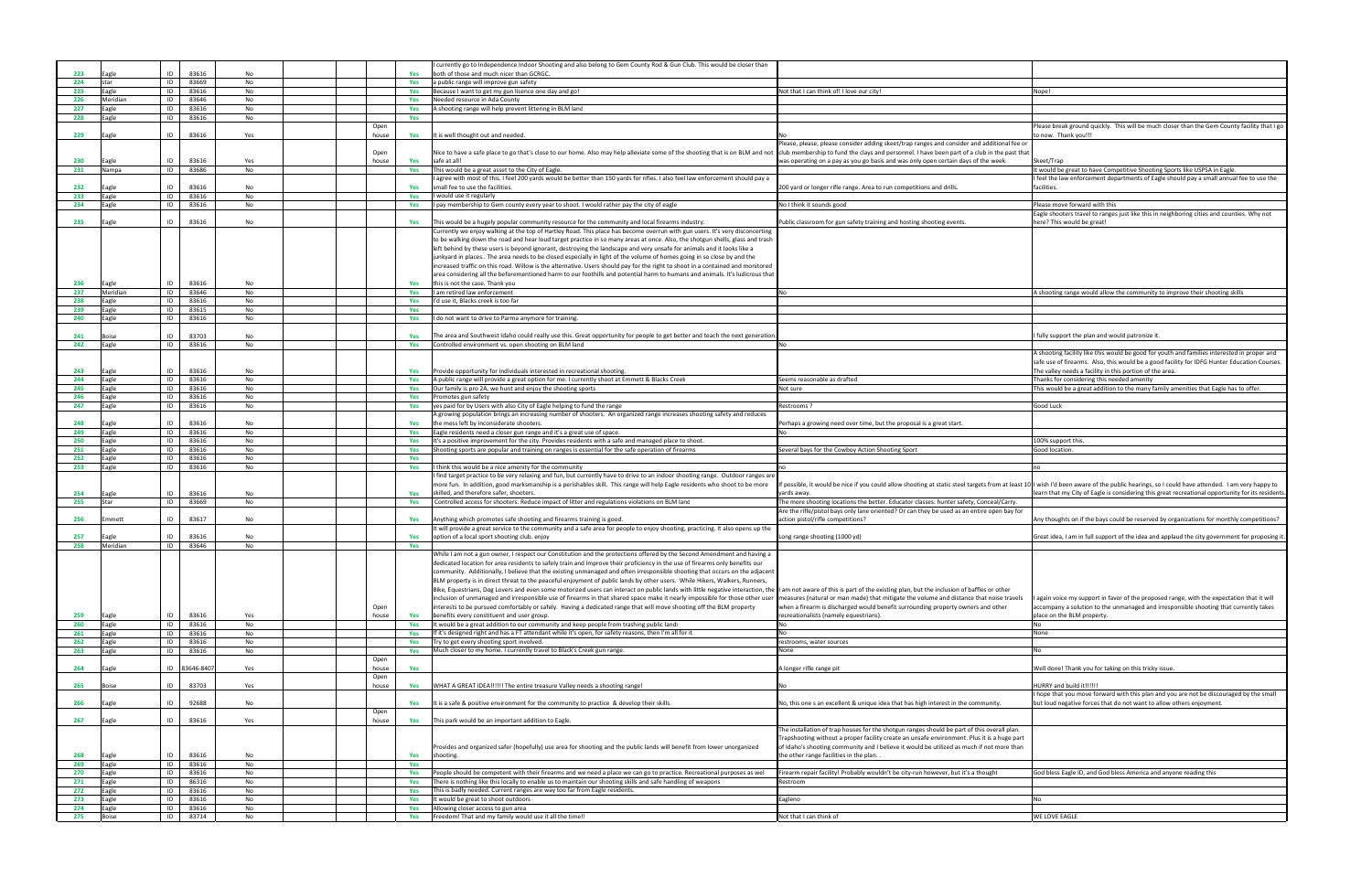| ot that I can think of! I love our city!                                                                                                                                            | Nope!                                                                                                                                                                                          |
|-------------------------------------------------------------------------------------------------------------------------------------------------------------------------------------|------------------------------------------------------------------------------------------------------------------------------------------------------------------------------------------------|
|                                                                                                                                                                                     |                                                                                                                                                                                                |
|                                                                                                                                                                                     |                                                                                                                                                                                                |
|                                                                                                                                                                                     | Please break ground quickly. This will be much closer than the Gem County facility that I go<br>to now. Thank you!!!                                                                           |
| ease, please, please consider adding skeet/trap ranges and consider and additional fee or                                                                                           |                                                                                                                                                                                                |
| b membership to fund the clays and personnel. I have been part of a club in the past that                                                                                           |                                                                                                                                                                                                |
| is operating on a pay as you go basis and was only open certain days of the week.                                                                                                   | Skeet/Trap<br>It would be great to have Competitive Shooting Sports like USPSA in Eagle.                                                                                                       |
|                                                                                                                                                                                     | I feel the law enforcement departments of Eagle should pay a small annual fee to use the                                                                                                       |
| 0 yard or longer rifle range. Area to run competitions and drills.                                                                                                                  | facilities.                                                                                                                                                                                    |
| I think it sounds good                                                                                                                                                              | Please move forward with this                                                                                                                                                                  |
|                                                                                                                                                                                     | Eagle shooters travel to ranges just like this in neighboring cities and counties. Why not                                                                                                     |
| blic classroom for gun safety training and hosting shooting events.                                                                                                                 | here? This would be great!                                                                                                                                                                     |
|                                                                                                                                                                                     |                                                                                                                                                                                                |
|                                                                                                                                                                                     |                                                                                                                                                                                                |
|                                                                                                                                                                                     |                                                                                                                                                                                                |
|                                                                                                                                                                                     |                                                                                                                                                                                                |
|                                                                                                                                                                                     |                                                                                                                                                                                                |
|                                                                                                                                                                                     | A shooting range would allow the community to improve their shooting skills                                                                                                                    |
|                                                                                                                                                                                     |                                                                                                                                                                                                |
|                                                                                                                                                                                     |                                                                                                                                                                                                |
|                                                                                                                                                                                     | fully support the plan and would patronize it.                                                                                                                                                 |
|                                                                                                                                                                                     |                                                                                                                                                                                                |
|                                                                                                                                                                                     | A shooting facility like this would be good for youth and families interested in proper and<br>safe use of firearms. Also, this would be a good facility for IDFG Hunter Education Courses.    |
|                                                                                                                                                                                     | The valley needs a facility in this portion of the area.                                                                                                                                       |
| ems reasonable as drafted                                                                                                                                                           | Thanks for considering this needed amenity                                                                                                                                                     |
| ot sure                                                                                                                                                                             | This would be a great addition to the many family amenities that Eagle has to offer.                                                                                                           |
| strooms?                                                                                                                                                                            | Good Luck                                                                                                                                                                                      |
|                                                                                                                                                                                     |                                                                                                                                                                                                |
| rhaps a growing need over time, but the proposal is a great start.                                                                                                                  |                                                                                                                                                                                                |
|                                                                                                                                                                                     | 100% support this.                                                                                                                                                                             |
| veral bays for the Cowboy Action Shooting Sport                                                                                                                                     | Good location.                                                                                                                                                                                 |
|                                                                                                                                                                                     | no                                                                                                                                                                                             |
|                                                                                                                                                                                     |                                                                                                                                                                                                |
| oossible, it would be nice if you could allow shooting at static steel targets from at least 10<br>rds away.                                                                        | I wish I'd been aware of the public hearings, so I could have attended. I am very happy to<br>learn that my City of Eagle is considering this great recreational opportunity for its residents |
| e more shooting locations the better. Educator classes: hunter safety, Conceal/Carry.                                                                                               |                                                                                                                                                                                                |
| e the rifle/pistol bays only lane oriented? Or can they be used as an entire open bay for<br>tion pistol/rifle competitions?                                                        |                                                                                                                                                                                                |
|                                                                                                                                                                                     | Any thoughts on if the bays could be reserved by organizations for monthly competitions?                                                                                                       |
| ng range shooting (1000 yd)                                                                                                                                                         | Great idea, I am in full support of the idea and applaud the city government for proposing it.                                                                                                 |
|                                                                                                                                                                                     |                                                                                                                                                                                                |
|                                                                                                                                                                                     |                                                                                                                                                                                                |
|                                                                                                                                                                                     |                                                                                                                                                                                                |
| m not aware of this is part of the existing plan, but the inclusion of baffles or other                                                                                             |                                                                                                                                                                                                |
| easures (natural or man made) that mitigate the volume and distance that noise travels                                                                                              | again voice my support in favor of the proposed range, with the expectation that it will                                                                                                       |
| en a firearm is discharged would benefit surrounding property owners and other<br>creationalists (namely equestrians).                                                              | accompany a solution to the unmanaged and irresponsible shooting that currently takes<br>place on the BLM property.                                                                            |
|                                                                                                                                                                                     | No                                                                                                                                                                                             |
|                                                                                                                                                                                     | None                                                                                                                                                                                           |
| strooms, water sources<br>me                                                                                                                                                        | No                                                                                                                                                                                             |
|                                                                                                                                                                                     |                                                                                                                                                                                                |
| onger rifle range pit                                                                                                                                                               | Well done! Thank you for taking on this tricky issue.                                                                                                                                          |
|                                                                                                                                                                                     | HURRY and build it!!!!!!                                                                                                                                                                       |
|                                                                                                                                                                                     | I hope that you move forward with this plan and you are not be discouraged by the small                                                                                                        |
| b, this one s an excellent & unique idea that has high interest in the community.                                                                                                   | but loud negative forces that do not want to allow others enjoyment.                                                                                                                           |
|                                                                                                                                                                                     |                                                                                                                                                                                                |
| e installation of trap houses for the shotgun ranges should be part of this overall plan.                                                                                           |                                                                                                                                                                                                |
| apshooting without a proper facility create an unsafe environment. Plus it is a huge part<br>Idaho's shooting community and I believe it would be utilized as much if not more than |                                                                                                                                                                                                |
| e other range facilities in the plan                                                                                                                                                |                                                                                                                                                                                                |
| earm repair facility! Probably wouldn't be city-run however, but it's a thought                                                                                                     | God bless Eagle ID, and God bless America and anyone reading this                                                                                                                              |
| stroom                                                                                                                                                                              |                                                                                                                                                                                                |
|                                                                                                                                                                                     |                                                                                                                                                                                                |
| gleno                                                                                                                                                                               | No                                                                                                                                                                                             |
| t that I can think of                                                                                                                                                               | WE LOVE EAGLE                                                                                                                                                                                  |
|                                                                                                                                                                                     |                                                                                                                                                                                                |

|            |                       |          |                |          |               |            | currently go to Independence Indoor Shooting and also belong to Gem County Rod & Gun Club. This would be closer than                                                                                                                                        |                                                                                                                                                                                               |                                                                                                                                                                                                                                                                                                                                                                                                                                                                                                        |
|------------|-----------------------|----------|----------------|----------|---------------|------------|-------------------------------------------------------------------------------------------------------------------------------------------------------------------------------------------------------------------------------------------------------------|-----------------------------------------------------------------------------------------------------------------------------------------------------------------------------------------------|--------------------------------------------------------------------------------------------------------------------------------------------------------------------------------------------------------------------------------------------------------------------------------------------------------------------------------------------------------------------------------------------------------------------------------------------------------------------------------------------------------|
| 223<br>224 | agle<br>star          | ID<br>ID | 83616<br>83669 | No<br>No |               | Yes<br>Yes | both of those and much nicer than GCRGC.<br>a public range will improve gun safety                                                                                                                                                                          |                                                                                                                                                                                               |                                                                                                                                                                                                                                                                                                                                                                                                                                                                                                        |
| 225        | Eagle                 | ID       | 83616          | No       |               | Yes        | Because I want to get my gun lisence one day and go!                                                                                                                                                                                                        | Not that I can think of! I love our city!                                                                                                                                                     | Nope!                                                                                                                                                                                                                                                                                                                                                                                                                                                                                                  |
| 226        | Meridian              | ID       | 83646          | No       |               | Yes        | Needed resource in Ada County                                                                                                                                                                                                                               |                                                                                                                                                                                               |                                                                                                                                                                                                                                                                                                                                                                                                                                                                                                        |
| 227        | agle                  | ID       | 83616          | No       |               | Yes        | A shooting range will help prevent littering in BLM land                                                                                                                                                                                                    |                                                                                                                                                                                               |                                                                                                                                                                                                                                                                                                                                                                                                                                                                                                        |
| 228        | agle                  | ID       | 83616          | No       |               | Yes        |                                                                                                                                                                                                                                                             |                                                                                                                                                                                               |                                                                                                                                                                                                                                                                                                                                                                                                                                                                                                        |
|            |                       |          |                |          | Open          |            |                                                                                                                                                                                                                                                             |                                                                                                                                                                                               | Please break ground quickly.  This will be much closer than the Gem County facility that I                                                                                                                                                                                                                                                                                                                                                                                                             |
| 229        | agle                  | ID       | 83616          | Yes      | house         | Yes        | It is well thought out and needed.                                                                                                                                                                                                                          | Please, please, please consider adding skeet/trap ranges and consider and additional fee or                                                                                                   | o now. Thank you!!!                                                                                                                                                                                                                                                                                                                                                                                                                                                                                    |
|            |                       |          |                |          | Open          |            | Nice to have a safe place to go that's close to our home. Also may help alleviate some of the shooting that is on BLM and not club membership to fund the clays and personnel. I have been part of a club in the past that                                  |                                                                                                                                                                                               |                                                                                                                                                                                                                                                                                                                                                                                                                                                                                                        |
| 230        | agle                  | ID       | 83616          | Yes      | house         | Yes        | safe at all!                                                                                                                                                                                                                                                | was operating on a pay as you go basis and was only open certain days of the week.                                                                                                            | Skeet/Trap                                                                                                                                                                                                                                                                                                                                                                                                                                                                                             |
| 231        | Nampa                 | ID       | 83686          | No       |               | Yes        | This would be a great asset to the City of Eagle.                                                                                                                                                                                                           |                                                                                                                                                                                               | t would be great to have Competitive Shooting Sports like USPSA in Eagle.                                                                                                                                                                                                                                                                                                                                                                                                                              |
|            |                       |          |                |          |               |            | agree with most of this. I feel 200 yards would be better than 150 yards for rifles. I also feel law enforcement should pay a                                                                                                                               |                                                                                                                                                                                               | feel the law enforcement departments of Eagle should pay a small annual fee to use the                                                                                                                                                                                                                                                                                                                                                                                                                 |
| 232        | Eagle                 | ID       | 83616          | No       |               | Yes        | small fee to use the facilities.                                                                                                                                                                                                                            | 200 yard or longer rifle range. Area to run competitions and drills.                                                                                                                          | facilities.                                                                                                                                                                                                                                                                                                                                                                                                                                                                                            |
| 233<br>234 | Eagle                 | ID<br>ID | 83616          | No       |               | Yes        | I would use it regularly                                                                                                                                                                                                                                    |                                                                                                                                                                                               |                                                                                                                                                                                                                                                                                                                                                                                                                                                                                                        |
|            | agle                  |          | 83616          | No       |               | Yes        | I pay membership to Gem county every year to shoot. I would rather pay the city of eagle                                                                                                                                                                    | No I think it sounds good                                                                                                                                                                     | lease move forward with this'<br>Eagle shooters travel to ranges just like this in neighboring cities and counties. Why not                                                                                                                                                                                                                                                                                                                                                                            |
| 235        | agle                  | ID       | 83616          | No       |               | Yes        | This would be a hugely popular community resource for the community and local firearms industry.                                                                                                                                                            | Public classroom for gun safety training and hosting shooting events.                                                                                                                         | here? This would be great!                                                                                                                                                                                                                                                                                                                                                                                                                                                                             |
|            |                       |          |                |          |               |            | Currently we enjoy walking at the top of Hartley Road. This place has become overrun with gun users. It's very disconcerting                                                                                                                                |                                                                                                                                                                                               |                                                                                                                                                                                                                                                                                                                                                                                                                                                                                                        |
|            |                       |          |                |          |               |            | to be walking down the road and hear loud target practice in so many areas at once. Also, the shotgun shells, glass and trash                                                                                                                               |                                                                                                                                                                                               |                                                                                                                                                                                                                                                                                                                                                                                                                                                                                                        |
|            |                       |          |                |          |               |            | left behind by these users is beyond ignorant, destroying the landscape and very unsafe for animals and it looks like a                                                                                                                                     |                                                                                                                                                                                               |                                                                                                                                                                                                                                                                                                                                                                                                                                                                                                        |
|            |                       |          |                |          |               |            | junkyard in places The area needs to be closed especially in light of the volume of homes going in so close by and the                                                                                                                                      |                                                                                                                                                                                               |                                                                                                                                                                                                                                                                                                                                                                                                                                                                                                        |
|            |                       |          |                |          |               |            | increased traffic on this road. Willow is the alternative. Users should pay for the right to shoot in a contained and monitored                                                                                                                             |                                                                                                                                                                                               |                                                                                                                                                                                                                                                                                                                                                                                                                                                                                                        |
| 236        |                       | ID       | 83616          | No       |               |            | area considering all the beforementioned harm to our foothills and potential harm to humans and animals. It's ludicrous that                                                                                                                                |                                                                                                                                                                                               |                                                                                                                                                                                                                                                                                                                                                                                                                                                                                                        |
| 237        | Eagle<br>Meridian     | ID       | 83646          | No       |               | Yes        | this is not the case. Thank you<br>am retired law enforcement                                                                                                                                                                                               |                                                                                                                                                                                               | A shooting range would allow the community to improve their shooting skills                                                                                                                                                                                                                                                                                                                                                                                                                            |
| 238        | Eagle                 | ID       | 83616          | No       |               | Yes        | I'd use it, Blacks creek is too far                                                                                                                                                                                                                         |                                                                                                                                                                                               |                                                                                                                                                                                                                                                                                                                                                                                                                                                                                                        |
| 239        | Eagle                 | ID       | 83615          | No       |               | Yes        |                                                                                                                                                                                                                                                             |                                                                                                                                                                                               |                                                                                                                                                                                                                                                                                                                                                                                                                                                                                                        |
| 240        | agle                  | ID       | 83616          | No       |               | Yes        | I do not want to drive to Parma anymore for training.                                                                                                                                                                                                       |                                                                                                                                                                                               |                                                                                                                                                                                                                                                                                                                                                                                                                                                                                                        |
|            |                       |          |                |          |               |            |                                                                                                                                                                                                                                                             |                                                                                                                                                                                               |                                                                                                                                                                                                                                                                                                                                                                                                                                                                                                        |
| 241        | oise!                 | ID       | 83703          | No       |               | Yes        | The area and Southwest Idaho could really use this. Great opportunity for people to get better and teach the next generatior                                                                                                                                |                                                                                                                                                                                               | fully support the plan and would patronize it.                                                                                                                                                                                                                                                                                                                                                                                                                                                         |
| 242        | Eagle                 | ID       | 83616          | No       |               | Yes        | Controlled environment vs. open shooting on BLM land                                                                                                                                                                                                        |                                                                                                                                                                                               |                                                                                                                                                                                                                                                                                                                                                                                                                                                                                                        |
|            |                       |          |                |          |               |            |                                                                                                                                                                                                                                                             |                                                                                                                                                                                               | A shooting facility like this would be good for youth and families interested in proper and                                                                                                                                                                                                                                                                                                                                                                                                            |
| 243        | Eagle                 | ID       | 83616          | No       |               | Yes        | Provide opportunity for individuals interested in recreational shooting.                                                                                                                                                                                    |                                                                                                                                                                                               | safe use of firearms. Also, this would be a good facility for IDFG Hunter Education Cours<br>The valley needs a facility in this portion of the area.                                                                                                                                                                                                                                                                                                                                                  |
| 244        | agle                  | ID       | 83616          | No       |               | Yes        | A public range will provide a great option for me. I currently shoot at Emmett & Blacks Creel                                                                                                                                                               | Seems reasonable as drafted                                                                                                                                                                   | Thanks for considering this needed amenity                                                                                                                                                                                                                                                                                                                                                                                                                                                             |
| 245        | Eagle                 | ID       | 83616          | No       |               | Yes        | Our family is pro 2A, we hunt and enjoy the shooting sports                                                                                                                                                                                                 | Not sure                                                                                                                                                                                      | This would be a great addition to the many family amenities that Eagle has to offer.                                                                                                                                                                                                                                                                                                                                                                                                                   |
| 246        | agle                  | ID       | 83616          | No       |               | Yes        | Promotes gun safety                                                                                                                                                                                                                                         |                                                                                                                                                                                               |                                                                                                                                                                                                                                                                                                                                                                                                                                                                                                        |
| 247        | Eagle                 | ID       | 83616          | No       |               | Yes        | yes paid for by Users with also City of Eagle helping to fund the range                                                                                                                                                                                     | Restrooms ?                                                                                                                                                                                   | Good Luck                                                                                                                                                                                                                                                                                                                                                                                                                                                                                              |
|            |                       |          |                |          |               |            | A growing population brings an increasing number of shooters.  An organized range increases shooting safety and reduces                                                                                                                                     |                                                                                                                                                                                               |                                                                                                                                                                                                                                                                                                                                                                                                                                                                                                        |
| 248        | agle                  | ID       | 83616          | No       |               |            | the mess left by inconsiderate shooters.                                                                                                                                                                                                                    | Perhaps a growing need over time, but the proposal is a great start.                                                                                                                          |                                                                                                                                                                                                                                                                                                                                                                                                                                                                                                        |
| 249        | Eagle                 | ID       | 83616          | No       |               | Yes        | Eagle residents need a closer gun range and it's a great use of space.                                                                                                                                                                                      |                                                                                                                                                                                               |                                                                                                                                                                                                                                                                                                                                                                                                                                                                                                        |
| 250<br>251 | Eagle<br>Eagle        | ID<br>ID | 83616<br>83616 | No<br>No |               | Yes<br>Yes | It's a positive improvement for the city. Provides residents with a safe and managed place to shoot.<br>Shooting sports are popular and training on ranges is essential for the safe operation of firearms                                                  | Several bays for the Cowboy Action Shooting Sport                                                                                                                                             | 100% support this.<br>Good location                                                                                                                                                                                                                                                                                                                                                                                                                                                                    |
|            | Eagle                 | ID       | 83616          | No       |               | Yes        |                                                                                                                                                                                                                                                             |                                                                                                                                                                                               |                                                                                                                                                                                                                                                                                                                                                                                                                                                                                                        |
|            |                       |          |                |          |               |            |                                                                                                                                                                                                                                                             |                                                                                                                                                                                               |                                                                                                                                                                                                                                                                                                                                                                                                                                                                                                        |
| 252        | agle                  | ID       |                |          |               |            |                                                                                                                                                                                                                                                             |                                                                                                                                                                                               |                                                                                                                                                                                                                                                                                                                                                                                                                                                                                                        |
| 253        |                       |          | 83616          | No       |               | Yes        | I think this would be a nice amenity for the community                                                                                                                                                                                                      |                                                                                                                                                                                               |                                                                                                                                                                                                                                                                                                                                                                                                                                                                                                        |
|            |                       |          |                |          |               |            | find target practice to be very relaxing and fun, but currently have to drive to an indoor shooting range. Outdoor ranges are<br>more fun. In addition, good marksmanship is a perishables skill. This range will help Eagle residents who shoot to be more | If possible, it would be nice if you could allow shooting at static steel targets from at least 10 II wish I'd been aware of the public hearings, so I could have attended. I am very happy t |                                                                                                                                                                                                                                                                                                                                                                                                                                                                                                        |
| 254        |                       | ID       | 83616          | No       |               | Yes        | skilled, and therefore safer, shooters.                                                                                                                                                                                                                     | /ards away.                                                                                                                                                                                   |                                                                                                                                                                                                                                                                                                                                                                                                                                                                                                        |
| 255        | Star                  | ID       | 83669          | No       |               | Yes        | Controlled access for shooters. Reduce impact of litter and regulations violations on BLM land                                                                                                                                                              | ne more shooting locations the better. Educator classes: hunter safety, Conceal/Carry                                                                                                         |                                                                                                                                                                                                                                                                                                                                                                                                                                                                                                        |
|            |                       |          |                |          |               |            |                                                                                                                                                                                                                                                             | Are the rifle/pistol bays only lane oriented? Or can they be used as an entire open bay for                                                                                                   |                                                                                                                                                                                                                                                                                                                                                                                                                                                                                                        |
| 256        | Emmett                | ID       | 83617          | No       |               | Yes        | Anything which promotes safe shooting and firearms training is good.                                                                                                                                                                                        | action pistol/rifle competitions?                                                                                                                                                             |                                                                                                                                                                                                                                                                                                                                                                                                                                                                                                        |
|            |                       |          |                |          |               |            | t will provide a great service to the community and a safe area for people to enjoy shooting, practicing. It also opens up the                                                                                                                              |                                                                                                                                                                                               |                                                                                                                                                                                                                                                                                                                                                                                                                                                                                                        |
| 257<br>258 | agle<br>Meridian      | ID<br>ID | 83616<br>83646 | No<br>No |               | Yes<br>Yes | option of a local sport shooting club. enjoy                                                                                                                                                                                                                | Long range shooting (1000 yd)                                                                                                                                                                 |                                                                                                                                                                                                                                                                                                                                                                                                                                                                                                        |
|            |                       |          |                |          |               |            | While I am not a gun owner, I respect our Constitution and the protections offered by the Second Amendment and having a                                                                                                                                     |                                                                                                                                                                                               |                                                                                                                                                                                                                                                                                                                                                                                                                                                                                                        |
|            |                       |          |                |          |               |            | dedicated location for area residents to safely train and improve their proficiency in the use of firearms only benefits our                                                                                                                                |                                                                                                                                                                                               |                                                                                                                                                                                                                                                                                                                                                                                                                                                                                                        |
|            |                       |          |                |          |               |            | community. Additionally, I believe that the existing unmanaged and often irresponsible shooting that occurs on the adjacent                                                                                                                                 |                                                                                                                                                                                               |                                                                                                                                                                                                                                                                                                                                                                                                                                                                                                        |
|            |                       |          |                |          |               |            | BLM property is in direct threat to the peaceful enjoyment of public lands by other users. While Hikers, Walkers, Runners,                                                                                                                                  |                                                                                                                                                                                               |                                                                                                                                                                                                                                                                                                                                                                                                                                                                                                        |
|            |                       |          |                |          |               |            | Bike, Equestrians, Dog Lovers and even some motorized users can interact on public lands with little negative interaction, the II am not aware of this is part of the existing plan, but the inclusion of baffles or other                                  |                                                                                                                                                                                               |                                                                                                                                                                                                                                                                                                                                                                                                                                                                                                        |
|            |                       |          |                |          |               |            | inclusion of unmanaged and irresponsible use of firearms in that shared space make it nearly impossible for those other user                                                                                                                                | measures (natural or man made) that mitigate the volume and distance that noise travels                                                                                                       |                                                                                                                                                                                                                                                                                                                                                                                                                                                                                                        |
| 259        |                       | ID       |                | Yes      | Open<br>house | Yes        | interests to be pursued comfortably or safely. Having a dedicated range that will move shooting off the BLM property<br>benefits every constituent and user group.                                                                                          | when a firearm is discharged would benefit surrounding property owners and other<br>recreationalists (namely equestrians).                                                                    | blace on the BLM property.                                                                                                                                                                                                                                                                                                                                                                                                                                                                             |
| 260        | Eagle<br>Eagle        | ID       | 83616<br>83616 | No       |               | Yes        | It would be a great addition to our community and keep people from trashing public land:                                                                                                                                                                    |                                                                                                                                                                                               |                                                                                                                                                                                                                                                                                                                                                                                                                                                                                                        |
| 261        | Eagle                 | ID       | 83616          | No       |               | Yes        | If it's designed right and has a FT attendant while it's open, for safety reasons, then I'm all for it                                                                                                                                                      |                                                                                                                                                                                               | None                                                                                                                                                                                                                                                                                                                                                                                                                                                                                                   |
| 262        | Eagle                 | ID       | 83616          | No       |               | Yes        | Try to get every shooting sport involved.                                                                                                                                                                                                                   | estrooms, water sources                                                                                                                                                                       |                                                                                                                                                                                                                                                                                                                                                                                                                                                                                                        |
| 263        | Eagle                 | ID       | 83616          | No       |               | Yes        | Much closer to my home. I currently travel to Black's Creek gun range                                                                                                                                                                                       | None                                                                                                                                                                                          |                                                                                                                                                                                                                                                                                                                                                                                                                                                                                                        |
|            |                       |          |                |          | Open          |            |                                                                                                                                                                                                                                                             |                                                                                                                                                                                               |                                                                                                                                                                                                                                                                                                                                                                                                                                                                                                        |
| 264        | Eagle                 |          | ID 83646-840   | Yes      | house         | Yes        |                                                                                                                                                                                                                                                             | A longer rifle range pit                                                                                                                                                                      | Well done! Thank you for taking on this tricky issue.                                                                                                                                                                                                                                                                                                                                                                                                                                                  |
|            | oise}                 | ID       |                | Yes      | Open<br>house |            |                                                                                                                                                                                                                                                             |                                                                                                                                                                                               |                                                                                                                                                                                                                                                                                                                                                                                                                                                                                                        |
| 265        |                       |          | 83703          |          |               | Yes        | WHAT A GREAT IDEA!!!!!! The entire treasure Valley needs a shooting range!                                                                                                                                                                                  |                                                                                                                                                                                               | learn that my City of Eagle is considering this great recreational opportunity for its reside<br>Any thoughts on if the bays could be reserved by organizations for monthly competitions<br>Great idea, I am in full support of the idea and applaud the city government for proposin<br>again voice my support in favor of the proposed range, with the expectation that it will<br>accompany a solution to the unmanaged and irresponsible shooting that currently takes<br>HURRY and build it!!!!!! |
| 266        | Eagle                 | ID       | 92688          | No       |               | Yes        | It is a safe & positive environment for the community to practice & develop their skills.                                                                                                                                                                   | No, this one s an excellent & unique idea that has high interest in the community.                                                                                                            | but loud negative forces that do not want to allow others enjoyment.                                                                                                                                                                                                                                                                                                                                                                                                                                   |
|            |                       |          |                |          | Open          |            |                                                                                                                                                                                                                                                             |                                                                                                                                                                                               | hope that you move forward with this plan and you are not be discouraged by the smal                                                                                                                                                                                                                                                                                                                                                                                                                   |
| 267        | Eagle                 | ID       | 83616          | Yes      | house         | Yes        | This park would be an important addition to Eagle.                                                                                                                                                                                                          |                                                                                                                                                                                               |                                                                                                                                                                                                                                                                                                                                                                                                                                                                                                        |
|            |                       |          |                |          |               |            |                                                                                                                                                                                                                                                             | The installation of trap houses for the shotgun ranges should be part of this overall plan.                                                                                                   |                                                                                                                                                                                                                                                                                                                                                                                                                                                                                                        |
|            |                       |          |                |          |               |            |                                                                                                                                                                                                                                                             | Trapshooting without a proper facility create an unsafe environment. Plus it is a huge part                                                                                                   |                                                                                                                                                                                                                                                                                                                                                                                                                                                                                                        |
| 268        |                       | ID       |                | No       |               |            | Provides and organized safer (hopefully) use area for shooting and the public lands will benefit from lower unorganized<br>shooting.                                                                                                                        | of Idaho's shooting community and I believe it would be utilized as much if not more than<br>the other range facilities in the plan.                                                          |                                                                                                                                                                                                                                                                                                                                                                                                                                                                                                        |
| 269        | Eagle<br>Eagle        | ID       | 83616<br>83616 | No       |               | Yes<br>Yes |                                                                                                                                                                                                                                                             |                                                                                                                                                                                               |                                                                                                                                                                                                                                                                                                                                                                                                                                                                                                        |
| 270        | Eagle                 | ID       | 83616          | No       |               | Yes        | People should be competent with their firearms and we need a place we can go to practice. Recreational purposes as wel                                                                                                                                      | Firearm repair facility! Probably wouldn't be city-run however, but it's a though!                                                                                                            | God bless Eagle ID, and God bless America and anyone reading this                                                                                                                                                                                                                                                                                                                                                                                                                                      |
| 271        | Eagle                 | ID       | 86316          | No       |               | Yes        | There is nothing like this locally to enable us to maintain our shooting skills and safe handling of weapons                                                                                                                                                | Restroom                                                                                                                                                                                      |                                                                                                                                                                                                                                                                                                                                                                                                                                                                                                        |
| 272        | Eagle                 | ID       | 83616          | No       |               | Yes        | This is badly needed. Current ranges are way too far from Eagle residents.                                                                                                                                                                                  |                                                                                                                                                                                               |                                                                                                                                                                                                                                                                                                                                                                                                                                                                                                        |
| 273        | Eagle                 | ID       | 83616          | No       |               | Yes        | t would be great to shoot outdoors                                                                                                                                                                                                                          | Eagleno                                                                                                                                                                                       | No                                                                                                                                                                                                                                                                                                                                                                                                                                                                                                     |
| 274<br>275 | Eagle<br><b>Boise</b> | ID<br>ID | 83616<br>83714 | No<br>No |               | Yes<br>Yes | Allowing closer access to gun area<br>Freedom! That and my family would use it all the time!!                                                                                                                                                               | Not that I can think of                                                                                                                                                                       | WE LOVE EAGLE                                                                                                                                                                                                                                                                                                                                                                                                                                                                                          |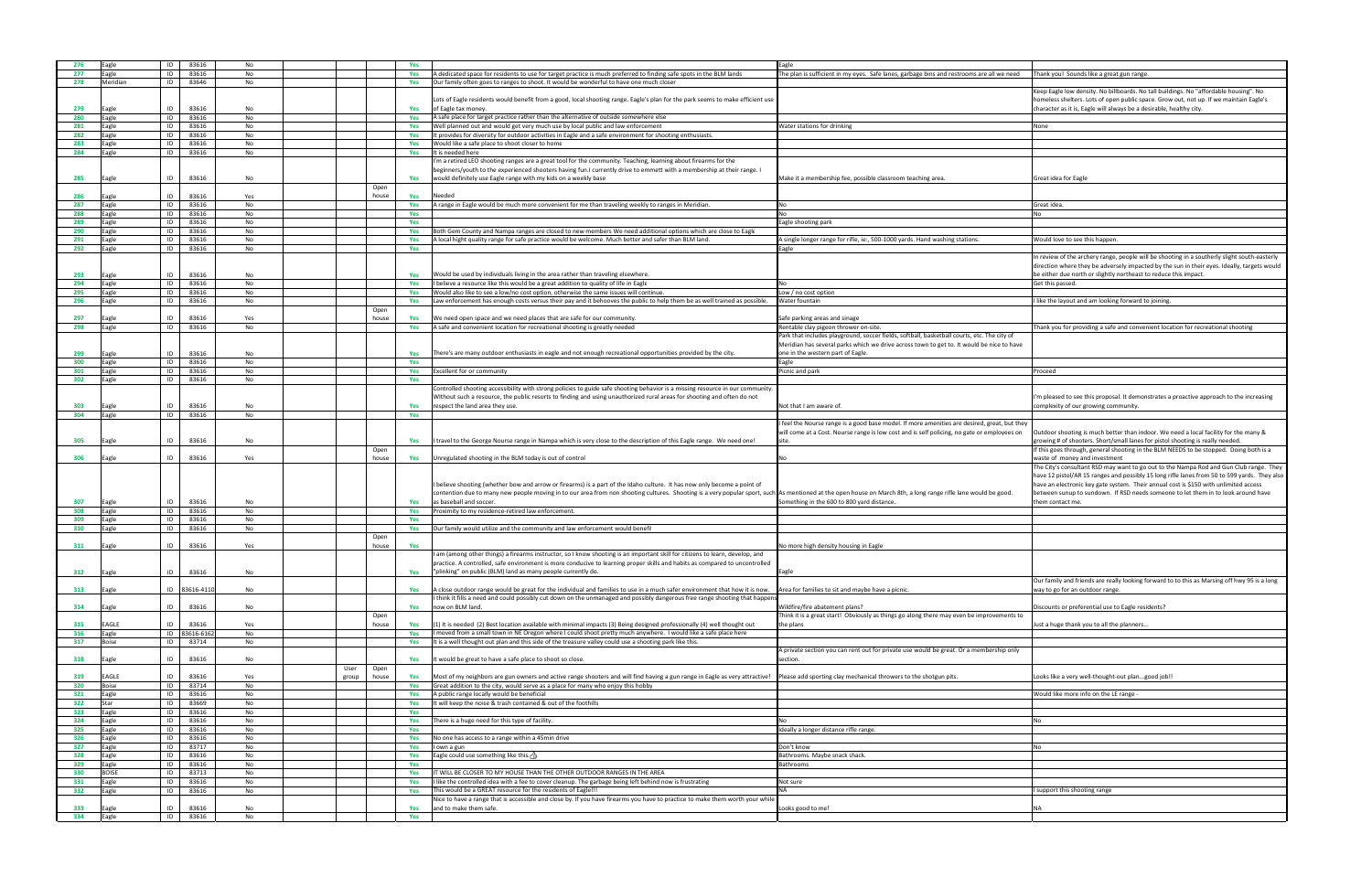| n is sufficient in my eyes. Safe lanes, garbage bins and restrooms are all we need                                                                                                                      | Thank you! Sounds like a great gun range.                                                                                                                                                                                                                                                                                                                                                                                                                                                                          |
|---------------------------------------------------------------------------------------------------------------------------------------------------------------------------------------------------------|--------------------------------------------------------------------------------------------------------------------------------------------------------------------------------------------------------------------------------------------------------------------------------------------------------------------------------------------------------------------------------------------------------------------------------------------------------------------------------------------------------------------|
|                                                                                                                                                                                                         |                                                                                                                                                                                                                                                                                                                                                                                                                                                                                                                    |
|                                                                                                                                                                                                         | Keep Eagle low density. No billboards. No tall buildings. No "affordable housing". No<br>homeless shelters. Lots of open public space. Grow out, not up. If we maintain Eagle's<br>character as it is, Eagle will always be a desirable, healthy city.                                                                                                                                                                                                                                                             |
| tations for drinking                                                                                                                                                                                    | None                                                                                                                                                                                                                                                                                                                                                                                                                                                                                                               |
|                                                                                                                                                                                                         |                                                                                                                                                                                                                                                                                                                                                                                                                                                                                                                    |
|                                                                                                                                                                                                         |                                                                                                                                                                                                                                                                                                                                                                                                                                                                                                                    |
|                                                                                                                                                                                                         |                                                                                                                                                                                                                                                                                                                                                                                                                                                                                                                    |
| a membership fee, possible classroom teaching area.                                                                                                                                                     | Great idea for Eagle                                                                                                                                                                                                                                                                                                                                                                                                                                                                                               |
|                                                                                                                                                                                                         |                                                                                                                                                                                                                                                                                                                                                                                                                                                                                                                    |
|                                                                                                                                                                                                         | Great idea.                                                                                                                                                                                                                                                                                                                                                                                                                                                                                                        |
| ooting park                                                                                                                                                                                             | No                                                                                                                                                                                                                                                                                                                                                                                                                                                                                                                 |
|                                                                                                                                                                                                         |                                                                                                                                                                                                                                                                                                                                                                                                                                                                                                                    |
| longer range for rifle, ie:, 500-1000 yards. Hand washing stations.                                                                                                                                     | Would love to see this happen.                                                                                                                                                                                                                                                                                                                                                                                                                                                                                     |
|                                                                                                                                                                                                         | In review of the archery range, people will be shooting in a southerly slight south-easterly<br>direction where they be adversely impacted by the sun in their eyes. Ideally, targets would<br>be either due north or slightly northeast to reduce this impact.                                                                                                                                                                                                                                                    |
| o cost option                                                                                                                                                                                           | Get this passed.                                                                                                                                                                                                                                                                                                                                                                                                                                                                                                   |
| ountain                                                                                                                                                                                                 | like the layout and am looking forward to joining.                                                                                                                                                                                                                                                                                                                                                                                                                                                                 |
|                                                                                                                                                                                                         |                                                                                                                                                                                                                                                                                                                                                                                                                                                                                                                    |
| rking areas and sinage<br>e clay pigeon thrower on-site.                                                                                                                                                | Thank you for providing a safe and convenient location for recreational shooting                                                                                                                                                                                                                                                                                                                                                                                                                                   |
| at includes playground, soccer fields, softball, basketball courts, etc. The city of<br>n has several parks which we drive across town to get to. It would be nice to have<br>he western part of Eagle. |                                                                                                                                                                                                                                                                                                                                                                                                                                                                                                                    |
| nd park                                                                                                                                                                                                 | Proceed                                                                                                                                                                                                                                                                                                                                                                                                                                                                                                            |
|                                                                                                                                                                                                         |                                                                                                                                                                                                                                                                                                                                                                                                                                                                                                                    |
| t I am aware of.                                                                                                                                                                                        | I'm pleased to see this proposal. It demonstrates a proactive approach to the increasing<br>complexity of our growing community.                                                                                                                                                                                                                                                                                                                                                                                   |
| e Nourse range is a good base model. If more amenities are desired, great, but they<br>he at a Cost. Nourse range is low cost and is self policing, no gate or employees on                             | Outdoor shooting is much better than indoor. We need a local facility for the many &<br>growing # of shooters. Short/small lanes for pistol shooting is really needed.                                                                                                                                                                                                                                                                                                                                             |
| tioned at the open house on March 8th, a long range rifle lane would be good.<br>ing in the 600 to 800 yard distance.                                                                                   | If this goes through, general shooting in the BLM NEEDS to be stopped. Doing both is a<br>waste of money and investment<br>The City's consultant RSD may want to go out to the Nampa Rod and Gun Club range. They<br>have 12 pistol/AR 15 ranges and possibly 15 long rifle lanes from 50 to 599 yards. They also<br>have an electronic key gate system. Their annual cost is \$150 with unlimited access<br>between sunup to sundown. If RSD needs someone to let them in to look around have<br>them contact me. |
|                                                                                                                                                                                                         |                                                                                                                                                                                                                                                                                                                                                                                                                                                                                                                    |
|                                                                                                                                                                                                         |                                                                                                                                                                                                                                                                                                                                                                                                                                                                                                                    |
|                                                                                                                                                                                                         |                                                                                                                                                                                                                                                                                                                                                                                                                                                                                                                    |
| e high density housing in Eagle                                                                                                                                                                         |                                                                                                                                                                                                                                                                                                                                                                                                                                                                                                                    |
| families to sit and maybe have a picnic.                                                                                                                                                                | Our family and friends are really looking forward to to this as Marsing off hwy 95 is a long<br>way to go for an outdoor range.                                                                                                                                                                                                                                                                                                                                                                                    |
|                                                                                                                                                                                                         |                                                                                                                                                                                                                                                                                                                                                                                                                                                                                                                    |
| fire abatement plans?<br>is a great start! Obviously as things go along there may even be improvements to                                                                                               | Discounts or preferential use to Eagle residents?                                                                                                                                                                                                                                                                                                                                                                                                                                                                  |
|                                                                                                                                                                                                         | Just a huge thank you to all the planners                                                                                                                                                                                                                                                                                                                                                                                                                                                                          |
| e section you can rent out for private use would be great. Or a membership only                                                                                                                         |                                                                                                                                                                                                                                                                                                                                                                                                                                                                                                                    |
| add sporting clay mechanical throwers to the shotgun pits.                                                                                                                                              | Looks like a very well-thought-out plangood job!!                                                                                                                                                                                                                                                                                                                                                                                                                                                                  |
|                                                                                                                                                                                                         | Would like more info on the LE range -                                                                                                                                                                                                                                                                                                                                                                                                                                                                             |
|                                                                                                                                                                                                         |                                                                                                                                                                                                                                                                                                                                                                                                                                                                                                                    |
|                                                                                                                                                                                                         |                                                                                                                                                                                                                                                                                                                                                                                                                                                                                                                    |
| a longer distance rifle range.                                                                                                                                                                          | No                                                                                                                                                                                                                                                                                                                                                                                                                                                                                                                 |
|                                                                                                                                                                                                         |                                                                                                                                                                                                                                                                                                                                                                                                                                                                                                                    |
| 10W                                                                                                                                                                                                     | No                                                                                                                                                                                                                                                                                                                                                                                                                                                                                                                 |
| ms. Maybe snack shack.                                                                                                                                                                                  |                                                                                                                                                                                                                                                                                                                                                                                                                                                                                                                    |
| ms                                                                                                                                                                                                      |                                                                                                                                                                                                                                                                                                                                                                                                                                                                                                                    |
|                                                                                                                                                                                                         |                                                                                                                                                                                                                                                                                                                                                                                                                                                                                                                    |
|                                                                                                                                                                                                         | I support this shooting range                                                                                                                                                                                                                                                                                                                                                                                                                                                                                      |
|                                                                                                                                                                                                         |                                                                                                                                                                                                                                                                                                                                                                                                                                                                                                                    |
| ood to me!                                                                                                                                                                                              | ΝA                                                                                                                                                                                                                                                                                                                                                                                                                                                                                                                 |
|                                                                                                                                                                                                         |                                                                                                                                                                                                                                                                                                                                                                                                                                                                                                                    |

| 276 | Eagle        | ID | 83616        | No  |       |       | Yes |                                                                                                                                                                                                                | Eagle                                                                                       |                                                                                    |
|-----|--------------|----|--------------|-----|-------|-------|-----|----------------------------------------------------------------------------------------------------------------------------------------------------------------------------------------------------------------|---------------------------------------------------------------------------------------------|------------------------------------------------------------------------------------|
| 277 | Eagle        | ID | 83616        | No  |       |       | Yes | A dedicated space for residents to use for target practice is much preferred to finding safe spots in the BLM lands                                                                                            | The plan is sufficient in my eyes. Safe lanes, garbage bins and restrooms are all we need   | Fhank you! Sounds like a great gun range.                                          |
|     |              |    |              |     |       |       |     |                                                                                                                                                                                                                |                                                                                             |                                                                                    |
| 278 | Meridian     | ID | 83646        | No  |       |       | Yes | Our family often goes to ranges to shoot. It would be wonderful to have one much closer                                                                                                                        |                                                                                             |                                                                                    |
|     |              |    |              |     |       |       |     |                                                                                                                                                                                                                |                                                                                             | Keep Eagle low density. No billboards. No tall buildings. No "affordable housing"  |
|     |              |    |              |     |       |       |     |                                                                                                                                                                                                                |                                                                                             |                                                                                    |
|     |              |    |              |     |       |       |     | Lots of Eagle residents would benefit from a good, local shooting range. Eagle's plan for the park seems to make efficient use                                                                                 |                                                                                             | homeless shelters. Lots of open public space. Grow out, not up. If we maintain E   |
| 279 | Eagle        | ID | 83616        | No  |       |       | Yes | of Eagle tax money.                                                                                                                                                                                            |                                                                                             | character as it is, Eagle will always be a desirable, healthy city.                |
| 280 | Eagle        | ID | 83616        | No  |       |       | Yes | A safe place for target practice rather than the alternative of outside somewhere else                                                                                                                         |                                                                                             |                                                                                    |
|     |              |    |              |     |       |       |     |                                                                                                                                                                                                                |                                                                                             |                                                                                    |
| 281 | Eagle        | ID | 83616        | No  |       |       | Yes | Well planned out and would get very much use by local public and law enforcement                                                                                                                               | Water stations for drinking                                                                 | None                                                                               |
| 282 | Eagle        | ID | 83616        | No  |       |       | Yes | It provides for diversity for outdoor activities in Eagle and a safe environment for shooting enthusiasts.                                                                                                     |                                                                                             |                                                                                    |
|     |              |    |              |     |       |       |     |                                                                                                                                                                                                                |                                                                                             |                                                                                    |
| 283 | Eagle        | ID | 83616        | No  |       |       | Yes | Would like a safe place to shoot closer to home                                                                                                                                                                |                                                                                             |                                                                                    |
| 284 | Eagle        | ID | 83616        | No  |       |       | Yes | It is needed here                                                                                                                                                                                              |                                                                                             |                                                                                    |
|     |              |    |              |     |       |       |     |                                                                                                                                                                                                                |                                                                                             |                                                                                    |
|     |              |    |              |     |       |       |     | I'm a retired LEO shooting ranges are a great tool for the community. Teaching, learning about firearms for the                                                                                                |                                                                                             |                                                                                    |
|     |              |    |              |     |       |       |     | beginners/youth to the experienced shooters having fun.I currently drive to emmett with a membership at their range. I                                                                                         |                                                                                             |                                                                                    |
| 285 | agle         | ID | 83616        | No  |       |       | Yes | would definitely use Eagle range with my kids on a weekly base                                                                                                                                                 | Make it a membership fee, possible classroom teaching area.                                 | Great idea for Eagle                                                               |
|     |              |    |              |     |       |       |     |                                                                                                                                                                                                                |                                                                                             |                                                                                    |
|     |              |    |              |     |       | Open  |     |                                                                                                                                                                                                                |                                                                                             |                                                                                    |
| 286 |              | ID | 83616        | Yes |       | house | Yes | Needed                                                                                                                                                                                                         |                                                                                             |                                                                                    |
| 287 | Eagle        | ID | 83616        | No  |       |       | Yes | A range in Eagle would be much more convenient for me than traveling weekly to ranges in Meridian.                                                                                                             |                                                                                             | Great idea.                                                                        |
|     |              |    |              |     |       |       |     |                                                                                                                                                                                                                |                                                                                             |                                                                                    |
| 288 | Eagle        | ID | 83616        | No  |       |       | Yes |                                                                                                                                                                                                                |                                                                                             |                                                                                    |
| 289 | Eagle        | ID | 83616        | No  |       |       | Yes |                                                                                                                                                                                                                | Eagle shooting park                                                                         |                                                                                    |
|     |              |    |              |     |       |       |     |                                                                                                                                                                                                                |                                                                                             |                                                                                    |
| 290 | Eagle        | ID | 83616        | No  |       |       | Yes | Both Gem County and Nampa ranges are closed to new members We need additional options which are close to Eagle                                                                                                 |                                                                                             |                                                                                    |
| 291 | Eagle        | ID | 83616        | No  |       |       | Yes | A local hight quality range for safe practice would be welcome. Much better and safer than BLM land.                                                                                                           | A single longer range for rifle, ie:, 500-1000 yards. Hand washing stations.                | Would love to see this happen.                                                     |
| 292 | Eagle        | ID | 83616        | No  |       |       |     |                                                                                                                                                                                                                |                                                                                             |                                                                                    |
|     |              |    |              |     |       |       | Yes |                                                                                                                                                                                                                | agle                                                                                        |                                                                                    |
|     |              |    |              |     |       |       |     |                                                                                                                                                                                                                |                                                                                             | In review of the archery range, people will be shooting in a southerly slight sout |
|     |              |    |              |     |       |       |     |                                                                                                                                                                                                                |                                                                                             | direction where they be adversely impacted by the sun in their eyes. Ideally, tara |
|     |              |    |              |     |       |       |     |                                                                                                                                                                                                                |                                                                                             |                                                                                    |
| 293 | Eagle        | ID | 83616        | No  |       |       | Yes | Would be used by individuals living in the area rather than traveling elsewhere.                                                                                                                               |                                                                                             | be either due north or slightly northeast to reduce this impact.                   |
| 294 | Eagle        | ID | 83616        | No  |       |       | Yes | I believe a resource like this would be a great addition to quality of life in Eagle                                                                                                                           |                                                                                             | Get this passed.                                                                   |
| 295 |              | ID | 83616        | No  |       |       |     |                                                                                                                                                                                                                |                                                                                             |                                                                                    |
|     | Eagle        |    |              |     |       |       | Yes | Would also like to see a low/no cost option, otherwise the same issues will continue                                                                                                                           | ow / no cost option.                                                                        |                                                                                    |
| 296 | Eagle        | ID | 83616        | No  |       |       | Yes | Law enforcement has enough costs versus their pay and it behooves the public to help them be as well trained as possible.                                                                                      | Nater fountain                                                                              | like the layout and am looking forward to joining.                                 |
|     |              |    |              |     |       | Open  |     |                                                                                                                                                                                                                |                                                                                             |                                                                                    |
|     |              |    |              |     |       |       |     |                                                                                                                                                                                                                |                                                                                             |                                                                                    |
| 297 | agle         | ID | 83616        | Yes |       | house | Yes | We need open space and we need places that are safe for our community.                                                                                                                                         | Safe parking areas and sinage                                                               |                                                                                    |
| 298 | Eagle        | ID | 83616        | No  |       |       | Yes | A safe and convenient location for recreational shooting is greatly needed                                                                                                                                     | Rentable clay pigeon thrower on-site.                                                       | Thank you for providing a safe and convenient location for recreational shooting   |
|     |              |    |              |     |       |       |     |                                                                                                                                                                                                                |                                                                                             |                                                                                    |
|     |              |    |              |     |       |       |     |                                                                                                                                                                                                                | Park that includes playground, soccer fields, softball, basketball courts, etc. The city of |                                                                                    |
|     |              |    |              |     |       |       |     |                                                                                                                                                                                                                | Meridian has several parks which we drive across town to get to. It would be nice to have   |                                                                                    |
|     |              |    |              |     |       |       |     |                                                                                                                                                                                                                |                                                                                             |                                                                                    |
| 299 |              | ID | 83616        | No  |       |       | Yes | There's are many outdoor enthusiasts in eagle and not enough recreational opportunities provided by the city.                                                                                                  | one in the western part of Eagle.                                                           |                                                                                    |
| 300 | Eagle        | ID | 83616        | No  |       |       | Yes |                                                                                                                                                                                                                | agle                                                                                        |                                                                                    |
| 301 | Eagle        | ID | 83616        | No  |       |       | Yes | Excellent for or community                                                                                                                                                                                     | Picnic and park                                                                             | Proceed                                                                            |
|     |              |    |              |     |       |       |     |                                                                                                                                                                                                                |                                                                                             |                                                                                    |
| 302 | Eagle        | ID | 83616        | No  |       |       | Yes |                                                                                                                                                                                                                |                                                                                             |                                                                                    |
|     |              |    |              |     |       |       |     | Controlled shooting accessibility with strong policies to guide safe shooting behavior is a missing resource in our community.                                                                                 |                                                                                             |                                                                                    |
|     |              |    |              |     |       |       |     |                                                                                                                                                                                                                |                                                                                             |                                                                                    |
|     |              |    |              |     |       |       |     | Without such a resource, the public resorts to finding and using unauthorized rural areas for shooting and often do not                                                                                        |                                                                                             | I'm pleased to see this proposal. It demonstrates a proactive approach to the ind  |
| 303 | agle:        | ID | 83616        | No  |       |       | Yes | respect the land area they use                                                                                                                                                                                 | vot that I am aware of                                                                      | complexity of our growing community.                                               |
|     |              |    |              |     |       |       |     |                                                                                                                                                                                                                |                                                                                             |                                                                                    |
| 304 | Eagle        | ID | 83616        | No  |       |       | Yes |                                                                                                                                                                                                                |                                                                                             |                                                                                    |
|     |              |    |              |     |       |       |     |                                                                                                                                                                                                                | feel the Nourse range is a good base model. If more amenities are desired, great, but they  |                                                                                    |
|     |              |    |              |     |       |       |     |                                                                                                                                                                                                                |                                                                                             |                                                                                    |
|     |              |    |              |     |       |       |     |                                                                                                                                                                                                                | will come at a Cost. Nourse range is low cost and is self policing, no gate or employees on | Outdoor shooting is much better than indoor. We need a local facility for the ma   |
| 305 | agle         | ID | 83616        | No  |       |       | Yes | I travel to the George Nourse range in Nampa which is very close to the description of this Eagle range. We need one!                                                                                          |                                                                                             | growing # of shooters. Short/small lanes for pistol shooting is really needed.     |
|     |              |    |              |     |       | Open  |     |                                                                                                                                                                                                                |                                                                                             | If this goes through, general shooting in the BLM NEEDS to be stopped. Doing b     |
|     |              |    |              |     |       |       |     |                                                                                                                                                                                                                |                                                                                             |                                                                                    |
|     | Eagle        | ID | 83616        | Yes |       | house | Yes | Unregulated shooting in the BLM today is out of control                                                                                                                                                        |                                                                                             | waste of money and investment                                                      |
| 306 |              |    |              |     |       |       |     |                                                                                                                                                                                                                |                                                                                             | The City's consultant RSD may want to go out to the Nampa Rod and Gun Club r       |
|     |              |    |              |     |       |       |     |                                                                                                                                                                                                                |                                                                                             |                                                                                    |
|     |              |    |              |     |       |       |     |                                                                                                                                                                                                                |                                                                                             |                                                                                    |
|     |              |    |              |     |       |       |     |                                                                                                                                                                                                                |                                                                                             | have 12 pistol/AR 15 ranges and possibly 15 long rifle lanes from 50 to 599 yard:  |
|     |              |    |              |     |       |       |     |                                                                                                                                                                                                                |                                                                                             |                                                                                    |
|     |              |    |              |     |       |       |     | I believe shooting (whether bow and arrow or firearms) is a part of the Idaho culture. It has now only become a point of                                                                                       |                                                                                             | have an electronic key gate system. Their annual cost is \$150 with unlimited aco  |
|     |              |    |              |     |       |       |     | contention due to many new people moving in to our area from non shooting cultures. Shooting is a very popular sport, such As mentioned at the open house on March 8th, a long range rifle lane would be good. |                                                                                             | between sunup to sundown. If RSD needs someone to let them in to look aroun        |
| 307 | :agle        | ID | 83616        | No  |       |       | Yes | as baseball and soccer.                                                                                                                                                                                        | Something in the 600 to 800 yard distance.                                                  | hem contact me.                                                                    |
|     |              |    |              |     |       |       |     |                                                                                                                                                                                                                |                                                                                             |                                                                                    |
| 308 | Eagle        | ID | 83616        | No  |       |       | Yes | Proximity to my residence-retired law enforcement.                                                                                                                                                             |                                                                                             |                                                                                    |
| 309 | Eagle        | ID | 83616        | No  |       |       | Yes |                                                                                                                                                                                                                |                                                                                             |                                                                                    |
|     |              |    |              |     |       |       |     |                                                                                                                                                                                                                |                                                                                             |                                                                                    |
| 310 | Eagle        | ID | 83616        | No  |       |       | Yes | Our family would utilize and the community and law enforcement would benefit                                                                                                                                   |                                                                                             |                                                                                    |
|     |              |    |              |     |       | Open  |     |                                                                                                                                                                                                                |                                                                                             |                                                                                    |
| 311 | Eagle        | ID | 83616        | Yes |       | house | Yes |                                                                                                                                                                                                                | Vo more high density housing in Eagle                                                       |                                                                                    |
|     |              |    |              |     |       |       |     |                                                                                                                                                                                                                |                                                                                             |                                                                                    |
|     |              |    |              |     |       |       |     | I am (among other things) a firearms instructor, so I know shooting is an important skill for citizens to learn, develop, and                                                                                  |                                                                                             |                                                                                    |
|     |              |    |              |     |       |       |     | practice. A controlled, safe environment is more conducive to learning proper skills and habits as compared to uncontrolled                                                                                    |                                                                                             |                                                                                    |
|     |              | ID | 83616        | No  |       |       | Yes | "plinking" on public (BLM) land as many people currently do.                                                                                                                                                   |                                                                                             |                                                                                    |
| 312 | Eagle        |    |              |     |       |       |     |                                                                                                                                                                                                                | Eagle                                                                                       |                                                                                    |
|     |              |    |              |     |       |       |     |                                                                                                                                                                                                                |                                                                                             | Our family and friends are really looking forward to to this as Marsing off hwy 9! |
| 313 | Eagle        | ID | 83616-411    | No  |       |       | Yes | A close outdoor range would be great for the individual and families to use in a much safer environment that how it is now.                                                                                    | Area for families to sit and maybe have a picnic.                                           | way to go for an outdoor range.                                                    |
|     |              |    |              |     |       |       |     |                                                                                                                                                                                                                |                                                                                             |                                                                                    |
|     |              |    |              |     |       |       |     | I think it fills a need and could possibly cut down on the unmanaged and possibly dangerous free range shooting that happen                                                                                    |                                                                                             |                                                                                    |
| 314 | Eagle        | ID | 83616        | No  |       |       | Yes | now on BLM land.                                                                                                                                                                                               | Wildfire/fire abatement plans?                                                              | Discounts or preferential use to Eagle residents?                                  |
|     |              |    |              |     |       | Open  |     |                                                                                                                                                                                                                | Think it is a great start! Obviously as things go along there may even be improvements to   |                                                                                    |
|     |              |    |              |     |       |       |     |                                                                                                                                                                                                                |                                                                                             |                                                                                    |
| 315 | EAGLE        | ID | 83616        | Yes |       | house | Yes | (1) It is needed (2) Best location available with minimal impacts (3) Being designed professionally (4) well thought out                                                                                       | he plans                                                                                    | ust a huge thank you to all the planners                                           |
| 316 | Eagle        |    | ID 83616-616 | No  |       |       | Yes | I moved from a small town in NE Oregon where I could shoot pretty much anywhere. I would like a safe place here                                                                                                |                                                                                             |                                                                                    |
|     | <b>Boise</b> | ID |              |     |       |       |     | It is a well thought out plan and this side of the treasure valley could use a shooting park like this.                                                                                                        |                                                                                             |                                                                                    |
| 317 |              |    | 83714        | No  |       |       | Yes |                                                                                                                                                                                                                |                                                                                             |                                                                                    |
|     |              |    |              |     |       |       |     |                                                                                                                                                                                                                | A private section you can rent out for private use would be great. Or a membership only     |                                                                                    |
| 318 | agle         | ID | 83616        | No  |       |       | Yes | It would be great to have a safe place to shoot so close.                                                                                                                                                      | section.                                                                                    |                                                                                    |
|     |              |    |              |     |       |       |     |                                                                                                                                                                                                                |                                                                                             |                                                                                    |
|     |              |    |              |     | User  | Open  |     |                                                                                                                                                                                                                |                                                                                             |                                                                                    |
| 319 | EAGLE        | ID | 83616        | Yes | group | house | Yes | Most of my neighbors are gun owners and active range shooters and will find having a gun range in Eagle as very attractive!                                                                                    | Please add sporting clay mechanical throwers to the shotgun pits.                           | Looks like a very well-thought-out plangood job!!                                  |
|     |              |    |              |     |       |       |     |                                                                                                                                                                                                                |                                                                                             |                                                                                    |
| 320 | Boise        | ID | 83714        | No  |       |       | Yes | Great addition to the city, would serve as a place for many who enjoy this hobby                                                                                                                               |                                                                                             |                                                                                    |
| 321 | Eagle        | ID | 83616        | No  |       |       | Yes | A public range locally would be beneficial                                                                                                                                                                     |                                                                                             | Would like more info on the LE range -                                             |
| 322 | Star         | ID | 83669        | No  |       |       | Yes | It will keep the noise & trash contained & out of the foothills                                                                                                                                                |                                                                                             |                                                                                    |
|     |              |    |              |     |       |       |     |                                                                                                                                                                                                                |                                                                                             |                                                                                    |
| 323 | Eagle        | ID | 83616        | No  |       |       | Yes |                                                                                                                                                                                                                |                                                                                             |                                                                                    |
| 324 |              | ID | 83616        | No  |       |       | Yes | There is a huge need for this type of facility.                                                                                                                                                                |                                                                                             |                                                                                    |
|     | Eagle        |    |              |     |       |       |     |                                                                                                                                                                                                                |                                                                                             |                                                                                    |
| 325 | Eagle        | ID | 83616        | No  |       |       | Yes |                                                                                                                                                                                                                | deally a longer distance rifle range.                                                       |                                                                                    |
| 326 | Eagle        | ID | 83616        | No  |       |       | Yes |                                                                                                                                                                                                                |                                                                                             |                                                                                    |
|     |              |    |              |     |       |       |     | No one has access to a range within a 45min drive                                                                                                                                                              |                                                                                             |                                                                                    |
| 327 | Eagle        | ID | 83717        | No  |       |       | Yes | I own a gun                                                                                                                                                                                                    | Don't know                                                                                  |                                                                                    |
| 328 | Eagle        | ID | 83616        | No  |       |       | Yes | Eagle could use something like this. $\frac{1}{2}$                                                                                                                                                             | Bathrooms. Maybe snack shack.                                                               |                                                                                    |
|     |              |    |              |     |       |       |     |                                                                                                                                                                                                                |                                                                                             |                                                                                    |
| 329 | Eagle        | ID | 83616        | No  |       |       | Yes |                                                                                                                                                                                                                | <b>Bathrooms</b>                                                                            |                                                                                    |
| 330 | <b>BOISE</b> | ID | 83713        | No  |       |       | Yes | IT WILL BE CLOSER TO MY HOUSE THAN THE OTHER OUTDOOR RANGES IN THE AREA                                                                                                                                        |                                                                                             |                                                                                    |
|     |              | ID | 83616        |     |       |       | Yes |                                                                                                                                                                                                                |                                                                                             |                                                                                    |
| 331 | Eagle        |    |              | No  |       |       |     | I like the controlled idea with a fee to cover cleanup. The garbage being left behind now is frustrating                                                                                                       | Not sure                                                                                    |                                                                                    |
| 332 | Eagle        | ID | 83616        | No  |       |       | Yes | This would be a GREAT resource for the residents of Eagle!!!                                                                                                                                                   |                                                                                             | support this shooting range                                                        |
|     |              |    |              |     |       |       |     |                                                                                                                                                                                                                |                                                                                             |                                                                                    |
|     |              |    |              |     |       |       |     | Nice to have a range that is accessible and close by. If you have firearms you have to practice to make them worth your while                                                                                  |                                                                                             |                                                                                    |
| 333 | Eagle        | ID | 83616        | No  |       |       | Yes | and to make them safe.                                                                                                                                                                                         | ooks good to me!                                                                            |                                                                                    |
| 334 | Eagle        | ID | 83616        | No  |       |       | Yes |                                                                                                                                                                                                                |                                                                                             |                                                                                    |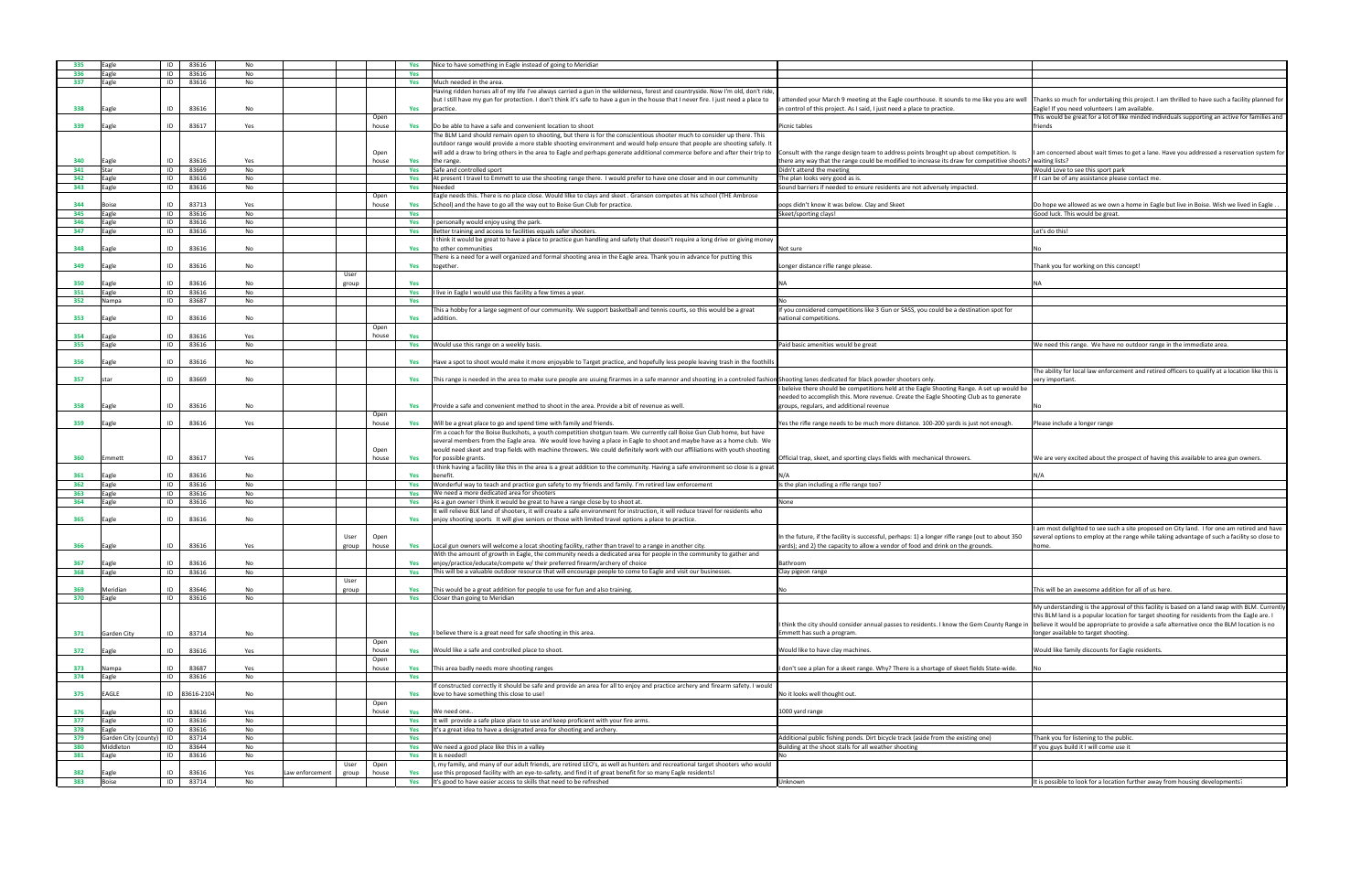| you are well                   | Thanks so much for undertaking this project. I am thrilled to have such a facility planned for                                                                                                                                   |
|--------------------------------|----------------------------------------------------------------------------------------------------------------------------------------------------------------------------------------------------------------------------------|
|                                | Eagle! If you need volunteers I am available.<br>This would be great for a lot of like minded individuals supporting an active for families and<br>friends                                                                       |
|                                |                                                                                                                                                                                                                                  |
| etition. Is<br>etitive shoots? | I am concerned about wait times to get a lane. Have you addressed a reservation system for<br>waiting lists?                                                                                                                     |
|                                | Would Love to see this sport park<br>If I can be of any assistance please contact me.                                                                                                                                            |
|                                |                                                                                                                                                                                                                                  |
|                                | Do hope we allowed as we own a home in Eagle but live in Boise. Wish we lived in Eagle<br>Good luck. This would be great.                                                                                                        |
|                                |                                                                                                                                                                                                                                  |
|                                | Let's do this!                                                                                                                                                                                                                   |
|                                | No                                                                                                                                                                                                                               |
|                                | Thank you for working on this concept!                                                                                                                                                                                           |
|                                | ΝA                                                                                                                                                                                                                               |
|                                |                                                                                                                                                                                                                                  |
| spot for                       |                                                                                                                                                                                                                                  |
|                                |                                                                                                                                                                                                                                  |
|                                | We need this range. We have no outdoor range in the immediate area.                                                                                                                                                              |
|                                |                                                                                                                                                                                                                                  |
|                                | The ability for local law enforcement and retired officers to qualify at a location like this is                                                                                                                                 |
| up would be                    | very important.                                                                                                                                                                                                                  |
| o generate                     | No                                                                                                                                                                                                                               |
| enough.                        | Please include a longer range                                                                                                                                                                                                    |
|                                |                                                                                                                                                                                                                                  |
|                                | We are very excited about the prospect of having this available to area gun owners.                                                                                                                                              |
|                                | N/A                                                                                                                                                                                                                              |
|                                |                                                                                                                                                                                                                                  |
|                                |                                                                                                                                                                                                                                  |
|                                |                                                                                                                                                                                                                                  |
|                                |                                                                                                                                                                                                                                  |
| about 350                      | I am most delighted to see such a site proposed on City land. I for one am retired and have<br>several options to employ at the range while taking advantage of such a facility so close to<br>home.                             |
|                                |                                                                                                                                                                                                                                  |
|                                |                                                                                                                                                                                                                                  |
|                                | This will be an awesome addition for all of us here.                                                                                                                                                                             |
|                                | My understanding is the approval of this facility is based on a land swap with BLM. Currently                                                                                                                                    |
| unty Range in                  | this BLM land is a popular location for target shooting for residents from the Eagle are. I<br>believe it would be appropriate to provide a safe alternative once the BLM location is no<br>longer available to target shooting. |
|                                | Would like family discounts for Eagle residents.                                                                                                                                                                                 |
| ate-wide.                      | No                                                                                                                                                                                                                               |
|                                |                                                                                                                                                                                                                                  |
|                                |                                                                                                                                                                                                                                  |
|                                |                                                                                                                                                                                                                                  |
|                                |                                                                                                                                                                                                                                  |
|                                | Thank you for listening to the public.                                                                                                                                                                                           |
|                                | If you guys build it I will come use it                                                                                                                                                                                          |
|                                |                                                                                                                                                                                                                                  |
|                                |                                                                                                                                                                                                                                  |
|                                | It is possible to look for a location further away from housing developments?                                                                                                                                                    |

| 335        |                       |          |                |           |                         |       |            |                                                                                                                                                                                        |                                                                                                                                                                                       |                                                                                                                                                                                                                                                                                        |
|------------|-----------------------|----------|----------------|-----------|-------------------------|-------|------------|----------------------------------------------------------------------------------------------------------------------------------------------------------------------------------------|---------------------------------------------------------------------------------------------------------------------------------------------------------------------------------------|----------------------------------------------------------------------------------------------------------------------------------------------------------------------------------------------------------------------------------------------------------------------------------------|
|            | Eagle                 | ID       | 83616          | No        |                         |       | Yes        | Nice to have something in Eagle instead of going to Meridian                                                                                                                           |                                                                                                                                                                                       |                                                                                                                                                                                                                                                                                        |
| 336        | Eagle                 | ID       | 83616          | No        |                         |       | Yes        |                                                                                                                                                                                        |                                                                                                                                                                                       |                                                                                                                                                                                                                                                                                        |
| 337        | Eagle                 | ID       | 83616          | No        |                         |       | Yes        | Much needed in the area.                                                                                                                                                               |                                                                                                                                                                                       |                                                                                                                                                                                                                                                                                        |
|            |                       |          |                |           |                         |       |            | Having ridden horses all of my life I've always carried a gun in the wilderness, forest and countryside. Now I'm old, don't ride                                                       |                                                                                                                                                                                       |                                                                                                                                                                                                                                                                                        |
|            |                       |          |                |           |                         |       |            |                                                                                                                                                                                        |                                                                                                                                                                                       |                                                                                                                                                                                                                                                                                        |
|            |                       |          |                |           |                         |       |            | but I still have my gun for protection. I don't think it's safe to have a gun in the house that I never fire. I just need a place to                                                   | attended your March 9 meeting at the Eagle courthouse. It sounds to me like you are well Inanks so much for undertaking this project. I am thrilled to have such a facility planned f |                                                                                                                                                                                                                                                                                        |
| 338        | Eagle                 | ID       | 83616          | No        |                         |       | Yes        | practice.                                                                                                                                                                              | I control of this project. As I said, I just need a place to practice.                                                                                                                | Eagle! If you need volunteers I am available.                                                                                                                                                                                                                                          |
|            |                       |          |                |           |                         | Open  |            |                                                                                                                                                                                        |                                                                                                                                                                                       | This would be great for a lot of like minded individuals supporting an active for families ar                                                                                                                                                                                          |
| 339        | agle                  | ID       | 83617          | Yes       |                         | house | Yes        | Do be able to have a safe and convenient location to shoot                                                                                                                             | icnic tables                                                                                                                                                                          | friends                                                                                                                                                                                                                                                                                |
|            |                       |          |                |           |                         |       |            | The BLM Land should remain open to shooting, but there is for the conscientious shooter much to consider up there. This                                                                |                                                                                                                                                                                       |                                                                                                                                                                                                                                                                                        |
|            |                       |          |                |           |                         |       |            |                                                                                                                                                                                        |                                                                                                                                                                                       |                                                                                                                                                                                                                                                                                        |
|            |                       |          |                |           |                         |       |            | outdoor range would provide a more stable shooting environment and would help ensure that people are shooting safely. It                                                               |                                                                                                                                                                                       |                                                                                                                                                                                                                                                                                        |
|            |                       |          |                |           |                         | Open  |            | will add a draw to bring others in the area to Eagle and perhaps generate additional commerce before and after their trip to                                                           | Consult with the range design team to address points brought up about competition. Is                                                                                                 | I am concerned about wait times to get a lane. Have you addressed a reservation system I                                                                                                                                                                                               |
| 340        | Eagle                 | ID       | 83616          | Yes       |                         | house | Yes        | the range.                                                                                                                                                                             | here any way that the range could be modified to increase its draw for competitive shoots? waiting lists?                                                                             |                                                                                                                                                                                                                                                                                        |
| 341        | Star                  | ID       | 83669          | No        |                         |       | Yes        | Safe and controlled sport                                                                                                                                                              | Didn't attend the meeting                                                                                                                                                             | Would Love to see this sport park                                                                                                                                                                                                                                                      |
| 342        |                       | ID       | 83616          | No        |                         |       |            | At present I travel to Emmett to use the shooting range there. I would prefer to have one closer and in our community                                                                  | The plan looks very good as is.                                                                                                                                                       | If I can be of any assistance please contact me.                                                                                                                                                                                                                                       |
|            | Eagle                 |          |                |           |                         |       | Yes        |                                                                                                                                                                                        |                                                                                                                                                                                       |                                                                                                                                                                                                                                                                                        |
| 343        | agle                  | ID       | 83616          | No        |                         |       | Yes        | Needed                                                                                                                                                                                 | Sound barriers if needed to ensure residents are not adversely impacted.                                                                                                              |                                                                                                                                                                                                                                                                                        |
|            |                       |          |                |           |                         | Open  |            | Eagle needs this. There is no place close. Would lilke to clays and skeet. Granson competes at his school (THE Ambrose                                                                 |                                                                                                                                                                                       |                                                                                                                                                                                                                                                                                        |
| 344        |                       | ID       | 83713          | Yes       |                         | house | Yes        | School) and the have to go all the way out to Boise Gun Club for practice.                                                                                                             | ops didn't know it was below. Clay and Skeet                                                                                                                                          | Do hope we allowed as we own a home in Eagle but live in Boise. Wish we lived in Eagle.                                                                                                                                                                                                |
| 345        | Eagle                 | ID       | 83616          | No        |                         |       | Yes        |                                                                                                                                                                                        | Skeet/sporting clays!                                                                                                                                                                 | Good luck. This would be great.                                                                                                                                                                                                                                                        |
|            |                       | ID       |                |           |                         |       |            |                                                                                                                                                                                        |                                                                                                                                                                                       |                                                                                                                                                                                                                                                                                        |
| 346        | Eagle                 |          | 83616          | No        |                         |       | Yes        | I personally would enjoy using the park.                                                                                                                                               |                                                                                                                                                                                       |                                                                                                                                                                                                                                                                                        |
| 347        | Eagle                 | ID       | 83616          | No        |                         |       | Yes        | Better training and access to facilities equals safer shooters.                                                                                                                        |                                                                                                                                                                                       | Let's do this!                                                                                                                                                                                                                                                                         |
|            |                       |          |                |           |                         |       |            | think it would be great to have a place to practice gun handling and safety that doesn't require a long drive or giving money                                                          |                                                                                                                                                                                       |                                                                                                                                                                                                                                                                                        |
| 348        | agle                  | ID       | 83616          | No        |                         |       | Yes        | to other communities                                                                                                                                                                   | Not sure                                                                                                                                                                              |                                                                                                                                                                                                                                                                                        |
|            |                       |          |                |           |                         |       |            | There is a need for a well organized and formal shooting area in the Eagle area. Thank you in advance for putting this                                                                 |                                                                                                                                                                                       |                                                                                                                                                                                                                                                                                        |
|            |                       |          |                |           |                         |       |            |                                                                                                                                                                                        |                                                                                                                                                                                       |                                                                                                                                                                                                                                                                                        |
| 349        | agle                  | ID       | 83616          | No        |                         |       | Yes        | ogether:                                                                                                                                                                               | onger distance rifle range please                                                                                                                                                     | Thank you for working on this concept!                                                                                                                                                                                                                                                 |
|            |                       |          |                |           | User                    |       |            |                                                                                                                                                                                        |                                                                                                                                                                                       |                                                                                                                                                                                                                                                                                        |
| 350        | Eagle                 | ID       | 83616          | No        | group                   |       | Yes        |                                                                                                                                                                                        |                                                                                                                                                                                       |                                                                                                                                                                                                                                                                                        |
| 351        | agle                  | ID       | 83616          | No        |                         |       | Yes        | I live in Eagle I would use this facility a few times a year.                                                                                                                          |                                                                                                                                                                                       |                                                                                                                                                                                                                                                                                        |
|            |                       |          |                |           |                         |       |            |                                                                                                                                                                                        |                                                                                                                                                                                       |                                                                                                                                                                                                                                                                                        |
| 352        | Nampa                 | ID       | 83687          | No        |                         |       | Yes        |                                                                                                                                                                                        |                                                                                                                                                                                       |                                                                                                                                                                                                                                                                                        |
|            |                       |          |                |           |                         |       |            | This a hobby for a large segment of our community. We support basketball and tennis courts, so this would be a great                                                                   | f you considered competitions like 3 Gun or SASS, you could be a destination spot for                                                                                                 |                                                                                                                                                                                                                                                                                        |
| 353        | agle                  | ID       | 83616          | No        |                         |       | Yes        | addition.                                                                                                                                                                              | national competitions.                                                                                                                                                                |                                                                                                                                                                                                                                                                                        |
|            |                       |          |                |           |                         | Open  |            |                                                                                                                                                                                        |                                                                                                                                                                                       |                                                                                                                                                                                                                                                                                        |
| 354        | agle                  | ID       | 83616          | Yes       |                         | house | Yes        |                                                                                                                                                                                        |                                                                                                                                                                                       |                                                                                                                                                                                                                                                                                        |
|            |                       |          |                |           |                         |       |            |                                                                                                                                                                                        |                                                                                                                                                                                       |                                                                                                                                                                                                                                                                                        |
| 355        | Eagle                 | ID       | 83616          | No        |                         |       | Yes        | Would use this range on a weekly basis.                                                                                                                                                | Paid basic amenities would be great                                                                                                                                                   | We need this range. We have no outdoor range in the immediate area.                                                                                                                                                                                                                    |
|            |                       |          |                |           |                         |       |            |                                                                                                                                                                                        |                                                                                                                                                                                       |                                                                                                                                                                                                                                                                                        |
| 356        | agle                  | ID       | 83616          | No        |                         |       | Yes        | Have a spot to shoot would make it more enjoyable to Target practice, and hopefully less people leaving trash in the foothills                                                         |                                                                                                                                                                                       |                                                                                                                                                                                                                                                                                        |
|            |                       |          |                |           |                         |       |            |                                                                                                                                                                                        |                                                                                                                                                                                       | The ability for local law enforcement and retired officers to qualify at a location like this is                                                                                                                                                                                       |
|            |                       |          |                |           |                         |       |            |                                                                                                                                                                                        |                                                                                                                                                                                       |                                                                                                                                                                                                                                                                                        |
| 357        |                       | ID       | 83669          | No        |                         |       | Yes        | This range is needed in the area to make sure people are usuing firarmes in a safe mannor and shooting in a controled fashion Shooting lanes dedicated for black powder shooters only. |                                                                                                                                                                                       | very important.                                                                                                                                                                                                                                                                        |
|            |                       |          |                |           |                         |       |            |                                                                                                                                                                                        | beleive there should be competitions held at the Eagle Shooting Range. A set up would be                                                                                              |                                                                                                                                                                                                                                                                                        |
|            |                       |          |                |           |                         |       |            |                                                                                                                                                                                        | needed to accomplish this. More revenue. Create the Eagle Shooting Club as to generate                                                                                                |                                                                                                                                                                                                                                                                                        |
| 358        | Eagle                 | ID       | 83616          | No        |                         |       | Yes        | Provide a safe and convenient method to shoot in the area. Provide a bit of revenue as well.                                                                                           | roups, regulars, and additional revenue                                                                                                                                               |                                                                                                                                                                                                                                                                                        |
|            |                       |          |                |           |                         |       |            |                                                                                                                                                                                        |                                                                                                                                                                                       |                                                                                                                                                                                                                                                                                        |
|            |                       |          |                |           |                         | Open  |            |                                                                                                                                                                                        |                                                                                                                                                                                       |                                                                                                                                                                                                                                                                                        |
| 359        | agle                  | ID       | 83616          | Yes       |                         | house | Yes        | Will be a great place to go and spend time with family and friends.                                                                                                                    | es the rifle range needs to be much more distance. 100-200 yards is just not enough.                                                                                                  | Please include a longer range                                                                                                                                                                                                                                                          |
|            |                       |          |                |           |                         |       |            | "m a coach for the Boise Buckshots, a youth competition shotgun team. We currently call Boise Gun Club home, but have                                                                  |                                                                                                                                                                                       |                                                                                                                                                                                                                                                                                        |
|            |                       |          |                |           |                         |       |            | several members from the Eagle area. We would love having a place in Eagle to shoot and maybe have as a home club. We                                                                  |                                                                                                                                                                                       |                                                                                                                                                                                                                                                                                        |
|            |                       |          |                |           |                         | Open  |            | would need skeet and trap fields with machine throwers. We could definitely work with our affiliations with youth shooting                                                             |                                                                                                                                                                                       |                                                                                                                                                                                                                                                                                        |
| 360        |                       |          | 83617          |           |                         |       |            |                                                                                                                                                                                        |                                                                                                                                                                                       |                                                                                                                                                                                                                                                                                        |
|            | Emmett                | ID       |                | Yes       |                         | house | Yes        | for possible grants.                                                                                                                                                                   | Official trap, skeet, and sporting clays fields with mechanical throwers.                                                                                                             | We are very excited about the prospect of having this available to area gun owners.                                                                                                                                                                                                    |
|            |                       |          |                |           |                         |       |            | think having a facility like this in the area is a great addition to the community. Having a safe environment so close is a great                                                      |                                                                                                                                                                                       |                                                                                                                                                                                                                                                                                        |
| 361        | Eagle                 |          | 83616          | No        |                         |       | Yes        | benefit                                                                                                                                                                                |                                                                                                                                                                                       | N/A                                                                                                                                                                                                                                                                                    |
| 362        | Eagle                 | ID       |                | No        |                         |       | Yes        | Wonderful way to teach and practice gun safety to my friends and family. I'm retired law enforcement                                                                                   | s the plan including a rifle range too?                                                                                                                                               |                                                                                                                                                                                                                                                                                        |
|            | Eagle                 |          |                |           |                         |       |            |                                                                                                                                                                                        |                                                                                                                                                                                       |                                                                                                                                                                                                                                                                                        |
|            |                       | ID       | 83616          |           |                         |       |            |                                                                                                                                                                                        |                                                                                                                                                                                       |                                                                                                                                                                                                                                                                                        |
| 363        |                       | ID       | 83616          | No        |                         |       | Yes        | We need a more dedicated area for shooters                                                                                                                                             |                                                                                                                                                                                       |                                                                                                                                                                                                                                                                                        |
| 364        | Eagle                 | ID       | 83616          | No        |                         |       | Yes        | As a gun owner I think it would be great to have a range close by to shoot at.                                                                                                         | None                                                                                                                                                                                  |                                                                                                                                                                                                                                                                                        |
|            |                       |          |                |           |                         |       |            | t will relieve BLK land of shooters, it will create a safe environment for instruction, it will reduce travel for residents who                                                        |                                                                                                                                                                                       |                                                                                                                                                                                                                                                                                        |
|            |                       |          |                |           |                         |       |            |                                                                                                                                                                                        |                                                                                                                                                                                       |                                                                                                                                                                                                                                                                                        |
| 365        | Eagle                 | ID       | 83616          | No        |                         |       | Yes        | enjoy shooting sports It will give seniors or those with limited travel options a place to practice.                                                                                   |                                                                                                                                                                                       |                                                                                                                                                                                                                                                                                        |
|            |                       |          |                |           |                         |       |            |                                                                                                                                                                                        |                                                                                                                                                                                       |                                                                                                                                                                                                                                                                                        |
|            |                       |          |                |           | User                    | Open  |            |                                                                                                                                                                                        | In the future, if the facility is successful, perhaps: 1) a longer rifle range (out to about 350                                                                                      |                                                                                                                                                                                                                                                                                        |
| 366        | Eagle                 | ID       | 83616          | Yes       | group                   | house | Yes        | Local gun owners will welcome a locat shooting facility, rather than travel to a range in another city.                                                                                | ards); and 2) the capacity to allow a vendor of food and drink on the grounds.                                                                                                        | home.                                                                                                                                                                                                                                                                                  |
|            |                       |          |                |           |                         |       |            | With the amount of growth in Eagle, the community needs a dedicated area for people in the community to gather and                                                                     |                                                                                                                                                                                       |                                                                                                                                                                                                                                                                                        |
| 367        |                       |          |                |           |                         |       | Yes        |                                                                                                                                                                                        | Bathroom                                                                                                                                                                              |                                                                                                                                                                                                                                                                                        |
|            | Eagle                 | ID       | 83616          | No        |                         |       |            | enjoy/practice/educate/compete w/ their preferred firearm/archery of choice                                                                                                            |                                                                                                                                                                                       |                                                                                                                                                                                                                                                                                        |
| 368        | Eagle                 | ID       | 83616          | No        |                         |       | Yes        | This will be a valuable outdoor resource that will encourage people to come to Eagle and visit our businesses.                                                                         | lay pigeon range                                                                                                                                                                      |                                                                                                                                                                                                                                                                                        |
|            |                       |          |                |           | User                    |       |            |                                                                                                                                                                                        |                                                                                                                                                                                       |                                                                                                                                                                                                                                                                                        |
| 369        | Meridian              | ID       | 83646          | No        | group                   |       | Yes        | This would be a great addition for people to use for fun and also training.                                                                                                            |                                                                                                                                                                                       | This will be an awesome addition for all of us here.                                                                                                                                                                                                                                   |
| 370        | Eagle                 | ID       | 83616          | No        |                         |       | Yes        | Closer than going to Meridian                                                                                                                                                          |                                                                                                                                                                                       |                                                                                                                                                                                                                                                                                        |
|            |                       |          |                |           |                         |       |            |                                                                                                                                                                                        |                                                                                                                                                                                       |                                                                                                                                                                                                                                                                                        |
|            |                       |          |                |           |                         |       |            |                                                                                                                                                                                        |                                                                                                                                                                                       |                                                                                                                                                                                                                                                                                        |
|            |                       |          |                |           |                         |       |            |                                                                                                                                                                                        |                                                                                                                                                                                       | this BLM land is a popular location for target shooting for residents from the Eagle are. I                                                                                                                                                                                            |
|            |                       |          |                |           |                         |       |            |                                                                                                                                                                                        | think the city should consider annual passes to residents. I know the Gem County Range in believe it would be appropriate to provide a safe alternative once the BLM location is no   |                                                                                                                                                                                                                                                                                        |
| 371        | <b>Garden City</b>    | ID       | 83714          | No        |                         |       | Yes        | I believe there is a great need for safe shooting in this area.                                                                                                                        | mmett has such a program.                                                                                                                                                             | longer available to target shooting.                                                                                                                                                                                                                                                   |
|            |                       |          |                |           |                         |       |            |                                                                                                                                                                                        |                                                                                                                                                                                       |                                                                                                                                                                                                                                                                                        |
|            |                       |          |                |           |                         | Open  |            |                                                                                                                                                                                        |                                                                                                                                                                                       |                                                                                                                                                                                                                                                                                        |
| 372        | Eagle                 | ID       | 83616          | Yes       |                         | house | Yes        | Would like a safe and controlled place to shoot.                                                                                                                                       | Vould like to have clay machines.                                                                                                                                                     | Would like family discounts for Eagle residents.                                                                                                                                                                                                                                       |
|            |                       |          |                |           |                         | Open  |            |                                                                                                                                                                                        |                                                                                                                                                                                       |                                                                                                                                                                                                                                                                                        |
| 373        | Nampa                 | ID       | 83687          | Yes       |                         | house | Yes        | This area badly needs more shooting ranges                                                                                                                                             | don't see a plan for a skeet range. Why? There is a shortage of skeet fields State-wide.                                                                                              |                                                                                                                                                                                                                                                                                        |
| 374        | Eagle                 | ID       | 83616          | No        |                         |       | Yes        |                                                                                                                                                                                        |                                                                                                                                                                                       | am most delighted to see such a site proposed on City land. I for one am retired and have<br>everal options to employ at the range while taking advantage of such a facility so close to<br>My understanding is the approval of this facility is based on a land swap with BLM. Curren |
|            |                       |          |                |           |                         |       |            |                                                                                                                                                                                        |                                                                                                                                                                                       |                                                                                                                                                                                                                                                                                        |
|            |                       |          |                |           |                         |       |            | If constructed correctly it should be safe and provide an area for all to enjoy and practice archery and firearm safety. I would                                                       |                                                                                                                                                                                       |                                                                                                                                                                                                                                                                                        |
| 375        | EAGLE                 |          | ID 83616-2104  | No        |                         |       | Yes        | love to have something this close to use!                                                                                                                                              | No it looks well thought out.                                                                                                                                                         |                                                                                                                                                                                                                                                                                        |
|            |                       |          |                |           |                         | Open  |            |                                                                                                                                                                                        |                                                                                                                                                                                       |                                                                                                                                                                                                                                                                                        |
| 376        | Eagle                 | ID       | 83616          | Yes       |                         | house | Yes        | We need one                                                                                                                                                                            | 1000 yard range                                                                                                                                                                       |                                                                                                                                                                                                                                                                                        |
|            |                       | ID       |                | No        |                         |       |            |                                                                                                                                                                                        |                                                                                                                                                                                       |                                                                                                                                                                                                                                                                                        |
| 377        | Eagle                 |          | 83616          |           |                         |       | Yes        | It will provide a safe place place to use and keep proficient with your fire arms.                                                                                                     |                                                                                                                                                                                       |                                                                                                                                                                                                                                                                                        |
| 378        | Eagle                 |          | 83616          | No        |                         |       | Yes        | It's a great idea to have a designated area for shooting and archery.                                                                                                                  |                                                                                                                                                                                       |                                                                                                                                                                                                                                                                                        |
| 379        | Garden City (county)  | ID       | 83714          | No        |                         |       | Yes        |                                                                                                                                                                                        | Additional public fishing ponds. Dirt bicycle track (aside from the existing one)                                                                                                     | Thank you for listening to the public.                                                                                                                                                                                                                                                 |
| 380        | Middleton             | ID       | 83644          | No        |                         |       | Yes        | We need a good place like this in a valley                                                                                                                                             | Building at the shoot stalls for all weather shooting                                                                                                                                 | you guys build it I will come use it                                                                                                                                                                                                                                                   |
| 381        | Eagle                 | ID       | 83616          | No        |                         |       | Yes        | It is needed!                                                                                                                                                                          |                                                                                                                                                                                       |                                                                                                                                                                                                                                                                                        |
|            |                       |          |                |           |                         |       |            |                                                                                                                                                                                        |                                                                                                                                                                                       |                                                                                                                                                                                                                                                                                        |
|            |                       |          |                |           | User                    | Open  |            | , my family, and many of our adult friends, are retired LEO's, as well as hunters and recreational target shooters who would                                                           |                                                                                                                                                                                       |                                                                                                                                                                                                                                                                                        |
| 382<br>383 | Eagle<br><b>Boise</b> | ID<br>ID | 83616<br>83714 | Yes<br>No | aw enforcement<br>group | house | Yes<br>Yes | use this proposed facility with an eye-to-safety, and find it of great benefit for so many Eagle residents!<br>It's good to have easier access to skills that need to be refreshed     | Unknown                                                                                                                                                                               | It is possible to look for a location further away from housing developments?                                                                                                                                                                                                          |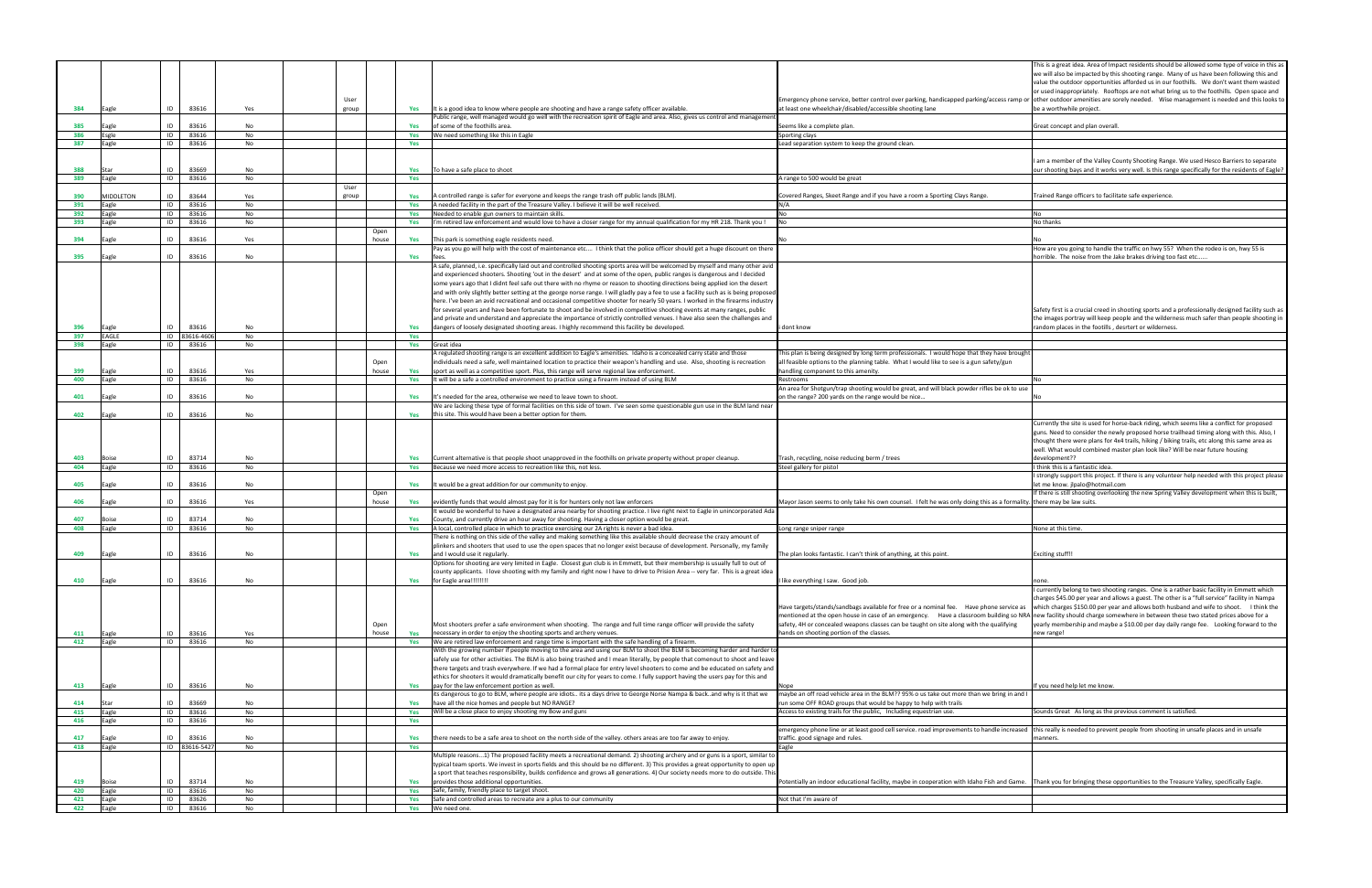|                                                                                                                                                                                                                                                                                                                           | This is a great idea. Area of Impact residents should be allowed some type of voice in this as<br>we will also be impacted by this shooting range. Many of us have been following this and<br>value the outdoor opportunities afforded us in our foothills. We don't want them wasted                                                                                                    |
|---------------------------------------------------------------------------------------------------------------------------------------------------------------------------------------------------------------------------------------------------------------------------------------------------------------------------|------------------------------------------------------------------------------------------------------------------------------------------------------------------------------------------------------------------------------------------------------------------------------------------------------------------------------------------------------------------------------------------|
| Emergency phone service, better control over parking, handicapped parking/access ramp or<br>at least one wheelchair/disabled/accessible shooting lane                                                                                                                                                                     | or used inappropriately. Rooftops are not what bring us to the foothills. Open space and<br>other outdoor amenities are sorely needed.  Wise management is needed and this looks to<br>be a worthwhile project.                                                                                                                                                                          |
| Seems like a complete plan.                                                                                                                                                                                                                                                                                               | Great concept and plan overall.                                                                                                                                                                                                                                                                                                                                                          |
| Sporting clays                                                                                                                                                                                                                                                                                                            |                                                                                                                                                                                                                                                                                                                                                                                          |
| Lead separation system to keep the ground clean.                                                                                                                                                                                                                                                                          |                                                                                                                                                                                                                                                                                                                                                                                          |
|                                                                                                                                                                                                                                                                                                                           | am a member of the Valley County Shooting Range. We used Hesco Barriers to separate<br>our shooting bays and it works very well. Is this range specifically for the residents of Eagle?                                                                                                                                                                                                  |
| A range to 500 would be great                                                                                                                                                                                                                                                                                             |                                                                                                                                                                                                                                                                                                                                                                                          |
| Covered Ranges, Skeet Range and if you have a room a Sporting Clays Range.<br>N/A                                                                                                                                                                                                                                         | Trained Range officers to facilitate safe experience.                                                                                                                                                                                                                                                                                                                                    |
| No                                                                                                                                                                                                                                                                                                                        | No                                                                                                                                                                                                                                                                                                                                                                                       |
| No                                                                                                                                                                                                                                                                                                                        | No thanks                                                                                                                                                                                                                                                                                                                                                                                |
| No                                                                                                                                                                                                                                                                                                                        | No                                                                                                                                                                                                                                                                                                                                                                                       |
|                                                                                                                                                                                                                                                                                                                           | How are you going to handle the traffic on hwy 55? When the rodeo is on, hwy 55 is<br>horrible. The noise from the Jake brakes driving too fast etc                                                                                                                                                                                                                                      |
| i dont know                                                                                                                                                                                                                                                                                                               | Safety first is a crucial creed in shooting sports and a professionally designed facility such as<br>the images portray will keep people and the wilderness much safer than people shooting in<br>random places in the footills, desrtert or wilderness.                                                                                                                                 |
|                                                                                                                                                                                                                                                                                                                           |                                                                                                                                                                                                                                                                                                                                                                                          |
| This plan is being designed by long term professionals. I would hope that they have brought<br>all feasible options to the planning table. What I would like to see is a gun safety/gun<br>handling component to this amenity.                                                                                            |                                                                                                                                                                                                                                                                                                                                                                                          |
| Restrooms                                                                                                                                                                                                                                                                                                                 | No                                                                                                                                                                                                                                                                                                                                                                                       |
| An area for Shotgun/trap shooting would be great, and will black powder rifles be ok to use<br>on the range? 200 yards on the range would be nice                                                                                                                                                                         | No                                                                                                                                                                                                                                                                                                                                                                                       |
|                                                                                                                                                                                                                                                                                                                           |                                                                                                                                                                                                                                                                                                                                                                                          |
|                                                                                                                                                                                                                                                                                                                           |                                                                                                                                                                                                                                                                                                                                                                                          |
| Trash, recycling, noise reducing berm / trees                                                                                                                                                                                                                                                                             | Currently the site is used for horse-back riding, which seems like a conflict for proposed<br>guns. Need to consider the newly proposed horse trailhead timing along with this. Also, I<br>thought there were plans for 4x4 trails, hiking / biking trails, etc along this same area as<br>well. What would combined master plan look like? Will be near future housing<br>development?? |
| Steel gallery for pistol                                                                                                                                                                                                                                                                                                  | think this is a fantastic idea.                                                                                                                                                                                                                                                                                                                                                          |
|                                                                                                                                                                                                                                                                                                                           | I strongly support this project. If there is any volunteer help needed with this project please<br>let me know. jlpalo@hotmail.com<br>If there is still shooting overlooking the new Spring Valley development when this is built,                                                                                                                                                       |
| Mayor Jason seems to only take his own counsel. I felt he was only doing this as a formality                                                                                                                                                                                                                              | there may be law suits.                                                                                                                                                                                                                                                                                                                                                                  |
|                                                                                                                                                                                                                                                                                                                           |                                                                                                                                                                                                                                                                                                                                                                                          |
| Long range sniper range                                                                                                                                                                                                                                                                                                   | None at this time.                                                                                                                                                                                                                                                                                                                                                                       |
| The plan looks fantastic. I can't think of anything, at this point.                                                                                                                                                                                                                                                       | <b>Exciting stuff!!</b>                                                                                                                                                                                                                                                                                                                                                                  |
|                                                                                                                                                                                                                                                                                                                           |                                                                                                                                                                                                                                                                                                                                                                                          |
| I like everything I saw. Good job.                                                                                                                                                                                                                                                                                        | none.<br>I currently belong to two shooting ranges. One is a rather basic facility in Emmett which                                                                                                                                                                                                                                                                                       |
| Have targets/stands/sandbags available for free or a nominal fee.  Have phone service as<br>mentioned at the open house in case of an emergency. Have a classroom building so NRA<br>safety, 4H or concealed weapons classes can be taught on site along with the qualifying<br>hands on shooting portion of the classes. | charges \$45.00 per year and allows a guest. The other is a "full service" facility in Nampa<br>which charges \$150.00 per year and allows both husband and wife to shoot. I think the<br>new facility should charge somewhere in between these two stated prices above for a<br>yearly membership and maybe a \$10.00 per day daily range fee. Looking forward to the<br>new range!     |
|                                                                                                                                                                                                                                                                                                                           |                                                                                                                                                                                                                                                                                                                                                                                          |
| Nope<br>maybe an off road vehicle area in the BLM?? 95% o us take out more than we bring in and I                                                                                                                                                                                                                         | If you need help let me know.                                                                                                                                                                                                                                                                                                                                                            |
| run some OFF ROAD groups that would be happy to help with trails<br>Access to existing trails for the public, Including equestrian use.                                                                                                                                                                                   | Sounds Great As long as the previous comment is satisfied.                                                                                                                                                                                                                                                                                                                               |
|                                                                                                                                                                                                                                                                                                                           |                                                                                                                                                                                                                                                                                                                                                                                          |
| emergency phone line or at least good cell service. road improvements to handle increased<br>traffic. good signage and rules.                                                                                                                                                                                             | this really is needed to prevent people from shooting in unsafe places and in unsafe<br>manners.                                                                                                                                                                                                                                                                                         |
| Eagle                                                                                                                                                                                                                                                                                                                     |                                                                                                                                                                                                                                                                                                                                                                                          |
| Potentially an indoor educational facility, maybe in cooperation with Idaho Fish and Game.                                                                                                                                                                                                                                | Thank you for bringing these opportunities to the Treasure Valley, specifically Eagle.                                                                                                                                                                                                                                                                                                   |
|                                                                                                                                                                                                                                                                                                                           |                                                                                                                                                                                                                                                                                                                                                                                          |
| Not that I'm aware of                                                                                                                                                                                                                                                                                                     |                                                                                                                                                                                                                                                                                                                                                                                          |
|                                                                                                                                                                                                                                                                                                                           |                                                                                                                                                                                                                                                                                                                                                                                          |

|            |                  |                              |          |               |            |                                                                                                                                                                                                                                                                                                                                                                                                                                                                                                                                                                                                                                                                                                                                                                                                                                                                                                                               |                                                                                                                                                                                                                                                                                                                                                                 | This is a great idea. Area of Impact residents should be allowed some type of voice in this a<br>we will also be impacted by this shooting range. Many of us have been following this and<br>value the outdoor opportunities afforded us in our foothills. We don't want them wasted<br>or used inappropriately. Rooftops are not what bring us to the foothills. Open space and         |
|------------|------------------|------------------------------|----------|---------------|------------|-------------------------------------------------------------------------------------------------------------------------------------------------------------------------------------------------------------------------------------------------------------------------------------------------------------------------------------------------------------------------------------------------------------------------------------------------------------------------------------------------------------------------------------------------------------------------------------------------------------------------------------------------------------------------------------------------------------------------------------------------------------------------------------------------------------------------------------------------------------------------------------------------------------------------------|-----------------------------------------------------------------------------------------------------------------------------------------------------------------------------------------------------------------------------------------------------------------------------------------------------------------------------------------------------------------|------------------------------------------------------------------------------------------------------------------------------------------------------------------------------------------------------------------------------------------------------------------------------------------------------------------------------------------------------------------------------------------|
| 384        | Eagle            | 83616<br>ID                  | Yes      | User<br>group |            | Yes It is a good idea to know where people are shooting and have a range safety officer available.                                                                                                                                                                                                                                                                                                                                                                                                                                                                                                                                                                                                                                                                                                                                                                                                                            | Emergency phone service, better control over parking, handicapped parking/access ramp or other outdoor amenities are sorely needed. Wise management is needed and this looks t<br>at least one wheelchair/disabled/accessible shooting lane                                                                                                                     | be a worthwhile project                                                                                                                                                                                                                                                                                                                                                                  |
|            |                  |                              |          |               |            | Public range, well managed would go well with the recreation spirit of Eagle and area. Also, gives us control and managemen                                                                                                                                                                                                                                                                                                                                                                                                                                                                                                                                                                                                                                                                                                                                                                                                   |                                                                                                                                                                                                                                                                                                                                                                 |                                                                                                                                                                                                                                                                                                                                                                                          |
| 385<br>386 | Eagle            | ID<br>83616<br>ID<br>83616   | No<br>No |               | Yes        | of some of the foothills area.<br>We need something like this in Eagle                                                                                                                                                                                                                                                                                                                                                                                                                                                                                                                                                                                                                                                                                                                                                                                                                                                        | Seems like a complete plan.<br>Sporting clays                                                                                                                                                                                                                                                                                                                   | Great concept and plan overall.                                                                                                                                                                                                                                                                                                                                                          |
| 387        | Esgle<br>Eagle   | ID<br>83616                  | No       |               | Yes<br>Yes |                                                                                                                                                                                                                                                                                                                                                                                                                                                                                                                                                                                                                                                                                                                                                                                                                                                                                                                               | Lead separation system to keep the ground clean.                                                                                                                                                                                                                                                                                                                |                                                                                                                                                                                                                                                                                                                                                                                          |
|            |                  |                              |          |               |            |                                                                                                                                                                                                                                                                                                                                                                                                                                                                                                                                                                                                                                                                                                                                                                                                                                                                                                                               |                                                                                                                                                                                                                                                                                                                                                                 |                                                                                                                                                                                                                                                                                                                                                                                          |
|            |                  |                              |          |               |            |                                                                                                                                                                                                                                                                                                                                                                                                                                                                                                                                                                                                                                                                                                                                                                                                                                                                                                                               |                                                                                                                                                                                                                                                                                                                                                                 | am a member of the Valley County Shooting Range. We used Hesco Barriers to separate                                                                                                                                                                                                                                                                                                      |
| 388<br>389 | Eagle            | ID<br>83669<br>ID<br>83616   | No<br>No |               | Yes<br>Yes | To have a safe place to shoot                                                                                                                                                                                                                                                                                                                                                                                                                                                                                                                                                                                                                                                                                                                                                                                                                                                                                                 | range to 500 would be great                                                                                                                                                                                                                                                                                                                                     | our shooting bays and it works very well. Is this range specifically for the residents of Eagle'                                                                                                                                                                                                                                                                                         |
|            |                  |                              |          | User          |            |                                                                                                                                                                                                                                                                                                                                                                                                                                                                                                                                                                                                                                                                                                                                                                                                                                                                                                                               |                                                                                                                                                                                                                                                                                                                                                                 |                                                                                                                                                                                                                                                                                                                                                                                          |
| 390        | <b>MIDDLETON</b> | 83644<br>ID                  | Yes      | group         | Yes        | A controlled range is safer for everyone and keeps the range trash off public lands (BLM).                                                                                                                                                                                                                                                                                                                                                                                                                                                                                                                                                                                                                                                                                                                                                                                                                                    | Covered Ranges, Skeet Range and if you have a room a Sporting Clays Range.                                                                                                                                                                                                                                                                                      | Trained Range officers to facilitate safe experience.                                                                                                                                                                                                                                                                                                                                    |
| 391<br>392 | Eagle<br>Eagle   | ID<br>83616<br>ID<br>83616   | No<br>No |               | Yes<br>Yes | A needed facility in the part of the Treasure Valley. I believe it will be well received.<br>Needed to enable gun owners to maintain skills                                                                                                                                                                                                                                                                                                                                                                                                                                                                                                                                                                                                                                                                                                                                                                                   |                                                                                                                                                                                                                                                                                                                                                                 |                                                                                                                                                                                                                                                                                                                                                                                          |
| 393        | Eagle            | ID<br>83616                  | No       |               | Yes        | I'm retired law enforcement and would love to have a closer range for my annual qualification for my HR 218. Thank you !                                                                                                                                                                                                                                                                                                                                                                                                                                                                                                                                                                                                                                                                                                                                                                                                      |                                                                                                                                                                                                                                                                                                                                                                 | No thanks                                                                                                                                                                                                                                                                                                                                                                                |
|            |                  |                              |          | Open          |            |                                                                                                                                                                                                                                                                                                                                                                                                                                                                                                                                                                                                                                                                                                                                                                                                                                                                                                                               |                                                                                                                                                                                                                                                                                                                                                                 |                                                                                                                                                                                                                                                                                                                                                                                          |
| 394        | agle             | ID<br>83616                  | Yes      | house         | Yes        | This park is something eagle residents need.<br>Pay as you go will help with the cost of maintenance etc I think that the police officer should get a huge discount on there                                                                                                                                                                                                                                                                                                                                                                                                                                                                                                                                                                                                                                                                                                                                                  |                                                                                                                                                                                                                                                                                                                                                                 | How are you going to handle the traffic on hwy 55? When the rodeo is on, hwy 55 is                                                                                                                                                                                                                                                                                                       |
| 395        | Eagle            | ID<br>83616                  | No       |               | Yes        | fees.                                                                                                                                                                                                                                                                                                                                                                                                                                                                                                                                                                                                                                                                                                                                                                                                                                                                                                                         |                                                                                                                                                                                                                                                                                                                                                                 | horrible. The noise from the Jake brakes driving too fast etc                                                                                                                                                                                                                                                                                                                            |
|            |                  |                              |          |               |            | A safe, planned, i.e. specifically laid out and controlled shooting sports area will be welcomed by myself and many other avid<br>and experienced shooters. Shooting 'out in the desert' and at some of the open, public ranges is dangerous and I decided<br>some years ago that I didnt feel safe out there with no rhyme or reason to shooting directions being applied ion the desert<br>and with only slightly better setting at the george norse range. I will gladly pay a fee to use a facility such as is being propose<br>here. I've been an avid recreational and occasional competitive shooter for nearly 50 years. I worked in the firearms industry<br>for several years and have been fortunate to shoot and be involved in competitive shooting events at many ranges, public<br>and private and understand and appreciate the importance of strictly controlled venues. I have also seen the challenges and |                                                                                                                                                                                                                                                                                                                                                                 | Safety first is a crucial creed in shooting sports and a professionally designed facility such as<br>the images portray will keep people and the wilderness much safer than people shooting in                                                                                                                                                                                           |
| 396<br>397 | Eagle<br>EAGLE   | ID<br>83616<br>ID 83616-4606 | No<br>No |               | Yes<br>Yes | dangers of loosely designated shooting areas. I highly recommend this facility be developed.                                                                                                                                                                                                                                                                                                                                                                                                                                                                                                                                                                                                                                                                                                                                                                                                                                  | dont know                                                                                                                                                                                                                                                                                                                                                       | random places in the footills, desrtert or wilderness.                                                                                                                                                                                                                                                                                                                                   |
| 398        | Eagle            | ID<br>83616                  | No       |               | Yes        | Great idea                                                                                                                                                                                                                                                                                                                                                                                                                                                                                                                                                                                                                                                                                                                                                                                                                                                                                                                    |                                                                                                                                                                                                                                                                                                                                                                 |                                                                                                                                                                                                                                                                                                                                                                                          |
| 399        | Eagle            | 83616<br>ID                  | Yes      | Open<br>house | Yes        | A regulated shooting range is an excellent addition to Eagle's amenities. Idaho is a concealed carry state and those<br>individuals need a safe, well maintained location to practice their weapon's handling and use. Also, shooting is recreation<br>sport as well as a competitive sport. Plus, this range will serve regional law enforcement.                                                                                                                                                                                                                                                                                                                                                                                                                                                                                                                                                                            | his plan is being designed by long term professionals. I would hope that they have brough<br>all feasible options to the planning table. What I would like to see is a gun safety/gun<br>nandling component to this amenity.                                                                                                                                    |                                                                                                                                                                                                                                                                                                                                                                                          |
| 400        | Eagle            | ID<br>83616                  | No       |               | Yes        | It will be a safe a controlled environment to practice using a firearm instead of using BLM                                                                                                                                                                                                                                                                                                                                                                                                                                                                                                                                                                                                                                                                                                                                                                                                                                   | <i><b>lestrooms</b></i><br>An area for Shotgun/trap shooting would be great, and will black powder rifles be ok to use                                                                                                                                                                                                                                          |                                                                                                                                                                                                                                                                                                                                                                                          |
| 401        | Eagle            | 83616<br>ID                  | No       |               | Yes        | It's needed for the area, otherwise we need to leave town to shoot                                                                                                                                                                                                                                                                                                                                                                                                                                                                                                                                                                                                                                                                                                                                                                                                                                                            | n the range? 200 yards on the range would be nice                                                                                                                                                                                                                                                                                                               |                                                                                                                                                                                                                                                                                                                                                                                          |
|            |                  |                              |          |               |            | We are lacking these type of formal facilities on this side of town. I've seen some questionable gun use in the BLM land near                                                                                                                                                                                                                                                                                                                                                                                                                                                                                                                                                                                                                                                                                                                                                                                                 |                                                                                                                                                                                                                                                                                                                                                                 |                                                                                                                                                                                                                                                                                                                                                                                          |
| 402        | Eagle            | ID<br>83616                  | No       |               | Yes        | this site. This would have been a better option for them.                                                                                                                                                                                                                                                                                                                                                                                                                                                                                                                                                                                                                                                                                                                                                                                                                                                                     |                                                                                                                                                                                                                                                                                                                                                                 |                                                                                                                                                                                                                                                                                                                                                                                          |
| 403        | Boise            | 83714<br>ID                  | No       |               | Yes        | Current alternative is that people shoot unapproved in the foothills on private property without proper cleanup.                                                                                                                                                                                                                                                                                                                                                                                                                                                                                                                                                                                                                                                                                                                                                                                                              | Trash, recycling, noise reducing berm / trees                                                                                                                                                                                                                                                                                                                   | Currently the site is used for horse-back riding, which seems like a conflict for proposed<br>guns. Need to consider the newly proposed horse trailhead timing along with this. Also, I<br>thought there were plans for 4x4 trails, hiking / biking trails, etc along this same area as<br>well. What would combined master plan look like? Will be near future housing<br>development?? |
| 404        | Eagle            | ID<br>83616                  | No       |               | Yes        | Because we need more access to recreation like this, not less.                                                                                                                                                                                                                                                                                                                                                                                                                                                                                                                                                                                                                                                                                                                                                                                                                                                                | Steel gallery for pistol                                                                                                                                                                                                                                                                                                                                        | think this is a fantastic idea.                                                                                                                                                                                                                                                                                                                                                          |
|            |                  |                              |          |               |            |                                                                                                                                                                                                                                                                                                                                                                                                                                                                                                                                                                                                                                                                                                                                                                                                                                                                                                                               |                                                                                                                                                                                                                                                                                                                                                                 | I strongly support this project. If there is any volunteer help needed with this project please                                                                                                                                                                                                                                                                                          |
| 405        | Eagle            | 83616<br>ID                  | No       | Open          | Yes        | It would be a great addition for our community to enjoy.                                                                                                                                                                                                                                                                                                                                                                                                                                                                                                                                                                                                                                                                                                                                                                                                                                                                      |                                                                                                                                                                                                                                                                                                                                                                 | et me know. jlpalo@hotmail.com<br>If there is still shooting overlooking the new Spring Valley development when this is built,                                                                                                                                                                                                                                                           |
| 406        | Eagle            | ID<br>83616                  | Yes      | house         | Yes        | evidently funds that would almost pay for it is for hunters only not law enforcers                                                                                                                                                                                                                                                                                                                                                                                                                                                                                                                                                                                                                                                                                                                                                                                                                                            | Mayor Jason seems to only take his own counsel. I felt he was only doing this as a formality. there may be law suits.                                                                                                                                                                                                                                           |                                                                                                                                                                                                                                                                                                                                                                                          |
|            |                  |                              |          |               |            | It would be wonderful to have a designated area nearby for shooting practice. I live right next to Eagle in unincorporated Ada                                                                                                                                                                                                                                                                                                                                                                                                                                                                                                                                                                                                                                                                                                                                                                                                |                                                                                                                                                                                                                                                                                                                                                                 |                                                                                                                                                                                                                                                                                                                                                                                          |
| 407<br>408 | Boise            | 83714<br>ID<br>ID<br>83616   | No       |               | Yes        | County, and currently drive an hour away for shooting. Having a closer option would be great.<br>A local, controlled place in which to practice exercising our 2A rights is never a bad idea.                                                                                                                                                                                                                                                                                                                                                                                                                                                                                                                                                                                                                                                                                                                                 | Long range sniper range                                                                                                                                                                                                                                                                                                                                         | None at this time.                                                                                                                                                                                                                                                                                                                                                                       |
|            | Eagle            |                              | No       |               | Yes        | There is nothing on this side of the valley and making something like this available should decrease the crazy amount of                                                                                                                                                                                                                                                                                                                                                                                                                                                                                                                                                                                                                                                                                                                                                                                                      |                                                                                                                                                                                                                                                                                                                                                                 |                                                                                                                                                                                                                                                                                                                                                                                          |
|            |                  |                              |          |               |            | plinkers and shooters that used to use the open spaces that no longer exist because of development. Personally, my family                                                                                                                                                                                                                                                                                                                                                                                                                                                                                                                                                                                                                                                                                                                                                                                                     |                                                                                                                                                                                                                                                                                                                                                                 |                                                                                                                                                                                                                                                                                                                                                                                          |
| 409        | Eagle            | 83616<br>ID                  | No       |               |            | Yes and I would use it regularly.                                                                                                                                                                                                                                                                                                                                                                                                                                                                                                                                                                                                                                                                                                                                                                                                                                                                                             | The plan looks fantastic. I can't think of anything, at this point                                                                                                                                                                                                                                                                                              | <b>Exciting stuff!!</b>                                                                                                                                                                                                                                                                                                                                                                  |
|            |                  |                              |          |               |            | Options for shooting are very limited in Eagle. Closest gun club is in Emmett, but their membership is usually full to out of<br>county applicants. I love shooting with my family and right now I have to drive to Prision Area -- very far. This is a great idea                                                                                                                                                                                                                                                                                                                                                                                                                                                                                                                                                                                                                                                            |                                                                                                                                                                                                                                                                                                                                                                 |                                                                                                                                                                                                                                                                                                                                                                                          |
| 410        | Eagle            | 83616<br>ID                  | No       |               | <b>Yes</b> | for Eagle area!!!!!!!                                                                                                                                                                                                                                                                                                                                                                                                                                                                                                                                                                                                                                                                                                                                                                                                                                                                                                         | I like everything I saw. Good job.                                                                                                                                                                                                                                                                                                                              |                                                                                                                                                                                                                                                                                                                                                                                          |
|            |                  |                              |          | Open          |            | Most shooters prefer a safe environment when shooting. The range and full time range officer will provide the safety                                                                                                                                                                                                                                                                                                                                                                                                                                                                                                                                                                                                                                                                                                                                                                                                          | Have targets/stands/sandbags available for free or a nominal fee. Have phone service as<br>mentioned at the open house in case of an emergency. Have a classroom building so NRA new facility should charge somewhere in between these two stated prices above for a<br>safety, 4H or concealed weapons classes can be taught on site along with the qualifying | currently belong to two shooting ranges. One is a rather basic facility in Emmett which<br>charges \$45.00 per year and allows a guest. The other is a "full service" facility in Nampa<br>which charges \$150.00 per year and allows both husband and wife to shoot. I think the<br>yearly membership and maybe a \$10.00 per day daily range fee. Looking forward to the               |
| 411        | Eagle            | 83616<br>ID                  | Yes      | house         | Yes        | necessary in order to enjoy the shooting sports and archery venues.                                                                                                                                                                                                                                                                                                                                                                                                                                                                                                                                                                                                                                                                                                                                                                                                                                                           | hands on shooting portion of the classes.                                                                                                                                                                                                                                                                                                                       | new range!                                                                                                                                                                                                                                                                                                                                                                               |
| 412        | Eagle            | ID<br>83616                  | No       |               |            | Yes We are retired law enforcement and range time is important with the safe handling of a firearm.                                                                                                                                                                                                                                                                                                                                                                                                                                                                                                                                                                                                                                                                                                                                                                                                                           |                                                                                                                                                                                                                                                                                                                                                                 |                                                                                                                                                                                                                                                                                                                                                                                          |
| 413        | Eagle            | ID<br>83616                  | No       |               | Yes        | With the growing number if people moving to the area and using our BLM to shoot the BLM is becoming harder and harder t<br>safely use for other activities. The BLM is also being trashed and I mean literally, by people that comenout to shoot and leave<br>there targets and trash everywhere. If we had a formal place for entry level shooters to come and be educated on safety and<br>ethics for shooters it would dramatically benefit our city for years to come. I fully support having the users pay for this and<br>pay for the law enforcement portion as well.                                                                                                                                                                                                                                                                                                                                                  |                                                                                                                                                                                                                                                                                                                                                                 | f you need help let me know.                                                                                                                                                                                                                                                                                                                                                             |
| 414        |                  | 83669<br>ID                  | No       |               |            | its dangerous to go to BLM, where people are idiots its a days drive to George Norse Nampa & backand why is it that we<br>have all the nice homes and people but NO RANGE?                                                                                                                                                                                                                                                                                                                                                                                                                                                                                                                                                                                                                                                                                                                                                    | maybe an off road vehicle area in the BLM?? 95% o us take out more than we bring in and I<br>un some OFF ROAD groups that would be happy to help with trails                                                                                                                                                                                                    |                                                                                                                                                                                                                                                                                                                                                                                          |
| 415        | Eagle            | ID<br>83616                  | No       |               | Yes<br>Yes | Will be a close place to enjoy shooting my Bow and guns                                                                                                                                                                                                                                                                                                                                                                                                                                                                                                                                                                                                                                                                                                                                                                                                                                                                       | Access to existing trails for the public, Including equestrian use.                                                                                                                                                                                                                                                                                             | Sounds Great As long as the previous comment is satisfied.                                                                                                                                                                                                                                                                                                                               |
| 416        | Eagle            | ID<br>83616                  | No       |               | Yes        |                                                                                                                                                                                                                                                                                                                                                                                                                                                                                                                                                                                                                                                                                                                                                                                                                                                                                                                               |                                                                                                                                                                                                                                                                                                                                                                 |                                                                                                                                                                                                                                                                                                                                                                                          |
|            |                  |                              |          |               |            |                                                                                                                                                                                                                                                                                                                                                                                                                                                                                                                                                                                                                                                                                                                                                                                                                                                                                                                               | emergency phone line or at least good cell service. road improvements to handle increased                                                                                                                                                                                                                                                                       | this really is needed to prevent people from shooting in unsafe places and in unsafe                                                                                                                                                                                                                                                                                                     |
| 417<br>418 | Eagle<br>Eagle   | ID<br>83616<br>ID 83616-5427 | No<br>No |               | Yes<br>Yes | there needs to be a safe area to shoot on the north side of the valley. others areas are too far away to enjoy.                                                                                                                                                                                                                                                                                                                                                                                                                                                                                                                                                                                                                                                                                                                                                                                                               | traffic. good signage and rules.<br>agle                                                                                                                                                                                                                                                                                                                        | manners.                                                                                                                                                                                                                                                                                                                                                                                 |
| 419        | Boise            | 83714<br>ID                  | No       |               | Yes        | Multiple reasons1) The proposed facility meets a recreational demand. 2) shooting archery and or guns is a sport, similar to<br>typical team sports. We invest in sports fields and this should be no different. 3) This provides a great opportunity to open up<br>sport that teaches responsibility, builds confidence and grows all generations. 4) Our society needs more to do outside. This<br>provides those additional opportunities.                                                                                                                                                                                                                                                                                                                                                                                                                                                                                 | Potentially an indoor educational facility, maybe in cooperation with Idaho Fish and Game.                                                                                                                                                                                                                                                                      | Thank you for bringing these opportunities to the Treasure Valley, specifically Eagle.                                                                                                                                                                                                                                                                                                   |
| 420        | Eagle            | ID<br>83616                  | No       |               | Yes        | Safe, family, friendly place to target shoot.                                                                                                                                                                                                                                                                                                                                                                                                                                                                                                                                                                                                                                                                                                                                                                                                                                                                                 |                                                                                                                                                                                                                                                                                                                                                                 |                                                                                                                                                                                                                                                                                                                                                                                          |
| 421        | Eagle            | ID<br>83626                  | No       |               | Yes        | Safe and controlled areas to recreate are a plus to our community                                                                                                                                                                                                                                                                                                                                                                                                                                                                                                                                                                                                                                                                                                                                                                                                                                                             | Not that I'm aware of                                                                                                                                                                                                                                                                                                                                           |                                                                                                                                                                                                                                                                                                                                                                                          |
| 422        | Eagle            | ID<br>83616                  | No       |               | Yes        | We need one.                                                                                                                                                                                                                                                                                                                                                                                                                                                                                                                                                                                                                                                                                                                                                                                                                                                                                                                  |                                                                                                                                                                                                                                                                                                                                                                 |                                                                                                                                                                                                                                                                                                                                                                                          |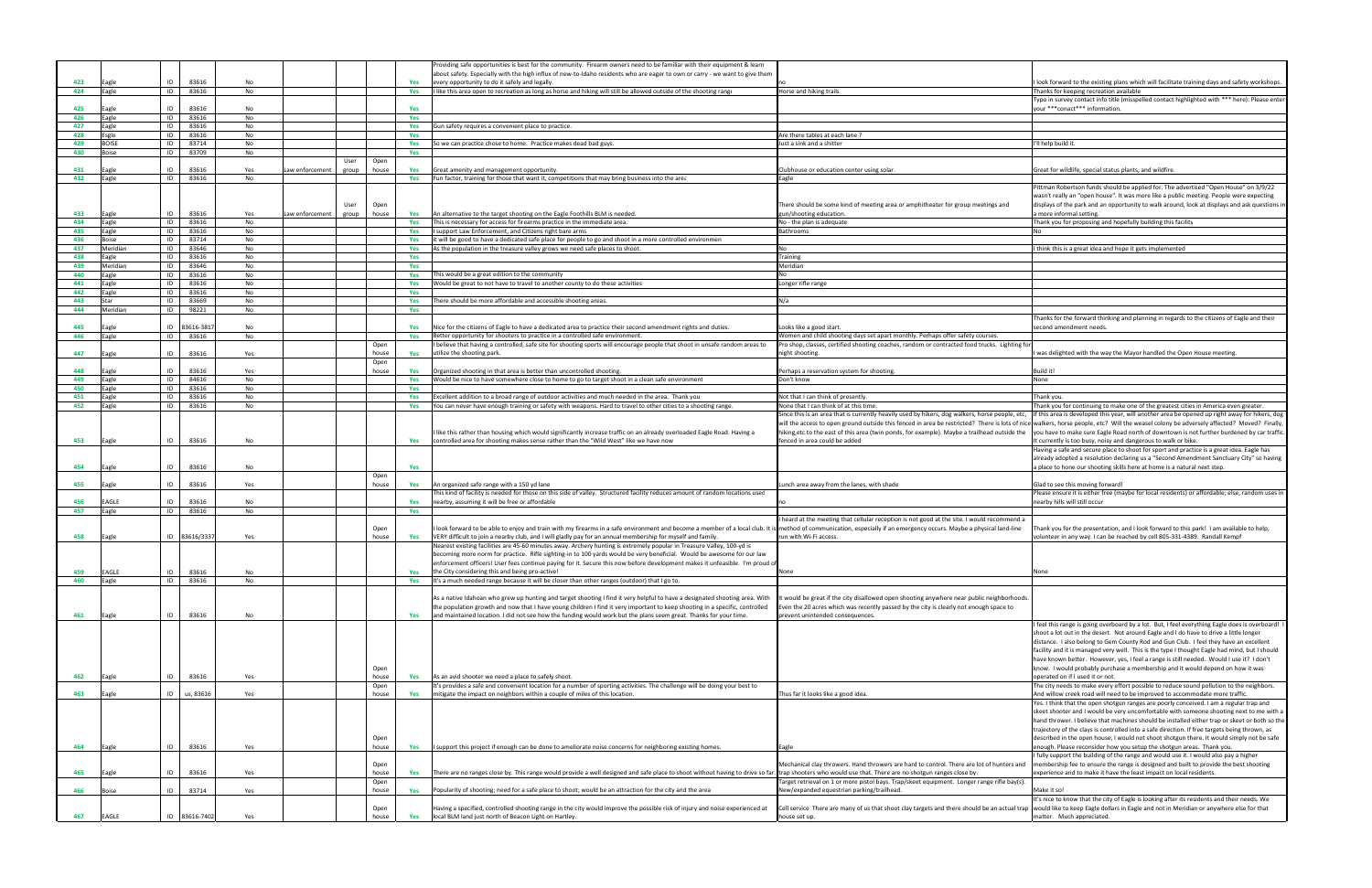|            |                  |                            |           |                 |                |            | Providing safe opportunities is best for the community. Firearm owners need to be familiar with their equipment & learn                                                                                               |                                                                                                                                                                                                       |                                                                                                                                                                                           |
|------------|------------------|----------------------------|-----------|-----------------|----------------|------------|-----------------------------------------------------------------------------------------------------------------------------------------------------------------------------------------------------------------------|-------------------------------------------------------------------------------------------------------------------------------------------------------------------------------------------------------|-------------------------------------------------------------------------------------------------------------------------------------------------------------------------------------------|
|            |                  |                            |           |                 |                |            | about safety. Especially with the high influx of new-to-Idaho residents who are eager to own or carry - we want to give them                                                                                          |                                                                                                                                                                                                       |                                                                                                                                                                                           |
| 423        | agle             | 83616<br>ID                | No        |                 |                | Yes        | every opportunity to do it safely and legally.                                                                                                                                                                        |                                                                                                                                                                                                       | I look forward to the existing plans which will facilitate training days and safety workshops.                                                                                            |
| 424        | Eagle            | ID<br>83616                | No        |                 |                | Yes        | I like this area open to recreation as long as horse and hiking will still be allowed outside of the shooting range                                                                                                   | Horse and hiking trails                                                                                                                                                                               | Thanks for keeping recreation available<br>Typo in survey contact info title (misspelled contact highlighted with *** here): Please enteı                                                 |
| 425        | agle             | ID<br>83616                | No        |                 |                | Yes        |                                                                                                                                                                                                                       |                                                                                                                                                                                                       | your *** conact*** information.                                                                                                                                                           |
| 426        | Eagle            | ID<br>83616                | No        |                 |                | Yes        |                                                                                                                                                                                                                       |                                                                                                                                                                                                       |                                                                                                                                                                                           |
| 427        | agle             | ID<br>83616                | No        |                 |                | Yes        | Gun safety requires a convenient place to practice.                                                                                                                                                                   |                                                                                                                                                                                                       |                                                                                                                                                                                           |
| 428        | sgle             | ID<br>83616                | No        |                 |                | Yes        |                                                                                                                                                                                                                       | Are there tables at each lane ?                                                                                                                                                                       |                                                                                                                                                                                           |
| 429        | <b>BOISE</b>     | ID<br>83714                | No        |                 |                | Yes        | So we can practice chose to home. Practice makes dead bad guys.                                                                                                                                                       | Just a sink and a shitter                                                                                                                                                                             | I'll help build it                                                                                                                                                                        |
| 430        | oise             | ID<br>83709                | No        |                 |                | Yes        |                                                                                                                                                                                                                       |                                                                                                                                                                                                       |                                                                                                                                                                                           |
| 431        |                  | ID<br>83616                |           |                 | User<br>Open   |            |                                                                                                                                                                                                                       |                                                                                                                                                                                                       | Great for wildlife, special status plants, and wildfire                                                                                                                                   |
| 432        | Eagle            | ID<br>83616                | Yes<br>No | aw enforcement. | group<br>house | Yes<br>Yes | Great amenity and management opportunity<br>Fun factor, training for those that want it, competitions that may bring business into the area                                                                           | Clubhouse or education center using solar<br>Eagle                                                                                                                                                    |                                                                                                                                                                                           |
|            |                  |                            |           |                 |                |            |                                                                                                                                                                                                                       |                                                                                                                                                                                                       | Pittman Robertson funds should be applied for. The advertised "Open House" on 3/9/22                                                                                                      |
|            |                  |                            |           |                 |                |            |                                                                                                                                                                                                                       |                                                                                                                                                                                                       | wasn't really an "open house". It was more like a public meeting. People were expecting                                                                                                   |
|            |                  |                            |           |                 | User<br>Open   |            |                                                                                                                                                                                                                       | There should be some kind of meeting area or amphitheater for group meetings and                                                                                                                      | displays of the park and an opportunity to walk around, look at displays and ask questions in                                                                                             |
| 433        | Eagle            | 83616<br>ID                | Yes       | aw enforcement. | group<br>house | Yes        | An alternative to the target shooting on the Eagle Foothills BLM is needed.                                                                                                                                           | un/shooting education                                                                                                                                                                                 | a more informal setting.                                                                                                                                                                  |
| 434        | Eagle            | ID<br>83616                | No        |                 |                | Yes        | This is necessary for access for firearms practice in the immediate area.                                                                                                                                             | No - the plan is adequate                                                                                                                                                                             | Thank you for proposing and hopefully building this facility                                                                                                                              |
| 435        | Eagle            | ID<br>83616                | No        |                 |                | Yes        | I support Law Enforcement, and Citizens right bare arms                                                                                                                                                               | Bathrooms                                                                                                                                                                                             |                                                                                                                                                                                           |
| 436        | Boise            | ID<br>83714                | No        |                 |                | Yes        | it will be good to have a dedicated safe place for people to go and shoot in a more controlled environmen                                                                                                             |                                                                                                                                                                                                       |                                                                                                                                                                                           |
| 437<br>438 | Meridian<br>agle | ID<br>83646<br>83616<br>ID | No<br>No  |                 |                | Yes<br>Yes | As the population in the treasure valley grows we need safe places to shoot                                                                                                                                           | N٥<br>Training                                                                                                                                                                                        | think this is a great idea and hope it gets implemented                                                                                                                                   |
| 439        | Meridian         | ID<br>83646                | No        |                 |                | Yes        |                                                                                                                                                                                                                       | Meridian                                                                                                                                                                                              |                                                                                                                                                                                           |
| 440        | agle             | ID<br>83616                | No        |                 |                | Yes        | This would be a great edition to the community                                                                                                                                                                        |                                                                                                                                                                                                       |                                                                                                                                                                                           |
| 441        | Eagle            | ID<br>83616                | No        |                 |                | Yes        | Would be great to not have to travel to another county to do these activities                                                                                                                                         | Longer rifle range                                                                                                                                                                                    |                                                                                                                                                                                           |
| 442        | Eagle            | ID<br>83616                | No        |                 |                | Yes        |                                                                                                                                                                                                                       |                                                                                                                                                                                                       |                                                                                                                                                                                           |
| 443        | tar              | 83669<br>ID                | No        |                 |                | Yes        | There should be more affordable and accessible shooting areas.                                                                                                                                                        | N/a                                                                                                                                                                                                   |                                                                                                                                                                                           |
| 444        | Meridian         | ID<br>98221                | No        |                 |                | Yes        |                                                                                                                                                                                                                       |                                                                                                                                                                                                       |                                                                                                                                                                                           |
|            |                  |                            |           |                 |                |            |                                                                                                                                                                                                                       |                                                                                                                                                                                                       | Thanks for the forward thinking and planning in regards to the citizens of Eagle and their                                                                                                |
| 445        | Eagle            | ID 83616-381               | No        |                 |                |            | Yes Nice for the citizens of Eagle to have a dedicated area to practice their second amendment rights and duties.                                                                                                     | Looks like a good start.                                                                                                                                                                              | second amendment needs                                                                                                                                                                    |
| 446        | Eagle            | ID<br>83616                | No        |                 |                | Yes        | Better opportunity for shooters to practice in a controlled safe environment.                                                                                                                                         | Vomen and child shooting days set apart monthly. Perhaps offer safety courses.                                                                                                                        |                                                                                                                                                                                           |
|            |                  |                            |           |                 | Open           |            | believe that having a controlled, safe site for shooting sports will encourage people that shoot in unsafe random areas to<br>utilize the shooting park.                                                              | Pro shop, classes, certified shooting coaches, random or contracted food trucks. Lighting for                                                                                                         |                                                                                                                                                                                           |
| 447        | Eagle            | ID<br>83616                | Yes       |                 | house<br>Open  | Yes        |                                                                                                                                                                                                                       | night shooting.                                                                                                                                                                                       | was delighted with the way the Mayor handled the Open House meeting.                                                                                                                      |
| 448        | agle             | ID<br>83616                | Yes       |                 | house          | Yes        | Organized shooting in that area is better than uncontrolled shooting.                                                                                                                                                 | Perhaps a reservation system for shooting                                                                                                                                                             | Build it!                                                                                                                                                                                 |
| 449        | Eagle            | ID<br>84616                | No        |                 |                | Yes        | Would be nice to have somewhere close to home to go to target shoot in a clean safe environment                                                                                                                       | Don't know                                                                                                                                                                                            | None                                                                                                                                                                                      |
| 450        | agle             | 83616<br>ID                | No        |                 |                | Yes        |                                                                                                                                                                                                                       |                                                                                                                                                                                                       |                                                                                                                                                                                           |
| 451        | Eagle            | ID<br>83616                | No        |                 |                | Yes        | Excellent addition to a broad range of outdoor activities and much needed in the area. Thank you                                                                                                                      | Not that I can think of presently.                                                                                                                                                                    | Thank you.                                                                                                                                                                                |
| 452        | Eagle            | ID<br>83616                | No        |                 |                | Yes        | You can never have enough training or safety with weapons. Hard to travel to other cities to a shooting range.                                                                                                        | None that I can think of at this time.                                                                                                                                                                | Thank you for continuing to make one of the greatest cities in America even greater                                                                                                       |
|            |                  |                            |           |                 |                |            |                                                                                                                                                                                                                       | Since this is an area that is currently heavily used by hikers, dog walkers, horse people, etc,                                                                                                       | If this area is developed this year, will another area be opened up right away for hikers, dog                                                                                            |
|            |                  |                            |           |                 |                |            |                                                                                                                                                                                                                       |                                                                                                                                                                                                       | will the access to open ground outside this fenced in area be restricted? There is lots of nice walkers, horse people, etc? Will the weasel colony be adversely affected? Moved? Finally, |
|            |                  |                            |           |                 |                |            | like this rather than housing which would significantly increase traffic on an already overloaded Eagle Road. Having a                                                                                                | hiking, etc to the east of this area (twin ponds, for example). Maybe a trailhead outside the                                                                                                         | you have to make sure Eagle Road north of downtown is not further burdened by car traffic                                                                                                 |
| 453        | Eagle            | 83616<br>ID                | No        |                 |                | Yes        | controlled area for shooting makes sense rather than the "Wild West" like we have now                                                                                                                                 | fenced in area could be added                                                                                                                                                                         | It currently is too busy, noisy and dangerous to walk or bike                                                                                                                             |
|            |                  |                            |           |                 |                |            |                                                                                                                                                                                                                       |                                                                                                                                                                                                       | Having a safe and secure place to shoot for sport and practice is a great idea. Eagle has                                                                                                 |
|            |                  |                            |           |                 |                |            |                                                                                                                                                                                                                       |                                                                                                                                                                                                       | already adopted a resolution declaring us a "Second Amendment Sanctuary City" so having                                                                                                   |
| 454        | Eagle            | ID<br>83616                | No        |                 |                | Yes        |                                                                                                                                                                                                                       |                                                                                                                                                                                                       | a place to hone our shooting skills here at home is a natural next step.                                                                                                                  |
| 455        | Eagle            | ID<br>83616                | Yes       |                 | Open<br>house  | Yes        | An organized safe range with a 150 yd lane                                                                                                                                                                            | Lunch area away from the lanes, with shade                                                                                                                                                            | Glad to see this moving forward!                                                                                                                                                          |
|            |                  |                            |           |                 |                |            | This kind of facility is needed for those on this side of valley. Structured facility reduces amount of random locations used                                                                                         |                                                                                                                                                                                                       | Please ensure it is either free (maybe for local residents) or affordable; else, random uses in                                                                                           |
| 456        | EAGLE            | 83616<br>ID                | No        |                 |                | Yes        | nearby, assuming it will be free or affordable                                                                                                                                                                        |                                                                                                                                                                                                       | nearby hills will still occur                                                                                                                                                             |
| 457        | Eagle            | ID<br>83616                | No        |                 |                | Yes        |                                                                                                                                                                                                                       |                                                                                                                                                                                                       |                                                                                                                                                                                           |
|            |                  |                            |           |                 |                |            |                                                                                                                                                                                                                       | heard at the meeting that cellular reception is not good at the site. I would recommend a                                                                                                             |                                                                                                                                                                                           |
|            |                  |                            |           |                 | Open           |            | I look forward to be able to enjoy and train with my firearms in a safe environment and become a member of a local club. It is method of communication, especially if an emergency occurs. Maybe a physical land-line |                                                                                                                                                                                                       | Thank you for the presentation, and I look forward to this park! I am available to help,                                                                                                  |
| 458        | Eagle            | 83616/3337<br>ID           | Yes       |                 | house          | Yes        | VERY difficult to join a nearby club, and I will gladly pay for an annual membership for myself and family.                                                                                                           | run with Wi-Fi access.                                                                                                                                                                                | volunteer in any way. I can be reached by cell 805-331-4389. Randall Kempt                                                                                                                |
|            |                  |                            |           |                 |                |            | Nearest existing facilities are 45-60 minutes away. Archery hunting is extremely popular in Treasure Valley, 100-yd is                                                                                                |                                                                                                                                                                                                       |                                                                                                                                                                                           |
|            |                  |                            |           |                 |                |            | becoming more norm for practice. Rifle sighting-in to 100 yards would be very beneficial. Would be awesome for our law                                                                                                |                                                                                                                                                                                                       |                                                                                                                                                                                           |
|            |                  |                            |           |                 |                |            | enforcement officers! User fees continue paying for it. Secure this now before development makes it unfeasible. I'm proud o                                                                                           |                                                                                                                                                                                                       |                                                                                                                                                                                           |
| 459        | EAGLE            | ID<br>83616<br>ID          | No        |                 |                | Yes        | the City considering this and being pro-active!<br>It's a much needed range because it will be closer than other ranges (outdoor) that I go to.                                                                       |                                                                                                                                                                                                       | None                                                                                                                                                                                      |
| 460        | Eagle            | 83616                      | No        |                 |                | Yes        |                                                                                                                                                                                                                       |                                                                                                                                                                                                       |                                                                                                                                                                                           |
|            |                  |                            |           |                 |                |            | As a native Idahoan who grew up hunting and target shooting I find it very helpful to have a designated shooting area. With                                                                                           | t would be great if the city disallowed open shooting anywhere near public neighborhoods.                                                                                                             |                                                                                                                                                                                           |
|            |                  |                            |           |                 |                |            | the population growth and now that I have young children I find it very important to keep shooting in a specific, controlled                                                                                          | ven the 20 acres which was recently passed by the city is clearly not enough space to                                                                                                                 |                                                                                                                                                                                           |
| 461        | Eagle            | ID<br>83616                | No        |                 |                | Yes        | and maintained location. I did not see how the funding would work but the plans seem great. Thanks for your time.                                                                                                     | prevent unintended consequences.                                                                                                                                                                      |                                                                                                                                                                                           |
|            |                  |                            |           |                 |                |            |                                                                                                                                                                                                                       |                                                                                                                                                                                                       | feel this range is going overboard by a lot. But, I feel everything Eagle does is overboard! I                                                                                            |
|            |                  |                            |           |                 |                |            |                                                                                                                                                                                                                       |                                                                                                                                                                                                       | shoot a lot out in the desert. Not around Eagle and I do have to drive a little longer                                                                                                    |
|            |                  |                            |           |                 |                |            |                                                                                                                                                                                                                       |                                                                                                                                                                                                       | distance. I also belong to Gem County Rod and Gun Club. I feel they have an excellent                                                                                                     |
|            |                  |                            |           |                 |                |            |                                                                                                                                                                                                                       |                                                                                                                                                                                                       | facility and it is managed very well. This is the type I thought Eagle had mind, but I should                                                                                             |
|            |                  |                            |           |                 |                |            |                                                                                                                                                                                                                       |                                                                                                                                                                                                       | have known better. However, yes, I feel a range is still needed. Would I use it? I don't                                                                                                  |
|            |                  |                            |           |                 | Open           |            |                                                                                                                                                                                                                       |                                                                                                                                                                                                       | know. I would probably purchase a membership and it would depend on how it was                                                                                                            |
| 462        | Eagle            | 83616<br>ID                | Yes       |                 | house          | Yes        | As an avid shooter we need a place to safely shoot.                                                                                                                                                                   |                                                                                                                                                                                                       | operated on if I used it or not.                                                                                                                                                          |
| 463        | Eagle            | ID<br>us, 83616            | Yes       |                 | Open<br>house  | Yes        | It's provides a safe and convenient location for a number of sporting activities. The challenge will be doing your best to<br>mitigate the impact on neighbors within a couple of miles of this location.             | Thus far it looks like a good idea.                                                                                                                                                                   | The city needs to make every effort possible to reduce sound pollution to the neighbors.<br>And willow creek road will need to be improved to accommodate more traffic.                   |
|            |                  |                            |           |                 |                |            |                                                                                                                                                                                                                       |                                                                                                                                                                                                       | Yes. I think that the open shotgun ranges are poorly conceived. I am a regular trap and                                                                                                   |
|            |                  |                            |           |                 |                |            |                                                                                                                                                                                                                       |                                                                                                                                                                                                       | skeet shooter and I would be very uncomfortable with someone shooting next to me with a                                                                                                   |
|            |                  |                            |           |                 |                |            |                                                                                                                                                                                                                       |                                                                                                                                                                                                       | hand thrower. I believe that machines should be installed either trap or skeet or both so the                                                                                             |
|            |                  |                            |           |                 |                |            |                                                                                                                                                                                                                       |                                                                                                                                                                                                       | trajectory of the clays is controlled into a safe direction. If free targets being thrown, as                                                                                             |
|            |                  |                            |           |                 | Open           |            |                                                                                                                                                                                                                       |                                                                                                                                                                                                       | described in the open house, I would not shoot shotgun there. It would simply not be safe                                                                                                 |
| 464        | Eagle            | 83616<br>ID                | Yes       |                 | house          | Yes        | I support this project if enough can be done to ameliorate noise concerns for neighboring existing homes.                                                                                                             | Eagle                                                                                                                                                                                                 | enough. Please reconsider how you setup the shotgun areas. Thank you.                                                                                                                     |
|            |                  |                            |           |                 |                |            |                                                                                                                                                                                                                       |                                                                                                                                                                                                       | I fully support the building of the range and would use it. I would also pay a higher                                                                                                     |
|            |                  |                            |           |                 | Open           |            |                                                                                                                                                                                                                       | Mechanical clay throwers. Hand throwers are hard to control. There are lot of hunters and                                                                                                             | membership fee to ensure the range is designed and built to provide the best shooting                                                                                                     |
|            |                  |                            |           |                 |                |            |                                                                                                                                                                                                                       |                                                                                                                                                                                                       |                                                                                                                                                                                           |
| 465        | Eagle            | 83616<br>ID                | Yes       |                 | house          | Yes        | There are no ranges close by. This range would provide a well designed and safe place to shoot without having to drive so far. trap shooters who would use that. There are no shotgun ranges close by.                |                                                                                                                                                                                                       | experience and to make it have the least impact on local residents.                                                                                                                       |
|            |                  |                            |           |                 | Open           |            |                                                                                                                                                                                                                       | Target retrieval on 1 or more pistol bays. Trap/skeet equipment. Longer range rifle bay(s).                                                                                                           |                                                                                                                                                                                           |
| 466        | Boise            | ID<br>83714                | Yes       |                 | house          | Yes        | Popularity of shooting; need for a safe place to shoot; would be an attraction for the city and the area                                                                                                              | New/expanded equestrian parking/trailhead.                                                                                                                                                            | Make it so!                                                                                                                                                                               |
|            |                  |                            |           |                 |                |            |                                                                                                                                                                                                                       |                                                                                                                                                                                                       | It's nice to know that the city of Eagle is looking after its residents and their needs. We                                                                                               |
| 467        | EAGLE            | ID 83616-7402              | Yes       |                 | Open<br>house  | <b>Yes</b> | Having a specified, controlled shooting range in the city would improve the possible risk of injury and noise experienced at<br>local BLM land just north of Beacon Light on Hartley.                                 | Cell service There are many of us that shoot clay targets and there should be an actual trap would like to keep Eagle dollars in Eagle and not in Meridian or anywhere else for that<br>house set up. | matter. Much appreciated.                                                                                                                                                                 |

| no                                                                                                                                                                                                                                                                                                                | I look forward to the existing plans which will facilitate training days and safety workshops.                                                                                            |
|-------------------------------------------------------------------------------------------------------------------------------------------------------------------------------------------------------------------------------------------------------------------------------------------------------------------|-------------------------------------------------------------------------------------------------------------------------------------------------------------------------------------------|
| Horse and hiking trails                                                                                                                                                                                                                                                                                           | Thanks for keeping recreation available                                                                                                                                                   |
|                                                                                                                                                                                                                                                                                                                   | Typo in survey contact info title (misspelled contact highlighted with *** here): Please enter                                                                                            |
|                                                                                                                                                                                                                                                                                                                   | your *** conact*** information.                                                                                                                                                           |
|                                                                                                                                                                                                                                                                                                                   |                                                                                                                                                                                           |
| Are there tables at each lane?                                                                                                                                                                                                                                                                                    |                                                                                                                                                                                           |
| Just a sink and a shitter                                                                                                                                                                                                                                                                                         | I'll help build it.                                                                                                                                                                       |
|                                                                                                                                                                                                                                                                                                                   |                                                                                                                                                                                           |
|                                                                                                                                                                                                                                                                                                                   |                                                                                                                                                                                           |
| Clubhouse or education center using solar.                                                                                                                                                                                                                                                                        | Great for wildlife, special status plants, and wildfire.                                                                                                                                  |
| Eagle                                                                                                                                                                                                                                                                                                             |                                                                                                                                                                                           |
|                                                                                                                                                                                                                                                                                                                   | Pittman Robertson funds should be applied for. The advertised "Open House" on 3/9/22<br>wasn't really an "open house". It was more like a public meeting. People were expecting           |
| There should be some kind of meeting area or amphitheater for group meetings and                                                                                                                                                                                                                                  | displays of the park and an opportunity to walk around, look at displays and ask questions in                                                                                             |
| gun/shooting education.                                                                                                                                                                                                                                                                                           | a more informal setting.                                                                                                                                                                  |
| No - the plan is adequate                                                                                                                                                                                                                                                                                         | Thank you for proposing and hopefully building this facility                                                                                                                              |
| Bathrooms                                                                                                                                                                                                                                                                                                         | No                                                                                                                                                                                        |
|                                                                                                                                                                                                                                                                                                                   |                                                                                                                                                                                           |
| No                                                                                                                                                                                                                                                                                                                | I think this is a great idea and hope it gets implemented                                                                                                                                 |
| Training<br>Meridian                                                                                                                                                                                                                                                                                              |                                                                                                                                                                                           |
| No                                                                                                                                                                                                                                                                                                                |                                                                                                                                                                                           |
| Longer rifle range                                                                                                                                                                                                                                                                                                |                                                                                                                                                                                           |
|                                                                                                                                                                                                                                                                                                                   |                                                                                                                                                                                           |
| N/a                                                                                                                                                                                                                                                                                                               |                                                                                                                                                                                           |
|                                                                                                                                                                                                                                                                                                                   |                                                                                                                                                                                           |
|                                                                                                                                                                                                                                                                                                                   | Thanks for the forward thinking and planning in regards to the citizens of Eagle and their<br>second amendment needs.                                                                     |
| Looks like a good start.<br>Women and child shooting days set apart monthly. Perhaps offer safety courses.                                                                                                                                                                                                        |                                                                                                                                                                                           |
| Pro shop, classes, certified shooting coaches, random or contracted food trucks. Lighting for                                                                                                                                                                                                                     |                                                                                                                                                                                           |
| night shooting.                                                                                                                                                                                                                                                                                                   | I was delighted with the way the Mayor handled the Open House meeting.                                                                                                                    |
|                                                                                                                                                                                                                                                                                                                   |                                                                                                                                                                                           |
| Perhaps a reservation system for shooting.                                                                                                                                                                                                                                                                        | Build it!                                                                                                                                                                                 |
| Don't know                                                                                                                                                                                                                                                                                                        | None                                                                                                                                                                                      |
| Not that I can think of presently.                                                                                                                                                                                                                                                                                | Thank you.                                                                                                                                                                                |
| None that I can think of at this time.                                                                                                                                                                                                                                                                            | Thank you for continuing to make one of the greatest cities in America even greater.                                                                                                      |
| Since this is an area that is currently heavily used by hikers, dog walkers, horse people, etc,                                                                                                                                                                                                                   | If this area is developed this year, will another area be opened up right away for hikers, dog                                                                                            |
|                                                                                                                                                                                                                                                                                                                   | will the access to open ground outside this fenced in area be restricted? There is lots of nice walkers, horse people, etc? Will the weasel colony be adversely affected? Moved? Finally, |
| hiking, etc to the east of this area (twin ponds, for example). Maybe a trailhead outside the                                                                                                                                                                                                                     | you have to make sure Eagle Road north of downtown is not further burdened by car traffic.                                                                                                |
| fenced in area could be added                                                                                                                                                                                                                                                                                     | It currently is too busy, noisy and dangerous to walk or bike.                                                                                                                            |
|                                                                                                                                                                                                                                                                                                                   | Having a safe and secure place to shoot for sport and practice is a great idea. Eagle has                                                                                                 |
|                                                                                                                                                                                                                                                                                                                   | already adopted a resolution declaring us a "Second Amendment Sanctuary City" so having<br>a place to hone our shooting skills here at home is a natural next step.                       |
|                                                                                                                                                                                                                                                                                                                   |                                                                                                                                                                                           |
| Lunch area away from the lanes, with shade                                                                                                                                                                                                                                                                        | Glad to see this moving forward!                                                                                                                                                          |
|                                                                                                                                                                                                                                                                                                                   | Please ensure it is either free (maybe for local residents) or affordable; else, random uses in                                                                                           |
| no                                                                                                                                                                                                                                                                                                                | nearby hills will still occur                                                                                                                                                             |
| I heard at the meeting that cellular reception is not good at the site. I would recommend a                                                                                                                                                                                                                       |                                                                                                                                                                                           |
| method of communication, especially if an emergency occurs. Maybe a physical land-line                                                                                                                                                                                                                            | Thank you for the presentation, and I look forward to this park! I am available to help,                                                                                                  |
| run with Wi-Fi access.                                                                                                                                                                                                                                                                                            | volunteer in any way. I can be reached by cell 805-331-4389. Randall Kempf                                                                                                                |
|                                                                                                                                                                                                                                                                                                                   |                                                                                                                                                                                           |
|                                                                                                                                                                                                                                                                                                                   |                                                                                                                                                                                           |
|                                                                                                                                                                                                                                                                                                                   |                                                                                                                                                                                           |
| None                                                                                                                                                                                                                                                                                                              | None                                                                                                                                                                                      |
|                                                                                                                                                                                                                                                                                                                   |                                                                                                                                                                                           |
| It would be great if the city disallowed open shooting anywhere near public neighborhoods.                                                                                                                                                                                                                        |                                                                                                                                                                                           |
| Even the 20 acres which was recently passed by the city is clearly not enough space to                                                                                                                                                                                                                            |                                                                                                                                                                                           |
| prevent unintended consequences.                                                                                                                                                                                                                                                                                  |                                                                                                                                                                                           |
|                                                                                                                                                                                                                                                                                                                   | I feel this range is going overboard by a lot. But, I feel everything Eagle does is overboard! I                                                                                          |
|                                                                                                                                                                                                                                                                                                                   | shoot a lot out in the desert. Not around Eagle and I do have to drive a little longer                                                                                                    |
|                                                                                                                                                                                                                                                                                                                   | distance. I also belong to Gem County Rod and Gun Club. I feel they have an excellent<br>facility and it is managed very well. This is the type I thought Eagle had mind, but I should    |
|                                                                                                                                                                                                                                                                                                                   | have known better. However, yes, I feel a range is still needed. Would I use it? I don't                                                                                                  |
|                                                                                                                                                                                                                                                                                                                   | know. I would probably purchase a membership and it would depend on how it was                                                                                                            |
|                                                                                                                                                                                                                                                                                                                   | operated on if I used it or not.                                                                                                                                                          |
|                                                                                                                                                                                                                                                                                                                   | The city needs to make every effort possible to reduce sound pollution to the neighbors.                                                                                                  |
| Thus far it looks like a good idea.                                                                                                                                                                                                                                                                               | And willow creek road will need to be improved to accommodate more traffic.                                                                                                               |
|                                                                                                                                                                                                                                                                                                                   | Yes. I think that the open shotgun ranges are poorly conceived. I am a regular trap and<br>skeet shooter and I would be very uncomfortable with someone shooting next to me with a        |
|                                                                                                                                                                                                                                                                                                                   | hand thrower. I believe that machines should be installed either trap or skeet or both so the                                                                                             |
|                                                                                                                                                                                                                                                                                                                   | trajectory of the clays is controlled into a safe direction. If free targets being thrown, as                                                                                             |
|                                                                                                                                                                                                                                                                                                                   |                                                                                                                                                                                           |
| Eagle                                                                                                                                                                                                                                                                                                             | described in the open house, I would not shoot shotgun there. It would simply not be safe                                                                                                 |
|                                                                                                                                                                                                                                                                                                                   | enough. Please reconsider how you setup the shotgun areas. Thank you.                                                                                                                     |
|                                                                                                                                                                                                                                                                                                                   | I fully support the building of the range and would use it. I would also pay a higher                                                                                                     |
|                                                                                                                                                                                                                                                                                                                   | membership fee to ensure the range is designed and built to provide the best shooting                                                                                                     |
|                                                                                                                                                                                                                                                                                                                   | experience and to make it have the least impact on local residents.                                                                                                                       |
| Mechanical clay throwers. Hand throwers are hard to control. There are lot of hunters and<br>trap shooters who would use that. There are no shotgun ranges close by.<br>Target retrieval on 1 or more pistol bays. Trap/skeet equipment. Longer range rifle bay(s).<br>New/expanded equestrian parking/trailhead. | Make it so!                                                                                                                                                                               |
|                                                                                                                                                                                                                                                                                                                   | It's nice to know that the city of Eagle is looking after its residents and their needs. We                                                                                               |
| Cell service There are many of us that shoot clay targets and there should be an actual trap would like to keep Eagle dollars in Eagle and not in Meridian or anywhere else for that                                                                                                                              |                                                                                                                                                                                           |
| house set up.                                                                                                                                                                                                                                                                                                     | matter. Much appreciated.                                                                                                                                                                 |